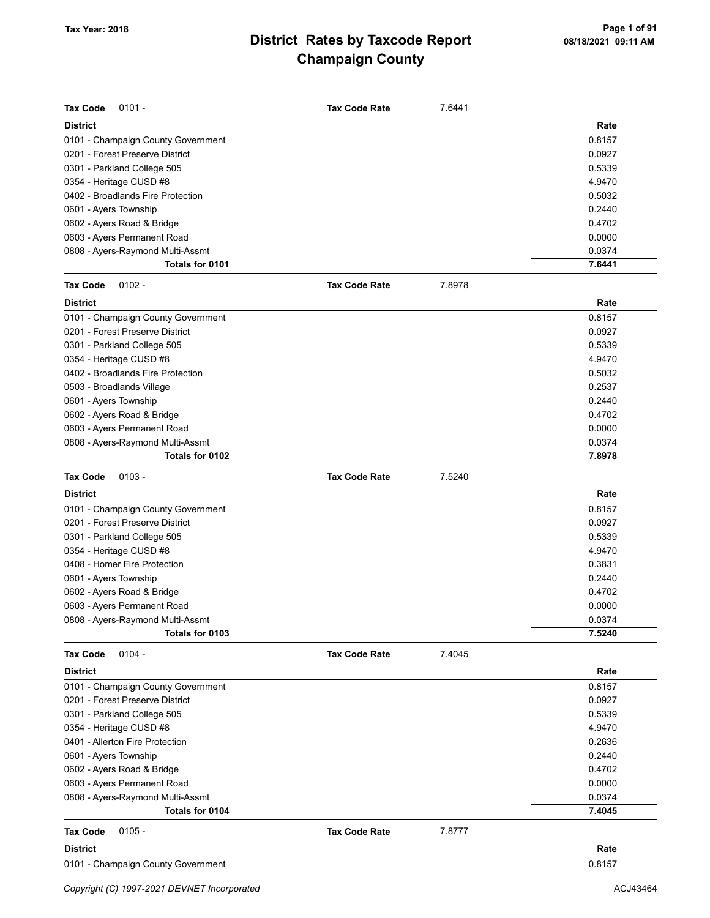| <b>Tax Code</b><br>$0101 -$        | <b>Tax Code Rate</b> | 7.6441 |        |
|------------------------------------|----------------------|--------|--------|
| <b>District</b>                    |                      |        | Rate   |
| 0101 - Champaign County Government |                      |        | 0.8157 |
| 0201 - Forest Preserve District    |                      |        | 0.0927 |
| 0301 - Parkland College 505        |                      |        | 0.5339 |
| 0354 - Heritage CUSD #8            |                      |        | 4.9470 |
| 0402 - Broadlands Fire Protection  |                      |        | 0.5032 |
| 0601 - Ayers Township              |                      |        | 0.2440 |
| 0602 - Ayers Road & Bridge         |                      |        | 0.4702 |
| 0603 - Ayers Permanent Road        |                      |        | 0.0000 |
| 0808 - Ayers-Raymond Multi-Assmt   |                      |        | 0.0374 |
| Totals for 0101                    |                      |        | 7.6441 |
| <b>Tax Code</b><br>$0102 -$        | <b>Tax Code Rate</b> | 7.8978 |        |
| <b>District</b>                    |                      |        | Rate   |
| 0101 - Champaign County Government |                      |        | 0.8157 |
| 0201 - Forest Preserve District    |                      |        | 0.0927 |
| 0301 - Parkland College 505        |                      |        | 0.5339 |
| 0354 - Heritage CUSD #8            |                      |        | 4.9470 |
| 0402 - Broadlands Fire Protection  |                      |        | 0.5032 |
| 0503 - Broadlands Village          |                      |        | 0.2537 |
| 0601 - Ayers Township              |                      |        | 0.2440 |
| 0602 - Ayers Road & Bridge         |                      |        | 0.4702 |
| 0603 - Ayers Permanent Road        |                      |        | 0.0000 |
| 0808 - Ayers-Raymond Multi-Assmt   |                      |        | 0.0374 |
| Totals for 0102                    |                      |        | 7.8978 |
| <b>Tax Code</b><br>$0103 -$        | <b>Tax Code Rate</b> | 7.5240 |        |
| <b>District</b>                    |                      |        | Rate   |
| 0101 - Champaign County Government |                      |        | 0.8157 |
| 0201 - Forest Preserve District    |                      |        | 0.0927 |
| 0301 - Parkland College 505        |                      |        | 0.5339 |
| 0354 - Heritage CUSD #8            |                      |        | 4.9470 |
| 0408 - Homer Fire Protection       |                      |        | 0.3831 |
| 0601 - Ayers Township              |                      |        | 0.2440 |
| 0602 - Ayers Road & Bridge         |                      |        | 0.4702 |
| 0603 - Ayers Permanent Road        |                      |        | 0.0000 |
| 0808 - Ayers-Raymond Multi-Assmt   |                      |        | 0.0374 |
| Totals for 0103                    |                      |        | 7.5240 |
| $0104 -$<br><b>Tax Code</b>        | <b>Tax Code Rate</b> | 7.4045 |        |
| <b>District</b>                    |                      |        | Rate   |
| 0101 - Champaign County Government |                      |        | 0.8157 |
| 0201 - Forest Preserve District    |                      |        | 0.0927 |
| 0301 - Parkland College 505        |                      |        | 0.5339 |
| 0354 - Heritage CUSD #8            |                      |        | 4.9470 |
| 0401 - Allerton Fire Protection    |                      |        | 0.2636 |
| 0601 - Ayers Township              |                      |        | 0.2440 |
| 0602 - Ayers Road & Bridge         |                      |        | 0.4702 |
| 0603 - Ayers Permanent Road        |                      |        | 0.0000 |
| 0808 - Ayers-Raymond Multi-Assmt   |                      |        | 0.0374 |
| Totals for 0104                    |                      |        | 7.4045 |
| $0105 -$<br><b>Tax Code</b>        |                      |        |        |
|                                    | <b>Tax Code Rate</b> | 7.8777 |        |
| <b>District</b>                    |                      |        | Rate   |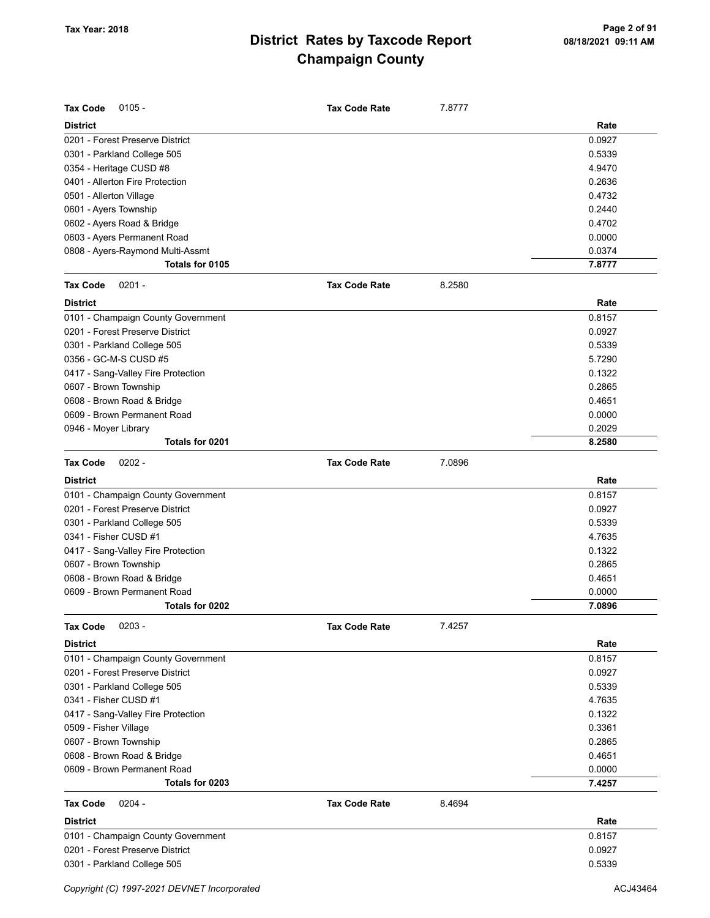| <b>Tax Code</b><br>$0105 -$        | <b>Tax Code Rate</b> | 7.8777 |        |
|------------------------------------|----------------------|--------|--------|
| <b>District</b>                    |                      |        | Rate   |
| 0201 - Forest Preserve District    |                      |        | 0.0927 |
| 0301 - Parkland College 505        |                      |        | 0.5339 |
| 0354 - Heritage CUSD #8            |                      |        | 4.9470 |
| 0401 - Allerton Fire Protection    |                      |        | 0.2636 |
| 0501 - Allerton Village            |                      |        | 0.4732 |
| 0601 - Ayers Township              |                      |        | 0.2440 |
| 0602 - Ayers Road & Bridge         |                      |        | 0.4702 |
| 0603 - Ayers Permanent Road        |                      |        | 0.0000 |
| 0808 - Ayers-Raymond Multi-Assmt   |                      |        | 0.0374 |
| Totals for 0105                    |                      |        | 7.8777 |
| <b>Tax Code</b><br>$0201 -$        | <b>Tax Code Rate</b> | 8.2580 |        |
| <b>District</b>                    |                      |        | Rate   |
| 0101 - Champaign County Government |                      |        | 0.8157 |
| 0201 - Forest Preserve District    |                      |        | 0.0927 |
| 0301 - Parkland College 505        |                      |        | 0.5339 |
| 0356 - GC-M-S CUSD #5              |                      |        | 5.7290 |
| 0417 - Sang-Valley Fire Protection |                      |        | 0.1322 |
| 0607 - Brown Township              |                      |        | 0.2865 |
| 0608 - Brown Road & Bridge         |                      |        | 0.4651 |
| 0609 - Brown Permanent Road        |                      |        | 0.0000 |
| 0946 - Moyer Library               |                      |        | 0.2029 |
| Totals for 0201                    |                      |        | 8.2580 |
| <b>Tax Code</b><br>$0202 -$        | <b>Tax Code Rate</b> | 7.0896 |        |
| <b>District</b>                    |                      |        | Rate   |
| 0101 - Champaign County Government |                      |        | 0.8157 |
| 0201 - Forest Preserve District    |                      |        | 0.0927 |
| 0301 - Parkland College 505        |                      |        | 0.5339 |
| 0341 - Fisher CUSD #1              |                      |        | 4.7635 |
| 0417 - Sang-Valley Fire Protection |                      |        | 0.1322 |
| 0607 - Brown Township              |                      |        | 0.2865 |
| 0608 - Brown Road & Bridge         |                      |        | 0.4651 |
| 0609 - Brown Permanent Road        |                      |        | 0.0000 |
| Totals for 0202                    |                      |        | 7.0896 |
| <b>Tax Code</b><br>$0203 -$        | <b>Tax Code Rate</b> | 7.4257 |        |
| <b>District</b>                    |                      |        | Rate   |
| 0101 - Champaign County Government |                      |        | 0.8157 |
| 0201 - Forest Preserve District    |                      |        | 0.0927 |
| 0301 - Parkland College 505        |                      |        | 0.5339 |
| 0341 - Fisher CUSD #1              |                      |        | 4.7635 |
| 0417 - Sang-Valley Fire Protection |                      |        | 0.1322 |
| 0509 - Fisher Village              |                      |        | 0.3361 |
| 0607 - Brown Township              |                      |        | 0.2865 |
| 0608 - Brown Road & Bridge         |                      |        | 0.4651 |
| 0609 - Brown Permanent Road        |                      |        | 0.0000 |
| Totals for 0203                    |                      |        | 7.4257 |
| <b>Tax Code</b><br>$0204 -$        | <b>Tax Code Rate</b> | 8.4694 |        |
| <b>District</b>                    |                      |        | Rate   |
| 0101 - Champaign County Government |                      |        | 0.8157 |
| 0201 - Forest Preserve District    |                      |        | 0.0927 |
| 0301 - Parkland College 505        |                      |        | 0.5339 |
|                                    |                      |        |        |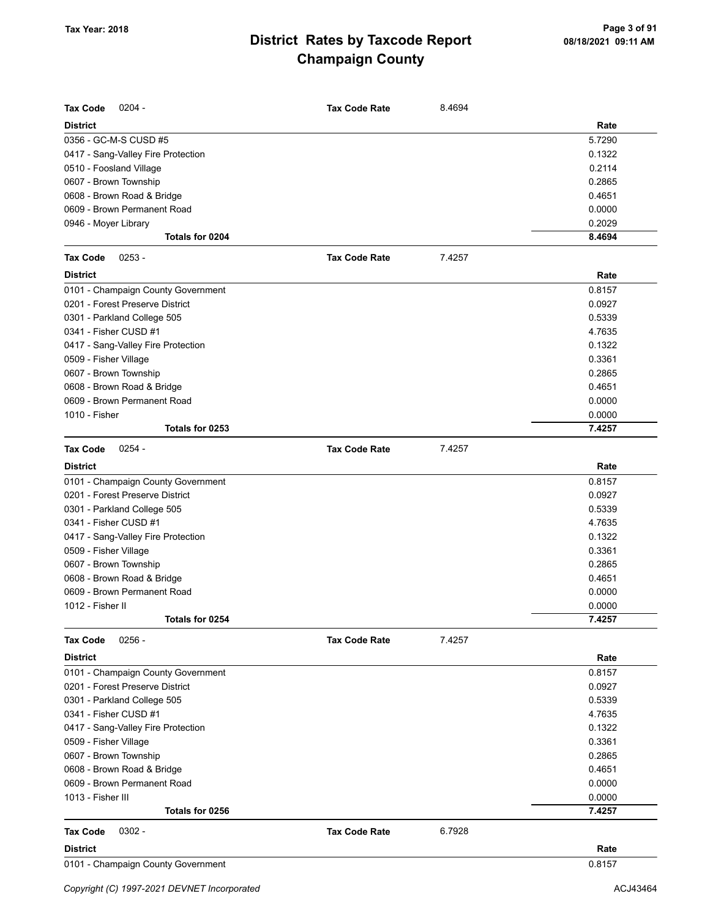| <b>Tax Code</b><br>$0204 -$        | <b>Tax Code Rate</b> | 8.4694 |        |
|------------------------------------|----------------------|--------|--------|
| <b>District</b>                    |                      |        | Rate   |
| 0356 - GC-M-S CUSD #5              |                      |        | 5.7290 |
| 0417 - Sang-Valley Fire Protection |                      |        | 0.1322 |
| 0510 - Foosland Village            |                      |        | 0.2114 |
| 0607 - Brown Township              |                      |        | 0.2865 |
| 0608 - Brown Road & Bridge         |                      |        | 0.4651 |
| 0609 - Brown Permanent Road        |                      |        | 0.0000 |
| 0946 - Moyer Library               |                      |        | 0.2029 |
| Totals for 0204                    |                      |        | 8.4694 |
| $0253 -$<br><b>Tax Code</b>        | <b>Tax Code Rate</b> | 7.4257 |        |
| <b>District</b>                    |                      |        | Rate   |
| 0101 - Champaign County Government |                      |        | 0.8157 |
| 0201 - Forest Preserve District    |                      |        | 0.0927 |
| 0301 - Parkland College 505        |                      |        | 0.5339 |
| 0341 - Fisher CUSD #1              |                      |        | 4.7635 |
| 0417 - Sang-Valley Fire Protection |                      |        | 0.1322 |
| 0509 - Fisher Village              |                      |        | 0.3361 |
| 0607 - Brown Township              |                      |        | 0.2865 |
| 0608 - Brown Road & Bridge         |                      |        | 0.4651 |
| 0609 - Brown Permanent Road        |                      |        | 0.0000 |
| 1010 - Fisher                      |                      |        | 0.0000 |
| Totals for 0253                    |                      |        | 7.4257 |
| $0254 -$<br><b>Tax Code</b>        | <b>Tax Code Rate</b> | 7.4257 |        |
| <b>District</b>                    |                      |        | Rate   |
| 0101 - Champaign County Government |                      |        | 0.8157 |
| 0201 - Forest Preserve District    |                      |        | 0.0927 |
| 0301 - Parkland College 505        |                      |        | 0.5339 |
| 0341 - Fisher CUSD #1              |                      |        | 4.7635 |
| 0417 - Sang-Valley Fire Protection |                      |        | 0.1322 |
| 0509 - Fisher Village              |                      |        | 0.3361 |
| 0607 - Brown Township              |                      |        | 0.2865 |
| 0608 - Brown Road & Bridge         |                      |        | 0.4651 |
| 0609 - Brown Permanent Road        |                      |        | 0.0000 |
| 1012 - Fisher II                   |                      |        | 0.0000 |
| Totals for 0254                    |                      |        | 7.4257 |
| $0256 -$<br><b>Tax Code</b>        | <b>Tax Code Rate</b> | 7.4257 |        |
| <b>District</b>                    |                      |        | Rate   |
| 0101 - Champaign County Government |                      |        | 0.8157 |
| 0201 - Forest Preserve District    |                      |        | 0.0927 |
| 0301 - Parkland College 505        |                      |        | 0.5339 |
| 0341 - Fisher CUSD #1              |                      |        | 4.7635 |
| 0417 - Sang-Valley Fire Protection |                      |        | 0.1322 |
| 0509 - Fisher Village              |                      |        | 0.3361 |
| 0607 - Brown Township              |                      |        | 0.2865 |
| 0608 - Brown Road & Bridge         |                      |        | 0.4651 |
| 0609 - Brown Permanent Road        |                      |        | 0.0000 |
| 1013 - Fisher III                  |                      |        | 0.0000 |
| Totals for 0256                    |                      |        | 7.4257 |
| $0302 -$<br>Tax Code               | <b>Tax Code Rate</b> | 6.7928 |        |
|                                    |                      |        |        |
| <b>District</b>                    |                      |        | Rate   |
| 0101 - Champaign County Government |                      |        | 0.8157 |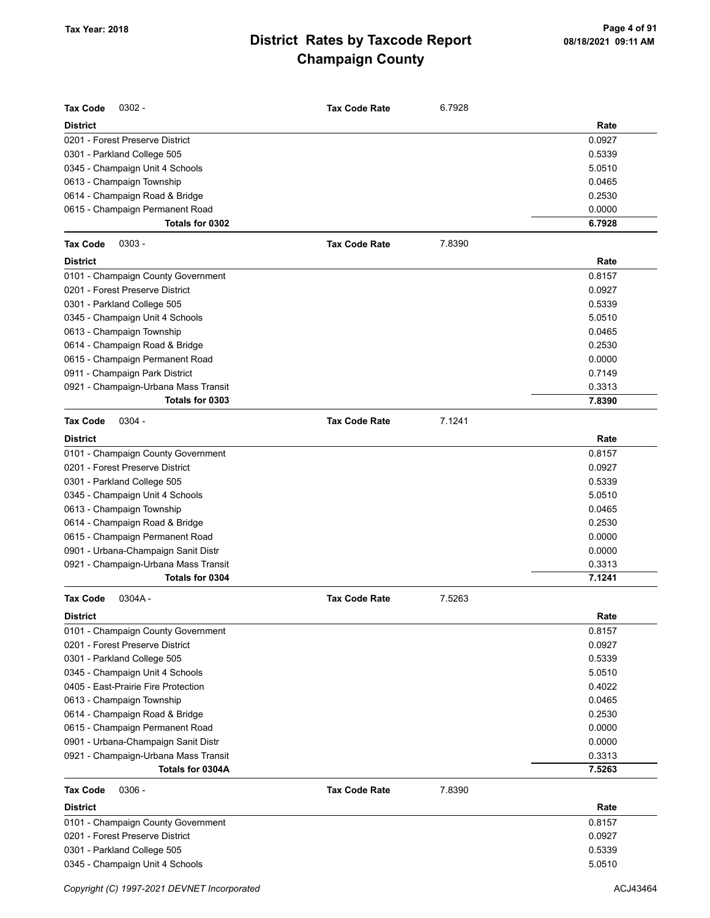| <b>Tax Code</b><br>$0302 -$          | <b>Tax Code Rate</b> | 6.7928 |        |
|--------------------------------------|----------------------|--------|--------|
| <b>District</b>                      |                      |        | Rate   |
| 0201 - Forest Preserve District      |                      |        | 0.0927 |
| 0301 - Parkland College 505          |                      |        | 0.5339 |
| 0345 - Champaign Unit 4 Schools      |                      |        | 5.0510 |
| 0613 - Champaign Township            |                      |        | 0.0465 |
| 0614 - Champaign Road & Bridge       |                      |        | 0.2530 |
| 0615 - Champaign Permanent Road      |                      |        | 0.0000 |
| Totals for 0302                      |                      |        | 6.7928 |
| Tax Code<br>$0303 -$                 | <b>Tax Code Rate</b> | 7.8390 |        |
| <b>District</b>                      |                      |        | Rate   |
| 0101 - Champaign County Government   |                      |        | 0.8157 |
| 0201 - Forest Preserve District      |                      |        | 0.0927 |
| 0301 - Parkland College 505          |                      |        | 0.5339 |
| 0345 - Champaign Unit 4 Schools      |                      |        | 5.0510 |
| 0613 - Champaign Township            |                      |        | 0.0465 |
| 0614 - Champaign Road & Bridge       |                      |        | 0.2530 |
| 0615 - Champaign Permanent Road      |                      |        | 0.0000 |
| 0911 - Champaign Park District       |                      |        | 0.7149 |
| 0921 - Champaign-Urbana Mass Transit |                      |        | 0.3313 |
| Totals for 0303                      |                      |        | 7.8390 |
| <b>Tax Code</b><br>$0304 -$          | <b>Tax Code Rate</b> | 7.1241 |        |
| <b>District</b>                      |                      |        | Rate   |
| 0101 - Champaign County Government   |                      |        | 0.8157 |
| 0201 - Forest Preserve District      |                      |        | 0.0927 |
| 0301 - Parkland College 505          |                      |        | 0.5339 |
| 0345 - Champaign Unit 4 Schools      |                      |        | 5.0510 |
| 0613 - Champaign Township            |                      |        | 0.0465 |
| 0614 - Champaign Road & Bridge       |                      |        | 0.2530 |
| 0615 - Champaign Permanent Road      |                      |        | 0.0000 |
| 0901 - Urbana-Champaign Sanit Distr  |                      |        | 0.0000 |
| 0921 - Champaign-Urbana Mass Transit |                      |        | 0.3313 |
| Totals for 0304                      |                      |        | 7.1241 |
| Tax Code<br>$0304A -$                | <b>Tax Code Rate</b> | 7.5263 |        |
| District                             |                      |        | Rate   |
| 0101 - Champaign County Government   |                      |        | 0.8157 |
| 0201 - Forest Preserve District      |                      |        | 0.0927 |
| 0301 - Parkland College 505          |                      |        | 0.5339 |
| 0345 - Champaign Unit 4 Schools      |                      |        | 5.0510 |
| 0405 - East-Prairie Fire Protection  |                      |        | 0.4022 |
| 0613 - Champaign Township            |                      |        | 0.0465 |
| 0614 - Champaign Road & Bridge       |                      |        | 0.2530 |
| 0615 - Champaign Permanent Road      |                      |        | 0.0000 |
| 0901 - Urbana-Champaign Sanit Distr  |                      |        | 0.0000 |
| 0921 - Champaign-Urbana Mass Transit |                      |        | 0.3313 |
| Totals for 0304A                     |                      |        | 7.5263 |
| Tax Code<br>$0306 -$                 | <b>Tax Code Rate</b> | 7.8390 |        |
| <b>District</b>                      |                      |        | Rate   |
| 0101 - Champaign County Government   |                      |        | 0.8157 |
| 0201 - Forest Preserve District      |                      |        | 0.0927 |
| 0301 - Parkland College 505          |                      |        | 0.5339 |
| 0345 - Champaign Unit 4 Schools      |                      |        | 5.0510 |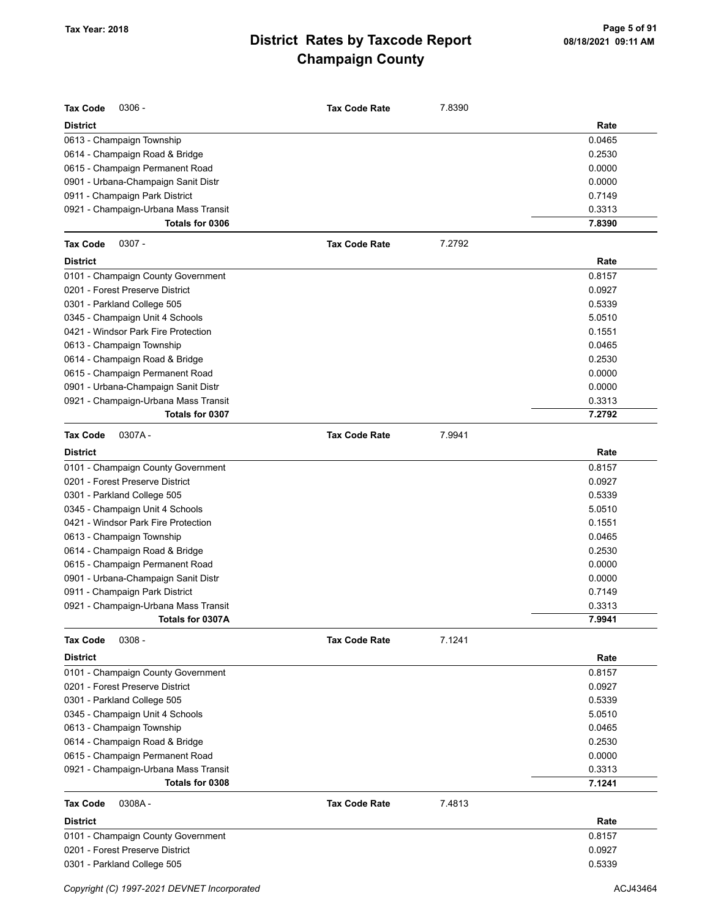| <b>Tax Code</b><br>$0306 -$          | <b>Tax Code Rate</b> | 7.8390 |        |
|--------------------------------------|----------------------|--------|--------|
| <b>District</b>                      |                      |        | Rate   |
| 0613 - Champaign Township            |                      |        | 0.0465 |
| 0614 - Champaign Road & Bridge       |                      |        | 0.2530 |
| 0615 - Champaign Permanent Road      |                      |        | 0.0000 |
| 0901 - Urbana-Champaign Sanit Distr  |                      |        | 0.0000 |
| 0911 - Champaign Park District       |                      |        | 0.7149 |
| 0921 - Champaign-Urbana Mass Transit |                      |        | 0.3313 |
| Totals for 0306                      |                      |        | 7.8390 |
| <b>Tax Code</b><br>$0307 -$          | <b>Tax Code Rate</b> | 7.2792 |        |
| <b>District</b>                      |                      |        | Rate   |
| 0101 - Champaign County Government   |                      |        | 0.8157 |
| 0201 - Forest Preserve District      |                      |        | 0.0927 |
| 0301 - Parkland College 505          |                      |        | 0.5339 |
| 0345 - Champaign Unit 4 Schools      |                      |        | 5.0510 |
| 0421 - Windsor Park Fire Protection  |                      |        | 0.1551 |
| 0613 - Champaign Township            |                      |        | 0.0465 |
| 0614 - Champaign Road & Bridge       |                      |        | 0.2530 |
| 0615 - Champaign Permanent Road      |                      |        | 0.0000 |
| 0901 - Urbana-Champaign Sanit Distr  |                      |        | 0.0000 |
| 0921 - Champaign-Urbana Mass Transit |                      |        | 0.3313 |
| Totals for 0307                      |                      |        | 7.2792 |
| <b>Tax Code</b><br>0307A-            | <b>Tax Code Rate</b> | 7.9941 |        |
| <b>District</b>                      |                      |        | Rate   |
| 0101 - Champaign County Government   |                      |        | 0.8157 |
| 0201 - Forest Preserve District      |                      |        | 0.0927 |
| 0301 - Parkland College 505          |                      |        | 0.5339 |
| 0345 - Champaign Unit 4 Schools      |                      |        | 5.0510 |
| 0421 - Windsor Park Fire Protection  |                      |        | 0.1551 |
| 0613 - Champaign Township            |                      |        | 0.0465 |
| 0614 - Champaign Road & Bridge       |                      |        | 0.2530 |
| 0615 - Champaign Permanent Road      |                      |        | 0.0000 |
| 0901 - Urbana-Champaign Sanit Distr  |                      |        | 0.0000 |
| 0911 - Champaign Park District       |                      |        | 0.7149 |
| 0921 - Champaign-Urbana Mass Transit |                      |        | 0.3313 |
| Totals for 0307A                     |                      |        | 7.9941 |
| $0308 -$<br><b>Tax Code</b>          | <b>Tax Code Rate</b> | 7.1241 |        |
| <b>District</b>                      |                      |        | Rate   |
| 0101 - Champaign County Government   |                      |        | 0.8157 |
| 0201 - Forest Preserve District      |                      |        | 0.0927 |
| 0301 - Parkland College 505          |                      |        | 0.5339 |
| 0345 - Champaign Unit 4 Schools      |                      |        | 5.0510 |
| 0613 - Champaign Township            |                      |        | 0.0465 |
| 0614 - Champaign Road & Bridge       |                      |        | 0.2530 |
| 0615 - Champaign Permanent Road      |                      |        | 0.0000 |
| 0921 - Champaign-Urbana Mass Transit |                      |        | 0.3313 |
| Totals for 0308                      |                      |        | 7.1241 |
| <b>Tax Code</b><br>0308A-            | <b>Tax Code Rate</b> | 7.4813 |        |
| <b>District</b>                      |                      |        | Rate   |
| 0101 - Champaign County Government   |                      |        | 0.8157 |
| 0201 - Forest Preserve District      |                      |        | 0.0927 |
| 0301 - Parkland College 505          |                      |        | 0.5339 |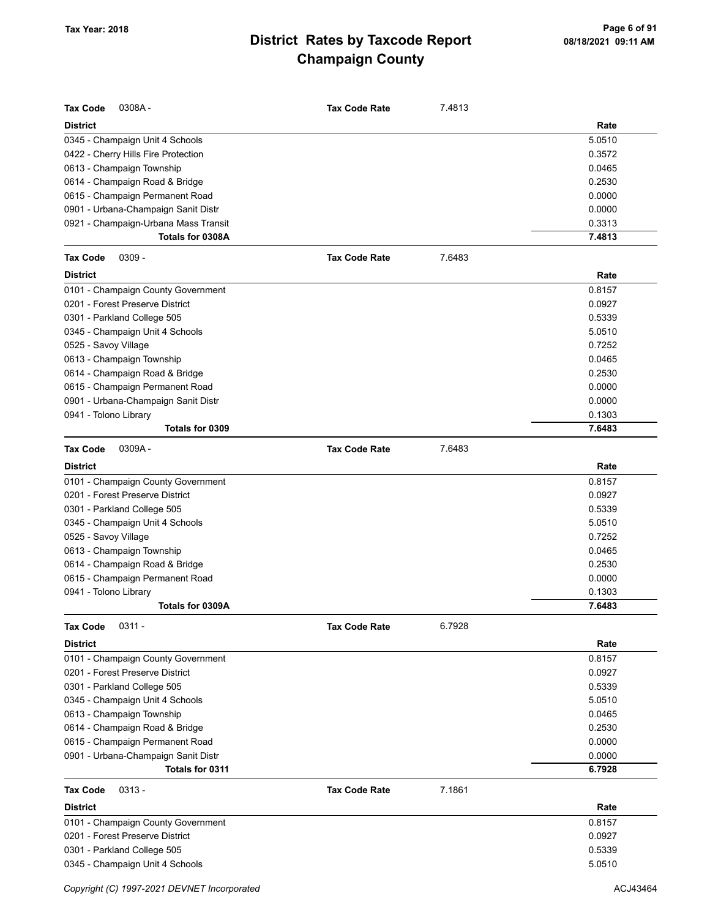| <b>Tax Code</b><br>0308A-            | <b>Tax Code Rate</b> | 7.4813 |        |
|--------------------------------------|----------------------|--------|--------|
| <b>District</b>                      |                      |        | Rate   |
| 0345 - Champaign Unit 4 Schools      |                      |        | 5.0510 |
| 0422 - Cherry Hills Fire Protection  |                      |        | 0.3572 |
| 0613 - Champaign Township            |                      |        | 0.0465 |
| 0614 - Champaign Road & Bridge       |                      |        | 0.2530 |
| 0615 - Champaign Permanent Road      |                      |        | 0.0000 |
| 0901 - Urbana-Champaign Sanit Distr  |                      |        | 0.0000 |
| 0921 - Champaign-Urbana Mass Transit |                      |        | 0.3313 |
| Totals for 0308A                     |                      |        | 7.4813 |
| $0309 -$<br><b>Tax Code</b>          | <b>Tax Code Rate</b> | 7.6483 |        |
| <b>District</b>                      |                      |        | Rate   |
| 0101 - Champaign County Government   |                      |        | 0.8157 |
| 0201 - Forest Preserve District      |                      |        | 0.0927 |
| 0301 - Parkland College 505          |                      |        | 0.5339 |
| 0345 - Champaign Unit 4 Schools      |                      |        | 5.0510 |
| 0525 - Savoy Village                 |                      |        | 0.7252 |
| 0613 - Champaign Township            |                      |        | 0.0465 |
| 0614 - Champaign Road & Bridge       |                      |        | 0.2530 |
| 0615 - Champaign Permanent Road      |                      |        | 0.0000 |
| 0901 - Urbana-Champaign Sanit Distr  |                      |        | 0.0000 |
| 0941 - Tolono Library                |                      |        | 0.1303 |
| Totals for 0309                      |                      |        | 7.6483 |
| <b>Tax Code</b><br>0309A-            | <b>Tax Code Rate</b> | 7.6483 |        |
| <b>District</b>                      |                      |        | Rate   |
| 0101 - Champaign County Government   |                      |        | 0.8157 |
| 0201 - Forest Preserve District      |                      |        | 0.0927 |
| 0301 - Parkland College 505          |                      |        | 0.5339 |
| 0345 - Champaign Unit 4 Schools      |                      |        | 5.0510 |
| 0525 - Savoy Village                 |                      |        | 0.7252 |
| 0613 - Champaign Township            |                      |        | 0.0465 |
| 0614 - Champaign Road & Bridge       |                      |        | 0.2530 |
| 0615 - Champaign Permanent Road      |                      |        | 0.0000 |
| 0941 - Tolono Library                |                      |        | 0.1303 |
| Totals for 0309A                     |                      |        | 7.6483 |
| <b>Tax Code</b><br>$0311 -$          | <b>Tax Code Rate</b> | 6.7928 |        |
| <b>District</b>                      |                      |        | Rate   |
| 0101 - Champaign County Government   |                      |        | 0.8157 |
| 0201 - Forest Preserve District      |                      |        | 0.0927 |
| 0301 - Parkland College 505          |                      |        | 0.5339 |
| 0345 - Champaign Unit 4 Schools      |                      |        | 5.0510 |
| 0613 - Champaign Township            |                      |        | 0.0465 |
| 0614 - Champaign Road & Bridge       |                      |        | 0.2530 |
| 0615 - Champaign Permanent Road      |                      |        | 0.0000 |
| 0901 - Urbana-Champaign Sanit Distr  |                      |        | 0.0000 |
| Totals for 0311                      |                      |        | 6.7928 |
| <b>Tax Code</b><br>$0313 -$          | <b>Tax Code Rate</b> | 7.1861 |        |
| <b>District</b>                      |                      |        | Rate   |
| 0101 - Champaign County Government   |                      |        | 0.8157 |
| 0201 - Forest Preserve District      |                      |        | 0.0927 |
| 0301 - Parkland College 505          |                      |        | 0.5339 |
| 0345 - Champaign Unit 4 Schools      |                      |        | 5.0510 |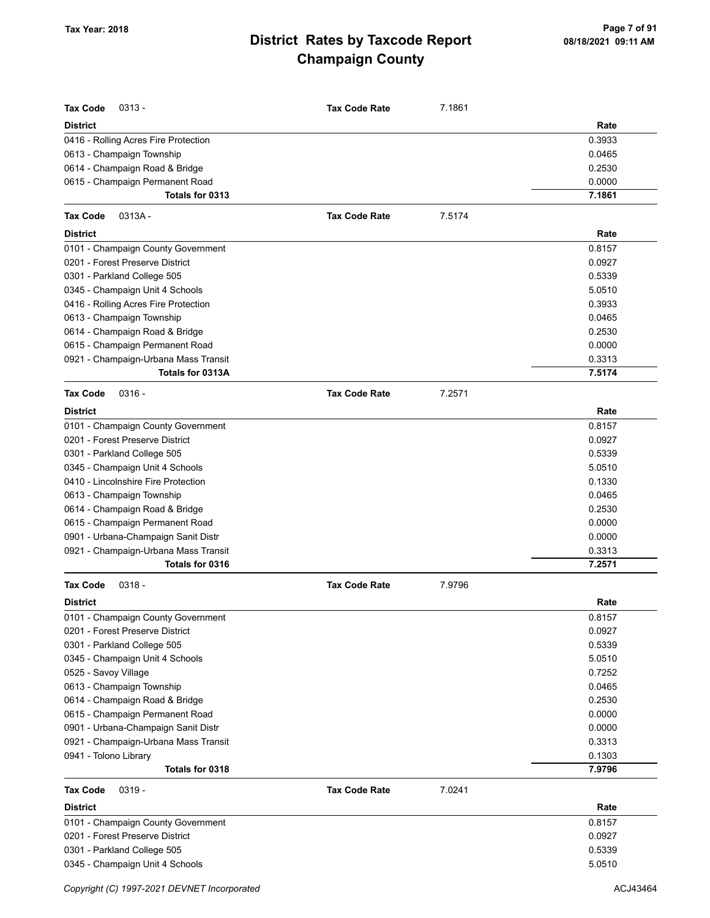| <b>Tax Code</b><br>$0313 -$                                    | <b>Tax Code Rate</b> | 7.1861 |                  |
|----------------------------------------------------------------|----------------------|--------|------------------|
| District                                                       |                      |        | Rate             |
| 0416 - Rolling Acres Fire Protection                           |                      |        | 0.3933           |
| 0613 - Champaign Township                                      |                      |        | 0.0465           |
| 0614 - Champaign Road & Bridge                                 |                      |        | 0.2530           |
| 0615 - Champaign Permanent Road                                |                      |        | 0.0000           |
| Totals for 0313                                                |                      |        | 7.1861           |
| <b>Tax Code</b><br>$0313A -$                                   | <b>Tax Code Rate</b> | 7.5174 |                  |
| District                                                       |                      |        | Rate             |
| 0101 - Champaign County Government                             |                      |        | 0.8157           |
| 0201 - Forest Preserve District                                |                      |        | 0.0927           |
| 0301 - Parkland College 505                                    |                      |        | 0.5339           |
| 0345 - Champaign Unit 4 Schools                                |                      |        | 5.0510           |
| 0416 - Rolling Acres Fire Protection                           |                      |        | 0.3933           |
| 0613 - Champaign Township                                      |                      |        | 0.0465           |
| 0614 - Champaign Road & Bridge                                 |                      |        | 0.2530           |
| 0615 - Champaign Permanent Road                                |                      |        | 0.0000           |
| 0921 - Champaign-Urbana Mass Transit                           |                      |        | 0.3313           |
| Totals for 0313A                                               |                      |        | 7.5174           |
| <b>Tax Code</b><br>$0316 -$                                    | <b>Tax Code Rate</b> | 7.2571 |                  |
| District                                                       |                      |        | Rate             |
| 0101 - Champaign County Government                             |                      |        | 0.8157           |
| 0201 - Forest Preserve District                                |                      |        | 0.0927           |
| 0301 - Parkland College 505                                    |                      |        | 0.5339           |
| 0345 - Champaign Unit 4 Schools                                |                      |        | 5.0510           |
| 0410 - Lincolnshire Fire Protection                            |                      |        | 0.1330           |
| 0613 - Champaign Township                                      |                      |        | 0.0465           |
| 0614 - Champaign Road & Bridge                                 |                      |        | 0.2530           |
| 0615 - Champaign Permanent Road                                |                      |        | 0.0000           |
| 0901 - Urbana-Champaign Sanit Distr                            |                      |        | 0.0000           |
| 0921 - Champaign-Urbana Mass Transit                           |                      |        | 0.3313           |
| Totals for 0316                                                |                      |        | 7.2571           |
| <b>Tax Code</b><br>$0318 -$                                    | <b>Tax Code Rate</b> | 7.9796 |                  |
| District                                                       |                      |        | Rate             |
| 0101 - Champaign County Government                             |                      |        | 0.8157           |
| 0201 - Forest Preserve District                                |                      |        | 0.0927           |
| 0301 - Parkland College 505                                    |                      |        | 0.5339           |
| 0345 - Champaign Unit 4 Schools                                |                      |        | 5.0510           |
| 0525 - Savoy Village                                           |                      |        | 0.7252           |
| 0613 - Champaign Township                                      |                      |        | 0.0465           |
| 0614 - Champaign Road & Bridge                                 |                      |        | 0.2530           |
| 0615 - Champaign Permanent Road                                |                      |        | 0.0000           |
| 0901 - Urbana-Champaign Sanit Distr                            |                      |        | 0.0000           |
| 0921 - Champaign-Urbana Mass Transit                           |                      |        | 0.3313           |
| 0941 - Tolono Library<br>Totals for 0318                       |                      |        | 0.1303<br>7.9796 |
|                                                                |                      |        |                  |
| Tax Code<br>$0319 -$                                           | <b>Tax Code Rate</b> | 7.0241 |                  |
| <b>District</b>                                                |                      |        | Rate             |
| 0101 - Champaign County Government                             |                      |        | 0.8157           |
| 0201 - Forest Preserve District<br>0301 - Parkland College 505 |                      |        | 0.0927<br>0.5339 |
| 0345 - Champaign Unit 4 Schools                                |                      |        | 5.0510           |
|                                                                |                      |        |                  |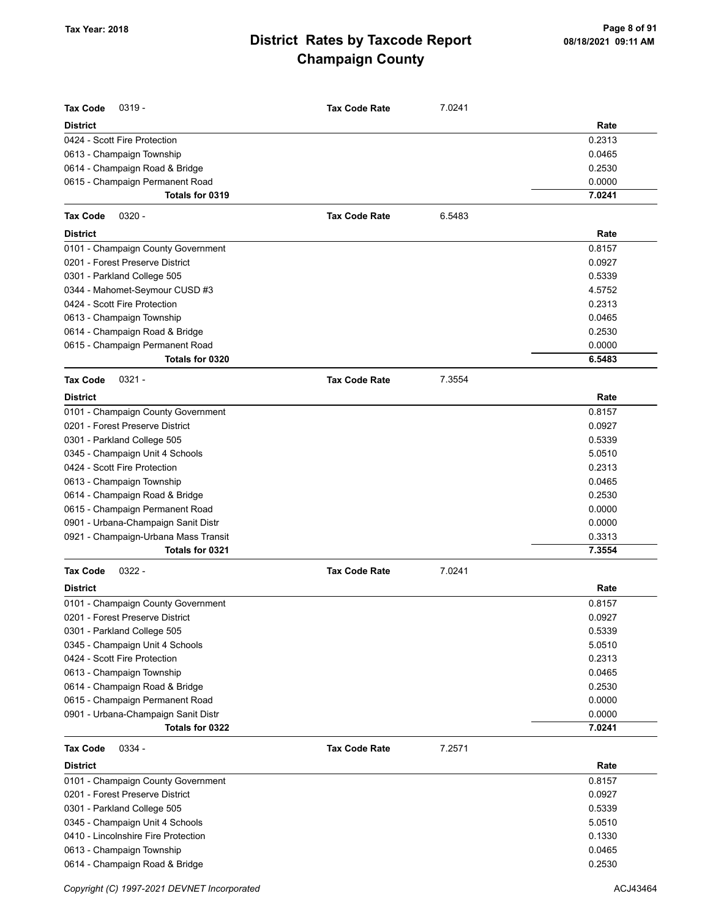| <b>Tax Code</b><br>$0319 -$          | <b>Tax Code Rate</b> | 7.0241 |        |
|--------------------------------------|----------------------|--------|--------|
| <b>District</b>                      |                      |        | Rate   |
| 0424 - Scott Fire Protection         |                      |        | 0.2313 |
| 0613 - Champaign Township            |                      |        | 0.0465 |
| 0614 - Champaign Road & Bridge       |                      |        | 0.2530 |
| 0615 - Champaign Permanent Road      |                      |        | 0.0000 |
| Totals for 0319                      |                      |        | 7.0241 |
| <b>Tax Code</b><br>$0320 -$          | <b>Tax Code Rate</b> | 6.5483 |        |
| <b>District</b>                      |                      |        | Rate   |
| 0101 - Champaign County Government   |                      |        | 0.8157 |
| 0201 - Forest Preserve District      |                      |        | 0.0927 |
| 0301 - Parkland College 505          |                      |        | 0.5339 |
| 0344 - Mahomet-Seymour CUSD #3       |                      |        | 4.5752 |
| 0424 - Scott Fire Protection         |                      |        | 0.2313 |
| 0613 - Champaign Township            |                      |        | 0.0465 |
| 0614 - Champaign Road & Bridge       |                      |        | 0.2530 |
| 0615 - Champaign Permanent Road      |                      |        | 0.0000 |
| Totals for 0320                      |                      |        | 6.5483 |
| $0321 -$<br><b>Tax Code</b>          | <b>Tax Code Rate</b> | 7.3554 |        |
| <b>District</b>                      |                      |        | Rate   |
| 0101 - Champaign County Government   |                      |        | 0.8157 |
| 0201 - Forest Preserve District      |                      |        | 0.0927 |
| 0301 - Parkland College 505          |                      |        | 0.5339 |
| 0345 - Champaign Unit 4 Schools      |                      |        | 5.0510 |
| 0424 - Scott Fire Protection         |                      |        | 0.2313 |
| 0613 - Champaign Township            |                      |        | 0.0465 |
| 0614 - Champaign Road & Bridge       |                      |        | 0.2530 |
| 0615 - Champaign Permanent Road      |                      |        | 0.0000 |
| 0901 - Urbana-Champaign Sanit Distr  |                      |        | 0.0000 |
| 0921 - Champaign-Urbana Mass Transit |                      |        | 0.3313 |
| Totals for 0321                      |                      |        | 7.3554 |
| <b>Tax Code</b><br>$0322 -$          | <b>Tax Code Rate</b> | 7.0241 |        |
| <b>District</b>                      |                      |        | Rate   |
| 0101 - Champaign County Government   |                      |        | 0.8157 |
| 0201 - Forest Preserve District      |                      |        | 0.0927 |
| 0301 - Parkland College 505          |                      |        | 0.5339 |
| 0345 - Champaign Unit 4 Schools      |                      |        | 5.0510 |
| 0424 - Scott Fire Protection         |                      |        | 0.2313 |
| 0613 - Champaign Township            |                      |        | 0.0465 |
| 0614 - Champaign Road & Bridge       |                      |        | 0.2530 |
| 0615 - Champaign Permanent Road      |                      |        | 0.0000 |
| 0901 - Urbana-Champaign Sanit Distr  |                      |        | 0.0000 |
| Totals for 0322                      |                      |        | 7.0241 |
| 0334 -<br><b>Tax Code</b>            | <b>Tax Code Rate</b> | 7.2571 |        |
| <b>District</b>                      |                      |        | Rate   |
| 0101 - Champaign County Government   |                      |        | 0.8157 |
| 0201 - Forest Preserve District      |                      |        | 0.0927 |
| 0301 - Parkland College 505          |                      |        | 0.5339 |
| 0345 - Champaign Unit 4 Schools      |                      |        | 5.0510 |
| 0410 - Lincolnshire Fire Protection  |                      |        | 0.1330 |
| 0613 - Champaign Township            |                      |        | 0.0465 |
| 0614 - Champaign Road & Bridge       |                      |        | 0.2530 |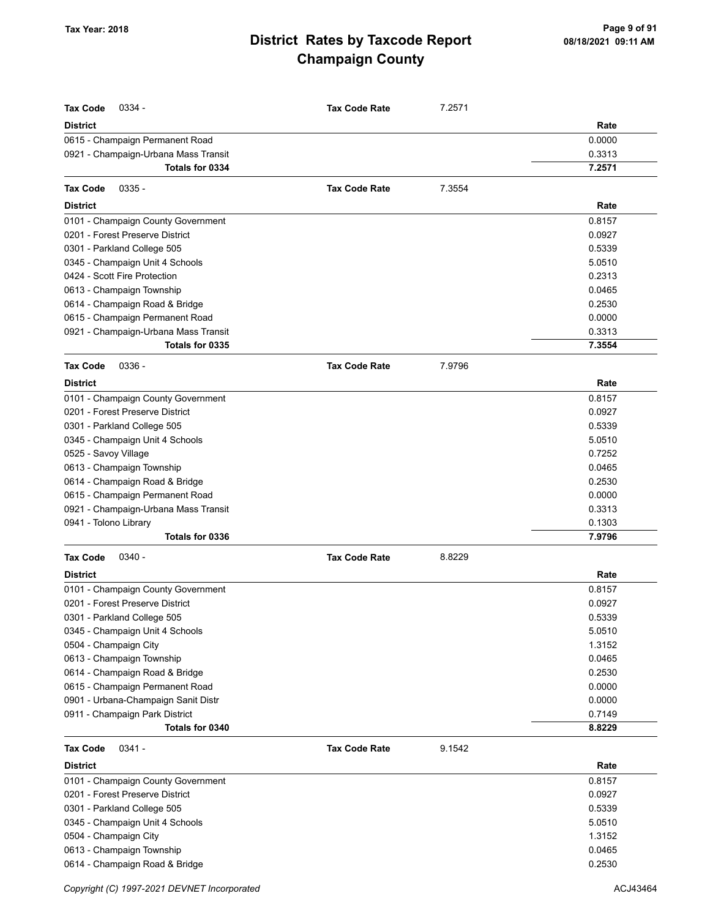| <b>Tax Code</b><br>0334 -                               | <b>Tax Code Rate</b> | 7.2571 |                  |
|---------------------------------------------------------|----------------------|--------|------------------|
|                                                         |                      |        |                  |
| <b>District</b>                                         |                      |        | Rate             |
| 0615 - Champaign Permanent Road                         |                      |        | 0.0000           |
| 0921 - Champaign-Urbana Mass Transit<br>Totals for 0334 |                      |        | 0.3313           |
|                                                         |                      |        | 7.2571           |
| $0335 -$<br><b>Tax Code</b>                             | <b>Tax Code Rate</b> | 7.3554 |                  |
| District                                                |                      |        | Rate             |
| 0101 - Champaign County Government                      |                      |        | 0.8157           |
| 0201 - Forest Preserve District                         |                      |        | 0.0927           |
| 0301 - Parkland College 505                             |                      |        | 0.5339           |
| 0345 - Champaign Unit 4 Schools                         |                      |        | 5.0510           |
| 0424 - Scott Fire Protection                            |                      |        | 0.2313           |
| 0613 - Champaign Township                               |                      |        | 0.0465           |
| 0614 - Champaign Road & Bridge                          |                      |        | 0.2530           |
| 0615 - Champaign Permanent Road                         |                      |        | 0.0000           |
| 0921 - Champaign-Urbana Mass Transit                    |                      |        | 0.3313           |
| Totals for 0335                                         |                      |        | 7.3554           |
| $0336 -$<br><b>Tax Code</b>                             | <b>Tax Code Rate</b> | 7.9796 |                  |
| <b>District</b>                                         |                      |        | Rate             |
| 0101 - Champaign County Government                      |                      |        | 0.8157           |
| 0201 - Forest Preserve District                         |                      |        | 0.0927           |
| 0301 - Parkland College 505                             |                      |        | 0.5339           |
| 0345 - Champaign Unit 4 Schools                         |                      |        | 5.0510           |
| 0525 - Savoy Village                                    |                      |        | 0.7252           |
| 0613 - Champaign Township                               |                      |        | 0.0465           |
| 0614 - Champaign Road & Bridge                          |                      |        | 0.2530           |
| 0615 - Champaign Permanent Road                         |                      |        | 0.0000           |
| 0921 - Champaign-Urbana Mass Transit                    |                      |        | 0.3313           |
| 0941 - Tolono Library                                   |                      |        | 0.1303           |
| Totals for 0336                                         |                      |        | 7.9796           |
| $0340 -$<br><b>Tax Code</b>                             | <b>Tax Code Rate</b> | 8.8229 |                  |
|                                                         |                      |        |                  |
| <b>District</b>                                         |                      |        | Rate             |
| 0101 - Champaign County Government                      |                      |        | 0.8157           |
| 0201 - Forest Preserve District                         |                      |        | 0.0927           |
| 0301 - Parkland College 505                             |                      |        | 0.5339           |
| 0345 - Champaign Unit 4 Schools                         |                      |        | 5.0510           |
| 0504 - Champaign City                                   |                      |        | 1.3152           |
| 0613 - Champaign Township                               |                      |        | 0.0465           |
| 0614 - Champaign Road & Bridge                          |                      |        | 0.2530           |
| 0615 - Champaign Permanent Road                         |                      |        | 0.0000           |
| 0901 - Urbana-Champaign Sanit Distr                     |                      |        | 0.0000           |
| 0911 - Champaign Park District<br>Totals for 0340       |                      |        | 0.7149<br>8.8229 |
|                                                         |                      |        |                  |
| $0341 -$<br>Tax Code                                    | <b>Tax Code Rate</b> | 9.1542 |                  |
| District                                                |                      |        | Rate             |
| 0101 - Champaign County Government                      |                      |        | 0.8157           |
| 0201 - Forest Preserve District                         |                      |        | 0.0927           |
| 0301 - Parkland College 505                             |                      |        | 0.5339           |
| 0345 - Champaign Unit 4 Schools                         |                      |        | 5.0510           |
| 0504 - Champaign City                                   |                      |        | 1.3152           |
| 0613 - Champaign Township                               |                      |        | 0.0465           |
| 0614 - Champaign Road & Bridge                          |                      |        | 0.2530           |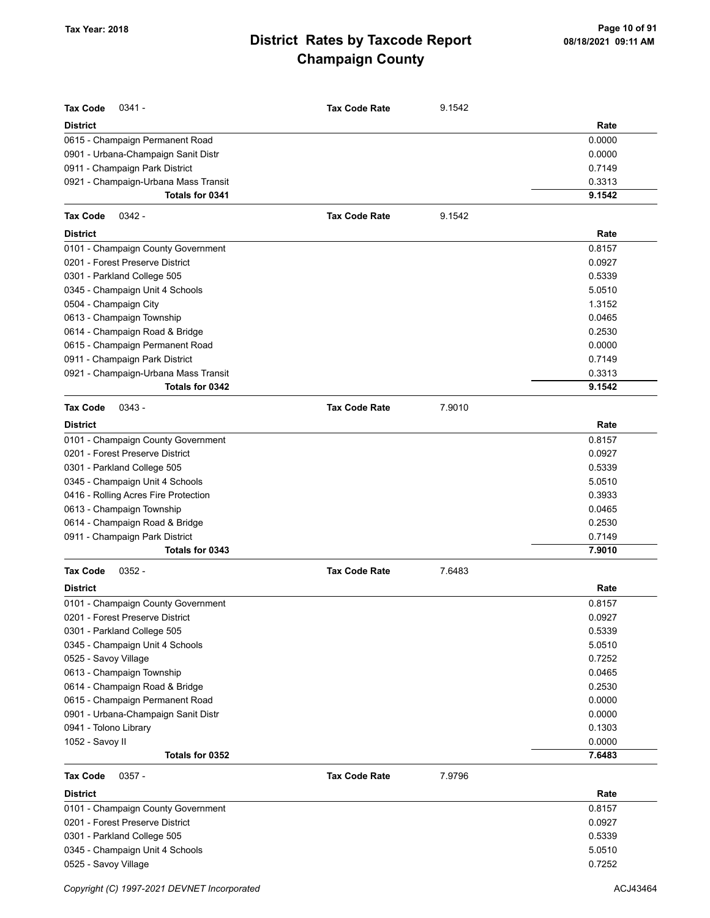| <b>Tax Code</b><br>$0341 -$          | <b>Tax Code Rate</b> | 9.1542 |        |
|--------------------------------------|----------------------|--------|--------|
| <b>District</b>                      |                      |        | Rate   |
| 0615 - Champaign Permanent Road      |                      |        | 0.0000 |
| 0901 - Urbana-Champaign Sanit Distr  |                      |        | 0.0000 |
| 0911 - Champaign Park District       |                      |        | 0.7149 |
| 0921 - Champaign-Urbana Mass Transit |                      |        | 0.3313 |
| Totals for 0341                      |                      |        | 9.1542 |
| <b>Tax Code</b><br>$0342 -$          | <b>Tax Code Rate</b> | 9.1542 |        |
| <b>District</b>                      |                      |        | Rate   |
| 0101 - Champaign County Government   |                      |        | 0.8157 |
| 0201 - Forest Preserve District      |                      |        | 0.0927 |
| 0301 - Parkland College 505          |                      |        | 0.5339 |
| 0345 - Champaign Unit 4 Schools      |                      |        | 5.0510 |
| 0504 - Champaign City                |                      |        | 1.3152 |
| 0613 - Champaign Township            |                      |        | 0.0465 |
| 0614 - Champaign Road & Bridge       |                      |        | 0.2530 |
| 0615 - Champaign Permanent Road      |                      |        | 0.0000 |
| 0911 - Champaign Park District       |                      |        | 0.7149 |
| 0921 - Champaign-Urbana Mass Transit |                      |        | 0.3313 |
| Totals for 0342                      |                      |        | 9.1542 |
| <b>Tax Code</b><br>$0343 -$          | <b>Tax Code Rate</b> | 7.9010 |        |
| <b>District</b>                      |                      |        | Rate   |
| 0101 - Champaign County Government   |                      |        | 0.8157 |
| 0201 - Forest Preserve District      |                      |        | 0.0927 |
| 0301 - Parkland College 505          |                      |        | 0.5339 |
| 0345 - Champaign Unit 4 Schools      |                      |        | 5.0510 |
| 0416 - Rolling Acres Fire Protection |                      |        | 0.3933 |
| 0613 - Champaign Township            |                      |        | 0.0465 |
| 0614 - Champaign Road & Bridge       |                      |        | 0.2530 |
| 0911 - Champaign Park District       |                      |        | 0.7149 |
| Totals for 0343                      |                      |        | 7.9010 |
| $0352 -$<br><b>Tax Code</b>          | <b>Tax Code Rate</b> | 7.6483 |        |
| <b>District</b>                      |                      |        | Rate   |
| 0101 - Champaign County Government   |                      |        | 0.8157 |
| 0201 - Forest Preserve District      |                      |        | 0.0927 |
| 0301 - Parkland College 505          |                      |        | 0.5339 |
| 0345 - Champaign Unit 4 Schools      |                      |        | 5.0510 |
| 0525 - Savoy Village                 |                      |        | 0.7252 |
| 0613 - Champaign Township            |                      |        | 0.0465 |
| 0614 - Champaign Road & Bridge       |                      |        | 0.2530 |
| 0615 - Champaign Permanent Road      |                      |        | 0.0000 |
| 0901 - Urbana-Champaign Sanit Distr  |                      |        | 0.0000 |
| 0941 - Tolono Library                |                      |        | 0.1303 |
| 1052 - Savoy II                      |                      |        | 0.0000 |
| Totals for 0352                      |                      |        | 7.6483 |
| <b>Tax Code</b><br>$0357 -$          | <b>Tax Code Rate</b> | 7.9796 |        |
| <b>District</b>                      |                      |        | Rate   |
| 0101 - Champaign County Government   |                      |        | 0.8157 |
| 0201 - Forest Preserve District      |                      |        | 0.0927 |
| 0301 - Parkland College 505          |                      |        | 0.5339 |
| 0345 - Champaign Unit 4 Schools      |                      |        | 5.0510 |
| 0525 - Savoy Village                 |                      |        | 0.7252 |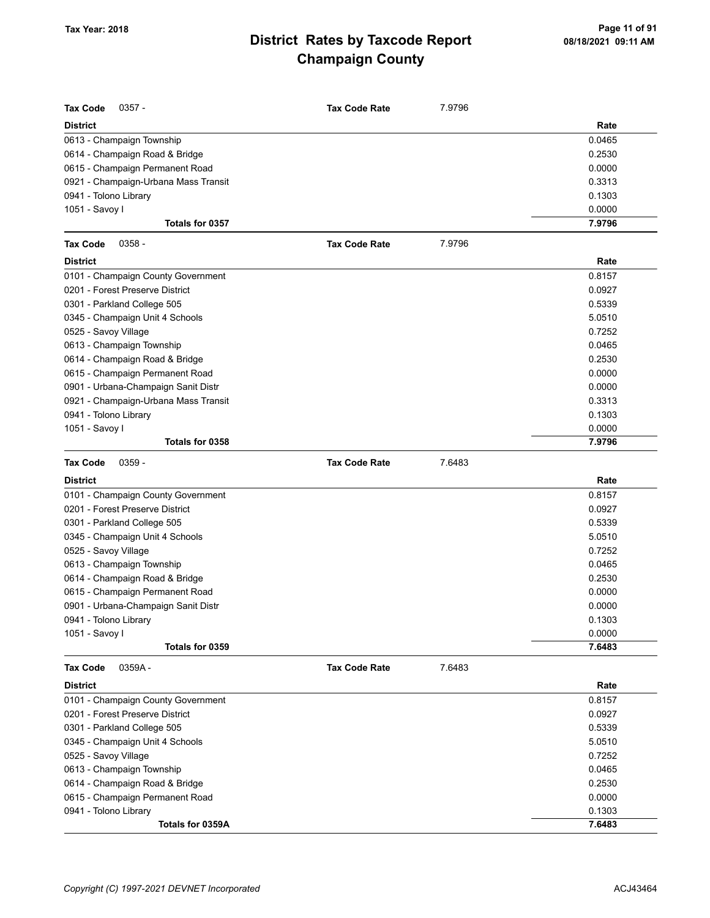| Tax Code<br>$0357 -$                      | <b>Tax Code Rate</b> | 7.9796 |                  |
|-------------------------------------------|----------------------|--------|------------------|
| <b>District</b>                           |                      |        | Rate             |
| 0613 - Champaign Township                 |                      |        | 0.0465           |
| 0614 - Champaign Road & Bridge            |                      |        | 0.2530           |
| 0615 - Champaign Permanent Road           |                      |        | 0.0000           |
| 0921 - Champaign-Urbana Mass Transit      |                      |        | 0.3313           |
| 0941 - Tolono Library                     |                      |        | 0.1303           |
| 1051 - Savoy I                            |                      |        | 0.0000           |
| Totals for 0357                           |                      |        | 7.9796           |
| <b>Tax Code</b><br>$0358 -$               | <b>Tax Code Rate</b> | 7.9796 |                  |
| <b>District</b>                           |                      |        | Rate             |
| 0101 - Champaign County Government        |                      |        | 0.8157           |
| 0201 - Forest Preserve District           |                      |        | 0.0927           |
| 0301 - Parkland College 505               |                      |        | 0.5339           |
| 0345 - Champaign Unit 4 Schools           |                      |        | 5.0510           |
| 0525 - Savoy Village                      |                      |        | 0.7252           |
| 0613 - Champaign Township                 |                      |        | 0.0465           |
| 0614 - Champaign Road & Bridge            |                      |        | 0.2530           |
| 0615 - Champaign Permanent Road           |                      |        | 0.0000           |
| 0901 - Urbana-Champaign Sanit Distr       |                      |        | 0.0000           |
| 0921 - Champaign-Urbana Mass Transit      |                      |        | 0.3313           |
| 0941 - Tolono Library                     |                      |        | 0.1303           |
| 1051 - Savoy I                            |                      |        | 0.0000           |
| Totals for 0358                           |                      |        | 7.9796           |
| <b>Tax Code</b><br>$0359 -$               | <b>Tax Code Rate</b> | 7.6483 |                  |
|                                           |                      |        |                  |
|                                           |                      |        |                  |
| <b>District</b>                           |                      |        | Rate             |
| 0101 - Champaign County Government        |                      |        | 0.8157           |
| 0201 - Forest Preserve District           |                      |        | 0.0927           |
| 0301 - Parkland College 505               |                      |        | 0.5339           |
| 0345 - Champaign Unit 4 Schools           |                      |        | 5.0510           |
| 0525 - Savoy Village                      |                      |        | 0.7252           |
| 0613 - Champaign Township                 |                      |        | 0.0465           |
| 0614 - Champaign Road & Bridge            |                      |        | 0.2530           |
| 0615 - Champaign Permanent Road           |                      |        | 0.0000           |
| 0901 - Urbana-Champaign Sanit Distr       |                      |        | 0.0000           |
| 0941 - Tolono Library                     |                      |        | 0.1303           |
| 1051 - Savoy I                            |                      |        | 0.0000           |
| Totals for 0359                           |                      |        | 7.6483           |
| <b>Tax Code</b><br>0359A-                 | <b>Tax Code Rate</b> | 7.6483 |                  |
| <b>District</b>                           |                      |        | Rate             |
| 0101 - Champaign County Government        |                      |        | 0.8157           |
| 0201 - Forest Preserve District           |                      |        | 0.0927           |
| 0301 - Parkland College 505               |                      |        | 0.5339           |
| 0345 - Champaign Unit 4 Schools           |                      |        | 5.0510           |
| 0525 - Savoy Village                      |                      |        | 0.7252           |
| 0613 - Champaign Township                 |                      |        | 0.0465           |
| 0614 - Champaign Road & Bridge            |                      |        | 0.2530           |
| 0615 - Champaign Permanent Road           |                      |        | 0.0000           |
| 0941 - Tolono Library<br>Totals for 0359A |                      |        | 0.1303<br>7.6483 |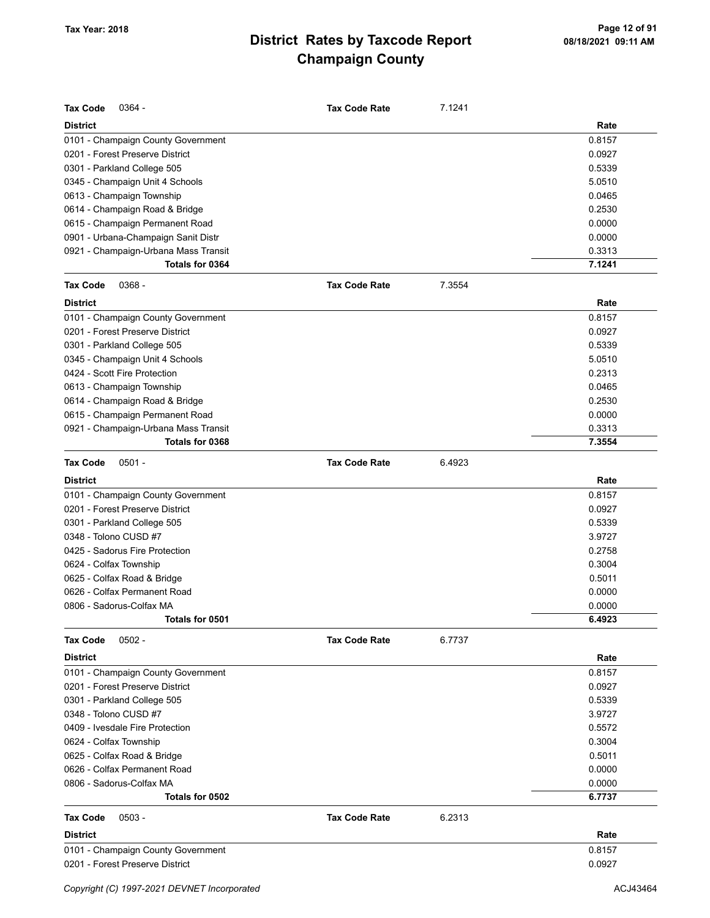| <b>Tax Code</b><br>$0364 -$          | <b>Tax Code Rate</b> | 7.1241 |        |
|--------------------------------------|----------------------|--------|--------|
| <b>District</b>                      |                      |        | Rate   |
| 0101 - Champaign County Government   |                      |        | 0.8157 |
| 0201 - Forest Preserve District      |                      |        | 0.0927 |
| 0301 - Parkland College 505          |                      |        | 0.5339 |
| 0345 - Champaign Unit 4 Schools      |                      |        | 5.0510 |
| 0613 - Champaign Township            |                      |        | 0.0465 |
| 0614 - Champaign Road & Bridge       |                      |        | 0.2530 |
| 0615 - Champaign Permanent Road      |                      |        | 0.0000 |
| 0901 - Urbana-Champaign Sanit Distr  |                      |        | 0.0000 |
| 0921 - Champaign-Urbana Mass Transit |                      |        | 0.3313 |
| Totals for 0364                      |                      |        | 7.1241 |
| <b>Tax Code</b><br>$0368 -$          | <b>Tax Code Rate</b> | 7.3554 |        |
| <b>District</b>                      |                      |        | Rate   |
| 0101 - Champaign County Government   |                      |        | 0.8157 |
| 0201 - Forest Preserve District      |                      |        | 0.0927 |
| 0301 - Parkland College 505          |                      |        | 0.5339 |
| 0345 - Champaign Unit 4 Schools      |                      |        | 5.0510 |
| 0424 - Scott Fire Protection         |                      |        | 0.2313 |
| 0613 - Champaign Township            |                      |        | 0.0465 |
| 0614 - Champaign Road & Bridge       |                      |        | 0.2530 |
| 0615 - Champaign Permanent Road      |                      |        | 0.0000 |
| 0921 - Champaign-Urbana Mass Transit |                      |        | 0.3313 |
| Totals for 0368                      |                      |        | 7.3554 |
| <b>Tax Code</b><br>$0501 -$          | <b>Tax Code Rate</b> | 6.4923 |        |
| <b>District</b>                      |                      |        | Rate   |
| 0101 - Champaign County Government   |                      |        | 0.8157 |
| 0201 - Forest Preserve District      |                      |        | 0.0927 |
| 0301 - Parkland College 505          |                      |        | 0.5339 |
| 0348 - Tolono CUSD #7                |                      |        | 3.9727 |
| 0425 - Sadorus Fire Protection       |                      |        | 0.2758 |
| 0624 - Colfax Township               |                      |        | 0.3004 |
| 0625 - Colfax Road & Bridge          |                      |        | 0.5011 |
| 0626 - Colfax Permanent Road         |                      |        | 0.0000 |
| 0806 - Sadorus-Colfax MA             |                      |        | 0.0000 |
| Totals for 0501                      |                      |        | 6.4923 |
| $0502 -$<br><b>Tax Code</b>          | <b>Tax Code Rate</b> | 6.7737 |        |
| <b>District</b>                      |                      |        | Rate   |
| 0101 - Champaign County Government   |                      |        | 0.8157 |
| 0201 - Forest Preserve District      |                      |        | 0.0927 |
| 0301 - Parkland College 505          |                      |        | 0.5339 |
| 0348 - Tolono CUSD #7                |                      |        | 3.9727 |
| 0409 - Ivesdale Fire Protection      |                      |        | 0.5572 |
| 0624 - Colfax Township               |                      |        | 0.3004 |
| 0625 - Colfax Road & Bridge          |                      |        | 0.5011 |
| 0626 - Colfax Permanent Road         |                      |        | 0.0000 |
| 0806 - Sadorus-Colfax MA             |                      |        | 0.0000 |
| Totals for 0502                      |                      |        | 6.7737 |
| <b>Tax Code</b><br>$0503 -$          | <b>Tax Code Rate</b> | 6.2313 |        |
| <b>District</b>                      |                      |        | Rate   |
| 0101 - Champaign County Government   |                      |        | 0.8157 |
| 0201 - Forest Preserve District      |                      |        | 0.0927 |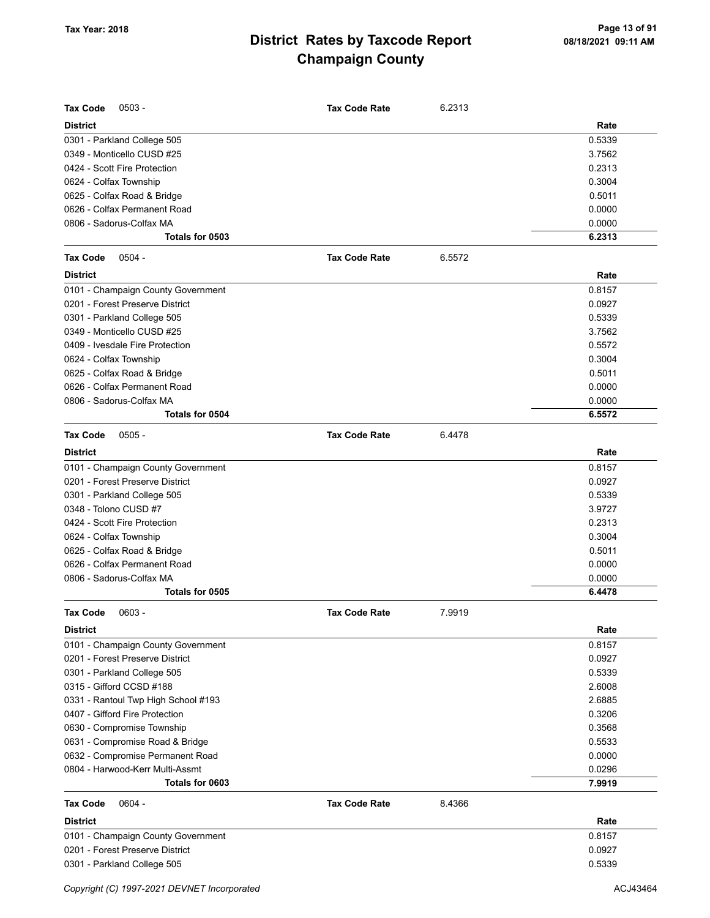| Rate<br><b>District</b><br>0.5339<br>0301 - Parkland College 505<br>3.7562<br>0349 - Monticello CUSD #25<br>0.2313<br>0424 - Scott Fire Protection<br>0.3004<br>0624 - Colfax Township<br>0625 - Colfax Road & Bridge<br>0.5011<br>0626 - Colfax Permanent Road<br>0.0000<br>0806 - Sadorus-Colfax MA<br>0.0000<br>Totals for 0503<br>6.2313<br>$0504 -$<br>6.5572<br><b>Tax Code</b><br><b>Tax Code Rate</b><br><b>District</b><br>Rate<br>0101 - Champaign County Government<br>0.8157<br>0201 - Forest Preserve District<br>0.0927<br>0.5339<br>0301 - Parkland College 505<br>0349 - Monticello CUSD #25<br>3.7562<br>0.5572<br>0409 - Ivesdale Fire Protection<br>0.3004<br>0624 - Colfax Township<br>0625 - Colfax Road & Bridge<br>0.5011<br>0626 - Colfax Permanent Road<br>0.0000<br>0806 - Sadorus-Colfax MA<br>0.0000<br>Totals for 0504<br>6.5572<br><b>Tax Code</b><br>$0505 -$<br><b>Tax Code Rate</b><br>6.4478<br><b>District</b><br>Rate<br>0.8157<br>0101 - Champaign County Government<br>0201 - Forest Preserve District<br>0.0927<br>0301 - Parkland College 505<br>0.5339<br>3.9727<br>0348 - Tolono CUSD #7<br>0.2313<br>0424 - Scott Fire Protection<br>0.3004<br>0624 - Colfax Township<br>0625 - Colfax Road & Bridge<br>0.5011<br>0626 - Colfax Permanent Road<br>0.0000<br>0806 - Sadorus-Colfax MA<br>0.0000<br>Totals for 0505<br>6.4478<br>0603 -<br>7.9919<br><b>Tax Code</b><br><b>Tax Code Rate</b><br>Rate<br><b>District</b><br>0.8157<br>0101 - Champaign County Government<br>0201 - Forest Preserve District<br>0.0927<br>0.5339<br>0301 - Parkland College 505<br>2.6008<br>0315 - Gifford CCSD #188<br>2.6885<br>0331 - Rantoul Twp High School #193<br>0.3206<br>0407 - Gifford Fire Protection<br>0.3568<br>0630 - Compromise Township<br>0.5533<br>0631 - Compromise Road & Bridge<br>0.0000<br>0632 - Compromise Permanent Road<br>0.0296<br>0804 - Harwood-Kerr Multi-Assmt<br>Totals for 0603<br>7.9919<br><b>Tax Code</b><br>$0604 -$<br><b>Tax Code Rate</b><br>8.4366<br><b>District</b><br>Rate<br>0.8157<br>0101 - Champaign County Government<br>0201 - Forest Preserve District<br>0.0927<br>0.5339<br>0301 - Parkland College 505 | <b>Tax Code</b><br>$0503 -$ | <b>Tax Code Rate</b> | 6.2313 |  |
|------------------------------------------------------------------------------------------------------------------------------------------------------------------------------------------------------------------------------------------------------------------------------------------------------------------------------------------------------------------------------------------------------------------------------------------------------------------------------------------------------------------------------------------------------------------------------------------------------------------------------------------------------------------------------------------------------------------------------------------------------------------------------------------------------------------------------------------------------------------------------------------------------------------------------------------------------------------------------------------------------------------------------------------------------------------------------------------------------------------------------------------------------------------------------------------------------------------------------------------------------------------------------------------------------------------------------------------------------------------------------------------------------------------------------------------------------------------------------------------------------------------------------------------------------------------------------------------------------------------------------------------------------------------------------------------------------------------------------------------------------------------------------------------------------------------------------------------------------------------------------------------------------------------------------------------------------------------------------------------------------------------------------------------------------------------------------------------------------------------------------------------------------------------------------------------|-----------------------------|----------------------|--------|--|
|                                                                                                                                                                                                                                                                                                                                                                                                                                                                                                                                                                                                                                                                                                                                                                                                                                                                                                                                                                                                                                                                                                                                                                                                                                                                                                                                                                                                                                                                                                                                                                                                                                                                                                                                                                                                                                                                                                                                                                                                                                                                                                                                                                                          |                             |                      |        |  |
|                                                                                                                                                                                                                                                                                                                                                                                                                                                                                                                                                                                                                                                                                                                                                                                                                                                                                                                                                                                                                                                                                                                                                                                                                                                                                                                                                                                                                                                                                                                                                                                                                                                                                                                                                                                                                                                                                                                                                                                                                                                                                                                                                                                          |                             |                      |        |  |
|                                                                                                                                                                                                                                                                                                                                                                                                                                                                                                                                                                                                                                                                                                                                                                                                                                                                                                                                                                                                                                                                                                                                                                                                                                                                                                                                                                                                                                                                                                                                                                                                                                                                                                                                                                                                                                                                                                                                                                                                                                                                                                                                                                                          |                             |                      |        |  |
|                                                                                                                                                                                                                                                                                                                                                                                                                                                                                                                                                                                                                                                                                                                                                                                                                                                                                                                                                                                                                                                                                                                                                                                                                                                                                                                                                                                                                                                                                                                                                                                                                                                                                                                                                                                                                                                                                                                                                                                                                                                                                                                                                                                          |                             |                      |        |  |
|                                                                                                                                                                                                                                                                                                                                                                                                                                                                                                                                                                                                                                                                                                                                                                                                                                                                                                                                                                                                                                                                                                                                                                                                                                                                                                                                                                                                                                                                                                                                                                                                                                                                                                                                                                                                                                                                                                                                                                                                                                                                                                                                                                                          |                             |                      |        |  |
|                                                                                                                                                                                                                                                                                                                                                                                                                                                                                                                                                                                                                                                                                                                                                                                                                                                                                                                                                                                                                                                                                                                                                                                                                                                                                                                                                                                                                                                                                                                                                                                                                                                                                                                                                                                                                                                                                                                                                                                                                                                                                                                                                                                          |                             |                      |        |  |
|                                                                                                                                                                                                                                                                                                                                                                                                                                                                                                                                                                                                                                                                                                                                                                                                                                                                                                                                                                                                                                                                                                                                                                                                                                                                                                                                                                                                                                                                                                                                                                                                                                                                                                                                                                                                                                                                                                                                                                                                                                                                                                                                                                                          |                             |                      |        |  |
|                                                                                                                                                                                                                                                                                                                                                                                                                                                                                                                                                                                                                                                                                                                                                                                                                                                                                                                                                                                                                                                                                                                                                                                                                                                                                                                                                                                                                                                                                                                                                                                                                                                                                                                                                                                                                                                                                                                                                                                                                                                                                                                                                                                          |                             |                      |        |  |
|                                                                                                                                                                                                                                                                                                                                                                                                                                                                                                                                                                                                                                                                                                                                                                                                                                                                                                                                                                                                                                                                                                                                                                                                                                                                                                                                                                                                                                                                                                                                                                                                                                                                                                                                                                                                                                                                                                                                                                                                                                                                                                                                                                                          |                             |                      |        |  |
|                                                                                                                                                                                                                                                                                                                                                                                                                                                                                                                                                                                                                                                                                                                                                                                                                                                                                                                                                                                                                                                                                                                                                                                                                                                                                                                                                                                                                                                                                                                                                                                                                                                                                                                                                                                                                                                                                                                                                                                                                                                                                                                                                                                          |                             |                      |        |  |
|                                                                                                                                                                                                                                                                                                                                                                                                                                                                                                                                                                                                                                                                                                                                                                                                                                                                                                                                                                                                                                                                                                                                                                                                                                                                                                                                                                                                                                                                                                                                                                                                                                                                                                                                                                                                                                                                                                                                                                                                                                                                                                                                                                                          |                             |                      |        |  |
|                                                                                                                                                                                                                                                                                                                                                                                                                                                                                                                                                                                                                                                                                                                                                                                                                                                                                                                                                                                                                                                                                                                                                                                                                                                                                                                                                                                                                                                                                                                                                                                                                                                                                                                                                                                                                                                                                                                                                                                                                                                                                                                                                                                          |                             |                      |        |  |
|                                                                                                                                                                                                                                                                                                                                                                                                                                                                                                                                                                                                                                                                                                                                                                                                                                                                                                                                                                                                                                                                                                                                                                                                                                                                                                                                                                                                                                                                                                                                                                                                                                                                                                                                                                                                                                                                                                                                                                                                                                                                                                                                                                                          |                             |                      |        |  |
|                                                                                                                                                                                                                                                                                                                                                                                                                                                                                                                                                                                                                                                                                                                                                                                                                                                                                                                                                                                                                                                                                                                                                                                                                                                                                                                                                                                                                                                                                                                                                                                                                                                                                                                                                                                                                                                                                                                                                                                                                                                                                                                                                                                          |                             |                      |        |  |
|                                                                                                                                                                                                                                                                                                                                                                                                                                                                                                                                                                                                                                                                                                                                                                                                                                                                                                                                                                                                                                                                                                                                                                                                                                                                                                                                                                                                                                                                                                                                                                                                                                                                                                                                                                                                                                                                                                                                                                                                                                                                                                                                                                                          |                             |                      |        |  |
|                                                                                                                                                                                                                                                                                                                                                                                                                                                                                                                                                                                                                                                                                                                                                                                                                                                                                                                                                                                                                                                                                                                                                                                                                                                                                                                                                                                                                                                                                                                                                                                                                                                                                                                                                                                                                                                                                                                                                                                                                                                                                                                                                                                          |                             |                      |        |  |
|                                                                                                                                                                                                                                                                                                                                                                                                                                                                                                                                                                                                                                                                                                                                                                                                                                                                                                                                                                                                                                                                                                                                                                                                                                                                                                                                                                                                                                                                                                                                                                                                                                                                                                                                                                                                                                                                                                                                                                                                                                                                                                                                                                                          |                             |                      |        |  |
|                                                                                                                                                                                                                                                                                                                                                                                                                                                                                                                                                                                                                                                                                                                                                                                                                                                                                                                                                                                                                                                                                                                                                                                                                                                                                                                                                                                                                                                                                                                                                                                                                                                                                                                                                                                                                                                                                                                                                                                                                                                                                                                                                                                          |                             |                      |        |  |
|                                                                                                                                                                                                                                                                                                                                                                                                                                                                                                                                                                                                                                                                                                                                                                                                                                                                                                                                                                                                                                                                                                                                                                                                                                                                                                                                                                                                                                                                                                                                                                                                                                                                                                                                                                                                                                                                                                                                                                                                                                                                                                                                                                                          |                             |                      |        |  |
|                                                                                                                                                                                                                                                                                                                                                                                                                                                                                                                                                                                                                                                                                                                                                                                                                                                                                                                                                                                                                                                                                                                                                                                                                                                                                                                                                                                                                                                                                                                                                                                                                                                                                                                                                                                                                                                                                                                                                                                                                                                                                                                                                                                          |                             |                      |        |  |
|                                                                                                                                                                                                                                                                                                                                                                                                                                                                                                                                                                                                                                                                                                                                                                                                                                                                                                                                                                                                                                                                                                                                                                                                                                                                                                                                                                                                                                                                                                                                                                                                                                                                                                                                                                                                                                                                                                                                                                                                                                                                                                                                                                                          |                             |                      |        |  |
|                                                                                                                                                                                                                                                                                                                                                                                                                                                                                                                                                                                                                                                                                                                                                                                                                                                                                                                                                                                                                                                                                                                                                                                                                                                                                                                                                                                                                                                                                                                                                                                                                                                                                                                                                                                                                                                                                                                                                                                                                                                                                                                                                                                          |                             |                      |        |  |
|                                                                                                                                                                                                                                                                                                                                                                                                                                                                                                                                                                                                                                                                                                                                                                                                                                                                                                                                                                                                                                                                                                                                                                                                                                                                                                                                                                                                                                                                                                                                                                                                                                                                                                                                                                                                                                                                                                                                                                                                                                                                                                                                                                                          |                             |                      |        |  |
|                                                                                                                                                                                                                                                                                                                                                                                                                                                                                                                                                                                                                                                                                                                                                                                                                                                                                                                                                                                                                                                                                                                                                                                                                                                                                                                                                                                                                                                                                                                                                                                                                                                                                                                                                                                                                                                                                                                                                                                                                                                                                                                                                                                          |                             |                      |        |  |
|                                                                                                                                                                                                                                                                                                                                                                                                                                                                                                                                                                                                                                                                                                                                                                                                                                                                                                                                                                                                                                                                                                                                                                                                                                                                                                                                                                                                                                                                                                                                                                                                                                                                                                                                                                                                                                                                                                                                                                                                                                                                                                                                                                                          |                             |                      |        |  |
|                                                                                                                                                                                                                                                                                                                                                                                                                                                                                                                                                                                                                                                                                                                                                                                                                                                                                                                                                                                                                                                                                                                                                                                                                                                                                                                                                                                                                                                                                                                                                                                                                                                                                                                                                                                                                                                                                                                                                                                                                                                                                                                                                                                          |                             |                      |        |  |
|                                                                                                                                                                                                                                                                                                                                                                                                                                                                                                                                                                                                                                                                                                                                                                                                                                                                                                                                                                                                                                                                                                                                                                                                                                                                                                                                                                                                                                                                                                                                                                                                                                                                                                                                                                                                                                                                                                                                                                                                                                                                                                                                                                                          |                             |                      |        |  |
|                                                                                                                                                                                                                                                                                                                                                                                                                                                                                                                                                                                                                                                                                                                                                                                                                                                                                                                                                                                                                                                                                                                                                                                                                                                                                                                                                                                                                                                                                                                                                                                                                                                                                                                                                                                                                                                                                                                                                                                                                                                                                                                                                                                          |                             |                      |        |  |
|                                                                                                                                                                                                                                                                                                                                                                                                                                                                                                                                                                                                                                                                                                                                                                                                                                                                                                                                                                                                                                                                                                                                                                                                                                                                                                                                                                                                                                                                                                                                                                                                                                                                                                                                                                                                                                                                                                                                                                                                                                                                                                                                                                                          |                             |                      |        |  |
|                                                                                                                                                                                                                                                                                                                                                                                                                                                                                                                                                                                                                                                                                                                                                                                                                                                                                                                                                                                                                                                                                                                                                                                                                                                                                                                                                                                                                                                                                                                                                                                                                                                                                                                                                                                                                                                                                                                                                                                                                                                                                                                                                                                          |                             |                      |        |  |
|                                                                                                                                                                                                                                                                                                                                                                                                                                                                                                                                                                                                                                                                                                                                                                                                                                                                                                                                                                                                                                                                                                                                                                                                                                                                                                                                                                                                                                                                                                                                                                                                                                                                                                                                                                                                                                                                                                                                                                                                                                                                                                                                                                                          |                             |                      |        |  |
|                                                                                                                                                                                                                                                                                                                                                                                                                                                                                                                                                                                                                                                                                                                                                                                                                                                                                                                                                                                                                                                                                                                                                                                                                                                                                                                                                                                                                                                                                                                                                                                                                                                                                                                                                                                                                                                                                                                                                                                                                                                                                                                                                                                          |                             |                      |        |  |
|                                                                                                                                                                                                                                                                                                                                                                                                                                                                                                                                                                                                                                                                                                                                                                                                                                                                                                                                                                                                                                                                                                                                                                                                                                                                                                                                                                                                                                                                                                                                                                                                                                                                                                                                                                                                                                                                                                                                                                                                                                                                                                                                                                                          |                             |                      |        |  |
|                                                                                                                                                                                                                                                                                                                                                                                                                                                                                                                                                                                                                                                                                                                                                                                                                                                                                                                                                                                                                                                                                                                                                                                                                                                                                                                                                                                                                                                                                                                                                                                                                                                                                                                                                                                                                                                                                                                                                                                                                                                                                                                                                                                          |                             |                      |        |  |
|                                                                                                                                                                                                                                                                                                                                                                                                                                                                                                                                                                                                                                                                                                                                                                                                                                                                                                                                                                                                                                                                                                                                                                                                                                                                                                                                                                                                                                                                                                                                                                                                                                                                                                                                                                                                                                                                                                                                                                                                                                                                                                                                                                                          |                             |                      |        |  |
|                                                                                                                                                                                                                                                                                                                                                                                                                                                                                                                                                                                                                                                                                                                                                                                                                                                                                                                                                                                                                                                                                                                                                                                                                                                                                                                                                                                                                                                                                                                                                                                                                                                                                                                                                                                                                                                                                                                                                                                                                                                                                                                                                                                          |                             |                      |        |  |
|                                                                                                                                                                                                                                                                                                                                                                                                                                                                                                                                                                                                                                                                                                                                                                                                                                                                                                                                                                                                                                                                                                                                                                                                                                                                                                                                                                                                                                                                                                                                                                                                                                                                                                                                                                                                                                                                                                                                                                                                                                                                                                                                                                                          |                             |                      |        |  |
|                                                                                                                                                                                                                                                                                                                                                                                                                                                                                                                                                                                                                                                                                                                                                                                                                                                                                                                                                                                                                                                                                                                                                                                                                                                                                                                                                                                                                                                                                                                                                                                                                                                                                                                                                                                                                                                                                                                                                                                                                                                                                                                                                                                          |                             |                      |        |  |
|                                                                                                                                                                                                                                                                                                                                                                                                                                                                                                                                                                                                                                                                                                                                                                                                                                                                                                                                                                                                                                                                                                                                                                                                                                                                                                                                                                                                                                                                                                                                                                                                                                                                                                                                                                                                                                                                                                                                                                                                                                                                                                                                                                                          |                             |                      |        |  |
|                                                                                                                                                                                                                                                                                                                                                                                                                                                                                                                                                                                                                                                                                                                                                                                                                                                                                                                                                                                                                                                                                                                                                                                                                                                                                                                                                                                                                                                                                                                                                                                                                                                                                                                                                                                                                                                                                                                                                                                                                                                                                                                                                                                          |                             |                      |        |  |
|                                                                                                                                                                                                                                                                                                                                                                                                                                                                                                                                                                                                                                                                                                                                                                                                                                                                                                                                                                                                                                                                                                                                                                                                                                                                                                                                                                                                                                                                                                                                                                                                                                                                                                                                                                                                                                                                                                                                                                                                                                                                                                                                                                                          |                             |                      |        |  |
|                                                                                                                                                                                                                                                                                                                                                                                                                                                                                                                                                                                                                                                                                                                                                                                                                                                                                                                                                                                                                                                                                                                                                                                                                                                                                                                                                                                                                                                                                                                                                                                                                                                                                                                                                                                                                                                                                                                                                                                                                                                                                                                                                                                          |                             |                      |        |  |
|                                                                                                                                                                                                                                                                                                                                                                                                                                                                                                                                                                                                                                                                                                                                                                                                                                                                                                                                                                                                                                                                                                                                                                                                                                                                                                                                                                                                                                                                                                                                                                                                                                                                                                                                                                                                                                                                                                                                                                                                                                                                                                                                                                                          |                             |                      |        |  |
|                                                                                                                                                                                                                                                                                                                                                                                                                                                                                                                                                                                                                                                                                                                                                                                                                                                                                                                                                                                                                                                                                                                                                                                                                                                                                                                                                                                                                                                                                                                                                                                                                                                                                                                                                                                                                                                                                                                                                                                                                                                                                                                                                                                          |                             |                      |        |  |
|                                                                                                                                                                                                                                                                                                                                                                                                                                                                                                                                                                                                                                                                                                                                                                                                                                                                                                                                                                                                                                                                                                                                                                                                                                                                                                                                                                                                                                                                                                                                                                                                                                                                                                                                                                                                                                                                                                                                                                                                                                                                                                                                                                                          |                             |                      |        |  |
|                                                                                                                                                                                                                                                                                                                                                                                                                                                                                                                                                                                                                                                                                                                                                                                                                                                                                                                                                                                                                                                                                                                                                                                                                                                                                                                                                                                                                                                                                                                                                                                                                                                                                                                                                                                                                                                                                                                                                                                                                                                                                                                                                                                          |                             |                      |        |  |
|                                                                                                                                                                                                                                                                                                                                                                                                                                                                                                                                                                                                                                                                                                                                                                                                                                                                                                                                                                                                                                                                                                                                                                                                                                                                                                                                                                                                                                                                                                                                                                                                                                                                                                                                                                                                                                                                                                                                                                                                                                                                                                                                                                                          |                             |                      |        |  |
|                                                                                                                                                                                                                                                                                                                                                                                                                                                                                                                                                                                                                                                                                                                                                                                                                                                                                                                                                                                                                                                                                                                                                                                                                                                                                                                                                                                                                                                                                                                                                                                                                                                                                                                                                                                                                                                                                                                                                                                                                                                                                                                                                                                          |                             |                      |        |  |
|                                                                                                                                                                                                                                                                                                                                                                                                                                                                                                                                                                                                                                                                                                                                                                                                                                                                                                                                                                                                                                                                                                                                                                                                                                                                                                                                                                                                                                                                                                                                                                                                                                                                                                                                                                                                                                                                                                                                                                                                                                                                                                                                                                                          |                             |                      |        |  |
|                                                                                                                                                                                                                                                                                                                                                                                                                                                                                                                                                                                                                                                                                                                                                                                                                                                                                                                                                                                                                                                                                                                                                                                                                                                                                                                                                                                                                                                                                                                                                                                                                                                                                                                                                                                                                                                                                                                                                                                                                                                                                                                                                                                          |                             |                      |        |  |
|                                                                                                                                                                                                                                                                                                                                                                                                                                                                                                                                                                                                                                                                                                                                                                                                                                                                                                                                                                                                                                                                                                                                                                                                                                                                                                                                                                                                                                                                                                                                                                                                                                                                                                                                                                                                                                                                                                                                                                                                                                                                                                                                                                                          |                             |                      |        |  |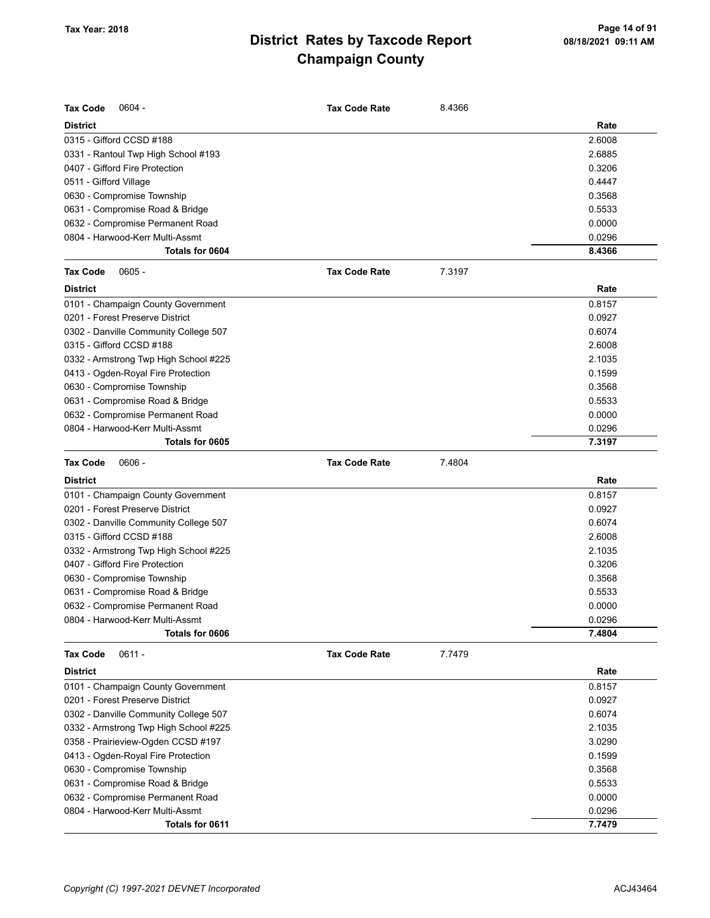| <b>Tax Code</b><br>$0604 -$           | <b>Tax Code Rate</b> | 8.4366 |        |
|---------------------------------------|----------------------|--------|--------|
| <b>District</b>                       |                      |        | Rate   |
| 0315 - Gifford CCSD #188              |                      |        | 2.6008 |
| 0331 - Rantoul Twp High School #193   |                      |        | 2.6885 |
| 0407 - Gifford Fire Protection        |                      |        | 0.3206 |
| 0511 - Gifford Village                |                      |        | 0.4447 |
| 0630 - Compromise Township            |                      |        | 0.3568 |
| 0631 - Compromise Road & Bridge       |                      |        | 0.5533 |
| 0632 - Compromise Permanent Road      |                      |        | 0.0000 |
| 0804 - Harwood-Kerr Multi-Assmt       |                      |        | 0.0296 |
| Totals for 0604                       |                      |        | 8.4366 |
| $0605 -$<br><b>Tax Code</b>           | <b>Tax Code Rate</b> | 7.3197 |        |
| <b>District</b>                       |                      |        | Rate   |
| 0101 - Champaign County Government    |                      |        | 0.8157 |
| 0201 - Forest Preserve District       |                      |        | 0.0927 |
| 0302 - Danville Community College 507 |                      |        | 0.6074 |
| 0315 - Gifford CCSD #188              |                      |        | 2.6008 |
| 0332 - Armstrong Twp High School #225 |                      |        | 2.1035 |
| 0413 - Ogden-Royal Fire Protection    |                      |        | 0.1599 |
| 0630 - Compromise Township            |                      |        | 0.3568 |
| 0631 - Compromise Road & Bridge       |                      |        | 0.5533 |
| 0632 - Compromise Permanent Road      |                      |        | 0.0000 |
| 0804 - Harwood-Kerr Multi-Assmt       |                      |        | 0.0296 |
| Totals for 0605                       |                      |        | 7.3197 |
| $0606 -$<br><b>Tax Code</b>           | <b>Tax Code Rate</b> | 7.4804 |        |
| <b>District</b>                       |                      |        | Rate   |
| 0101 - Champaign County Government    |                      |        | 0.8157 |
| 0201 - Forest Preserve District       |                      |        | 0.0927 |
| 0302 - Danville Community College 507 |                      |        | 0.6074 |
| 0315 - Gifford CCSD #188              |                      |        | 2.6008 |
| 0332 - Armstrong Twp High School #225 |                      |        | 2.1035 |
| 0407 - Gifford Fire Protection        |                      |        | 0.3206 |
| 0630 - Compromise Township            |                      |        | 0.3568 |
| 0631 - Compromise Road & Bridge       |                      |        | 0.5533 |
| 0632 - Compromise Permanent Road      |                      |        | 0.0000 |
| 0804 - Harwood-Kerr Multi-Assmt       |                      |        | 0.0296 |
| Totals for 0606                       |                      |        | 7.4804 |
| $0611 -$<br><b>Tax Code</b>           | <b>Tax Code Rate</b> | 7.7479 |        |
| <b>District</b>                       |                      |        | Rate   |
| 0101 - Champaign County Government    |                      |        | 0.8157 |
| 0201 - Forest Preserve District       |                      |        | 0.0927 |
| 0302 - Danville Community College 507 |                      |        | 0.6074 |
| 0332 - Armstrong Twp High School #225 |                      |        | 2.1035 |
| 0358 - Prairieview-Ogden CCSD #197    |                      |        | 3.0290 |
| 0413 - Ogden-Royal Fire Protection    |                      |        | 0.1599 |
| 0630 - Compromise Township            |                      |        | 0.3568 |
| 0631 - Compromise Road & Bridge       |                      |        | 0.5533 |
| 0632 - Compromise Permanent Road      |                      |        | 0.0000 |
| 0804 - Harwood-Kerr Multi-Assmt       |                      |        | 0.0296 |
| Totals for 0611                       |                      |        | 7.7479 |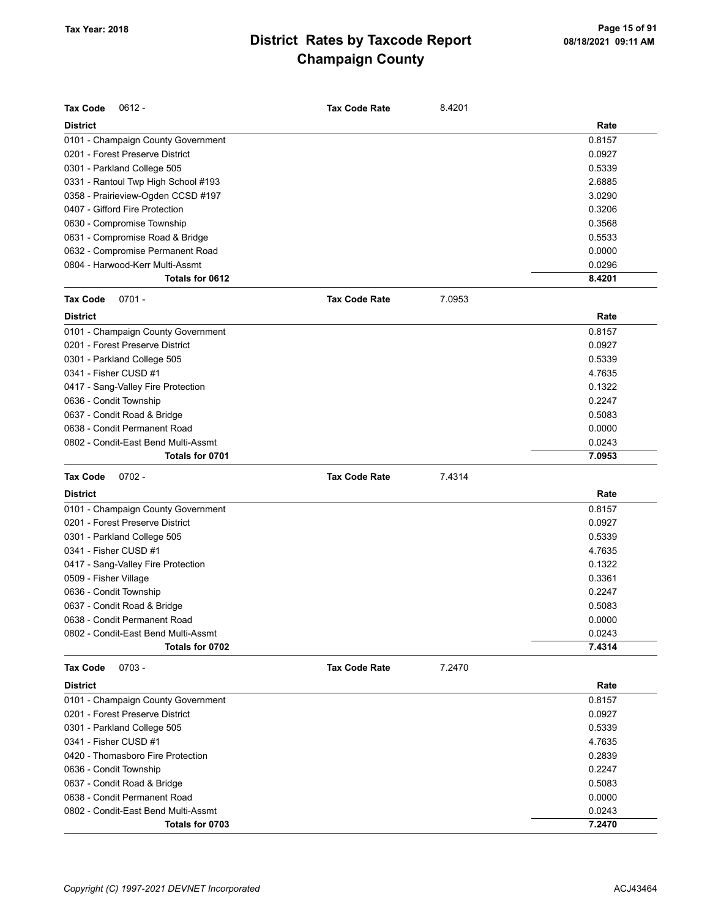| <b>Tax Code</b><br>$0612 -$                                           | <b>Tax Code Rate</b> | 8.4201 |        |
|-----------------------------------------------------------------------|----------------------|--------|--------|
| <b>District</b>                                                       |                      |        | Rate   |
| 0101 - Champaign County Government                                    |                      |        | 0.8157 |
| 0201 - Forest Preserve District                                       |                      |        | 0.0927 |
| 0301 - Parkland College 505                                           |                      |        | 0.5339 |
| 0331 - Rantoul Twp High School #193                                   |                      |        | 2.6885 |
| 0358 - Prairieview-Ogden CCSD #197                                    |                      |        | 3.0290 |
| 0407 - Gifford Fire Protection                                        |                      |        | 0.3206 |
| 0630 - Compromise Township                                            |                      |        | 0.3568 |
| 0631 - Compromise Road & Bridge                                       |                      |        | 0.5533 |
| 0632 - Compromise Permanent Road                                      |                      |        | 0.0000 |
| 0804 - Harwood-Kerr Multi-Assmt                                       |                      |        | 0.0296 |
| Totals for 0612                                                       |                      |        | 8.4201 |
| <b>Tax Code</b><br>$0701 -$                                           | <b>Tax Code Rate</b> | 7.0953 |        |
| <b>District</b>                                                       |                      |        | Rate   |
| 0101 - Champaign County Government                                    |                      |        | 0.8157 |
| 0201 - Forest Preserve District                                       |                      |        | 0.0927 |
| 0301 - Parkland College 505                                           |                      |        | 0.5339 |
| 0341 - Fisher CUSD #1                                                 |                      |        | 4.7635 |
| 0417 - Sang-Valley Fire Protection                                    |                      |        | 0.1322 |
| 0636 - Condit Township                                                |                      |        | 0.2247 |
| 0637 - Condit Road & Bridge                                           |                      |        | 0.5083 |
| 0638 - Condit Permanent Road                                          |                      |        | 0.0000 |
| 0802 - Condit-East Bend Multi-Assmt                                   |                      |        | 0.0243 |
| Totals for 0701                                                       |                      |        | 7.0953 |
| <b>Tax Code</b><br>$0702 -$                                           | <b>Tax Code Rate</b> | 7.4314 |        |
| <b>District</b>                                                       |                      |        | Rate   |
| 0101 - Champaign County Government                                    |                      |        | 0.8157 |
| 0201 - Forest Preserve District                                       |                      |        | 0.0927 |
| 0301 - Parkland College 505                                           |                      |        | 0.5339 |
| 0341 - Fisher CUSD #1                                                 |                      |        | 4.7635 |
| 0417 - Sang-Valley Fire Protection                                    |                      |        | 0.1322 |
| 0509 - Fisher Village                                                 |                      |        | 0.3361 |
| 0636 - Condit Township                                                |                      |        | 0.2247 |
| 0637 - Condit Road & Bridge                                           |                      |        |        |
|                                                                       |                      |        | 0.5083 |
| 0638 - Condit Permanent Road                                          |                      |        | 0.0000 |
| 0802 - Condit-East Bend Multi-Assmt                                   |                      |        | 0.0243 |
| Totals for 0702                                                       |                      |        | 7.4314 |
| <b>Tax Code</b><br>$0703 -$                                           | <b>Tax Code Rate</b> | 7.2470 |        |
| <b>District</b>                                                       |                      |        | Rate   |
|                                                                       |                      |        | 0.8157 |
| 0101 - Champaign County Government<br>0201 - Forest Preserve District |                      |        | 0.0927 |
|                                                                       |                      |        | 0.5339 |
| 0301 - Parkland College 505<br>0341 - Fisher CUSD #1                  |                      |        | 4.7635 |
| 0420 - Thomasboro Fire Protection                                     |                      |        | 0.2839 |
| 0636 - Condit Township                                                |                      |        | 0.2247 |
|                                                                       |                      |        | 0.5083 |
| 0637 - Condit Road & Bridge<br>0638 - Condit Permanent Road           |                      |        | 0.0000 |
| 0802 - Condit-East Bend Multi-Assmt                                   |                      |        | 0.0243 |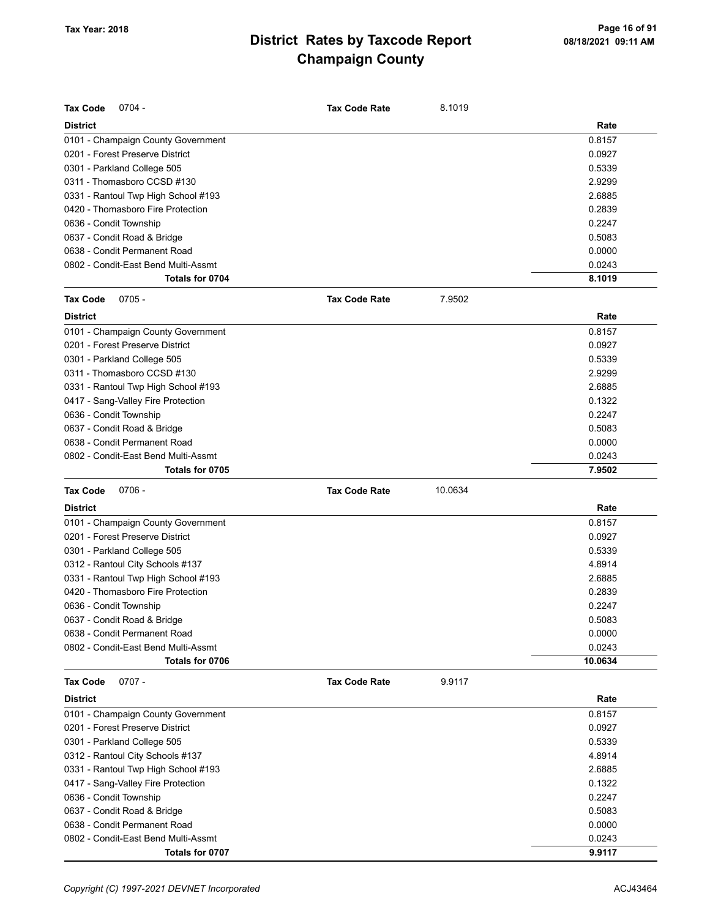| <b>Tax Code</b><br>$0704 -$         | <b>Tax Code Rate</b> | 8.1019  |         |
|-------------------------------------|----------------------|---------|---------|
| <b>District</b>                     |                      |         | Rate    |
| 0101 - Champaign County Government  |                      |         | 0.8157  |
| 0201 - Forest Preserve District     |                      |         | 0.0927  |
| 0301 - Parkland College 505         |                      |         | 0.5339  |
| 0311 - Thomasboro CCSD #130         |                      |         | 2.9299  |
| 0331 - Rantoul Twp High School #193 |                      |         | 2.6885  |
| 0420 - Thomasboro Fire Protection   |                      |         | 0.2839  |
| 0636 - Condit Township              |                      |         | 0.2247  |
| 0637 - Condit Road & Bridge         |                      |         | 0.5083  |
| 0638 - Condit Permanent Road        |                      |         | 0.0000  |
| 0802 - Condit-East Bend Multi-Assmt |                      |         | 0.0243  |
| Totals for 0704                     |                      |         | 8.1019  |
| <b>Tax Code</b><br>$0705 -$         | <b>Tax Code Rate</b> | 7.9502  |         |
| <b>District</b>                     |                      |         | Rate    |
| 0101 - Champaign County Government  |                      |         | 0.8157  |
| 0201 - Forest Preserve District     |                      |         | 0.0927  |
| 0301 - Parkland College 505         |                      |         | 0.5339  |
| 0311 - Thomasboro CCSD #130         |                      |         | 2.9299  |
| 0331 - Rantoul Twp High School #193 |                      |         | 2.6885  |
| 0417 - Sang-Valley Fire Protection  |                      |         | 0.1322  |
| 0636 - Condit Township              |                      |         | 0.2247  |
| 0637 - Condit Road & Bridge         |                      |         | 0.5083  |
| 0638 - Condit Permanent Road        |                      |         | 0.0000  |
| 0802 - Condit-East Bend Multi-Assmt |                      |         | 0.0243  |
| Totals for 0705                     |                      |         | 7.9502  |
|                                     |                      |         |         |
| <b>Tax Code</b><br>$0706 -$         | <b>Tax Code Rate</b> | 10.0634 |         |
| <b>District</b>                     |                      |         | Rate    |
| 0101 - Champaign County Government  |                      |         | 0.8157  |
| 0201 - Forest Preserve District     |                      |         | 0.0927  |
| 0301 - Parkland College 505         |                      |         | 0.5339  |
| 0312 - Rantoul City Schools #137    |                      |         | 4.8914  |
| 0331 - Rantoul Twp High School #193 |                      |         | 2.6885  |
| 0420 - Thomasboro Fire Protection   |                      |         | 0.2839  |
| 0636 - Condit Township              |                      |         | 0.2247  |
| 0637 - Condit Road & Bridge         |                      |         | 0.5083  |
| 0638 - Condit Permanent Road        |                      |         | 0.0000  |
| 0802 - Condit-East Bend Multi-Assmt |                      |         | 0.0243  |
| Totals for 0706                     |                      |         | 10.0634 |
| $0707 -$<br><b>Tax Code</b>         | <b>Tax Code Rate</b> | 9.9117  |         |
| <b>District</b>                     |                      |         | Rate    |
| 0101 - Champaign County Government  |                      |         | 0.8157  |
| 0201 - Forest Preserve District     |                      |         | 0.0927  |
| 0301 - Parkland College 505         |                      |         | 0.5339  |
| 0312 - Rantoul City Schools #137    |                      |         | 4.8914  |
| 0331 - Rantoul Twp High School #193 |                      |         | 2.6885  |
| 0417 - Sang-Valley Fire Protection  |                      |         | 0.1322  |
| 0636 - Condit Township              |                      |         | 0.2247  |
| 0637 - Condit Road & Bridge         |                      |         | 0.5083  |
| 0638 - Condit Permanent Road        |                      |         | 0.0000  |
| 0802 - Condit-East Bend Multi-Assmt |                      |         | 0.0243  |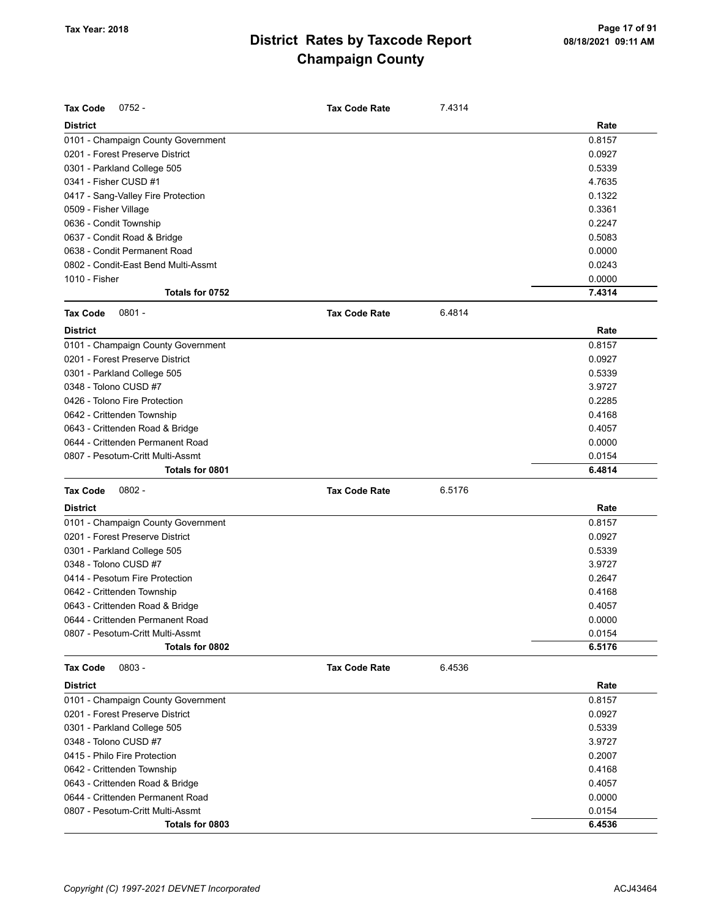| <b>Tax Code</b><br>$0752 -$         | <b>Tax Code Rate</b> | 7.4314 |        |
|-------------------------------------|----------------------|--------|--------|
| <b>District</b>                     |                      |        | Rate   |
| 0101 - Champaign County Government  |                      |        | 0.8157 |
| 0201 - Forest Preserve District     |                      |        | 0.0927 |
| 0301 - Parkland College 505         |                      |        | 0.5339 |
| 0341 - Fisher CUSD #1               |                      |        | 4.7635 |
| 0417 - Sang-Valley Fire Protection  |                      |        | 0.1322 |
| 0509 - Fisher Village               |                      |        | 0.3361 |
| 0636 - Condit Township              |                      |        | 0.2247 |
| 0637 - Condit Road & Bridge         |                      |        | 0.5083 |
| 0638 - Condit Permanent Road        |                      |        | 0.0000 |
| 0802 - Condit-East Bend Multi-Assmt |                      |        | 0.0243 |
| 1010 - Fisher                       |                      |        | 0.0000 |
| Totals for 0752                     |                      |        | 7.4314 |
| <b>Tax Code</b><br>$0801 -$         | <b>Tax Code Rate</b> | 6.4814 |        |
| <b>District</b>                     |                      |        | Rate   |
| 0101 - Champaign County Government  |                      |        | 0.8157 |
| 0201 - Forest Preserve District     |                      |        | 0.0927 |
| 0301 - Parkland College 505         |                      |        | 0.5339 |
| 0348 - Tolono CUSD #7               |                      |        |        |
|                                     |                      |        | 3.9727 |
| 0426 - Tolono Fire Protection       |                      |        | 0.2285 |
| 0642 - Crittenden Township          |                      |        | 0.4168 |
| 0643 - Crittenden Road & Bridge     |                      |        | 0.4057 |
| 0644 - Crittenden Permanent Road    |                      |        | 0.0000 |
| 0807 - Pesotum-Critt Multi-Assmt    |                      |        | 0.0154 |
| Totals for 0801                     |                      |        | 6.4814 |
| <b>Tax Code</b><br>$0802 -$         | <b>Tax Code Rate</b> | 6.5176 |        |
| <b>District</b>                     |                      |        | Rate   |
| 0101 - Champaign County Government  |                      |        | 0.8157 |
| 0201 - Forest Preserve District     |                      |        | 0.0927 |
| 0301 - Parkland College 505         |                      |        | 0.5339 |
| 0348 - Tolono CUSD #7               |                      |        | 3.9727 |
| 0414 - Pesotum Fire Protection      |                      |        | 0.2647 |
| 0642 - Crittenden Township          |                      |        | 0.4168 |
| 0643 - Crittenden Road & Bridge     |                      |        | 0.4057 |
| 0644 - Crittenden Permanent Road    |                      |        | 0.0000 |
| 0807 - Pesotum-Critt Multi-Assmt    |                      |        | 0.0154 |
| Totals for 0802                     |                      |        | 6.5176 |
| Tax Code<br>$0803 -$                | <b>Tax Code Rate</b> | 6.4536 |        |
| <b>District</b>                     |                      |        | Rate   |
| 0101 - Champaign County Government  |                      |        | 0.8157 |
| 0201 - Forest Preserve District     |                      |        | 0.0927 |
| 0301 - Parkland College 505         |                      |        | 0.5339 |
| 0348 - Tolono CUSD #7               |                      |        | 3.9727 |
| 0415 - Philo Fire Protection        |                      |        | 0.2007 |
| 0642 - Crittenden Township          |                      |        | 0.4168 |
| 0643 - Crittenden Road & Bridge     |                      |        | 0.4057 |
| 0644 - Crittenden Permanent Road    |                      |        | 0.0000 |
| 0807 - Pesotum-Critt Multi-Assmt    |                      |        | 0.0154 |
| Totals for 0803                     |                      |        | 6.4536 |
|                                     |                      |        |        |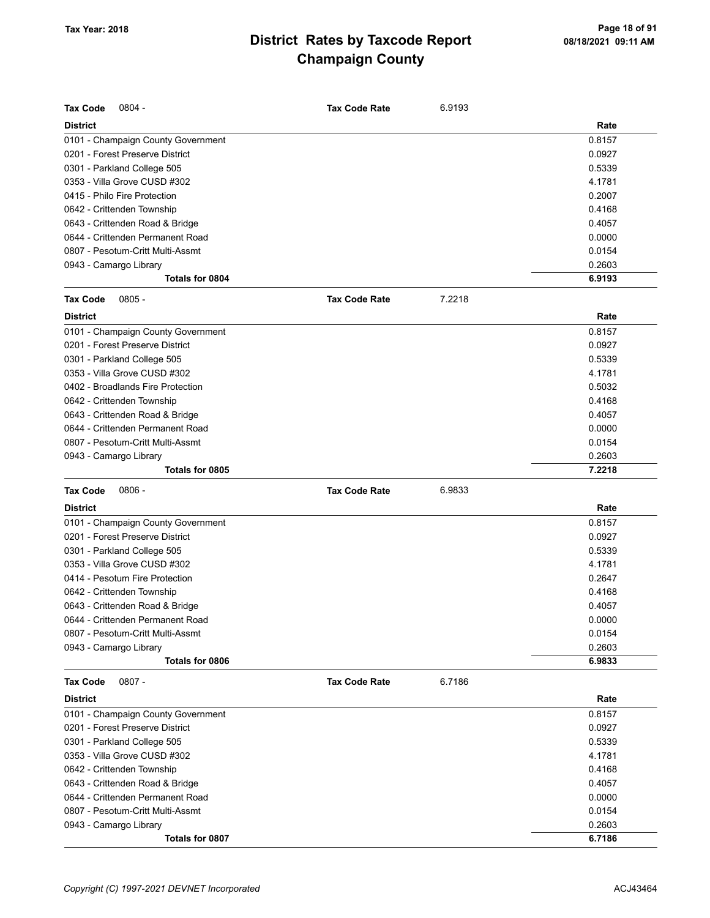| <b>Tax Code</b><br>$0804 -$        | <b>Tax Code Rate</b> | 6.9193 |        |
|------------------------------------|----------------------|--------|--------|
| <b>District</b>                    |                      |        | Rate   |
| 0101 - Champaign County Government |                      |        | 0.8157 |
| 0201 - Forest Preserve District    |                      |        | 0.0927 |
| 0301 - Parkland College 505        |                      |        | 0.5339 |
| 0353 - Villa Grove CUSD #302       |                      |        | 4.1781 |
| 0415 - Philo Fire Protection       |                      |        | 0.2007 |
| 0642 - Crittenden Township         |                      |        | 0.4168 |
| 0643 - Crittenden Road & Bridge    |                      |        | 0.4057 |
| 0644 - Crittenden Permanent Road   |                      |        | 0.0000 |
| 0807 - Pesotum-Critt Multi-Assmt   |                      |        | 0.0154 |
| 0943 - Camargo Library             |                      |        | 0.2603 |
| Totals for 0804                    |                      |        | 6.9193 |
| <b>Tax Code</b><br>$0805 -$        | <b>Tax Code Rate</b> | 7.2218 |        |
| <b>District</b>                    |                      |        | Rate   |
| 0101 - Champaign County Government |                      |        | 0.8157 |
| 0201 - Forest Preserve District    |                      |        | 0.0927 |
| 0301 - Parkland College 505        |                      |        | 0.5339 |
| 0353 - Villa Grove CUSD #302       |                      |        | 4.1781 |
| 0402 - Broadlands Fire Protection  |                      |        | 0.5032 |
| 0642 - Crittenden Township         |                      |        | 0.4168 |
| 0643 - Crittenden Road & Bridge    |                      |        | 0.4057 |
| 0644 - Crittenden Permanent Road   |                      |        | 0.0000 |
| 0807 - Pesotum-Critt Multi-Assmt   |                      |        | 0.0154 |
| 0943 - Camargo Library             |                      |        | 0.2603 |
| Totals for 0805                    |                      |        | 7.2218 |
| <b>Tax Code</b><br>$0806 -$        | <b>Tax Code Rate</b> | 6.9833 |        |
| <b>District</b>                    |                      |        | Rate   |
| 0101 - Champaign County Government |                      |        | 0.8157 |
| 0201 - Forest Preserve District    |                      |        | 0.0927 |
| 0301 - Parkland College 505        |                      |        | 0.5339 |
| 0353 - Villa Grove CUSD #302       |                      |        | 4.1781 |
| 0414 - Pesotum Fire Protection     |                      |        | 0.2647 |
| 0642 - Crittenden Township         |                      |        | 0.4168 |
| 0643 - Crittenden Road & Bridge    |                      |        | 0.4057 |
| 0644 - Crittenden Permanent Road   |                      |        | 0.0000 |
| 0807 - Pesotum-Critt Multi-Assmt   |                      |        | 0.0154 |
| 0943 - Camargo Library             |                      |        | 0.2603 |
| Totals for 0806                    |                      |        | 6.9833 |
| <b>Tax Code</b><br>$0807 -$        | <b>Tax Code Rate</b> | 6.7186 |        |
| <b>District</b>                    |                      |        | Rate   |
| 0101 - Champaign County Government |                      |        | 0.8157 |
| 0201 - Forest Preserve District    |                      |        | 0.0927 |
| 0301 - Parkland College 505        |                      |        | 0.5339 |
| 0353 - Villa Grove CUSD #302       |                      |        | 4.1781 |
| 0642 - Crittenden Township         |                      |        | 0.4168 |
| 0643 - Crittenden Road & Bridge    |                      |        | 0.4057 |
| 0644 - Crittenden Permanent Road   |                      |        | 0.0000 |
| 0807 - Pesotum-Critt Multi-Assmt   |                      |        | 0.0154 |
| 0943 - Camargo Library             |                      |        | 0.2603 |
| Totals for 0807                    |                      |        | 6.7186 |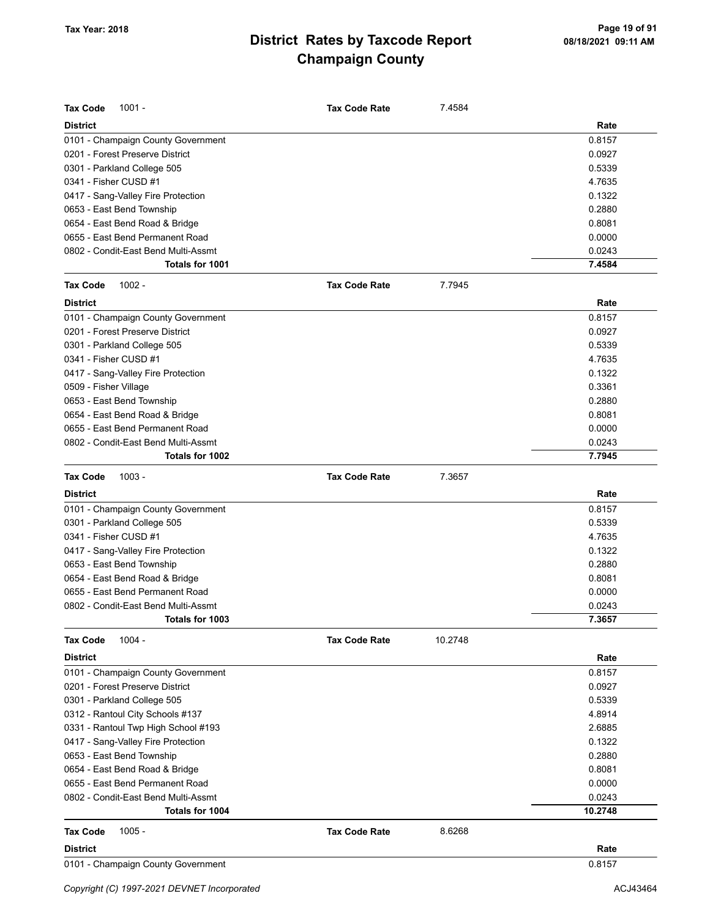| <b>Tax Code</b><br>$1001 -$         | <b>Tax Code Rate</b> | 7.4584  |         |
|-------------------------------------|----------------------|---------|---------|
| <b>District</b>                     |                      |         | Rate    |
| 0101 - Champaign County Government  |                      |         | 0.8157  |
| 0201 - Forest Preserve District     |                      |         | 0.0927  |
| 0301 - Parkland College 505         |                      |         | 0.5339  |
| 0341 - Fisher CUSD #1               |                      |         | 4.7635  |
| 0417 - Sang-Valley Fire Protection  |                      |         | 0.1322  |
| 0653 - East Bend Township           |                      |         | 0.2880  |
| 0654 - East Bend Road & Bridge      |                      |         | 0.8081  |
| 0655 - East Bend Permanent Road     |                      |         | 0.0000  |
| 0802 - Condit-East Bend Multi-Assmt |                      |         | 0.0243  |
| Totals for 1001                     |                      |         | 7.4584  |
| <b>Tax Code</b><br>$1002 -$         | <b>Tax Code Rate</b> | 7.7945  |         |
| <b>District</b>                     |                      |         | Rate    |
| 0101 - Champaign County Government  |                      |         | 0.8157  |
| 0201 - Forest Preserve District     |                      |         | 0.0927  |
| 0301 - Parkland College 505         |                      |         | 0.5339  |
| 0341 - Fisher CUSD #1               |                      |         | 4.7635  |
| 0417 - Sang-Valley Fire Protection  |                      |         | 0.1322  |
| 0509 - Fisher Village               |                      |         | 0.3361  |
| 0653 - East Bend Township           |                      |         | 0.2880  |
| 0654 - East Bend Road & Bridge      |                      |         | 0.8081  |
| 0655 - East Bend Permanent Road     |                      |         | 0.0000  |
| 0802 - Condit-East Bend Multi-Assmt |                      |         | 0.0243  |
| Totals for 1002                     |                      |         | 7.7945  |
| <b>Tax Code</b><br>$1003 -$         | <b>Tax Code Rate</b> | 7.3657  |         |
| <b>District</b>                     |                      |         | Rate    |
| 0101 - Champaign County Government  |                      |         | 0.8157  |
| 0301 - Parkland College 505         |                      |         | 0.5339  |
| 0341 - Fisher CUSD #1               |                      |         | 4.7635  |
| 0417 - Sang-Valley Fire Protection  |                      |         | 0.1322  |
| 0653 - East Bend Township           |                      |         | 0.2880  |
| 0654 - East Bend Road & Bridge      |                      |         | 0.8081  |
| 0655 - East Bend Permanent Road     |                      |         | 0.0000  |
| 0802 - Condit-East Bend Multi-Assmt |                      |         | 0.0243  |
| Totals for 1003                     |                      |         | 7.3657  |
| $1004 -$<br><b>Tax Code</b>         | <b>Tax Code Rate</b> | 10.2748 |         |
| <b>District</b>                     |                      |         | Rate    |
| 0101 - Champaign County Government  |                      |         | 0.8157  |
| 0201 - Forest Preserve District     |                      |         | 0.0927  |
| 0301 - Parkland College 505         |                      |         | 0.5339  |
| 0312 - Rantoul City Schools #137    |                      |         | 4.8914  |
| 0331 - Rantoul Twp High School #193 |                      |         | 2.6885  |
| 0417 - Sang-Valley Fire Protection  |                      |         | 0.1322  |
| 0653 - East Bend Township           |                      |         | 0.2880  |
| 0654 - East Bend Road & Bridge      |                      |         | 0.8081  |
| 0655 - East Bend Permanent Road     |                      |         | 0.0000  |
| 0802 - Condit-East Bend Multi-Assmt |                      |         | 0.0243  |
| Totals for 1004                     |                      |         | 10.2748 |
| $1005 -$<br><b>Tax Code</b>         | <b>Tax Code Rate</b> | 8.6268  |         |
| <b>District</b>                     |                      |         | Rate    |
| 0101 - Champaign County Government  |                      |         | 0.8157  |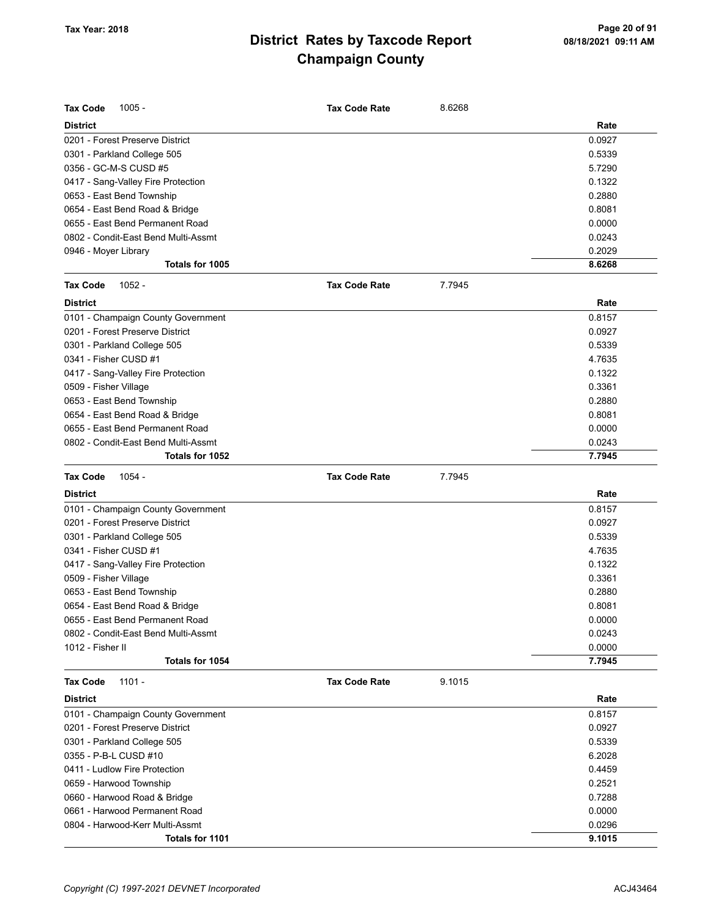| <b>Tax Code</b><br>$1005 -$         | <b>Tax Code Rate</b> | 8.6268 |        |
|-------------------------------------|----------------------|--------|--------|
| District                            |                      |        | Rate   |
| 0201 - Forest Preserve District     |                      |        | 0.0927 |
| 0301 - Parkland College 505         |                      |        | 0.5339 |
| 0356 - GC-M-S CUSD #5               |                      |        | 5.7290 |
| 0417 - Sang-Valley Fire Protection  |                      |        | 0.1322 |
| 0653 - East Bend Township           |                      |        | 0.2880 |
| 0654 - East Bend Road & Bridge      |                      |        | 0.8081 |
| 0655 - East Bend Permanent Road     |                      |        | 0.0000 |
| 0802 - Condit-East Bend Multi-Assmt |                      |        | 0.0243 |
| 0946 - Moyer Library                |                      |        | 0.2029 |
| Totals for 1005                     |                      |        | 8.6268 |
| <b>Tax Code</b><br>$1052 -$         | <b>Tax Code Rate</b> | 7.7945 |        |
| <b>District</b>                     |                      |        | Rate   |
| 0101 - Champaign County Government  |                      |        | 0.8157 |
| 0201 - Forest Preserve District     |                      |        | 0.0927 |
| 0301 - Parkland College 505         |                      |        | 0.5339 |
| 0341 - Fisher CUSD #1               |                      |        | 4.7635 |
| 0417 - Sang-Valley Fire Protection  |                      |        | 0.1322 |
| 0509 - Fisher Village               |                      |        | 0.3361 |
| 0653 - East Bend Township           |                      |        | 0.2880 |
| 0654 - East Bend Road & Bridge      |                      |        | 0.8081 |
| 0655 - East Bend Permanent Road     |                      |        | 0.0000 |
| 0802 - Condit-East Bend Multi-Assmt |                      |        | 0.0243 |
| Totals for 1052                     |                      |        | 7.7945 |
| <b>Tax Code</b><br>1054 -           | <b>Tax Code Rate</b> | 7.7945 |        |
| <b>District</b>                     |                      |        | Rate   |
| 0101 - Champaign County Government  |                      |        | 0.8157 |
| 0201 - Forest Preserve District     |                      |        | 0.0927 |
| 0301 - Parkland College 505         |                      |        | 0.5339 |
| 0341 - Fisher CUSD #1               |                      |        | 4.7635 |
| 0417 - Sang-Valley Fire Protection  |                      |        |        |
|                                     |                      |        | 0.1322 |
| 0509 - Fisher Village               |                      |        | 0.3361 |
| 0653 - East Bend Township           |                      |        | 0.2880 |
| 0654 - East Bend Road & Bridge      |                      |        | 0.8081 |
| 0655 - East Bend Permanent Road     |                      |        | 0.0000 |
| 0802 - Condit-East Bend Multi-Assmt |                      |        | 0.0243 |
| 1012 - Fisher II                    |                      |        | 0.0000 |
| Totals for 1054                     |                      |        | 7.7945 |
| <b>Tax Code</b><br>$1101 -$         | <b>Tax Code Rate</b> | 9.1015 |        |
| <b>District</b>                     |                      |        | Rate   |
| 0101 - Champaign County Government  |                      |        | 0.8157 |
| 0201 - Forest Preserve District     |                      |        | 0.0927 |
| 0301 - Parkland College 505         |                      |        | 0.5339 |
| 0355 - P-B-L CUSD #10               |                      |        | 6.2028 |
| 0411 - Ludlow Fire Protection       |                      |        | 0.4459 |
| 0659 - Harwood Township             |                      |        | 0.2521 |
| 0660 - Harwood Road & Bridge        |                      |        | 0.7288 |
| 0661 - Harwood Permanent Road       |                      |        | 0.0000 |
| 0804 - Harwood-Kerr Multi-Assmt     |                      |        | 0.0296 |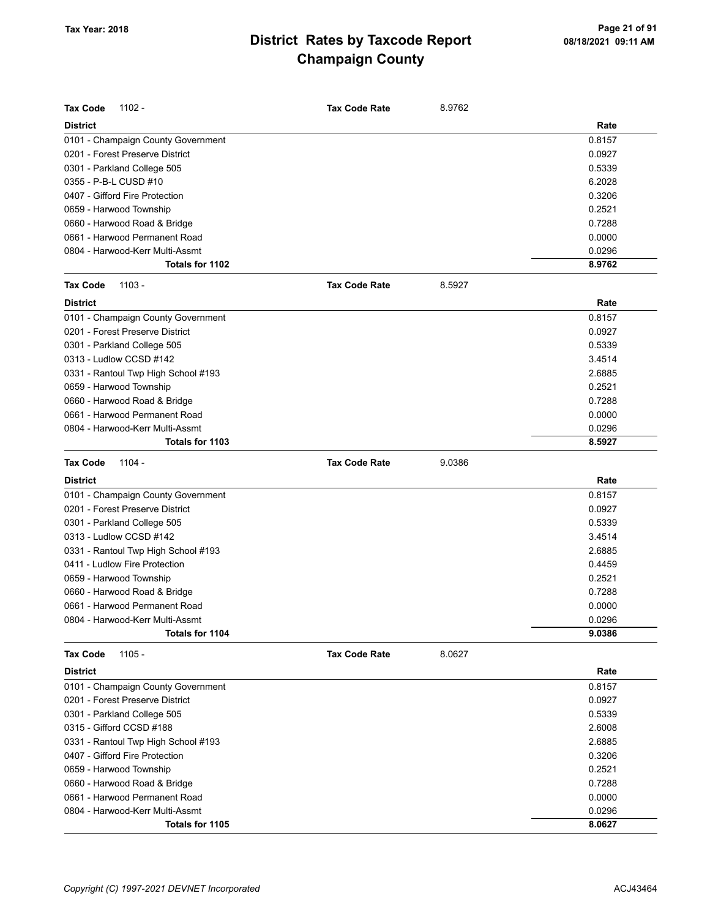| <b>Tax Code</b><br>$1102 -$         | <b>Tax Code Rate</b> | 8.9762 |        |
|-------------------------------------|----------------------|--------|--------|
| <b>District</b>                     |                      |        | Rate   |
| 0101 - Champaign County Government  |                      |        | 0.8157 |
| 0201 - Forest Preserve District     |                      |        | 0.0927 |
| 0301 - Parkland College 505         |                      |        | 0.5339 |
| 0355 - P-B-L CUSD #10               |                      |        | 6.2028 |
| 0407 - Gifford Fire Protection      |                      |        | 0.3206 |
| 0659 - Harwood Township             |                      |        | 0.2521 |
| 0660 - Harwood Road & Bridge        |                      |        | 0.7288 |
| 0661 - Harwood Permanent Road       |                      |        | 0.0000 |
| 0804 - Harwood-Kerr Multi-Assmt     |                      |        | 0.0296 |
| Totals for 1102                     |                      |        | 8.9762 |
| <b>Tax Code</b><br>$1103 -$         | <b>Tax Code Rate</b> | 8.5927 |        |
| <b>District</b>                     |                      |        | Rate   |
| 0101 - Champaign County Government  |                      |        | 0.8157 |
| 0201 - Forest Preserve District     |                      |        | 0.0927 |
| 0301 - Parkland College 505         |                      |        | 0.5339 |
| 0313 - Ludlow CCSD #142             |                      |        | 3.4514 |
| 0331 - Rantoul Twp High School #193 |                      |        | 2.6885 |
| 0659 - Harwood Township             |                      |        | 0.2521 |
| 0660 - Harwood Road & Bridge        |                      |        | 0.7288 |
| 0661 - Harwood Permanent Road       |                      |        | 0.0000 |
| 0804 - Harwood-Kerr Multi-Assmt     |                      |        | 0.0296 |
| Totals for 1103                     |                      |        | 8.5927 |
|                                     |                      |        |        |
| <b>Tax Code</b><br>1104 -           | <b>Tax Code Rate</b> | 9.0386 |        |
| <b>District</b>                     |                      |        | Rate   |
| 0101 - Champaign County Government  |                      |        | 0.8157 |
| 0201 - Forest Preserve District     |                      |        | 0.0927 |
| 0301 - Parkland College 505         |                      |        | 0.5339 |
| 0313 - Ludlow CCSD #142             |                      |        | 3.4514 |
| 0331 - Rantoul Twp High School #193 |                      |        | 2.6885 |
| 0411 - Ludlow Fire Protection       |                      |        | 0.4459 |
| 0659 - Harwood Township             |                      |        | 0.2521 |
| 0660 - Harwood Road & Bridge        |                      |        | 0.7288 |
| 0661 - Harwood Permanent Road       |                      |        | 0.0000 |
| 0804 - Harwood-Kerr Multi-Assmt     |                      |        | 0.0296 |
| Totals for 1104                     |                      |        | 9.0386 |
| 1105 -<br><b>Tax Code</b>           | <b>Tax Code Rate</b> | 8.0627 |        |
| <b>District</b>                     |                      |        | Rate   |
| 0101 - Champaign County Government  |                      |        | 0.8157 |
| 0201 - Forest Preserve District     |                      |        | 0.0927 |
| 0301 - Parkland College 505         |                      |        | 0.5339 |
| 0315 - Gifford CCSD #188            |                      |        | 2.6008 |
| 0331 - Rantoul Twp High School #193 |                      |        | 2.6885 |
| 0407 - Gifford Fire Protection      |                      |        | 0.3206 |
| 0659 - Harwood Township             |                      |        | 0.2521 |
| 0660 - Harwood Road & Bridge        |                      |        | 0.7288 |
| 0661 - Harwood Permanent Road       |                      |        | 0.0000 |
| 0804 - Harwood-Kerr Multi-Assmt     |                      |        | 0.0296 |
| Totals for 1105                     |                      |        | 8.0627 |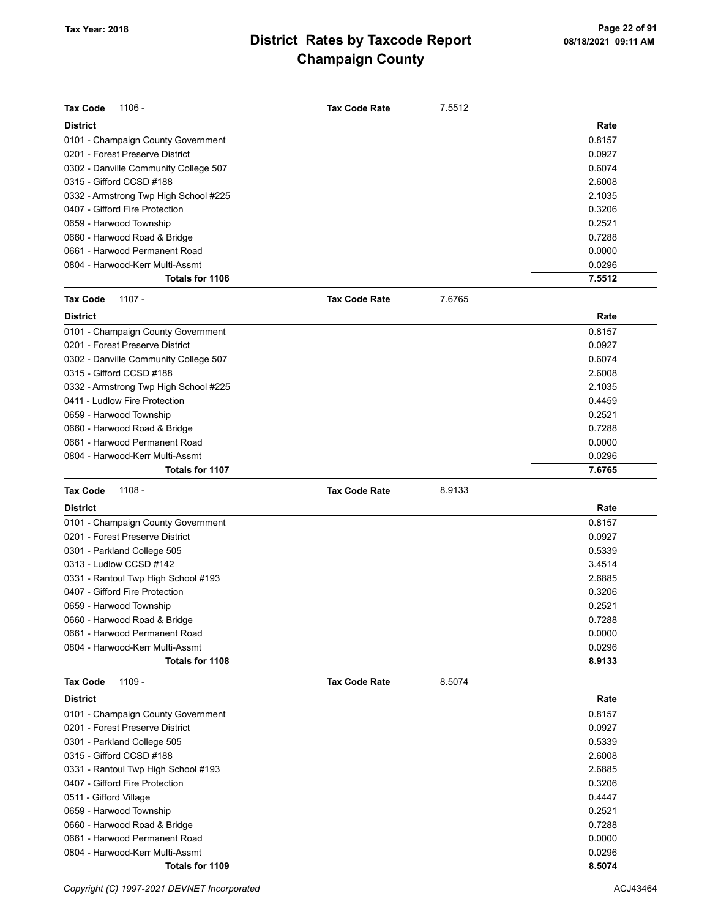| <b>Tax Code</b><br>1106 -             |                                       | <b>Tax Code Rate</b> | 7.5512 |        |
|---------------------------------------|---------------------------------------|----------------------|--------|--------|
| <b>District</b>                       |                                       |                      |        | Rate   |
| 0101 - Champaign County Government    |                                       |                      |        | 0.8157 |
| 0201 - Forest Preserve District       |                                       |                      |        | 0.0927 |
| 0302 - Danville Community College 507 |                                       |                      |        | 0.6074 |
| 0315 - Gifford CCSD #188              |                                       |                      |        | 2.6008 |
|                                       | 0332 - Armstrong Twp High School #225 |                      |        | 2.1035 |
| 0407 - Gifford Fire Protection        |                                       |                      |        | 0.3206 |
| 0659 - Harwood Township               |                                       |                      |        | 0.2521 |
| 0660 - Harwood Road & Bridge          |                                       |                      |        | 0.7288 |
| 0661 - Harwood Permanent Road         |                                       |                      |        | 0.0000 |
| 0804 - Harwood-Kerr Multi-Assmt       |                                       |                      |        | 0.0296 |
|                                       | Totals for 1106                       |                      |        | 7.5512 |
| $1107 -$<br><b>Tax Code</b>           |                                       | <b>Tax Code Rate</b> | 7.6765 |        |
| <b>District</b>                       |                                       |                      |        | Rate   |
| 0101 - Champaign County Government    |                                       |                      |        | 0.8157 |
| 0201 - Forest Preserve District       |                                       |                      |        | 0.0927 |
| 0302 - Danville Community College 507 |                                       |                      |        | 0.6074 |
| 0315 - Gifford CCSD #188              |                                       |                      |        | 2.6008 |
|                                       | 0332 - Armstrong Twp High School #225 |                      |        | 2.1035 |
| 0411 - Ludlow Fire Protection         |                                       |                      |        | 0.4459 |
| 0659 - Harwood Township               |                                       |                      |        | 0.2521 |
| 0660 - Harwood Road & Bridge          |                                       |                      |        | 0.7288 |
| 0661 - Harwood Permanent Road         |                                       |                      |        | 0.0000 |
| 0804 - Harwood-Kerr Multi-Assmt       |                                       |                      |        | 0.0296 |
|                                       | Totals for 1107                       |                      |        | 7.6765 |
|                                       |                                       |                      |        |        |
| <b>Tax Code</b><br>$1108 -$           |                                       | <b>Tax Code Rate</b> | 8.9133 |        |
| <b>District</b>                       |                                       |                      |        | Rate   |
| 0101 - Champaign County Government    |                                       |                      |        | 0.8157 |
| 0201 - Forest Preserve District       |                                       |                      |        | 0.0927 |
| 0301 - Parkland College 505           |                                       |                      |        | 0.5339 |
| 0313 - Ludlow CCSD #142               |                                       |                      |        | 3.4514 |
| 0331 - Rantoul Twp High School #193   |                                       |                      |        | 2.6885 |
| 0407 - Gifford Fire Protection        |                                       |                      |        | 0.3206 |
| 0659 - Harwood Township               |                                       |                      |        | 0.2521 |
| 0660 - Harwood Road & Bridge          |                                       |                      |        | 0.7288 |
| 0661 - Harwood Permanent Road         |                                       |                      |        | 0.0000 |
| 0804 - Harwood-Kerr Multi-Assmt       |                                       |                      |        | 0.0296 |
|                                       | Totals for 1108                       |                      |        | 8.9133 |
| <b>Tax Code</b><br>1109 -             |                                       | <b>Tax Code Rate</b> | 8.5074 |        |
| <b>District</b>                       |                                       |                      |        | Rate   |
| 0101 - Champaign County Government    |                                       |                      |        | 0.8157 |
| 0201 - Forest Preserve District       |                                       |                      |        | 0.0927 |
| 0301 - Parkland College 505           |                                       |                      |        | 0.5339 |
| 0315 - Gifford CCSD #188              |                                       |                      |        | 2.6008 |
| 0331 - Rantoul Twp High School #193   |                                       |                      |        | 2.6885 |
| 0407 - Gifford Fire Protection        |                                       |                      |        | 0.3206 |
| 0511 - Gifford Village                |                                       |                      |        | 0.4447 |
| 0659 - Harwood Township               |                                       |                      |        | 0.2521 |
| 0660 - Harwood Road & Bridge          |                                       |                      |        | 0.7288 |
| 0661 - Harwood Permanent Road         |                                       |                      |        | 0.0000 |
| 0804 - Harwood-Kerr Multi-Assmt       |                                       |                      |        | 0.0296 |

Copyright (C) 1997-2021 DEVNET Incorporated **ACJ43464** ACJ43464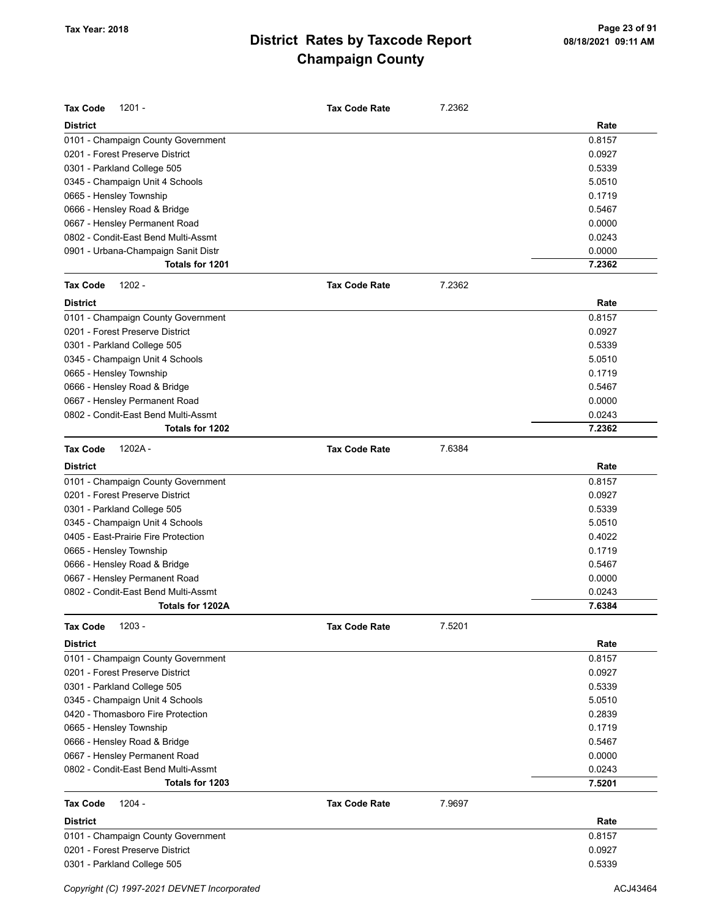| <b>Tax Code</b><br>$1201 -$         | <b>Tax Code Rate</b> | 7.2362 |        |
|-------------------------------------|----------------------|--------|--------|
| <b>District</b>                     |                      |        | Rate   |
| 0101 - Champaign County Government  |                      |        | 0.8157 |
| 0201 - Forest Preserve District     |                      |        | 0.0927 |
| 0301 - Parkland College 505         |                      |        | 0.5339 |
| 0345 - Champaign Unit 4 Schools     |                      |        | 5.0510 |
| 0665 - Hensley Township             |                      |        | 0.1719 |
| 0666 - Hensley Road & Bridge        |                      |        | 0.5467 |
| 0667 - Hensley Permanent Road       |                      |        | 0.0000 |
| 0802 - Condit-East Bend Multi-Assmt |                      |        | 0.0243 |
| 0901 - Urbana-Champaign Sanit Distr |                      |        | 0.0000 |
| Totals for 1201                     |                      |        | 7.2362 |
| <b>Tax Code</b><br>$1202 -$         | <b>Tax Code Rate</b> | 7.2362 |        |
| <b>District</b>                     |                      |        | Rate   |
| 0101 - Champaign County Government  |                      |        | 0.8157 |
| 0201 - Forest Preserve District     |                      |        | 0.0927 |
| 0301 - Parkland College 505         |                      |        | 0.5339 |
| 0345 - Champaign Unit 4 Schools     |                      |        | 5.0510 |
| 0665 - Hensley Township             |                      |        | 0.1719 |
| 0666 - Hensley Road & Bridge        |                      |        | 0.5467 |
| 0667 - Hensley Permanent Road       |                      |        | 0.0000 |
| 0802 - Condit-East Bend Multi-Assmt |                      |        | 0.0243 |
| Totals for 1202                     |                      |        | 7.2362 |
| <b>Tax Code</b><br>$1202A -$        | <b>Tax Code Rate</b> | 7.6384 |        |
| <b>District</b>                     |                      |        | Rate   |
| 0101 - Champaign County Government  |                      |        | 0.8157 |
| 0201 - Forest Preserve District     |                      |        | 0.0927 |
| 0301 - Parkland College 505         |                      |        | 0.5339 |
| 0345 - Champaign Unit 4 Schools     |                      |        | 5.0510 |
| 0405 - East-Prairie Fire Protection |                      |        | 0.4022 |
| 0665 - Hensley Township             |                      |        | 0.1719 |
| 0666 - Hensley Road & Bridge        |                      |        | 0.5467 |
| 0667 - Hensley Permanent Road       |                      |        | 0.0000 |
| 0802 - Condit-East Bend Multi-Assmt |                      |        | 0.0243 |
| Totals for 1202A                    |                      |        | 7.6384 |
| <b>Tax Code</b><br>$1203 -$         | <b>Tax Code Rate</b> | 7.5201 |        |
| <b>District</b>                     |                      |        | Rate   |
| 0101 - Champaign County Government  |                      |        | 0.8157 |
| 0201 - Forest Preserve District     |                      |        | 0.0927 |
| 0301 - Parkland College 505         |                      |        | 0.5339 |
| 0345 - Champaign Unit 4 Schools     |                      |        | 5.0510 |
| 0420 - Thomasboro Fire Protection   |                      |        | 0.2839 |
| 0665 - Hensley Township             |                      |        | 0.1719 |
| 0666 - Hensley Road & Bridge        |                      |        | 0.5467 |
| 0667 - Hensley Permanent Road       |                      |        | 0.0000 |
| 0802 - Condit-East Bend Multi-Assmt |                      |        | 0.0243 |
| Totals for 1203                     |                      |        | 7.5201 |
| <b>Tax Code</b><br>$1204 -$         | <b>Tax Code Rate</b> | 7.9697 |        |
| <b>District</b>                     |                      |        | Rate   |
| 0101 - Champaign County Government  |                      |        | 0.8157 |
| 0201 - Forest Preserve District     |                      |        | 0.0927 |
| 0301 - Parkland College 505         |                      |        | 0.5339 |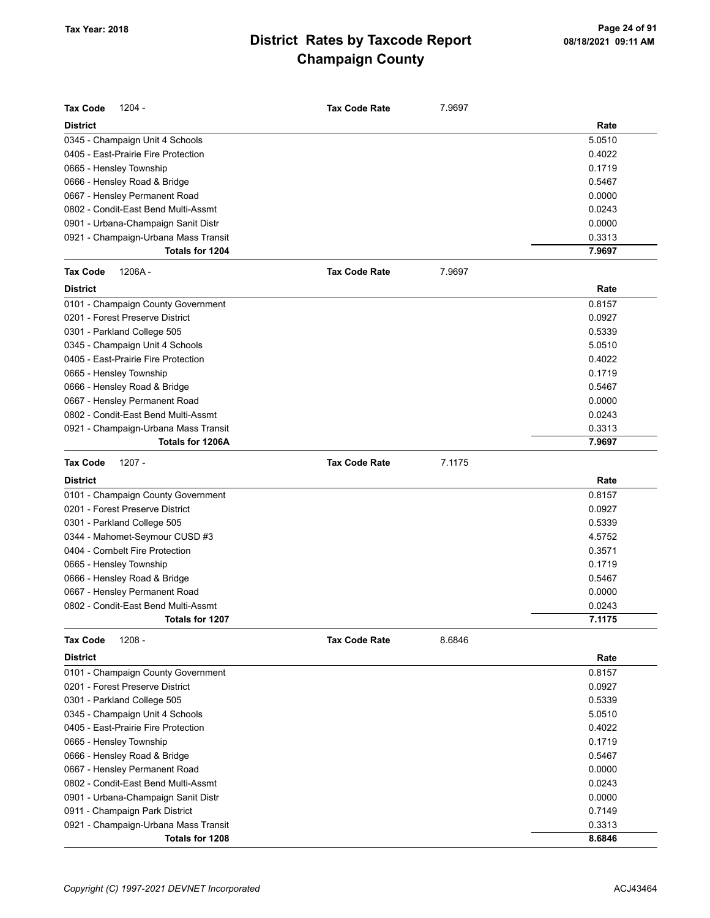| <b>Tax Code</b>         | $1204 -$                             | <b>Tax Code Rate</b> | 7.9697 |        |
|-------------------------|--------------------------------------|----------------------|--------|--------|
| <b>District</b>         |                                      |                      |        | Rate   |
|                         | 0345 - Champaign Unit 4 Schools      |                      |        | 5.0510 |
|                         | 0405 - East-Prairie Fire Protection  |                      |        | 0.4022 |
| 0665 - Hensley Township |                                      |                      |        | 0.1719 |
|                         | 0666 - Hensley Road & Bridge         |                      |        | 0.5467 |
|                         | 0667 - Hensley Permanent Road        |                      |        | 0.0000 |
|                         | 0802 - Condit-East Bend Multi-Assmt  |                      |        | 0.0243 |
|                         | 0901 - Urbana-Champaign Sanit Distr  |                      |        | 0.0000 |
|                         | 0921 - Champaign-Urbana Mass Transit |                      |        | 0.3313 |
|                         | Totals for 1204                      |                      |        | 7.9697 |
| <b>Tax Code</b>         | 1206A-                               | <b>Tax Code Rate</b> | 7.9697 |        |
| <b>District</b>         |                                      |                      |        | Rate   |
|                         | 0101 - Champaign County Government   |                      |        | 0.8157 |
|                         | 0201 - Forest Preserve District      |                      |        | 0.0927 |
|                         | 0301 - Parkland College 505          |                      |        | 0.5339 |
|                         | 0345 - Champaign Unit 4 Schools      |                      |        | 5.0510 |
|                         | 0405 - East-Prairie Fire Protection  |                      |        | 0.4022 |
| 0665 - Hensley Township |                                      |                      |        | 0.1719 |
|                         | 0666 - Hensley Road & Bridge         |                      |        | 0.5467 |
|                         | 0667 - Hensley Permanent Road        |                      |        | 0.0000 |
|                         | 0802 - Condit-East Bend Multi-Assmt  |                      |        | 0.0243 |
|                         | 0921 - Champaign-Urbana Mass Transit |                      |        | 0.3313 |
|                         | Totals for 1206A                     |                      |        | 7.9697 |
| <b>Tax Code</b>         | $1207 -$                             | <b>Tax Code Rate</b> | 7.1175 |        |
| <b>District</b>         |                                      |                      |        | Rate   |
|                         | 0101 - Champaign County Government   |                      |        | 0.8157 |
|                         | 0201 - Forest Preserve District      |                      |        | 0.0927 |
|                         | 0301 - Parkland College 505          |                      |        | 0.5339 |
|                         | 0344 - Mahomet-Seymour CUSD #3       |                      |        | 4.5752 |
|                         | 0404 - Cornbelt Fire Protection      |                      |        | 0.3571 |
| 0665 - Hensley Township |                                      |                      |        | 0.1719 |
|                         | 0666 - Hensley Road & Bridge         |                      |        | 0.5467 |
|                         | 0667 - Hensley Permanent Road        |                      |        | 0.0000 |
|                         | 0802 - Condit-East Bend Multi-Assmt  |                      |        | 0.0243 |
|                         | Totals for 1207                      |                      |        | 7.1175 |
| <b>Tax Code</b>         | $1208 -$                             | <b>Tax Code Rate</b> | 8.6846 |        |
| <b>District</b>         |                                      |                      |        | Rate   |
|                         | 0101 - Champaign County Government   |                      |        | 0.8157 |
|                         | 0201 - Forest Preserve District      |                      |        | 0.0927 |
|                         | 0301 - Parkland College 505          |                      |        | 0.5339 |
|                         | 0345 - Champaign Unit 4 Schools      |                      |        | 5.0510 |
|                         | 0405 - East-Prairie Fire Protection  |                      |        | 0.4022 |
| 0665 - Hensley Township |                                      |                      |        | 0.1719 |
|                         | 0666 - Hensley Road & Bridge         |                      |        | 0.5467 |
|                         | 0667 - Hensley Permanent Road        |                      |        | 0.0000 |
|                         | 0802 - Condit-East Bend Multi-Assmt  |                      |        | 0.0243 |
|                         | 0901 - Urbana-Champaign Sanit Distr  |                      |        | 0.0000 |
|                         | 0911 - Champaign Park District       |                      |        | 0.7149 |
|                         | 0921 - Champaign-Urbana Mass Transit |                      |        | 0.3313 |
|                         | Totals for 1208                      |                      |        | 8.6846 |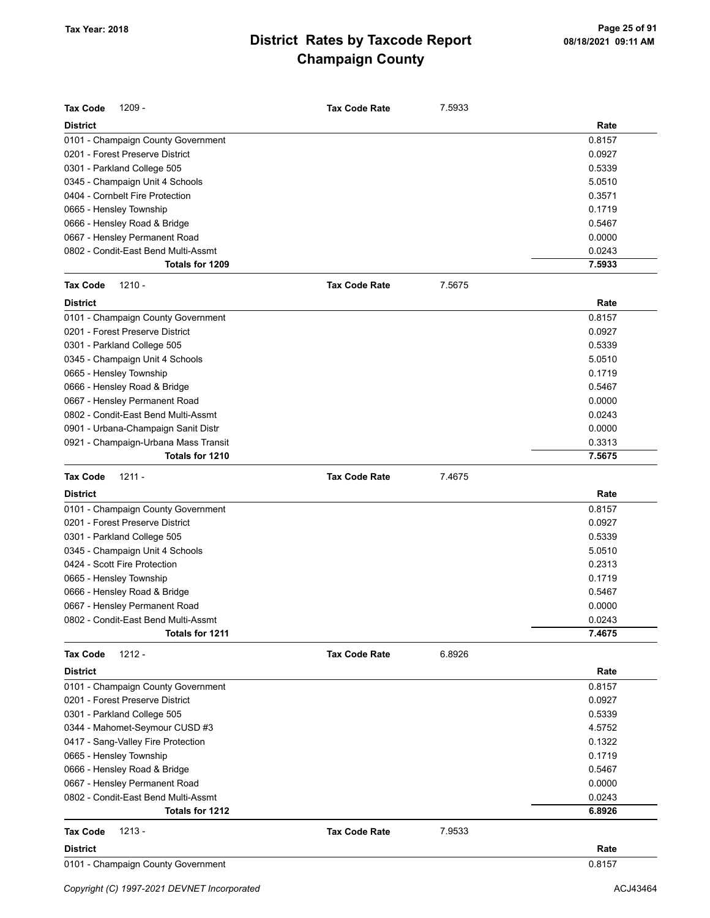| <b>Tax Code</b><br>$1209 -$          | <b>Tax Code Rate</b> | 7.5933 |        |
|--------------------------------------|----------------------|--------|--------|
| <b>District</b>                      |                      |        | Rate   |
| 0101 - Champaign County Government   |                      |        | 0.8157 |
| 0201 - Forest Preserve District      |                      |        | 0.0927 |
| 0301 - Parkland College 505          |                      |        | 0.5339 |
| 0345 - Champaign Unit 4 Schools      |                      |        | 5.0510 |
| 0404 - Cornbelt Fire Protection      |                      |        | 0.3571 |
| 0665 - Hensley Township              |                      |        | 0.1719 |
| 0666 - Hensley Road & Bridge         |                      |        | 0.5467 |
| 0667 - Hensley Permanent Road        |                      |        | 0.0000 |
| 0802 - Condit-East Bend Multi-Assmt  |                      |        | 0.0243 |
| Totals for 1209                      |                      |        | 7.5933 |
| <b>Tax Code</b><br>$1210 -$          | <b>Tax Code Rate</b> | 7.5675 |        |
| <b>District</b>                      |                      |        | Rate   |
| 0101 - Champaign County Government   |                      |        | 0.8157 |
| 0201 - Forest Preserve District      |                      |        | 0.0927 |
| 0301 - Parkland College 505          |                      |        | 0.5339 |
| 0345 - Champaign Unit 4 Schools      |                      |        | 5.0510 |
| 0665 - Hensley Township              |                      |        | 0.1719 |
| 0666 - Hensley Road & Bridge         |                      |        | 0.5467 |
| 0667 - Hensley Permanent Road        |                      |        | 0.0000 |
| 0802 - Condit-East Bend Multi-Assmt  |                      |        | 0.0243 |
| 0901 - Urbana-Champaign Sanit Distr  |                      |        | 0.0000 |
| 0921 - Champaign-Urbana Mass Transit |                      |        | 0.3313 |
| Totals for 1210                      |                      |        | 7.5675 |
| <b>Tax Code</b><br>$1211 -$          | <b>Tax Code Rate</b> | 7.4675 |        |
| <b>District</b>                      |                      |        | Rate   |
| 0101 - Champaign County Government   |                      |        | 0.8157 |
| 0201 - Forest Preserve District      |                      |        | 0.0927 |
| 0301 - Parkland College 505          |                      |        | 0.5339 |
| 0345 - Champaign Unit 4 Schools      |                      |        | 5.0510 |
| 0424 - Scott Fire Protection         |                      |        | 0.2313 |
| 0665 - Hensley Township              |                      |        | 0.1719 |
| 0666 - Hensley Road & Bridge         |                      |        | 0.5467 |
| 0667 - Hensley Permanent Road        |                      |        | 0.0000 |
| 0802 - Condit-East Bend Multi-Assmt  |                      |        | 0.0243 |
| Totals for 1211                      |                      |        | 7.4675 |
| $1212 -$<br><b>Tax Code</b>          | <b>Tax Code Rate</b> | 6.8926 |        |
| <b>District</b>                      |                      |        | Rate   |
| 0101 - Champaign County Government   |                      |        | 0.8157 |
| 0201 - Forest Preserve District      |                      |        | 0.0927 |
| 0301 - Parkland College 505          |                      |        | 0.5339 |
| 0344 - Mahomet-Seymour CUSD #3       |                      |        | 4.5752 |
| 0417 - Sang-Valley Fire Protection   |                      |        | 0.1322 |
| 0665 - Hensley Township              |                      |        | 0.1719 |
| 0666 - Hensley Road & Bridge         |                      |        | 0.5467 |
| 0667 - Hensley Permanent Road        |                      |        | 0.0000 |
| 0802 - Condit-East Bend Multi-Assmt  |                      |        | 0.0243 |
| Totals for 1212                      |                      |        | 6.8926 |
| $1213 -$<br><b>Tax Code</b>          | <b>Tax Code Rate</b> | 7.9533 |        |
| <b>District</b>                      |                      |        |        |
|                                      |                      |        | Rate   |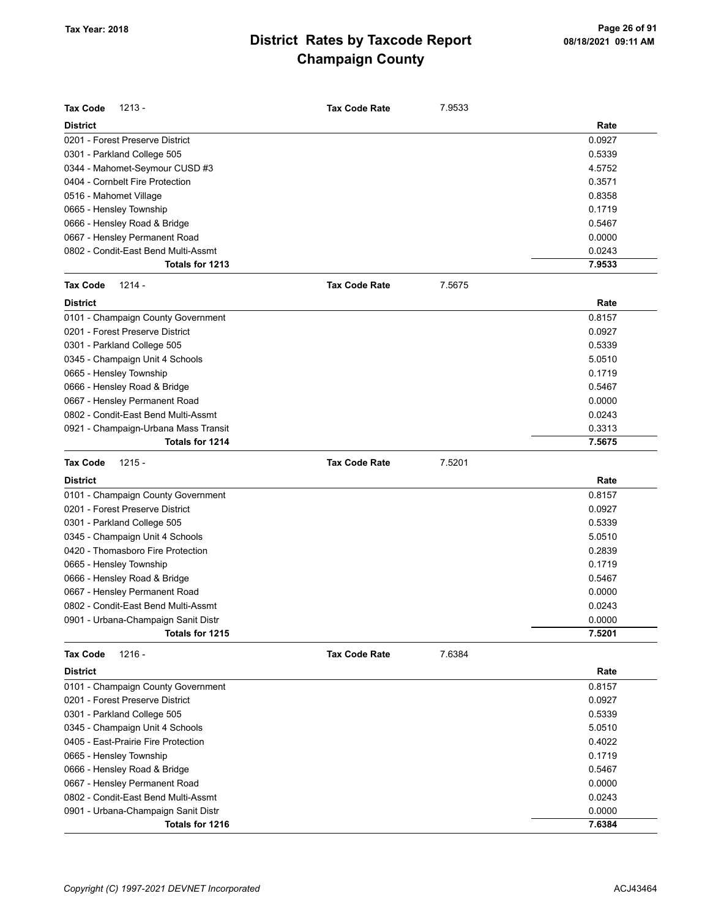| <b>District</b><br>Rate<br>0201 - Forest Preserve District<br>0.0927<br>0301 - Parkland College 505<br>0.5339<br>0344 - Mahomet-Seymour CUSD #3<br>4.5752<br>0404 - Cornbelt Fire Protection<br>0.3571<br>0516 - Mahomet Village<br>0.8358<br>0665 - Hensley Township<br>0.1719<br>0666 - Hensley Road & Bridge<br>0.5467<br>0.0000<br>0667 - Hensley Permanent Road<br>0802 - Condit-East Bend Multi-Assmt<br>0.0243<br>7.9533<br>Totals for 1213<br>Tax Code<br>$1214 -$<br><b>Tax Code Rate</b><br>7.5675<br><b>District</b><br>Rate<br>0101 - Champaign County Government<br>0.8157<br>0201 - Forest Preserve District<br>0.0927<br>0301 - Parkland College 505<br>0.5339<br>5.0510<br>0345 - Champaign Unit 4 Schools | Tax Code<br>$1213 -$    | <b>Tax Code Rate</b> | 7.9533 |        |
|----------------------------------------------------------------------------------------------------------------------------------------------------------------------------------------------------------------------------------------------------------------------------------------------------------------------------------------------------------------------------------------------------------------------------------------------------------------------------------------------------------------------------------------------------------------------------------------------------------------------------------------------------------------------------------------------------------------------------|-------------------------|----------------------|--------|--------|
|                                                                                                                                                                                                                                                                                                                                                                                                                                                                                                                                                                                                                                                                                                                            |                         |                      |        |        |
|                                                                                                                                                                                                                                                                                                                                                                                                                                                                                                                                                                                                                                                                                                                            |                         |                      |        |        |
|                                                                                                                                                                                                                                                                                                                                                                                                                                                                                                                                                                                                                                                                                                                            |                         |                      |        |        |
|                                                                                                                                                                                                                                                                                                                                                                                                                                                                                                                                                                                                                                                                                                                            |                         |                      |        |        |
|                                                                                                                                                                                                                                                                                                                                                                                                                                                                                                                                                                                                                                                                                                                            |                         |                      |        |        |
|                                                                                                                                                                                                                                                                                                                                                                                                                                                                                                                                                                                                                                                                                                                            |                         |                      |        |        |
|                                                                                                                                                                                                                                                                                                                                                                                                                                                                                                                                                                                                                                                                                                                            |                         |                      |        |        |
|                                                                                                                                                                                                                                                                                                                                                                                                                                                                                                                                                                                                                                                                                                                            |                         |                      |        |        |
|                                                                                                                                                                                                                                                                                                                                                                                                                                                                                                                                                                                                                                                                                                                            |                         |                      |        |        |
|                                                                                                                                                                                                                                                                                                                                                                                                                                                                                                                                                                                                                                                                                                                            |                         |                      |        |        |
|                                                                                                                                                                                                                                                                                                                                                                                                                                                                                                                                                                                                                                                                                                                            |                         |                      |        |        |
|                                                                                                                                                                                                                                                                                                                                                                                                                                                                                                                                                                                                                                                                                                                            |                         |                      |        |        |
|                                                                                                                                                                                                                                                                                                                                                                                                                                                                                                                                                                                                                                                                                                                            |                         |                      |        |        |
|                                                                                                                                                                                                                                                                                                                                                                                                                                                                                                                                                                                                                                                                                                                            |                         |                      |        |        |
|                                                                                                                                                                                                                                                                                                                                                                                                                                                                                                                                                                                                                                                                                                                            |                         |                      |        |        |
|                                                                                                                                                                                                                                                                                                                                                                                                                                                                                                                                                                                                                                                                                                                            |                         |                      |        |        |
|                                                                                                                                                                                                                                                                                                                                                                                                                                                                                                                                                                                                                                                                                                                            |                         |                      |        |        |
|                                                                                                                                                                                                                                                                                                                                                                                                                                                                                                                                                                                                                                                                                                                            | 0665 - Hensley Township |                      |        | 0.1719 |
| 0666 - Hensley Road & Bridge<br>0.5467                                                                                                                                                                                                                                                                                                                                                                                                                                                                                                                                                                                                                                                                                     |                         |                      |        |        |
| 0667 - Hensley Permanent Road<br>0.0000                                                                                                                                                                                                                                                                                                                                                                                                                                                                                                                                                                                                                                                                                    |                         |                      |        |        |
| 0802 - Condit-East Bend Multi-Assmt<br>0.0243                                                                                                                                                                                                                                                                                                                                                                                                                                                                                                                                                                                                                                                                              |                         |                      |        |        |
| 0921 - Champaign-Urbana Mass Transit<br>0.3313                                                                                                                                                                                                                                                                                                                                                                                                                                                                                                                                                                                                                                                                             |                         |                      |        |        |
| Totals for 1214<br>7.5675                                                                                                                                                                                                                                                                                                                                                                                                                                                                                                                                                                                                                                                                                                  |                         |                      |        |        |
| 7.5201<br><b>Tax Code</b><br>$1215 -$<br><b>Tax Code Rate</b>                                                                                                                                                                                                                                                                                                                                                                                                                                                                                                                                                                                                                                                              |                         |                      |        |        |
| Rate<br><b>District</b>                                                                                                                                                                                                                                                                                                                                                                                                                                                                                                                                                                                                                                                                                                    |                         |                      |        |        |
| 0101 - Champaign County Government<br>0.8157                                                                                                                                                                                                                                                                                                                                                                                                                                                                                                                                                                                                                                                                               |                         |                      |        |        |
| 0201 - Forest Preserve District<br>0.0927                                                                                                                                                                                                                                                                                                                                                                                                                                                                                                                                                                                                                                                                                  |                         |                      |        |        |
| 0301 - Parkland College 505<br>0.5339                                                                                                                                                                                                                                                                                                                                                                                                                                                                                                                                                                                                                                                                                      |                         |                      |        |        |
| 0345 - Champaign Unit 4 Schools<br>5.0510                                                                                                                                                                                                                                                                                                                                                                                                                                                                                                                                                                                                                                                                                  |                         |                      |        |        |
| 0420 - Thomasboro Fire Protection<br>0.2839                                                                                                                                                                                                                                                                                                                                                                                                                                                                                                                                                                                                                                                                                |                         |                      |        |        |
| 0.1719<br>0665 - Hensley Township                                                                                                                                                                                                                                                                                                                                                                                                                                                                                                                                                                                                                                                                                          |                         |                      |        |        |
| 0666 - Hensley Road & Bridge<br>0.5467                                                                                                                                                                                                                                                                                                                                                                                                                                                                                                                                                                                                                                                                                     |                         |                      |        |        |
| 0667 - Hensley Permanent Road<br>0.0000                                                                                                                                                                                                                                                                                                                                                                                                                                                                                                                                                                                                                                                                                    |                         |                      |        |        |
| 0802 - Condit-East Bend Multi-Assmt<br>0.0243                                                                                                                                                                                                                                                                                                                                                                                                                                                                                                                                                                                                                                                                              |                         |                      |        |        |
| 0.0000<br>0901 - Urbana-Champaign Sanit Distr                                                                                                                                                                                                                                                                                                                                                                                                                                                                                                                                                                                                                                                                              |                         |                      |        |        |
| Totals for 1215<br>7.5201                                                                                                                                                                                                                                                                                                                                                                                                                                                                                                                                                                                                                                                                                                  |                         |                      |        |        |
| $1216 -$<br>7.6384<br><b>Tax Code</b><br><b>Tax Code Rate</b>                                                                                                                                                                                                                                                                                                                                                                                                                                                                                                                                                                                                                                                              |                         |                      |        |        |
| <b>District</b><br>Rate                                                                                                                                                                                                                                                                                                                                                                                                                                                                                                                                                                                                                                                                                                    |                         |                      |        |        |
| 0.8157<br>0101 - Champaign County Government                                                                                                                                                                                                                                                                                                                                                                                                                                                                                                                                                                                                                                                                               |                         |                      |        |        |
| 0201 - Forest Preserve District<br>0.0927                                                                                                                                                                                                                                                                                                                                                                                                                                                                                                                                                                                                                                                                                  |                         |                      |        |        |
| 0301 - Parkland College 505<br>0.5339                                                                                                                                                                                                                                                                                                                                                                                                                                                                                                                                                                                                                                                                                      |                         |                      |        |        |
| 0345 - Champaign Unit 4 Schools<br>5.0510                                                                                                                                                                                                                                                                                                                                                                                                                                                                                                                                                                                                                                                                                  |                         |                      |        |        |
| 0405 - East-Prairie Fire Protection<br>0.4022                                                                                                                                                                                                                                                                                                                                                                                                                                                                                                                                                                                                                                                                              |                         |                      |        |        |
| 0665 - Hensley Township<br>0.1719                                                                                                                                                                                                                                                                                                                                                                                                                                                                                                                                                                                                                                                                                          |                         |                      |        |        |
| 0666 - Hensley Road & Bridge<br>0.5467                                                                                                                                                                                                                                                                                                                                                                                                                                                                                                                                                                                                                                                                                     |                         |                      |        |        |
| 0667 - Hensley Permanent Road<br>0.0000                                                                                                                                                                                                                                                                                                                                                                                                                                                                                                                                                                                                                                                                                    |                         |                      |        |        |
| 0802 - Condit-East Bend Multi-Assmt<br>0.0243                                                                                                                                                                                                                                                                                                                                                                                                                                                                                                                                                                                                                                                                              |                         |                      |        |        |
| 0901 - Urbana-Champaign Sanit Distr<br>0.0000                                                                                                                                                                                                                                                                                                                                                                                                                                                                                                                                                                                                                                                                              |                         |                      |        |        |
| Totals for 1216<br>7.6384                                                                                                                                                                                                                                                                                                                                                                                                                                                                                                                                                                                                                                                                                                  |                         |                      |        |        |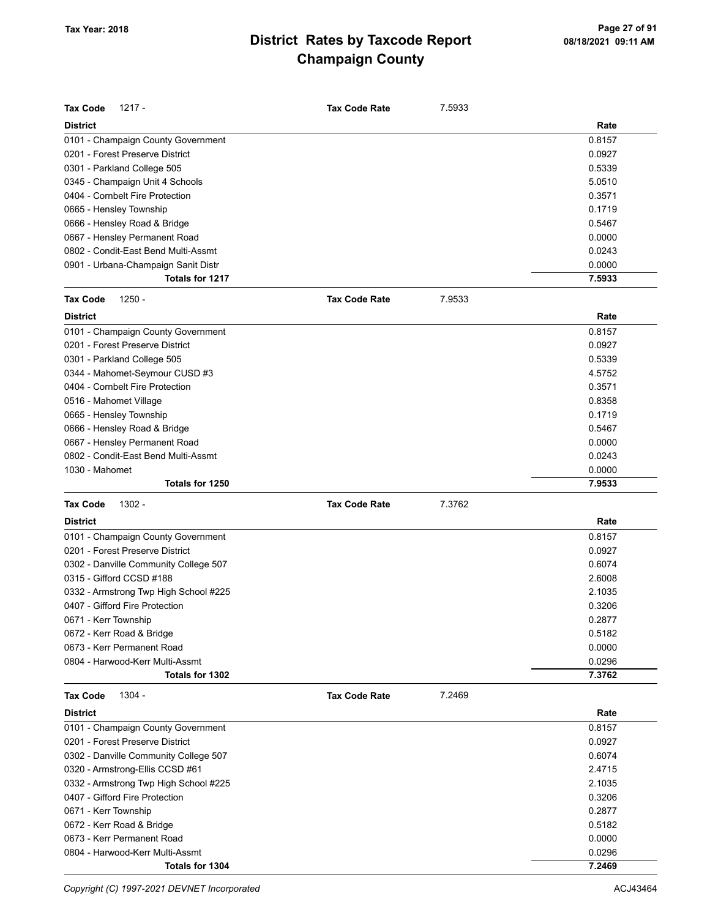| <b>Tax Code</b><br>$1217 -$           | <b>Tax Code Rate</b> | 7.5933 |        |
|---------------------------------------|----------------------|--------|--------|
| <b>District</b>                       |                      |        | Rate   |
| 0101 - Champaign County Government    |                      |        | 0.8157 |
| 0201 - Forest Preserve District       |                      |        | 0.0927 |
| 0301 - Parkland College 505           |                      |        | 0.5339 |
| 0345 - Champaign Unit 4 Schools       |                      |        | 5.0510 |
| 0404 - Cornbelt Fire Protection       |                      |        | 0.3571 |
| 0665 - Hensley Township               |                      |        | 0.1719 |
| 0666 - Hensley Road & Bridge          |                      |        | 0.5467 |
| 0667 - Hensley Permanent Road         |                      |        | 0.0000 |
| 0802 - Condit-East Bend Multi-Assmt   |                      |        | 0.0243 |
| 0901 - Urbana-Champaign Sanit Distr   |                      |        | 0.0000 |
| Totals for 1217                       |                      |        | 7.5933 |
| <b>Tax Code</b><br>$1250 -$           | <b>Tax Code Rate</b> | 7.9533 |        |
| <b>District</b>                       |                      |        | Rate   |
| 0101 - Champaign County Government    |                      |        | 0.8157 |
| 0201 - Forest Preserve District       |                      |        | 0.0927 |
| 0301 - Parkland College 505           |                      |        | 0.5339 |
| 0344 - Mahomet-Seymour CUSD #3        |                      |        | 4.5752 |
| 0404 - Cornbelt Fire Protection       |                      |        | 0.3571 |
| 0516 - Mahomet Village                |                      |        | 0.8358 |
| 0665 - Hensley Township               |                      |        | 0.1719 |
| 0666 - Hensley Road & Bridge          |                      |        | 0.5467 |
| 0667 - Hensley Permanent Road         |                      |        | 0.0000 |
| 0802 - Condit-East Bend Multi-Assmt   |                      |        | 0.0243 |
| 1030 - Mahomet                        |                      |        | 0.0000 |
| Totals for 1250                       |                      |        | 7.9533 |
| <b>Tax Code</b><br>1302 -             | <b>Tax Code Rate</b> | 7.3762 |        |
| <b>District</b>                       |                      |        | Rate   |
| 0101 - Champaign County Government    |                      |        | 0.8157 |
| 0201 - Forest Preserve District       |                      |        | 0.0927 |
| 0302 - Danville Community College 507 |                      |        | 0.6074 |
| 0315 - Gifford CCSD #188              |                      |        | 2.6008 |
| 0332 - Armstrong Twp High School #225 |                      |        | 2.1035 |
| 0407 - Gifford Fire Protection        |                      |        | 0.3206 |
| 0671 - Kerr Township                  |                      |        | 0.2877 |
| 0672 - Kerr Road & Bridge             |                      |        | 0.5182 |
| 0673 - Kerr Permanent Road            |                      |        | 0.0000 |
| 0804 - Harwood-Kerr Multi-Assmt       |                      |        | 0.0296 |
| Totals for 1302                       |                      |        | 7.3762 |
| 1304 -<br><b>Tax Code</b>             | <b>Tax Code Rate</b> | 7.2469 |        |
| <b>District</b>                       |                      |        | Rate   |
| 0101 - Champaign County Government    |                      |        | 0.8157 |
| 0201 - Forest Preserve District       |                      |        | 0.0927 |
| 0302 - Danville Community College 507 |                      |        | 0.6074 |
| 0320 - Armstrong-Ellis CCSD #61       |                      |        | 2.4715 |
| 0332 - Armstrong Twp High School #225 |                      |        | 2.1035 |
| 0407 - Gifford Fire Protection        |                      |        | 0.3206 |
| 0671 - Kerr Township                  |                      |        | 0.2877 |
| 0672 - Kerr Road & Bridge             |                      |        | 0.5182 |
| 0673 - Kerr Permanent Road            |                      |        | 0.0000 |
| 0804 - Harwood-Kerr Multi-Assmt       |                      |        | 0.0296 |
| Totals for 1304                       |                      |        | 7.2469 |

Copyright (C) 1997-2021 DEVNET Incorporated **ACJ43464** ACJ43464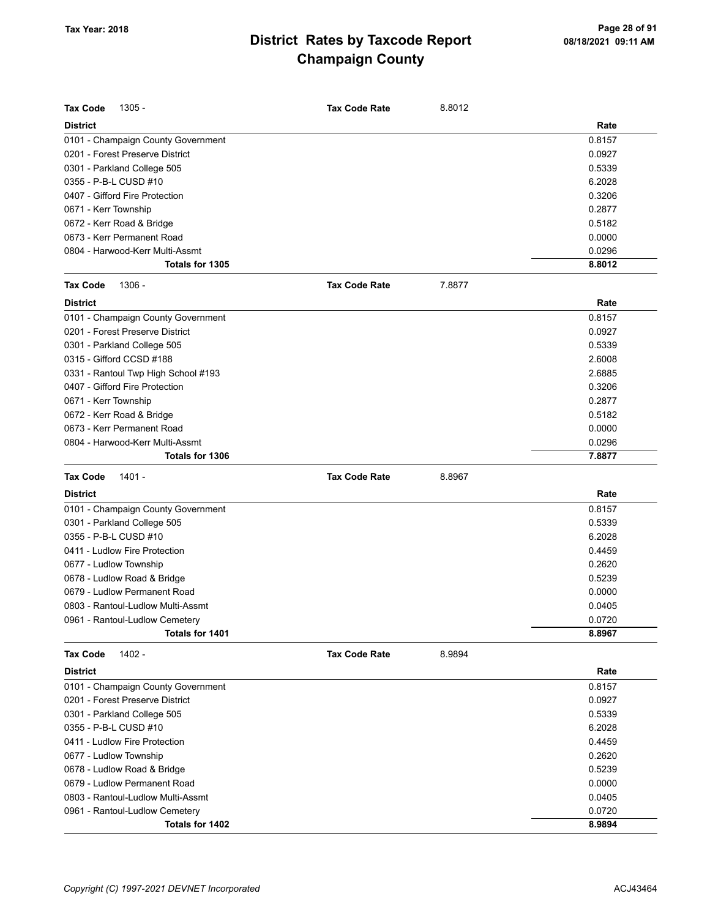| <b>Tax Code</b><br>$1305 -$                       | <b>Tax Code Rate</b> | 8.8012 |                  |
|---------------------------------------------------|----------------------|--------|------------------|
| <b>District</b>                                   |                      |        | Rate             |
| 0101 - Champaign County Government                |                      |        | 0.8157           |
| 0201 - Forest Preserve District                   |                      |        | 0.0927           |
| 0301 - Parkland College 505                       |                      |        | 0.5339           |
| 0355 - P-B-L CUSD #10                             |                      |        | 6.2028           |
| 0407 - Gifford Fire Protection                    |                      |        | 0.3206           |
| 0671 - Kerr Township                              |                      |        | 0.2877           |
| 0672 - Kerr Road & Bridge                         |                      |        | 0.5182           |
| 0673 - Kerr Permanent Road                        |                      |        | 0.0000           |
| 0804 - Harwood-Kerr Multi-Assmt                   |                      |        | 0.0296           |
| Totals for 1305                                   |                      |        | 8.8012           |
| <b>Tax Code</b><br>1306 -                         | <b>Tax Code Rate</b> | 7.8877 |                  |
| <b>District</b>                                   |                      |        | Rate             |
| 0101 - Champaign County Government                |                      |        | 0.8157           |
| 0201 - Forest Preserve District                   |                      |        | 0.0927           |
| 0301 - Parkland College 505                       |                      |        | 0.5339           |
| 0315 - Gifford CCSD #188                          |                      |        | 2.6008           |
| 0331 - Rantoul Twp High School #193               |                      |        | 2.6885           |
| 0407 - Gifford Fire Protection                    |                      |        | 0.3206           |
| 0671 - Kerr Township                              |                      |        | 0.2877           |
| 0672 - Kerr Road & Bridge                         |                      |        | 0.5182           |
| 0673 - Kerr Permanent Road                        |                      |        | 0.0000           |
| 0804 - Harwood-Kerr Multi-Assmt                   |                      |        | 0.0296           |
| Totals for 1306                                   |                      |        | 7.8877           |
|                                                   |                      |        |                  |
| <b>Tax Code</b><br>1401 -                         | <b>Tax Code Rate</b> | 8.8967 |                  |
| <b>District</b>                                   |                      |        | Rate             |
|                                                   |                      |        |                  |
| 0101 - Champaign County Government                |                      |        | 0.8157           |
| 0301 - Parkland College 505                       |                      |        | 0.5339           |
| 0355 - P-B-L CUSD #10                             |                      |        | 6.2028           |
| 0411 - Ludlow Fire Protection                     |                      |        | 0.4459           |
| 0677 - Ludlow Township                            |                      |        | 0.2620           |
| 0678 - Ludlow Road & Bridge                       |                      |        | 0.5239           |
| 0679 - Ludlow Permanent Road                      |                      |        | 0.0000           |
| 0803 - Rantoul-Ludlow Multi-Assmt                 |                      |        | 0.0405           |
| 0961 - Rantoul-Ludlow Cemetery<br>Totals for 1401 |                      |        | 0.0720<br>8.8967 |
| 1402 -                                            |                      | 8.9894 |                  |
| <b>Tax Code</b>                                   | <b>Tax Code Rate</b> |        |                  |
| <b>District</b>                                   |                      |        | Rate             |
| 0101 - Champaign County Government                |                      |        | 0.8157           |
| 0201 - Forest Preserve District                   |                      |        | 0.0927           |
| 0301 - Parkland College 505                       |                      |        | 0.5339           |
| 0355 - P-B-L CUSD #10                             |                      |        | 6.2028           |
| 0411 - Ludlow Fire Protection                     |                      |        | 0.4459           |
| 0677 - Ludlow Township                            |                      |        | 0.2620           |
| 0678 - Ludlow Road & Bridge                       |                      |        | 0.5239           |
| 0679 - Ludlow Permanent Road                      |                      |        | 0.0000           |
| 0803 - Rantoul-Ludlow Multi-Assmt                 |                      |        | 0.0405           |
| 0961 - Rantoul-Ludlow Cemetery<br>Totals for 1402 |                      |        | 0.0720<br>8.9894 |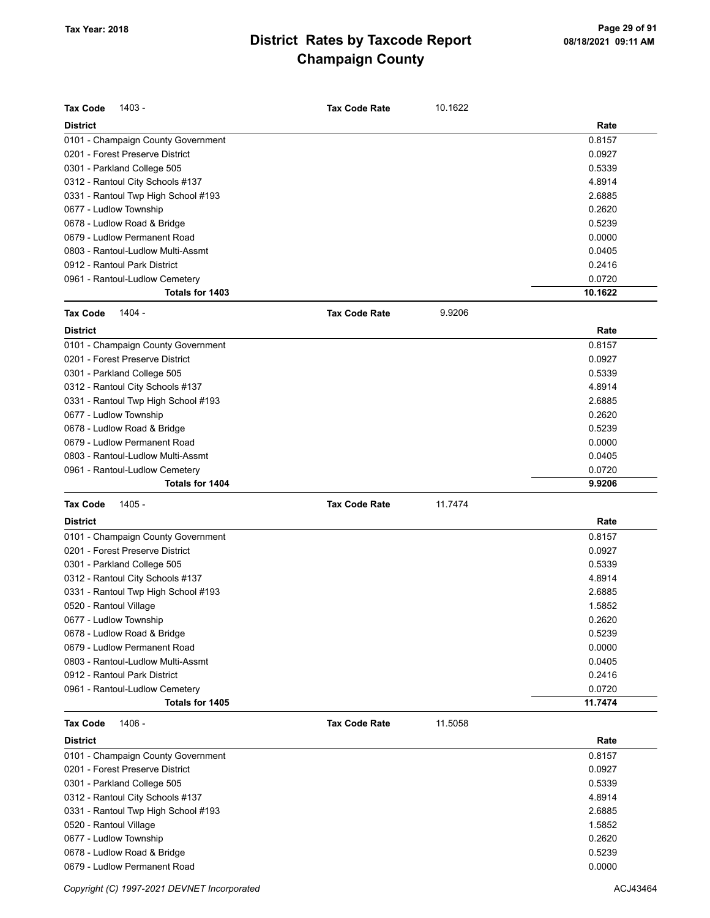| <b>Tax Code</b><br>1403 -                         | <b>Tax Code Rate</b> | 10.1622 |                   |
|---------------------------------------------------|----------------------|---------|-------------------|
| <b>District</b>                                   |                      |         | Rate              |
| 0101 - Champaign County Government                |                      |         | 0.8157            |
| 0201 - Forest Preserve District                   |                      |         | 0.0927            |
| 0301 - Parkland College 505                       |                      |         | 0.5339            |
| 0312 - Rantoul City Schools #137                  |                      |         | 4.8914            |
| 0331 - Rantoul Twp High School #193               |                      |         | 2.6885            |
| 0677 - Ludlow Township                            |                      |         | 0.2620            |
| 0678 - Ludlow Road & Bridge                       |                      |         | 0.5239            |
| 0679 - Ludlow Permanent Road                      |                      |         | 0.0000            |
| 0803 - Rantoul-Ludlow Multi-Assmt                 |                      |         | 0.0405            |
| 0912 - Rantoul Park District                      |                      |         | 0.2416            |
| 0961 - Rantoul-Ludlow Cemetery<br>Totals for 1403 |                      |         | 0.0720<br>10.1622 |
|                                                   |                      |         |                   |
| <b>Tax Code</b><br>1404 -                         | <b>Tax Code Rate</b> | 9.9206  |                   |
| <b>District</b>                                   |                      |         | Rate              |
| 0101 - Champaign County Government                |                      |         | 0.8157            |
| 0201 - Forest Preserve District                   |                      |         | 0.0927            |
| 0301 - Parkland College 505                       |                      |         | 0.5339            |
| 0312 - Rantoul City Schools #137                  |                      |         | 4.8914            |
| 0331 - Rantoul Twp High School #193               |                      |         | 2.6885            |
| 0677 - Ludlow Township                            |                      |         | 0.2620            |
| 0678 - Ludlow Road & Bridge                       |                      |         | 0.5239            |
| 0679 - Ludlow Permanent Road                      |                      |         | 0.0000            |
| 0803 - Rantoul-Ludlow Multi-Assmt                 |                      |         | 0.0405            |
| 0961 - Rantoul-Ludlow Cemetery                    |                      |         | 0.0720            |
| Totals for 1404                                   |                      |         | 9.9206            |
| <b>Tax Code</b><br>1405 -                         | <b>Tax Code Rate</b> | 11.7474 |                   |
| <b>District</b>                                   |                      |         | Rate              |
| 0101 - Champaign County Government                |                      |         | 0.8157            |
| 0201 - Forest Preserve District                   |                      |         | 0.0927            |
| 0301 - Parkland College 505                       |                      |         | 0.5339            |
| 0312 - Rantoul City Schools #137                  |                      |         | 4.8914            |
| 0331 - Rantoul Twp High School #193               |                      |         | 2.6885            |
| 0520 - Rantoul Village                            |                      |         | 1.5852            |
| 0677 - Ludlow Township                            |                      |         | 0.2620            |
| 0678 - Ludlow Road & Bridge                       |                      |         | 0.5239            |
| 0679 - Ludlow Permanent Road                      |                      |         | 0.0000            |
| 0803 - Rantoul-Ludlow Multi-Assmt                 |                      |         | 0.0405            |
| 0912 - Rantoul Park District                      |                      |         | 0.2416            |
| 0961 - Rantoul-Ludlow Cemetery                    |                      |         | 0.0720            |
| Totals for 1405                                   |                      |         | 11.7474           |
| <b>Tax Code</b><br>1406 -                         | <b>Tax Code Rate</b> | 11.5058 |                   |
| <b>District</b>                                   |                      |         | Rate              |
| 0101 - Champaign County Government                |                      |         | 0.8157            |
| 0201 - Forest Preserve District                   |                      |         | 0.0927            |
| 0301 - Parkland College 505                       |                      |         | 0.5339            |
| 0312 - Rantoul City Schools #137                  |                      |         | 4.8914            |
| 0331 - Rantoul Twp High School #193               |                      |         | 2.6885            |
| 0520 - Rantoul Village                            |                      |         | 1.5852            |
| 0677 - Ludlow Township                            |                      |         | 0.2620            |
|                                                   |                      |         |                   |

0678 - Ludlow Road & Bridge 0.5239 0679 - Ludlow Permanent Road 0.0000

Copyright (C) 1997-2021 DEVNET Incorporated **ACJ43464** ACJ43464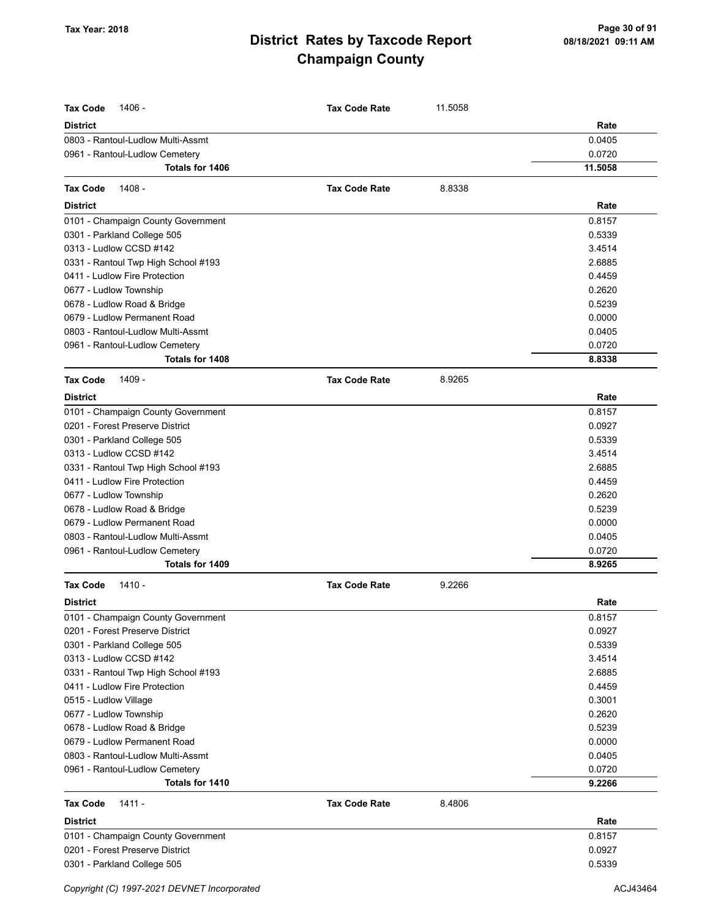| <b>District</b><br>Rate<br>0803 - Rantoul-Ludlow Multi-Assmt<br>0.0405<br>0961 - Rantoul-Ludlow Cemetery<br>0.0720<br>11.5058<br>Totals for 1406<br>1408 -<br>8.8338<br><b>Tax Code</b><br><b>Tax Code Rate</b><br><b>District</b><br>Rate<br>0101 - Champaign County Government<br>0.8157<br>0301 - Parkland College 505<br>0.5339<br>0313 - Ludlow CCSD #142<br>3.4514<br>0331 - Rantoul Twp High School #193<br>2.6885<br>0411 - Ludlow Fire Protection<br>0.4459<br>0677 - Ludlow Township<br>0.2620<br>0.5239<br>0678 - Ludlow Road & Bridge<br>0679 - Ludlow Permanent Road<br>0.0000<br>0803 - Rantoul-Ludlow Multi-Assmt<br>0.0405<br>0.0720<br>0961 - Rantoul-Ludlow Cemetery<br>8.8338<br>Totals for 1408<br>1409 -<br><b>Tax Code</b><br><b>Tax Code Rate</b><br>8.9265<br><b>District</b><br>Rate<br>0101 - Champaign County Government<br>0.8157<br>0201 - Forest Preserve District<br>0.0927<br>0.5339<br>0301 - Parkland College 505<br>3.4514<br>0313 - Ludlow CCSD #142<br>0331 - Rantoul Twp High School #193<br>2.6885<br>0411 - Ludlow Fire Protection<br>0.4459<br>0677 - Ludlow Township<br>0.2620<br>0678 - Ludlow Road & Bridge<br>0.5239<br>0679 - Ludlow Permanent Road<br>0.0000<br>0803 - Rantoul-Ludlow Multi-Assmt<br>0.0405<br>0.0720<br>0961 - Rantoul-Ludlow Cemetery<br>Totals for 1409<br>8.9265<br><b>Tax Code</b><br>1410 -<br><b>Tax Code Rate</b><br>9.2266<br><b>District</b><br>Rate<br>0101 - Champaign County Government<br>0.8157<br>0201 - Forest Preserve District<br>0.0927<br>0.5339<br>0313 - Ludlow CCSD #142<br>3.4514<br>2.6885<br>0411 - Ludlow Fire Protection<br>0.4459<br>0.3001<br>0.2620<br>0.5239<br>0679 - Ludlow Permanent Road<br>0.0000<br>0803 - Rantoul-Ludlow Multi-Assmt<br>0.0405<br>0961 - Rantoul-Ludlow Cemetery<br>0.0720<br>Totals for 1410<br>9.2266<br><b>Tax Code</b><br>1411 -<br><b>Tax Code Rate</b><br>8.4806<br><b>District</b><br>Rate<br>0101 - Champaign County Government<br>0.8157<br>0201 - Forest Preserve District<br>0.0927<br>0301 - Parkland College 505<br>0.5339 | <b>Tax Code</b><br>1406 -           | <b>Tax Code Rate</b> | 11.5058 |  |
|----------------------------------------------------------------------------------------------------------------------------------------------------------------------------------------------------------------------------------------------------------------------------------------------------------------------------------------------------------------------------------------------------------------------------------------------------------------------------------------------------------------------------------------------------------------------------------------------------------------------------------------------------------------------------------------------------------------------------------------------------------------------------------------------------------------------------------------------------------------------------------------------------------------------------------------------------------------------------------------------------------------------------------------------------------------------------------------------------------------------------------------------------------------------------------------------------------------------------------------------------------------------------------------------------------------------------------------------------------------------------------------------------------------------------------------------------------------------------------------------------------------------------------------------------------------------------------------------------------------------------------------------------------------------------------------------------------------------------------------------------------------------------------------------------------------------------------------------------------------------------------------------------------------------------------------------------------------------------------------------------------------------------------------------------------------|-------------------------------------|----------------------|---------|--|
|                                                                                                                                                                                                                                                                                                                                                                                                                                                                                                                                                                                                                                                                                                                                                                                                                                                                                                                                                                                                                                                                                                                                                                                                                                                                                                                                                                                                                                                                                                                                                                                                                                                                                                                                                                                                                                                                                                                                                                                                                                                                |                                     |                      |         |  |
|                                                                                                                                                                                                                                                                                                                                                                                                                                                                                                                                                                                                                                                                                                                                                                                                                                                                                                                                                                                                                                                                                                                                                                                                                                                                                                                                                                                                                                                                                                                                                                                                                                                                                                                                                                                                                                                                                                                                                                                                                                                                |                                     |                      |         |  |
|                                                                                                                                                                                                                                                                                                                                                                                                                                                                                                                                                                                                                                                                                                                                                                                                                                                                                                                                                                                                                                                                                                                                                                                                                                                                                                                                                                                                                                                                                                                                                                                                                                                                                                                                                                                                                                                                                                                                                                                                                                                                |                                     |                      |         |  |
|                                                                                                                                                                                                                                                                                                                                                                                                                                                                                                                                                                                                                                                                                                                                                                                                                                                                                                                                                                                                                                                                                                                                                                                                                                                                                                                                                                                                                                                                                                                                                                                                                                                                                                                                                                                                                                                                                                                                                                                                                                                                |                                     |                      |         |  |
|                                                                                                                                                                                                                                                                                                                                                                                                                                                                                                                                                                                                                                                                                                                                                                                                                                                                                                                                                                                                                                                                                                                                                                                                                                                                                                                                                                                                                                                                                                                                                                                                                                                                                                                                                                                                                                                                                                                                                                                                                                                                |                                     |                      |         |  |
|                                                                                                                                                                                                                                                                                                                                                                                                                                                                                                                                                                                                                                                                                                                                                                                                                                                                                                                                                                                                                                                                                                                                                                                                                                                                                                                                                                                                                                                                                                                                                                                                                                                                                                                                                                                                                                                                                                                                                                                                                                                                |                                     |                      |         |  |
|                                                                                                                                                                                                                                                                                                                                                                                                                                                                                                                                                                                                                                                                                                                                                                                                                                                                                                                                                                                                                                                                                                                                                                                                                                                                                                                                                                                                                                                                                                                                                                                                                                                                                                                                                                                                                                                                                                                                                                                                                                                                |                                     |                      |         |  |
|                                                                                                                                                                                                                                                                                                                                                                                                                                                                                                                                                                                                                                                                                                                                                                                                                                                                                                                                                                                                                                                                                                                                                                                                                                                                                                                                                                                                                                                                                                                                                                                                                                                                                                                                                                                                                                                                                                                                                                                                                                                                |                                     |                      |         |  |
|                                                                                                                                                                                                                                                                                                                                                                                                                                                                                                                                                                                                                                                                                                                                                                                                                                                                                                                                                                                                                                                                                                                                                                                                                                                                                                                                                                                                                                                                                                                                                                                                                                                                                                                                                                                                                                                                                                                                                                                                                                                                |                                     |                      |         |  |
|                                                                                                                                                                                                                                                                                                                                                                                                                                                                                                                                                                                                                                                                                                                                                                                                                                                                                                                                                                                                                                                                                                                                                                                                                                                                                                                                                                                                                                                                                                                                                                                                                                                                                                                                                                                                                                                                                                                                                                                                                                                                |                                     |                      |         |  |
|                                                                                                                                                                                                                                                                                                                                                                                                                                                                                                                                                                                                                                                                                                                                                                                                                                                                                                                                                                                                                                                                                                                                                                                                                                                                                                                                                                                                                                                                                                                                                                                                                                                                                                                                                                                                                                                                                                                                                                                                                                                                |                                     |                      |         |  |
|                                                                                                                                                                                                                                                                                                                                                                                                                                                                                                                                                                                                                                                                                                                                                                                                                                                                                                                                                                                                                                                                                                                                                                                                                                                                                                                                                                                                                                                                                                                                                                                                                                                                                                                                                                                                                                                                                                                                                                                                                                                                |                                     |                      |         |  |
|                                                                                                                                                                                                                                                                                                                                                                                                                                                                                                                                                                                                                                                                                                                                                                                                                                                                                                                                                                                                                                                                                                                                                                                                                                                                                                                                                                                                                                                                                                                                                                                                                                                                                                                                                                                                                                                                                                                                                                                                                                                                |                                     |                      |         |  |
|                                                                                                                                                                                                                                                                                                                                                                                                                                                                                                                                                                                                                                                                                                                                                                                                                                                                                                                                                                                                                                                                                                                                                                                                                                                                                                                                                                                                                                                                                                                                                                                                                                                                                                                                                                                                                                                                                                                                                                                                                                                                |                                     |                      |         |  |
|                                                                                                                                                                                                                                                                                                                                                                                                                                                                                                                                                                                                                                                                                                                                                                                                                                                                                                                                                                                                                                                                                                                                                                                                                                                                                                                                                                                                                                                                                                                                                                                                                                                                                                                                                                                                                                                                                                                                                                                                                                                                |                                     |                      |         |  |
|                                                                                                                                                                                                                                                                                                                                                                                                                                                                                                                                                                                                                                                                                                                                                                                                                                                                                                                                                                                                                                                                                                                                                                                                                                                                                                                                                                                                                                                                                                                                                                                                                                                                                                                                                                                                                                                                                                                                                                                                                                                                |                                     |                      |         |  |
|                                                                                                                                                                                                                                                                                                                                                                                                                                                                                                                                                                                                                                                                                                                                                                                                                                                                                                                                                                                                                                                                                                                                                                                                                                                                                                                                                                                                                                                                                                                                                                                                                                                                                                                                                                                                                                                                                                                                                                                                                                                                |                                     |                      |         |  |
|                                                                                                                                                                                                                                                                                                                                                                                                                                                                                                                                                                                                                                                                                                                                                                                                                                                                                                                                                                                                                                                                                                                                                                                                                                                                                                                                                                                                                                                                                                                                                                                                                                                                                                                                                                                                                                                                                                                                                                                                                                                                |                                     |                      |         |  |
|                                                                                                                                                                                                                                                                                                                                                                                                                                                                                                                                                                                                                                                                                                                                                                                                                                                                                                                                                                                                                                                                                                                                                                                                                                                                                                                                                                                                                                                                                                                                                                                                                                                                                                                                                                                                                                                                                                                                                                                                                                                                |                                     |                      |         |  |
|                                                                                                                                                                                                                                                                                                                                                                                                                                                                                                                                                                                                                                                                                                                                                                                                                                                                                                                                                                                                                                                                                                                                                                                                                                                                                                                                                                                                                                                                                                                                                                                                                                                                                                                                                                                                                                                                                                                                                                                                                                                                |                                     |                      |         |  |
|                                                                                                                                                                                                                                                                                                                                                                                                                                                                                                                                                                                                                                                                                                                                                                                                                                                                                                                                                                                                                                                                                                                                                                                                                                                                                                                                                                                                                                                                                                                                                                                                                                                                                                                                                                                                                                                                                                                                                                                                                                                                |                                     |                      |         |  |
|                                                                                                                                                                                                                                                                                                                                                                                                                                                                                                                                                                                                                                                                                                                                                                                                                                                                                                                                                                                                                                                                                                                                                                                                                                                                                                                                                                                                                                                                                                                                                                                                                                                                                                                                                                                                                                                                                                                                                                                                                                                                |                                     |                      |         |  |
|                                                                                                                                                                                                                                                                                                                                                                                                                                                                                                                                                                                                                                                                                                                                                                                                                                                                                                                                                                                                                                                                                                                                                                                                                                                                                                                                                                                                                                                                                                                                                                                                                                                                                                                                                                                                                                                                                                                                                                                                                                                                |                                     |                      |         |  |
|                                                                                                                                                                                                                                                                                                                                                                                                                                                                                                                                                                                                                                                                                                                                                                                                                                                                                                                                                                                                                                                                                                                                                                                                                                                                                                                                                                                                                                                                                                                                                                                                                                                                                                                                                                                                                                                                                                                                                                                                                                                                |                                     |                      |         |  |
|                                                                                                                                                                                                                                                                                                                                                                                                                                                                                                                                                                                                                                                                                                                                                                                                                                                                                                                                                                                                                                                                                                                                                                                                                                                                                                                                                                                                                                                                                                                                                                                                                                                                                                                                                                                                                                                                                                                                                                                                                                                                |                                     |                      |         |  |
|                                                                                                                                                                                                                                                                                                                                                                                                                                                                                                                                                                                                                                                                                                                                                                                                                                                                                                                                                                                                                                                                                                                                                                                                                                                                                                                                                                                                                                                                                                                                                                                                                                                                                                                                                                                                                                                                                                                                                                                                                                                                |                                     |                      |         |  |
|                                                                                                                                                                                                                                                                                                                                                                                                                                                                                                                                                                                                                                                                                                                                                                                                                                                                                                                                                                                                                                                                                                                                                                                                                                                                                                                                                                                                                                                                                                                                                                                                                                                                                                                                                                                                                                                                                                                                                                                                                                                                |                                     |                      |         |  |
|                                                                                                                                                                                                                                                                                                                                                                                                                                                                                                                                                                                                                                                                                                                                                                                                                                                                                                                                                                                                                                                                                                                                                                                                                                                                                                                                                                                                                                                                                                                                                                                                                                                                                                                                                                                                                                                                                                                                                                                                                                                                |                                     |                      |         |  |
|                                                                                                                                                                                                                                                                                                                                                                                                                                                                                                                                                                                                                                                                                                                                                                                                                                                                                                                                                                                                                                                                                                                                                                                                                                                                                                                                                                                                                                                                                                                                                                                                                                                                                                                                                                                                                                                                                                                                                                                                                                                                |                                     |                      |         |  |
|                                                                                                                                                                                                                                                                                                                                                                                                                                                                                                                                                                                                                                                                                                                                                                                                                                                                                                                                                                                                                                                                                                                                                                                                                                                                                                                                                                                                                                                                                                                                                                                                                                                                                                                                                                                                                                                                                                                                                                                                                                                                |                                     |                      |         |  |
|                                                                                                                                                                                                                                                                                                                                                                                                                                                                                                                                                                                                                                                                                                                                                                                                                                                                                                                                                                                                                                                                                                                                                                                                                                                                                                                                                                                                                                                                                                                                                                                                                                                                                                                                                                                                                                                                                                                                                                                                                                                                |                                     |                      |         |  |
|                                                                                                                                                                                                                                                                                                                                                                                                                                                                                                                                                                                                                                                                                                                                                                                                                                                                                                                                                                                                                                                                                                                                                                                                                                                                                                                                                                                                                                                                                                                                                                                                                                                                                                                                                                                                                                                                                                                                                                                                                                                                |                                     |                      |         |  |
|                                                                                                                                                                                                                                                                                                                                                                                                                                                                                                                                                                                                                                                                                                                                                                                                                                                                                                                                                                                                                                                                                                                                                                                                                                                                                                                                                                                                                                                                                                                                                                                                                                                                                                                                                                                                                                                                                                                                                                                                                                                                |                                     |                      |         |  |
|                                                                                                                                                                                                                                                                                                                                                                                                                                                                                                                                                                                                                                                                                                                                                                                                                                                                                                                                                                                                                                                                                                                                                                                                                                                                                                                                                                                                                                                                                                                                                                                                                                                                                                                                                                                                                                                                                                                                                                                                                                                                |                                     |                      |         |  |
|                                                                                                                                                                                                                                                                                                                                                                                                                                                                                                                                                                                                                                                                                                                                                                                                                                                                                                                                                                                                                                                                                                                                                                                                                                                                                                                                                                                                                                                                                                                                                                                                                                                                                                                                                                                                                                                                                                                                                                                                                                                                |                                     |                      |         |  |
|                                                                                                                                                                                                                                                                                                                                                                                                                                                                                                                                                                                                                                                                                                                                                                                                                                                                                                                                                                                                                                                                                                                                                                                                                                                                                                                                                                                                                                                                                                                                                                                                                                                                                                                                                                                                                                                                                                                                                                                                                                                                | 0301 - Parkland College 505         |                      |         |  |
|                                                                                                                                                                                                                                                                                                                                                                                                                                                                                                                                                                                                                                                                                                                                                                                                                                                                                                                                                                                                                                                                                                                                                                                                                                                                                                                                                                                                                                                                                                                                                                                                                                                                                                                                                                                                                                                                                                                                                                                                                                                                |                                     |                      |         |  |
|                                                                                                                                                                                                                                                                                                                                                                                                                                                                                                                                                                                                                                                                                                                                                                                                                                                                                                                                                                                                                                                                                                                                                                                                                                                                                                                                                                                                                                                                                                                                                                                                                                                                                                                                                                                                                                                                                                                                                                                                                                                                | 0331 - Rantoul Twp High School #193 |                      |         |  |
|                                                                                                                                                                                                                                                                                                                                                                                                                                                                                                                                                                                                                                                                                                                                                                                                                                                                                                                                                                                                                                                                                                                                                                                                                                                                                                                                                                                                                                                                                                                                                                                                                                                                                                                                                                                                                                                                                                                                                                                                                                                                |                                     |                      |         |  |
|                                                                                                                                                                                                                                                                                                                                                                                                                                                                                                                                                                                                                                                                                                                                                                                                                                                                                                                                                                                                                                                                                                                                                                                                                                                                                                                                                                                                                                                                                                                                                                                                                                                                                                                                                                                                                                                                                                                                                                                                                                                                | 0515 - Ludlow Village               |                      |         |  |
|                                                                                                                                                                                                                                                                                                                                                                                                                                                                                                                                                                                                                                                                                                                                                                                                                                                                                                                                                                                                                                                                                                                                                                                                                                                                                                                                                                                                                                                                                                                                                                                                                                                                                                                                                                                                                                                                                                                                                                                                                                                                | 0677 - Ludlow Township              |                      |         |  |
|                                                                                                                                                                                                                                                                                                                                                                                                                                                                                                                                                                                                                                                                                                                                                                                                                                                                                                                                                                                                                                                                                                                                                                                                                                                                                                                                                                                                                                                                                                                                                                                                                                                                                                                                                                                                                                                                                                                                                                                                                                                                | 0678 - Ludlow Road & Bridge         |                      |         |  |
|                                                                                                                                                                                                                                                                                                                                                                                                                                                                                                                                                                                                                                                                                                                                                                                                                                                                                                                                                                                                                                                                                                                                                                                                                                                                                                                                                                                                                                                                                                                                                                                                                                                                                                                                                                                                                                                                                                                                                                                                                                                                |                                     |                      |         |  |
|                                                                                                                                                                                                                                                                                                                                                                                                                                                                                                                                                                                                                                                                                                                                                                                                                                                                                                                                                                                                                                                                                                                                                                                                                                                                                                                                                                                                                                                                                                                                                                                                                                                                                                                                                                                                                                                                                                                                                                                                                                                                |                                     |                      |         |  |
|                                                                                                                                                                                                                                                                                                                                                                                                                                                                                                                                                                                                                                                                                                                                                                                                                                                                                                                                                                                                                                                                                                                                                                                                                                                                                                                                                                                                                                                                                                                                                                                                                                                                                                                                                                                                                                                                                                                                                                                                                                                                |                                     |                      |         |  |
|                                                                                                                                                                                                                                                                                                                                                                                                                                                                                                                                                                                                                                                                                                                                                                                                                                                                                                                                                                                                                                                                                                                                                                                                                                                                                                                                                                                                                                                                                                                                                                                                                                                                                                                                                                                                                                                                                                                                                                                                                                                                |                                     |                      |         |  |
|                                                                                                                                                                                                                                                                                                                                                                                                                                                                                                                                                                                                                                                                                                                                                                                                                                                                                                                                                                                                                                                                                                                                                                                                                                                                                                                                                                                                                                                                                                                                                                                                                                                                                                                                                                                                                                                                                                                                                                                                                                                                |                                     |                      |         |  |
|                                                                                                                                                                                                                                                                                                                                                                                                                                                                                                                                                                                                                                                                                                                                                                                                                                                                                                                                                                                                                                                                                                                                                                                                                                                                                                                                                                                                                                                                                                                                                                                                                                                                                                                                                                                                                                                                                                                                                                                                                                                                |                                     |                      |         |  |
|                                                                                                                                                                                                                                                                                                                                                                                                                                                                                                                                                                                                                                                                                                                                                                                                                                                                                                                                                                                                                                                                                                                                                                                                                                                                                                                                                                                                                                                                                                                                                                                                                                                                                                                                                                                                                                                                                                                                                                                                                                                                |                                     |                      |         |  |
|                                                                                                                                                                                                                                                                                                                                                                                                                                                                                                                                                                                                                                                                                                                                                                                                                                                                                                                                                                                                                                                                                                                                                                                                                                                                                                                                                                                                                                                                                                                                                                                                                                                                                                                                                                                                                                                                                                                                                                                                                                                                |                                     |                      |         |  |
|                                                                                                                                                                                                                                                                                                                                                                                                                                                                                                                                                                                                                                                                                                                                                                                                                                                                                                                                                                                                                                                                                                                                                                                                                                                                                                                                                                                                                                                                                                                                                                                                                                                                                                                                                                                                                                                                                                                                                                                                                                                                |                                     |                      |         |  |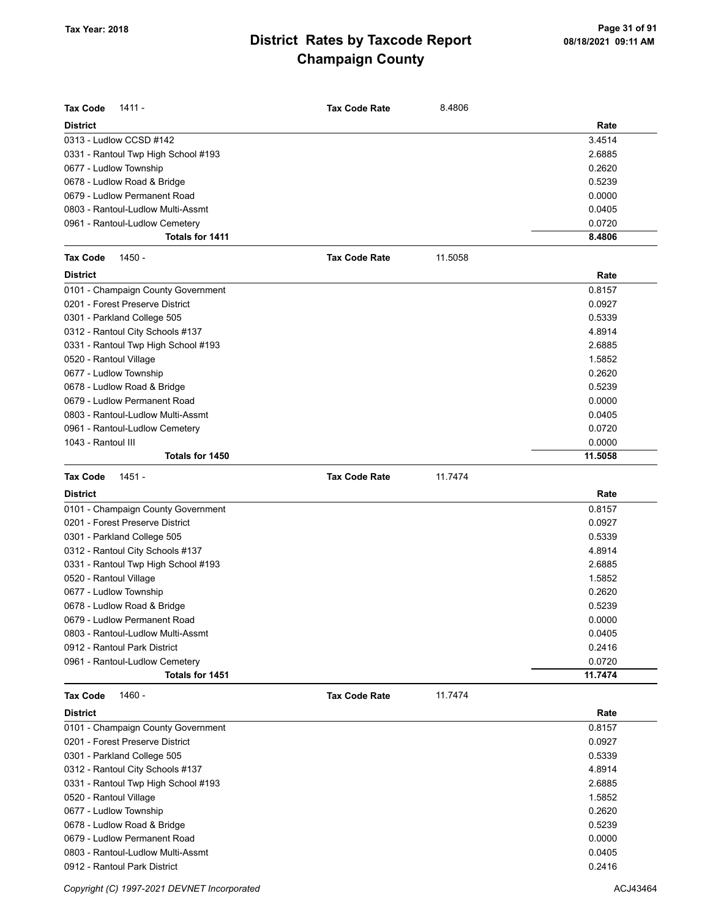| <b>Tax Code</b><br>$1411 -$         | <b>Tax Code Rate</b> | 8.4806  |         |
|-------------------------------------|----------------------|---------|---------|
| <b>District</b>                     |                      |         | Rate    |
| 0313 - Ludlow CCSD #142             |                      |         | 3.4514  |
| 0331 - Rantoul Twp High School #193 |                      |         | 2.6885  |
| 0677 - Ludlow Township              |                      |         | 0.2620  |
| 0678 - Ludlow Road & Bridge         |                      |         | 0.5239  |
| 0679 - Ludlow Permanent Road        |                      |         | 0.0000  |
| 0803 - Rantoul-Ludlow Multi-Assmt   |                      |         | 0.0405  |
| 0961 - Rantoul-Ludlow Cemetery      |                      |         | 0.0720  |
| Totals for 1411                     |                      |         | 8.4806  |
| <b>Tax Code</b><br>1450 -           | <b>Tax Code Rate</b> | 11.5058 |         |
| <b>District</b>                     |                      |         | Rate    |
| 0101 - Champaign County Government  |                      |         | 0.8157  |
| 0201 - Forest Preserve District     |                      |         | 0.0927  |
| 0301 - Parkland College 505         |                      |         | 0.5339  |
| 0312 - Rantoul City Schools #137    |                      |         | 4.8914  |
| 0331 - Rantoul Twp High School #193 |                      |         | 2.6885  |
| 0520 - Rantoul Village              |                      |         | 1.5852  |
| 0677 - Ludlow Township              |                      |         | 0.2620  |
| 0678 - Ludlow Road & Bridge         |                      |         | 0.5239  |
| 0679 - Ludlow Permanent Road        |                      |         | 0.0000  |
| 0803 - Rantoul-Ludlow Multi-Assmt   |                      |         | 0.0405  |
| 0961 - Rantoul-Ludlow Cemetery      |                      |         | 0.0720  |
| 1043 - Rantoul III                  |                      |         | 0.0000  |
| Totals for 1450                     |                      |         | 11.5058 |
|                                     |                      |         |         |
| <b>Tax Code</b><br>1451 -           | <b>Tax Code Rate</b> | 11.7474 |         |
| <b>District</b>                     |                      |         | Rate    |
| 0101 - Champaign County Government  |                      |         | 0.8157  |
| 0201 - Forest Preserve District     |                      |         | 0.0927  |
| 0301 - Parkland College 505         |                      |         | 0.5339  |
| 0312 - Rantoul City Schools #137    |                      |         | 4.8914  |
| 0331 - Rantoul Twp High School #193 |                      |         | 2.6885  |
| 0520 - Rantoul Village              |                      |         | 1.5852  |
| 0677 - Ludlow Township              |                      |         | 0.2620  |
| 0678 - Ludlow Road & Bridge         |                      |         | 0.5239  |
| 0679 - Ludlow Permanent Road        |                      |         | 0.0000  |
| 0803 - Rantoul-Ludlow Multi-Assmt   |                      |         | 0.0405  |
| 0912 - Rantoul Park District        |                      |         | 0.2416  |
| 0961 - Rantoul-Ludlow Cemetery      |                      |         | 0.0720  |
| Totals for 1451                     |                      |         | 11.7474 |
| Tax Code<br>1460 -                  | <b>Tax Code Rate</b> | 11.7474 |         |
| District                            |                      |         | Rate    |
| 0101 - Champaign County Government  |                      |         | 0.8157  |
| 0201 - Forest Preserve District     |                      |         | 0.0927  |
| 0301 - Parkland College 505         |                      |         | 0.5339  |
| 0312 - Rantoul City Schools #137    |                      |         | 4.8914  |
| 0331 - Rantoul Twp High School #193 |                      |         | 2.6885  |
| 0520 - Rantoul Village              |                      |         | 1.5852  |
| 0677 - Ludlow Township              |                      |         | 0.2620  |
| 0678 - Ludlow Road & Bridge         |                      |         | 0.5239  |
| 0679 - Ludlow Permanent Road        |                      |         |         |
|                                     |                      |         | 0.0000  |
| 0803 - Rantoul-Ludlow Multi-Assmt   |                      |         | 0.0405  |

Copyright (C) 1997-2021 DEVNET Incorporated **ACJ43464** ACJ43464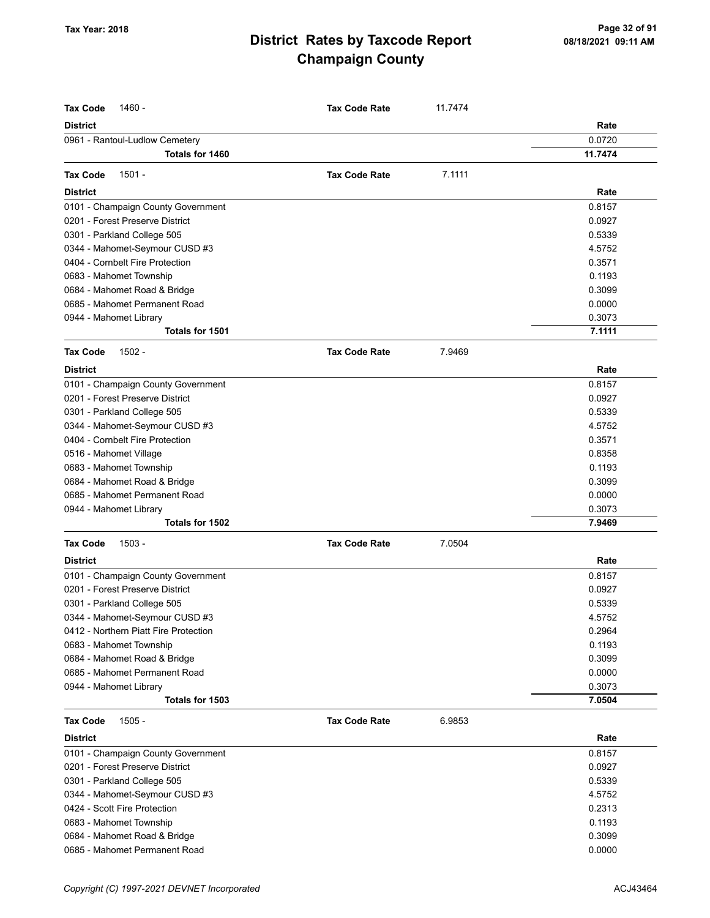| <b>Tax Code</b><br>1460 -                         | <b>Tax Code Rate</b> |         |                   |
|---------------------------------------------------|----------------------|---------|-------------------|
|                                                   |                      | 11.7474 |                   |
| <b>District</b>                                   |                      |         | Rate              |
| 0961 - Rantoul-Ludlow Cemetery<br>Totals for 1460 |                      |         | 0.0720<br>11.7474 |
|                                                   |                      |         |                   |
| $1501 -$<br><b>Tax Code</b>                       | <b>Tax Code Rate</b> | 7.1111  |                   |
| <b>District</b>                                   |                      |         | Rate              |
| 0101 - Champaign County Government                |                      |         | 0.8157            |
| 0201 - Forest Preserve District                   |                      |         | 0.0927            |
| 0301 - Parkland College 505                       |                      |         | 0.5339            |
| 0344 - Mahomet-Seymour CUSD #3                    |                      |         | 4.5752            |
| 0404 - Cornbelt Fire Protection                   |                      |         | 0.3571            |
| 0683 - Mahomet Township                           |                      |         | 0.1193            |
| 0684 - Mahomet Road & Bridge                      |                      |         | 0.3099            |
| 0685 - Mahomet Permanent Road                     |                      |         | 0.0000            |
| 0944 - Mahomet Library                            |                      |         | 0.3073            |
| Totals for 1501                                   |                      |         | 7.1111            |
| <b>Tax Code</b><br>$1502 -$                       | <b>Tax Code Rate</b> | 7.9469  |                   |
|                                                   |                      |         |                   |
| <b>District</b>                                   |                      |         | Rate              |
| 0101 - Champaign County Government                |                      |         | 0.8157            |
| 0201 - Forest Preserve District                   |                      |         | 0.0927            |
| 0301 - Parkland College 505                       |                      |         | 0.5339            |
| 0344 - Mahomet-Seymour CUSD #3                    |                      |         | 4.5752            |
| 0404 - Cornbelt Fire Protection                   |                      |         | 0.3571            |
| 0516 - Mahomet Village                            |                      |         | 0.8358            |
| 0683 - Mahomet Township                           |                      |         | 0.1193            |
| 0684 - Mahomet Road & Bridge                      |                      |         | 0.3099            |
| 0685 - Mahomet Permanent Road                     |                      |         | 0.0000            |
| 0944 - Mahomet Library                            |                      |         | 0.3073            |
| Totals for 1502                                   |                      |         | 7.9469            |
| <b>Tax Code</b><br>$1503 -$                       | <b>Tax Code Rate</b> | 7.0504  |                   |
| <b>District</b>                                   |                      |         | Rate              |
| 0101 - Champaign County Government                |                      |         | 0.8157            |
| 0201 - Forest Preserve District                   |                      |         | 0.0927            |
| 0301 - Parkland College 505                       |                      |         | 0.5339            |
| 0344 - Mahomet-Seymour CUSD #3                    |                      |         | 4.5752            |
| 0412 - Northern Piatt Fire Protection             |                      |         | 0.2964            |
| 0683 - Mahomet Township                           |                      |         | 0.1193            |
| 0684 - Mahomet Road & Bridge                      |                      |         | 0.3099            |
| 0685 - Mahomet Permanent Road                     |                      |         | 0.0000            |
| 0944 - Mahomet Library                            |                      |         | 0.3073            |
| Totals for 1503                                   |                      |         | 7.0504            |
| <b>Tax Code</b><br>$1505 -$                       | <b>Tax Code Rate</b> | 6.9853  |                   |
| <b>District</b>                                   |                      |         | Rate              |
| 0101 - Champaign County Government                |                      |         | 0.8157            |
| 0201 - Forest Preserve District                   |                      |         | 0.0927            |
| 0301 - Parkland College 505                       |                      |         | 0.5339            |
| 0344 - Mahomet-Seymour CUSD #3                    |                      |         | 4.5752            |
| 0424 - Scott Fire Protection                      |                      |         | 0.2313            |
| 0683 - Mahomet Township                           |                      |         | 0.1193            |
| 0684 - Mahomet Road & Bridge                      |                      |         | 0.3099            |
| 0685 - Mahomet Permanent Road                     |                      |         | 0.0000            |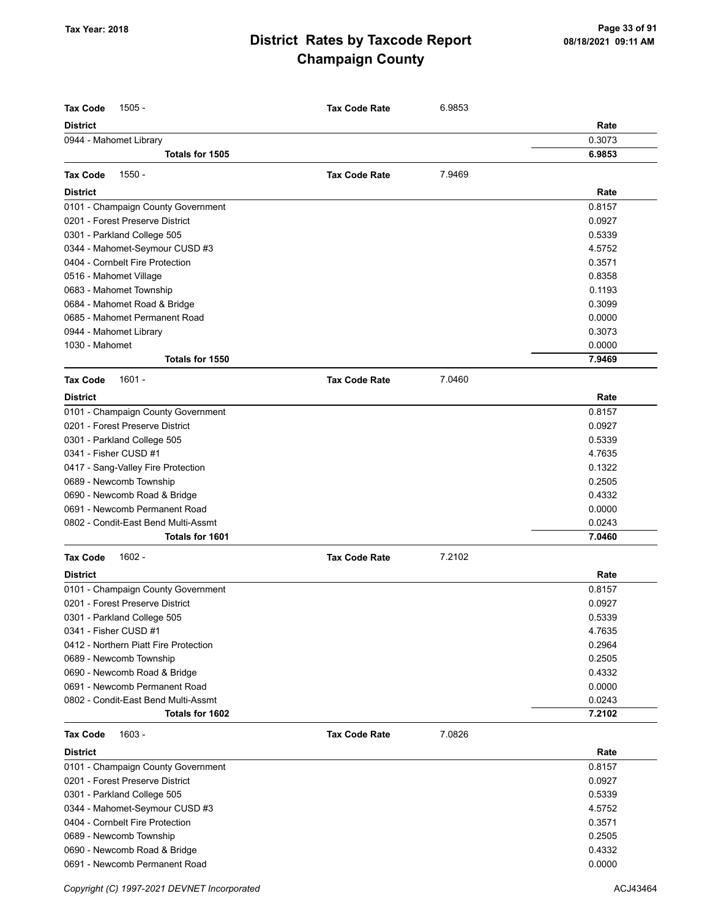| <b>Tax Code</b><br>$1505 -$           | <b>Tax Code Rate</b> | 6.9853 |        |
|---------------------------------------|----------------------|--------|--------|
| <b>District</b>                       |                      |        | Rate   |
| 0944 - Mahomet Library                |                      |        | 0.3073 |
| Totals for 1505                       |                      |        | 6.9853 |
| $1550 -$<br><b>Tax Code</b>           | <b>Tax Code Rate</b> | 7.9469 |        |
|                                       |                      |        |        |
| <b>District</b>                       |                      |        | Rate   |
| 0101 - Champaign County Government    |                      |        | 0.8157 |
| 0201 - Forest Preserve District       |                      |        | 0.0927 |
| 0301 - Parkland College 505           |                      |        | 0.5339 |
| 0344 - Mahomet-Seymour CUSD #3        |                      |        | 4.5752 |
| 0404 - Cornbelt Fire Protection       |                      |        | 0.3571 |
| 0516 - Mahomet Village                |                      |        | 0.8358 |
| 0683 - Mahomet Township               |                      |        | 0.1193 |
| 0684 - Mahomet Road & Bridge          |                      |        | 0.3099 |
| 0685 - Mahomet Permanent Road         |                      |        | 0.0000 |
| 0944 - Mahomet Library                |                      |        | 0.3073 |
| 1030 - Mahomet                        |                      |        | 0.0000 |
| Totals for 1550                       |                      |        | 7.9469 |
| $1601 -$<br><b>Tax Code</b>           | <b>Tax Code Rate</b> | 7.0460 |        |
| <b>District</b>                       |                      |        | Rate   |
| 0101 - Champaign County Government    |                      |        | 0.8157 |
| 0201 - Forest Preserve District       |                      |        | 0.0927 |
| 0301 - Parkland College 505           |                      |        | 0.5339 |
| 0341 - Fisher CUSD #1                 |                      |        | 4.7635 |
| 0417 - Sang-Valley Fire Protection    |                      |        | 0.1322 |
| 0689 - Newcomb Township               |                      |        | 0.2505 |
| 0690 - Newcomb Road & Bridge          |                      |        | 0.4332 |
| 0691 - Newcomb Permanent Road         |                      |        | 0.0000 |
| 0802 - Condit-East Bend Multi-Assmt   |                      |        | 0.0243 |
| Totals for 1601                       |                      |        | 7.0460 |
| $1602 -$<br><b>Tax Code</b>           | <b>Tax Code Rate</b> | 7.2102 |        |
| <b>District</b>                       |                      |        | Rate   |
| 0101 - Champaign County Government    |                      |        | 0.8157 |
| 0201 - Forest Preserve District       |                      |        | 0.0927 |
| 0301 - Parkland College 505           |                      |        | 0.5339 |
| 0341 - Fisher CUSD #1                 |                      |        | 4.7635 |
| 0412 - Northern Piatt Fire Protection |                      |        | 0.2964 |
| 0689 - Newcomb Township               |                      |        | 0.2505 |
| 0690 - Newcomb Road & Bridge          |                      |        | 0.4332 |
| 0691 - Newcomb Permanent Road         |                      |        | 0.0000 |
| 0802 - Condit-East Bend Multi-Assmt   |                      |        | 0.0243 |
| Totals for 1602                       |                      |        | 7.2102 |
| <b>Tax Code</b><br>$1603 -$           | <b>Tax Code Rate</b> | 7.0826 |        |
| <b>District</b>                       |                      |        | Rate   |
| 0101 - Champaign County Government    |                      |        | 0.8157 |
| 0201 - Forest Preserve District       |                      |        | 0.0927 |
| 0301 - Parkland College 505           |                      |        | 0.5339 |
| 0344 - Mahomet-Seymour CUSD #3        |                      |        | 4.5752 |
| 0404 - Cornbelt Fire Protection       |                      |        | 0.3571 |
| 0689 - Newcomb Township               |                      |        | 0.2505 |
| 0690 - Newcomb Road & Bridge          |                      |        | 0.4332 |
| 0691 - Newcomb Permanent Road         |                      |        | 0.0000 |
|                                       |                      |        |        |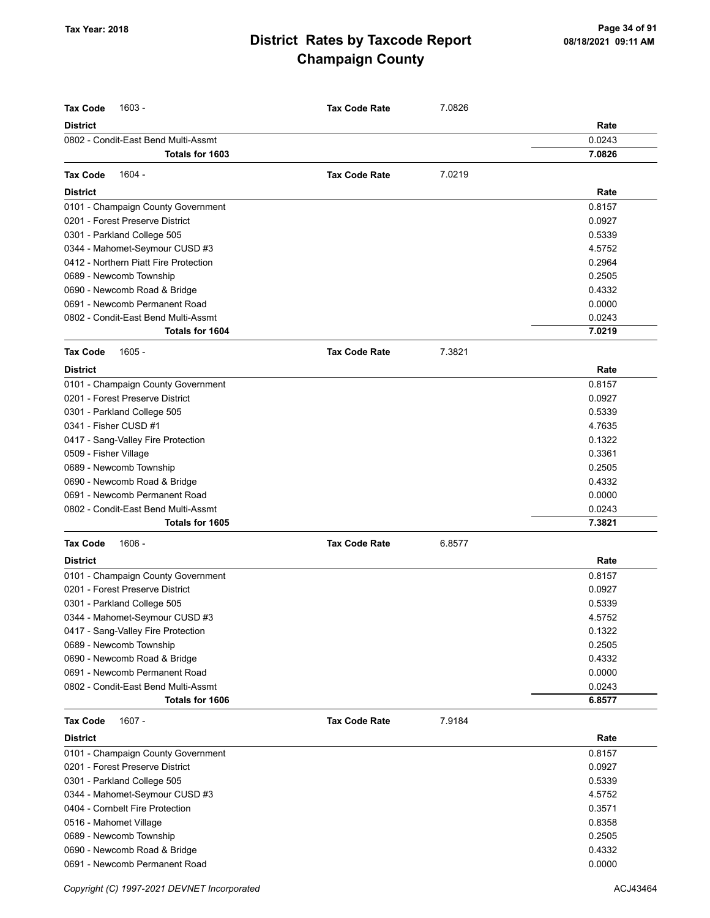| <b>Tax Code</b><br>$1603 -$                                           | <b>Tax Code Rate</b> | 7.0826 |                  |
|-----------------------------------------------------------------------|----------------------|--------|------------------|
| <b>District</b>                                                       |                      |        | Rate             |
| 0802 - Condit-East Bend Multi-Assmt                                   |                      |        | 0.0243           |
| Totals for 1603                                                       |                      |        | 7.0826           |
| $1604 -$<br><b>Tax Code</b>                                           | <b>Tax Code Rate</b> | 7.0219 |                  |
| <b>District</b>                                                       |                      |        | Rate             |
|                                                                       |                      |        | 0.8157           |
| 0101 - Champaign County Government<br>0201 - Forest Preserve District |                      |        | 0.0927           |
| 0301 - Parkland College 505                                           |                      |        | 0.5339           |
| 0344 - Mahomet-Seymour CUSD #3                                        |                      |        | 4.5752           |
| 0412 - Northern Piatt Fire Protection                                 |                      |        | 0.2964           |
| 0689 - Newcomb Township                                               |                      |        | 0.2505           |
| 0690 - Newcomb Road & Bridge                                          |                      |        | 0.4332           |
| 0691 - Newcomb Permanent Road                                         |                      |        | 0.0000           |
| 0802 - Condit-East Bend Multi-Assmt                                   |                      |        |                  |
| Totals for 1604                                                       |                      |        | 0.0243<br>7.0219 |
|                                                                       |                      |        |                  |
| <b>Tax Code</b><br>$1605 -$                                           | <b>Tax Code Rate</b> | 7.3821 |                  |
| <b>District</b>                                                       |                      |        | Rate             |
| 0101 - Champaign County Government                                    |                      |        | 0.8157           |
| 0201 - Forest Preserve District                                       |                      |        | 0.0927           |
| 0301 - Parkland College 505                                           |                      |        | 0.5339           |
| 0341 - Fisher CUSD #1                                                 |                      |        | 4.7635           |
| 0417 - Sang-Valley Fire Protection                                    |                      |        | 0.1322           |
| 0509 - Fisher Village                                                 |                      |        | 0.3361           |
| 0689 - Newcomb Township                                               |                      |        | 0.2505           |
| 0690 - Newcomb Road & Bridge                                          |                      |        | 0.4332           |
| 0691 - Newcomb Permanent Road                                         |                      |        | 0.0000           |
| 0802 - Condit-East Bend Multi-Assmt                                   |                      |        | 0.0243           |
| Totals for 1605                                                       |                      |        | 7.3821           |
| <b>Tax Code</b><br>1606 -                                             | <b>Tax Code Rate</b> | 6.8577 |                  |
| <b>District</b>                                                       |                      |        | Rate             |
| 0101 - Champaign County Government                                    |                      |        | 0.8157           |
| 0201 - Forest Preserve District                                       |                      |        | 0.0927           |
| 0301 - Parkland College 505                                           |                      |        | 0.5339           |
| 0344 - Mahomet-Seymour CUSD #3                                        |                      |        | 4.5752           |
| 0417 - Sang-Valley Fire Protection                                    |                      |        | 0.1322           |
| 0689 - Newcomb Township                                               |                      |        | 0.2505           |
| 0690 - Newcomb Road & Bridge                                          |                      |        | 0.4332           |
| 0691 - Newcomb Permanent Road                                         |                      |        | 0.0000           |
| 0802 - Condit-East Bend Multi-Assmt                                   |                      |        | 0.0243           |
| Totals for 1606                                                       |                      |        | 6.8577           |
| $1607 -$<br><b>Tax Code</b>                                           | <b>Tax Code Rate</b> | 7.9184 |                  |
| <b>District</b>                                                       |                      |        | Rate             |
| 0101 - Champaign County Government                                    |                      |        | 0.8157           |
| 0201 - Forest Preserve District                                       |                      |        | 0.0927           |
|                                                                       |                      |        | 0.5339           |
| 0301 - Parkland College 505<br>0344 - Mahomet-Seymour CUSD #3         |                      |        | 4.5752           |
| 0404 - Cornbelt Fire Protection                                       |                      |        | 0.3571           |
|                                                                       |                      |        | 0.8358           |
| 0516 - Mahomet Village                                                |                      |        |                  |
| 0689 - Newcomb Township                                               |                      |        | 0.2505           |
| 0690 - Newcomb Road & Bridge                                          |                      |        | 0.4332           |
| 0691 - Newcomb Permanent Road                                         |                      |        | 0.0000           |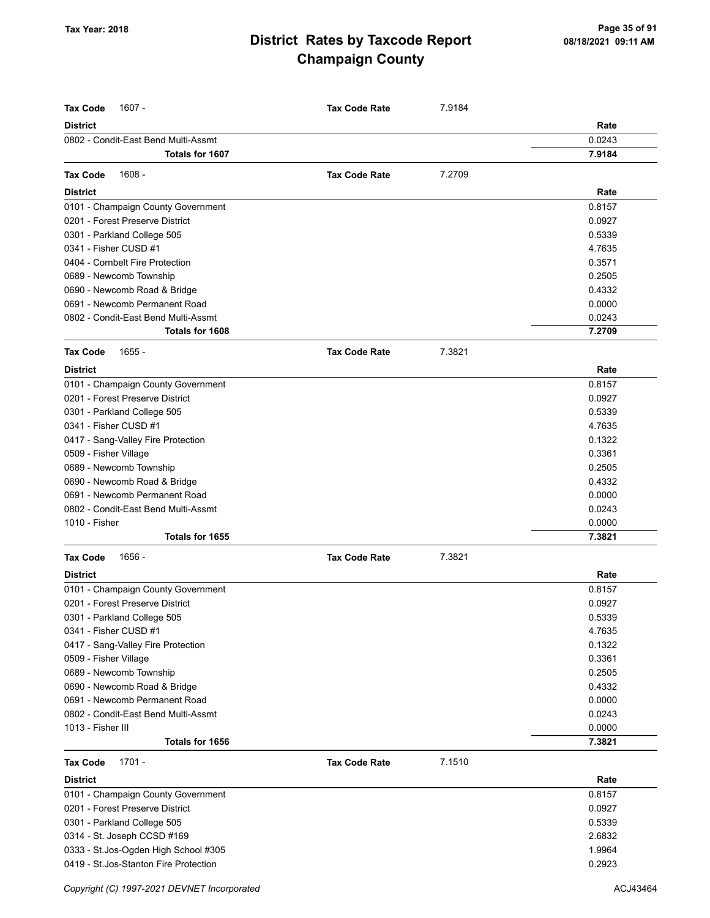| <b>Tax Code</b><br>$1607 -$            | <b>Tax Code Rate</b> | 7.9184 |        |
|----------------------------------------|----------------------|--------|--------|
| <b>District</b>                        |                      |        | Rate   |
| 0802 - Condit-East Bend Multi-Assmt    |                      |        | 0.0243 |
| Totals for 1607                        |                      |        | 7.9184 |
|                                        |                      |        |        |
| $1608 -$<br><b>Tax Code</b>            | <b>Tax Code Rate</b> | 7.2709 |        |
| <b>District</b>                        |                      |        | Rate   |
| 0101 - Champaign County Government     |                      |        | 0.8157 |
| 0201 - Forest Preserve District        |                      |        | 0.0927 |
| 0301 - Parkland College 505            |                      |        | 0.5339 |
| 0341 - Fisher CUSD #1                  |                      |        | 4.7635 |
| 0404 - Cornbelt Fire Protection        |                      |        | 0.3571 |
| 0689 - Newcomb Township                |                      |        | 0.2505 |
| 0690 - Newcomb Road & Bridge           |                      |        | 0.4332 |
| 0691 - Newcomb Permanent Road          |                      |        | 0.0000 |
| 0802 - Condit-East Bend Multi-Assmt    |                      |        | 0.0243 |
| Totals for 1608                        |                      |        | 7.2709 |
| <b>Tax Code</b><br>$1655 -$            | <b>Tax Code Rate</b> | 7.3821 |        |
| <b>District</b>                        |                      |        | Rate   |
| 0101 - Champaign County Government     |                      |        | 0.8157 |
| 0201 - Forest Preserve District        |                      |        | 0.0927 |
| 0301 - Parkland College 505            |                      |        | 0.5339 |
| 0341 - Fisher CUSD #1                  |                      |        | 4.7635 |
| 0417 - Sang-Valley Fire Protection     |                      |        | 0.1322 |
| 0509 - Fisher Village                  |                      |        | 0.3361 |
| 0689 - Newcomb Township                |                      |        | 0.2505 |
| 0690 - Newcomb Road & Bridge           |                      |        | 0.4332 |
| 0691 - Newcomb Permanent Road          |                      |        | 0.0000 |
| 0802 - Condit-East Bend Multi-Assmt    |                      |        | 0.0243 |
| 1010 - Fisher                          |                      |        | 0.0000 |
| Totals for 1655                        |                      |        | 7.3821 |
| <b>Tax Code</b><br>1656 -              | <b>Tax Code Rate</b> | 7.3821 |        |
| <b>District</b>                        |                      |        | Rate   |
| 0101 - Champaign County Government     |                      |        | 0.8157 |
| 0201 - Forest Preserve District        |                      |        | 0.0927 |
| 0301 - Parkland College 505            |                      |        | 0.5339 |
| 0341 - Fisher CUSD #1                  |                      |        | 4.7635 |
| 0417 - Sang-Valley Fire Protection     |                      |        | 0.1322 |
| 0509 - Fisher Village                  |                      |        | 0.3361 |
| 0689 - Newcomb Township                |                      |        | 0.2505 |
| 0690 - Newcomb Road & Bridge           |                      |        | 0.4332 |
| 0691 - Newcomb Permanent Road          |                      |        | 0.0000 |
| 0802 - Condit-East Bend Multi-Assmt    |                      |        | 0.0243 |
| 1013 - Fisher III                      |                      |        | 0.0000 |
| Totals for 1656                        |                      |        | 7.3821 |
| $1701 -$<br><b>Tax Code</b>            | <b>Tax Code Rate</b> | 7.1510 |        |
| <b>District</b>                        |                      |        | Rate   |
| 0101 - Champaign County Government     |                      |        | 0.8157 |
| 0201 - Forest Preserve District        |                      |        | 0.0927 |
| 0301 - Parkland College 505            |                      |        | 0.5339 |
| 0314 - St. Joseph CCSD #169            |                      |        | 2.6832 |
| 0333 - St.Jos-Ogden High School #305   |                      |        | 1.9964 |
| 0419 - St. Jos-Stanton Fire Protection |                      |        | 0.2923 |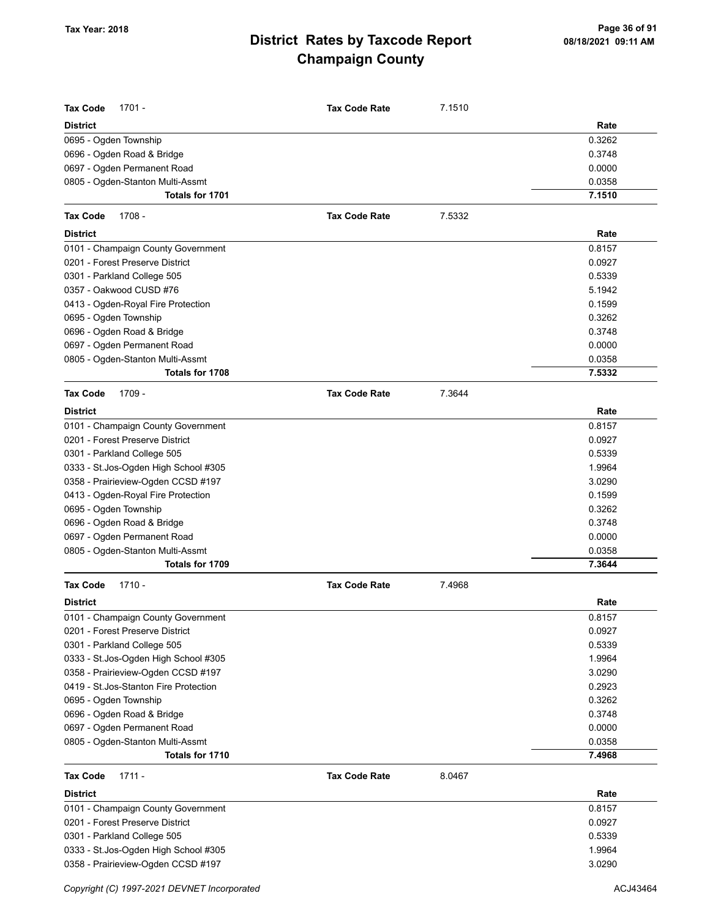| <b>Tax Code</b><br>$1701 -$                         | <b>Tax Code Rate</b> | 7.1510 |                  |
|-----------------------------------------------------|----------------------|--------|------------------|
| <b>District</b>                                     |                      |        | Rate             |
| 0695 - Ogden Township                               |                      |        | 0.3262           |
| 0696 - Ogden Road & Bridge                          |                      |        | 0.3748           |
| 0697 - Ogden Permanent Road                         |                      |        | 0.0000           |
| 0805 - Ogden-Stanton Multi-Assmt<br>Totals for 1701 |                      |        | 0.0358<br>7.1510 |
|                                                     |                      |        |                  |
| <b>Tax Code</b><br>1708 -                           | <b>Tax Code Rate</b> | 7.5332 |                  |
| <b>District</b>                                     |                      |        | Rate             |
| 0101 - Champaign County Government                  |                      |        | 0.8157           |
| 0201 - Forest Preserve District                     |                      |        | 0.0927           |
| 0301 - Parkland College 505                         |                      |        | 0.5339           |
| 0357 - Oakwood CUSD #76                             |                      |        | 5.1942           |
| 0413 - Ogden-Royal Fire Protection                  |                      |        | 0.1599           |
| 0695 - Ogden Township                               |                      |        | 0.3262           |
| 0696 - Ogden Road & Bridge                          |                      |        | 0.3748           |
| 0697 - Ogden Permanent Road                         |                      |        | 0.0000           |
| 0805 - Ogden-Stanton Multi-Assmt                    |                      |        | 0.0358           |
| Totals for 1708                                     |                      |        | 7.5332           |
| <b>Tax Code</b><br>1709 -                           | <b>Tax Code Rate</b> | 7.3644 |                  |
| <b>District</b>                                     |                      |        | Rate             |
| 0101 - Champaign County Government                  |                      |        | 0.8157           |
| 0201 - Forest Preserve District                     |                      |        | 0.0927           |
| 0301 - Parkland College 505                         |                      |        | 0.5339           |
| 0333 - St.Jos-Ogden High School #305                |                      |        | 1.9964           |
| 0358 - Prairieview-Ogden CCSD #197                  |                      |        | 3.0290           |
| 0413 - Ogden-Royal Fire Protection                  |                      |        | 0.1599           |
| 0695 - Ogden Township                               |                      |        | 0.3262           |
| 0696 - Ogden Road & Bridge                          |                      |        | 0.3748           |
| 0697 - Ogden Permanent Road                         |                      |        | 0.0000           |
| 0805 - Ogden-Stanton Multi-Assmt                    |                      |        | 0.0358           |
| Totals for 1709                                     |                      |        | 7.3644           |
| $1710 -$<br><b>Tax Code</b>                         | <b>Tax Code Rate</b> | 7.4968 |                  |
| <b>District</b>                                     |                      |        | Rate             |
| 0101 - Champaign County Government                  |                      |        | 0.8157           |
| 0201 - Forest Preserve District                     |                      |        | 0.0927           |
| 0301 - Parkland College 505                         |                      |        | 0.5339           |
| 0333 - St.Jos-Ogden High School #305                |                      |        | 1.9964           |
| 0358 - Prairieview-Ogden CCSD #197                  |                      |        | 3.0290           |
| 0419 - St.Jos-Stanton Fire Protection               |                      |        | 0.2923           |
| 0695 - Ogden Township                               |                      |        | 0.3262           |
| 0696 - Ogden Road & Bridge                          |                      |        | 0.3748           |
| 0697 - Ogden Permanent Road                         |                      |        | 0.0000           |
| 0805 - Ogden-Stanton Multi-Assmt                    |                      |        | 0.0358           |
| Totals for 1710                                     |                      |        | 7.4968           |
| <b>Tax Code</b><br>$1711 -$                         | <b>Tax Code Rate</b> | 8.0467 |                  |
| <b>District</b>                                     |                      |        | Rate             |
| 0101 - Champaign County Government                  |                      |        | 0.8157           |
| 0201 - Forest Preserve District                     |                      |        | 0.0927           |
| 0301 - Parkland College 505                         |                      |        | 0.5339           |
| 0333 - St.Jos-Ogden High School #305                |                      |        | 1.9964           |
| 0358 - Prairieview-Ogden CCSD #197                  |                      |        | 3.0290           |

#### Copyright (C) 1997-2021 DEVNET Incorporated **ACJ43464** ACJ43464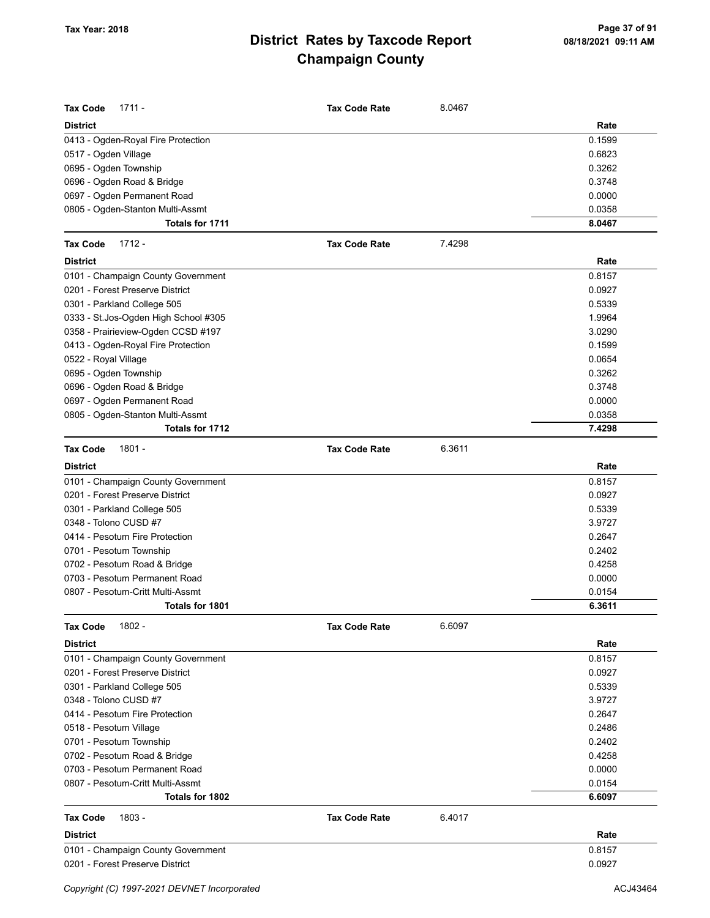| <b>Tax Code</b><br>$1711 -$           | <b>Tax Code Rate</b> | 8.0467 |        |
|---------------------------------------|----------------------|--------|--------|
| <b>District</b>                       |                      |        | Rate   |
| 0413 - Ogden-Royal Fire Protection    |                      |        | 0.1599 |
| 0517 - Ogden Village                  |                      |        | 0.6823 |
| 0695 - Ogden Township                 |                      |        | 0.3262 |
| 0696 - Ogden Road & Bridge            |                      |        | 0.3748 |
| 0697 - Ogden Permanent Road           |                      |        | 0.0000 |
| 0805 - Ogden-Stanton Multi-Assmt      |                      |        | 0.0358 |
| Totals for 1711                       |                      |        | 8.0467 |
| <b>Tax Code</b><br>$1712 -$           | <b>Tax Code Rate</b> | 7.4298 |        |
| <b>District</b>                       |                      |        | Rate   |
| 0101 - Champaign County Government    |                      |        | 0.8157 |
| 0201 - Forest Preserve District       |                      |        | 0.0927 |
| 0301 - Parkland College 505           |                      |        | 0.5339 |
| 0333 - St. Jos-Ogden High School #305 |                      |        | 1.9964 |
| 0358 - Prairieview-Ogden CCSD #197    |                      |        | 3.0290 |
| 0413 - Ogden-Royal Fire Protection    |                      |        | 0.1599 |
| 0522 - Royal Village                  |                      |        | 0.0654 |
| 0695 - Ogden Township                 |                      |        | 0.3262 |
| 0696 - Ogden Road & Bridge            |                      |        | 0.3748 |
| 0697 - Ogden Permanent Road           |                      |        | 0.0000 |
| 0805 - Ogden-Stanton Multi-Assmt      |                      |        | 0.0358 |
| Totals for 1712                       |                      |        | 7.4298 |
| $1801 -$<br><b>Tax Code</b>           | <b>Tax Code Rate</b> | 6.3611 |        |
| <b>District</b>                       |                      |        | Rate   |
| 0101 - Champaign County Government    |                      |        | 0.8157 |
| 0201 - Forest Preserve District       |                      |        | 0.0927 |
| 0301 - Parkland College 505           |                      |        | 0.5339 |
| 0348 - Tolono CUSD #7                 |                      |        | 3.9727 |
| 0414 - Pesotum Fire Protection        |                      |        | 0.2647 |
| 0701 - Pesotum Township               |                      |        | 0.2402 |
| 0702 - Pesotum Road & Bridge          |                      |        | 0.4258 |
| 0703 - Pesotum Permanent Road         |                      |        | 0.0000 |
| 0807 - Pesotum-Critt Multi-Assmt      |                      |        | 0.0154 |
| Totals for 1801                       |                      |        | 6.3611 |
| Tax Code<br>1802 -                    | <b>Tax Code Rate</b> | 6.6097 |        |
| <b>District</b>                       |                      |        | Rate   |
| 0101 - Champaign County Government    |                      |        | 0.8157 |
| 0201 - Forest Preserve District       |                      |        | 0.0927 |
| 0301 - Parkland College 505           |                      |        | 0.5339 |
| 0348 - Tolono CUSD #7                 |                      |        | 3.9727 |
| 0414 - Pesotum Fire Protection        |                      |        | 0.2647 |
| 0518 - Pesotum Village                |                      |        | 0.2486 |
| 0701 - Pesotum Township               |                      |        | 0.2402 |
| 0702 - Pesotum Road & Bridge          |                      |        | 0.4258 |
| 0703 - Pesotum Permanent Road         |                      |        | 0.0000 |
| 0807 - Pesotum-Critt Multi-Assmt      |                      |        | 0.0154 |
| Totals for 1802                       |                      |        | 6.6097 |
| <b>Tax Code</b><br>1803 -             | <b>Tax Code Rate</b> | 6.4017 |        |
| <b>District</b>                       |                      |        | Rate   |
| 0101 - Champaign County Government    |                      |        | 0.8157 |
| 0201 - Forest Preserve District       |                      |        | 0.0927 |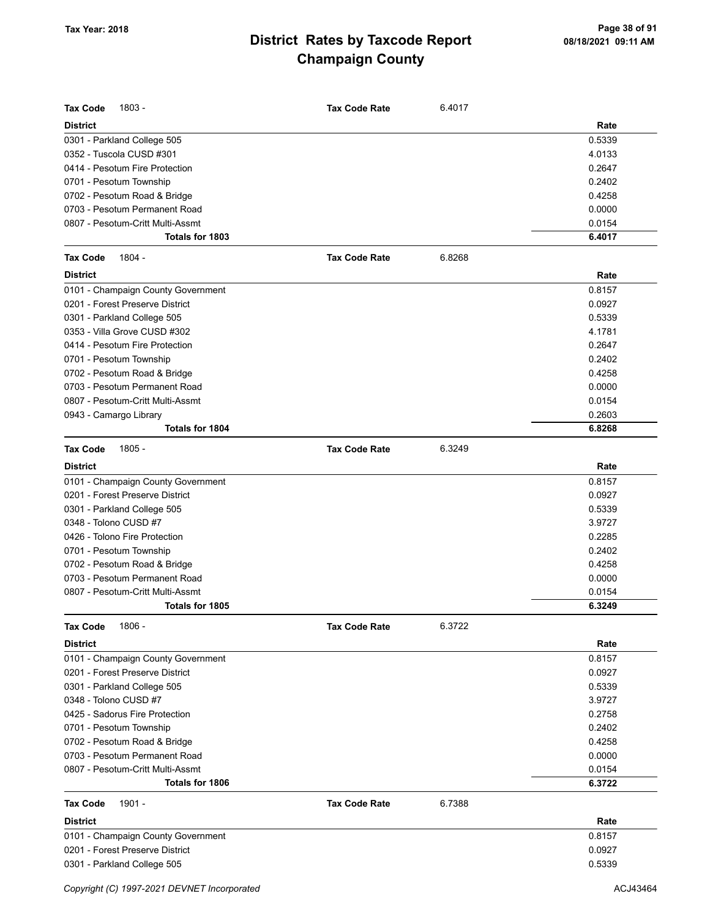| <b>Tax Code</b><br>1803 -          | <b>Tax Code Rate</b> | 6.4017 |        |
|------------------------------------|----------------------|--------|--------|
| <b>District</b>                    |                      |        | Rate   |
| 0301 - Parkland College 505        |                      |        | 0.5339 |
| 0352 - Tuscola CUSD #301           |                      |        | 4.0133 |
| 0414 - Pesotum Fire Protection     |                      |        | 0.2647 |
| 0701 - Pesotum Township            |                      |        | 0.2402 |
| 0702 - Pesotum Road & Bridge       |                      |        | 0.4258 |
| 0703 - Pesotum Permanent Road      |                      |        | 0.0000 |
| 0807 - Pesotum-Critt Multi-Assmt   |                      |        | 0.0154 |
| Totals for 1803                    |                      |        | 6.4017 |
| 1804 -<br><b>Tax Code</b>          | <b>Tax Code Rate</b> | 6.8268 |        |
| <b>District</b>                    |                      |        | Rate   |
| 0101 - Champaign County Government |                      |        | 0.8157 |
| 0201 - Forest Preserve District    |                      |        | 0.0927 |
| 0301 - Parkland College 505        |                      |        | 0.5339 |
| 0353 - Villa Grove CUSD #302       |                      |        | 4.1781 |
| 0414 - Pesotum Fire Protection     |                      |        | 0.2647 |
| 0701 - Pesotum Township            |                      |        | 0.2402 |
| 0702 - Pesotum Road & Bridge       |                      |        | 0.4258 |
| 0703 - Pesotum Permanent Road      |                      |        | 0.0000 |
| 0807 - Pesotum-Critt Multi-Assmt   |                      |        | 0.0154 |
| 0943 - Camargo Library             |                      |        | 0.2603 |
| <b>Totals for 1804</b>             |                      |        | 6.8268 |
| $1805 -$<br><b>Tax Code</b>        | <b>Tax Code Rate</b> | 6.3249 |        |
| <b>District</b>                    |                      |        | Rate   |
| 0101 - Champaign County Government |                      |        | 0.8157 |
| 0201 - Forest Preserve District    |                      |        | 0.0927 |
| 0301 - Parkland College 505        |                      |        | 0.5339 |
| 0348 - Tolono CUSD #7              |                      |        | 3.9727 |
| 0426 - Tolono Fire Protection      |                      |        | 0.2285 |
| 0701 - Pesotum Township            |                      |        | 0.2402 |
| 0702 - Pesotum Road & Bridge       |                      |        | 0.4258 |
| 0703 - Pesotum Permanent Road      |                      |        | 0.0000 |
| 0807 - Pesotum-Critt Multi-Assmt   |                      |        | 0.0154 |
| Totals for 1805                    |                      |        | 6.3249 |
| <b>Tax Code</b><br>1806 -          | <b>Tax Code Rate</b> | 6.3722 |        |
| <b>District</b>                    |                      |        | Rate   |
| 0101 - Champaign County Government |                      |        | 0.8157 |
| 0201 - Forest Preserve District    |                      |        | 0.0927 |
| 0301 - Parkland College 505        |                      |        | 0.5339 |
| 0348 - Tolono CUSD #7              |                      |        | 3.9727 |
| 0425 - Sadorus Fire Protection     |                      |        | 0.2758 |
| 0701 - Pesotum Township            |                      |        | 0.2402 |
| 0702 - Pesotum Road & Bridge       |                      |        | 0.4258 |
| 0703 - Pesotum Permanent Road      |                      |        | 0.0000 |
| 0807 - Pesotum-Critt Multi-Assmt   |                      |        | 0.0154 |
| Totals for 1806                    |                      |        | 6.3722 |
| <b>Tax Code</b><br>1901 -          | <b>Tax Code Rate</b> | 6.7388 |        |
| <b>District</b>                    |                      |        | Rate   |
| 0101 - Champaign County Government |                      |        | 0.8157 |
| 0201 - Forest Preserve District    |                      |        | 0.0927 |
| 0301 - Parkland College 505        |                      |        | 0.5339 |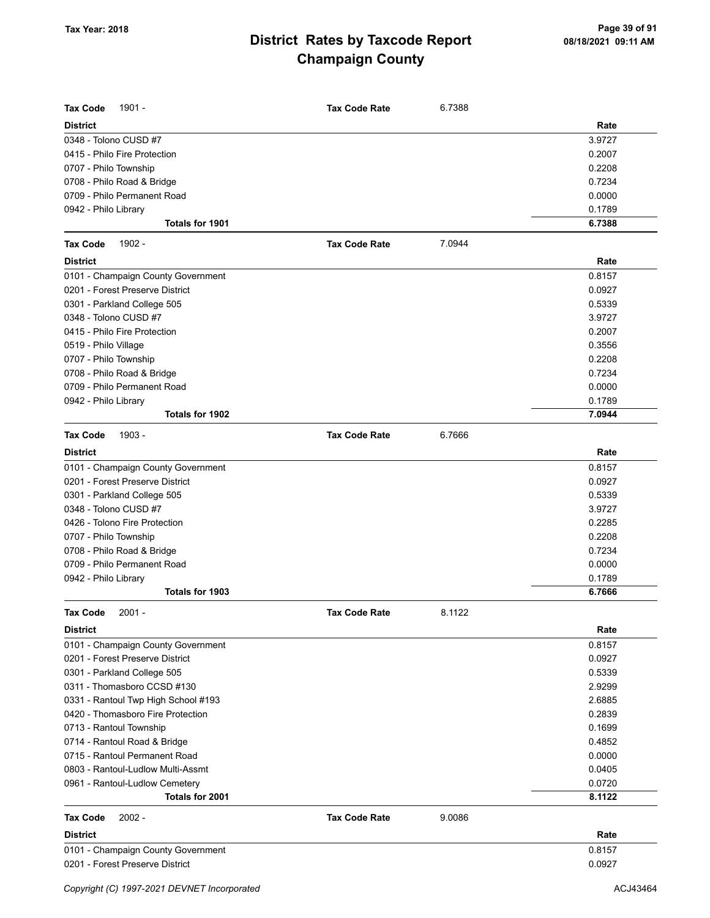| <b>Tax Code</b><br>$1901 -$         | <b>Tax Code Rate</b> | 6.7388 |        |
|-------------------------------------|----------------------|--------|--------|
| <b>District</b>                     |                      |        | Rate   |
| 0348 - Tolono CUSD #7               |                      |        | 3.9727 |
| 0415 - Philo Fire Protection        |                      |        | 0.2007 |
| 0707 - Philo Township               |                      |        | 0.2208 |
| 0708 - Philo Road & Bridge          |                      |        | 0.7234 |
| 0709 - Philo Permanent Road         |                      |        | 0.0000 |
| 0942 - Philo Library                |                      |        | 0.1789 |
| Totals for 1901                     |                      |        | 6.7388 |
| <b>Tax Code</b><br>1902 -           | <b>Tax Code Rate</b> | 7.0944 |        |
| <b>District</b>                     |                      |        | Rate   |
| 0101 - Champaign County Government  |                      |        | 0.8157 |
| 0201 - Forest Preserve District     |                      |        | 0.0927 |
| 0301 - Parkland College 505         |                      |        | 0.5339 |
| 0348 - Tolono CUSD #7               |                      |        | 3.9727 |
| 0415 - Philo Fire Protection        |                      |        | 0.2007 |
| 0519 - Philo Village                |                      |        | 0.3556 |
| 0707 - Philo Township               |                      |        | 0.2208 |
| 0708 - Philo Road & Bridge          |                      |        | 0.7234 |
| 0709 - Philo Permanent Road         |                      |        | 0.0000 |
| 0942 - Philo Library                |                      |        | 0.1789 |
| Totals for 1902                     |                      |        | 7.0944 |
| <b>Tax Code</b><br>1903 -           | <b>Tax Code Rate</b> | 6.7666 |        |
| <b>District</b>                     |                      |        | Rate   |
| 0101 - Champaign County Government  |                      |        | 0.8157 |
| 0201 - Forest Preserve District     |                      |        | 0.0927 |
| 0301 - Parkland College 505         |                      |        | 0.5339 |
| 0348 - Tolono CUSD #7               |                      |        | 3.9727 |
| 0426 - Tolono Fire Protection       |                      |        | 0.2285 |
| 0707 - Philo Township               |                      |        | 0.2208 |
| 0708 - Philo Road & Bridge          |                      |        | 0.7234 |
| 0709 - Philo Permanent Road         |                      |        | 0.0000 |
| 0942 - Philo Library                |                      |        | 0.1789 |
| <b>Totals for 1903</b>              |                      |        | 6.7666 |
| <b>Tax Code</b><br>$2001 -$         | <b>Tax Code Rate</b> | 8.1122 |        |
| <b>District</b>                     |                      |        | Rate   |
| 0101 - Champaign County Government  |                      |        | 0.8157 |
| 0201 - Forest Preserve District     |                      |        | 0.0927 |
| 0301 - Parkland College 505         |                      |        | 0.5339 |
| 0311 - Thomasboro CCSD #130         |                      |        | 2.9299 |
| 0331 - Rantoul Twp High School #193 |                      |        | 2.6885 |
| 0420 - Thomasboro Fire Protection   |                      |        | 0.2839 |
| 0713 - Rantoul Township             |                      |        | 0.1699 |
| 0714 - Rantoul Road & Bridge        |                      |        | 0.4852 |
| 0715 - Rantoul Permanent Road       |                      |        | 0.0000 |
| 0803 - Rantoul-Ludlow Multi-Assmt   |                      |        | 0.0405 |
| 0961 - Rantoul-Ludlow Cemetery      |                      |        | 0.0720 |
| Totals for 2001                     |                      |        | 8.1122 |
| <b>Tax Code</b><br>$2002 -$         | <b>Tax Code Rate</b> | 9.0086 |        |
| <b>District</b>                     |                      |        | Rate   |
| 0101 - Champaign County Government  |                      |        | 0.8157 |
| 0201 - Forest Preserve District     |                      |        | 0.0927 |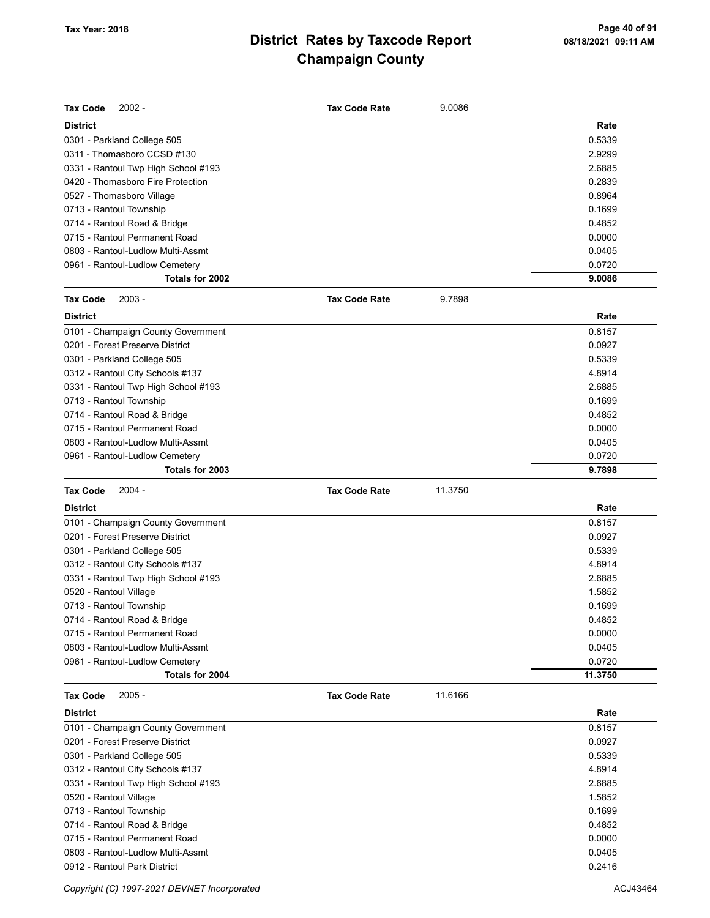| <b>Tax Code</b><br>$2002 -$         | <b>Tax Code Rate</b> | 9.0086  |         |
|-------------------------------------|----------------------|---------|---------|
| <b>District</b>                     |                      |         | Rate    |
| 0301 - Parkland College 505         |                      |         | 0.5339  |
| 0311 - Thomasboro CCSD #130         |                      |         | 2.9299  |
| 0331 - Rantoul Twp High School #193 |                      |         | 2.6885  |
| 0420 - Thomasboro Fire Protection   |                      |         | 0.2839  |
| 0527 - Thomasboro Village           |                      |         | 0.8964  |
| 0713 - Rantoul Township             |                      |         | 0.1699  |
| 0714 - Rantoul Road & Bridge        |                      |         | 0.4852  |
| 0715 - Rantoul Permanent Road       |                      |         | 0.0000  |
| 0803 - Rantoul-Ludlow Multi-Assmt   |                      |         | 0.0405  |
| 0961 - Rantoul-Ludlow Cemetery      |                      |         | 0.0720  |
| Totals for 2002                     |                      |         | 9.0086  |
| <b>Tax Code</b><br>$2003 -$         | <b>Tax Code Rate</b> | 9.7898  |         |
| <b>District</b>                     |                      |         | Rate    |
| 0101 - Champaign County Government  |                      |         | 0.8157  |
| 0201 - Forest Preserve District     |                      |         | 0.0927  |
| 0301 - Parkland College 505         |                      |         | 0.5339  |
| 0312 - Rantoul City Schools #137    |                      |         | 4.8914  |
| 0331 - Rantoul Twp High School #193 |                      |         | 2.6885  |
| 0713 - Rantoul Township             |                      |         | 0.1699  |
| 0714 - Rantoul Road & Bridge        |                      |         | 0.4852  |
| 0715 - Rantoul Permanent Road       |                      |         | 0.0000  |
| 0803 - Rantoul-Ludlow Multi-Assmt   |                      |         | 0.0405  |
| 0961 - Rantoul-Ludlow Cemetery      |                      |         | 0.0720  |
| Totals for 2003                     |                      |         | 9.7898  |
| <b>Tax Code</b><br>$2004 -$         | <b>Tax Code Rate</b> | 11.3750 |         |
|                                     |                      |         |         |
| <b>District</b>                     |                      |         | Rate    |
| 0101 - Champaign County Government  |                      |         | 0.8157  |
| 0201 - Forest Preserve District     |                      |         | 0.0927  |
| 0301 - Parkland College 505         |                      |         | 0.5339  |
| 0312 - Rantoul City Schools #137    |                      |         | 4.8914  |
| 0331 - Rantoul Twp High School #193 |                      |         | 2.6885  |
| 0520 - Rantoul Village              |                      |         | 1.5852  |
| 0713 - Rantoul Township             |                      |         | 0.1699  |
| 0714 - Rantoul Road & Bridge        |                      |         | 0.4852  |
| 0715 - Rantoul Permanent Road       |                      |         | 0.0000  |
| 0803 - Rantoul-Ludlow Multi-Assmt   |                      |         | 0.0405  |
| 0961 - Rantoul-Ludlow Cemetery      |                      |         | 0.0720  |
| Totals for 2004                     |                      |         | 11.3750 |
| <b>Tax Code</b><br>$2005 -$         | <b>Tax Code Rate</b> | 11.6166 |         |
| <b>District</b>                     |                      |         | Rate    |
| 0101 - Champaign County Government  |                      |         | 0.8157  |
| 0201 - Forest Preserve District     |                      |         | 0.0927  |
| 0301 - Parkland College 505         |                      |         | 0.5339  |
| 0312 - Rantoul City Schools #137    |                      |         | 4.8914  |
| 0331 - Rantoul Twp High School #193 |                      |         | 2.6885  |
| 0520 - Rantoul Village              |                      |         | 1.5852  |
| 0713 - Rantoul Township             |                      |         | 0.1699  |
| 0714 - Rantoul Road & Bridge        |                      |         | 0.4852  |
| 0715 - Rantoul Permanent Road       |                      |         | 0.0000  |
| 0803 - Rantoul-Ludlow Multi-Assmt   |                      |         | 0.0405  |

Copyright (C) 1997-2021 DEVNET Incorporated **ACJ43464** ACJ43464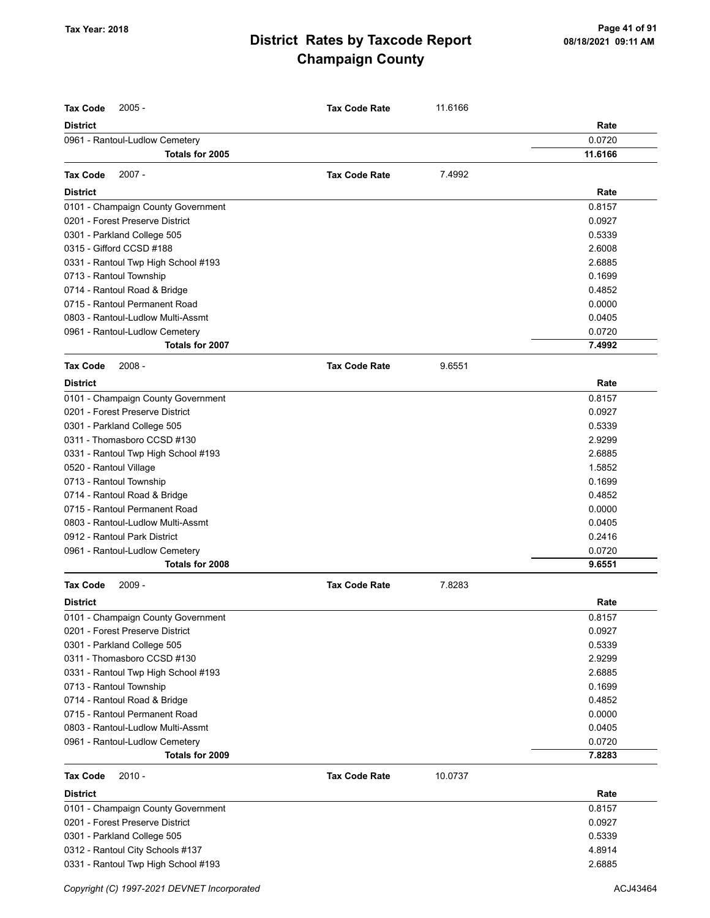| <b>Tax Code</b><br>$2005 -$                                           | <b>Tax Code Rate</b> | 11.6166 |         |
|-----------------------------------------------------------------------|----------------------|---------|---------|
| <b>District</b>                                                       |                      |         | Rate    |
| 0961 - Rantoul-Ludlow Cemetery                                        |                      |         | 0.0720  |
| Totals for 2005                                                       |                      |         | 11.6166 |
| $2007 -$<br><b>Tax Code</b>                                           | <b>Tax Code Rate</b> | 7.4992  |         |
| District                                                              |                      |         | Rate    |
|                                                                       |                      |         | 0.8157  |
| 0101 - Champaign County Government<br>0201 - Forest Preserve District |                      |         | 0.0927  |
|                                                                       |                      |         | 0.5339  |
| 0301 - Parkland College 505<br>0315 - Gifford CCSD #188               |                      |         | 2.6008  |
|                                                                       |                      |         | 2.6885  |
| 0331 - Rantoul Twp High School #193                                   |                      |         |         |
| 0713 - Rantoul Township                                               |                      |         | 0.1699  |
| 0714 - Rantoul Road & Bridge                                          |                      |         | 0.4852  |
| 0715 - Rantoul Permanent Road                                         |                      |         | 0.0000  |
| 0803 - Rantoul-Ludlow Multi-Assmt                                     |                      |         | 0.0405  |
| 0961 - Rantoul-Ludlow Cemetery                                        |                      |         | 0.0720  |
| Totals for 2007                                                       |                      |         | 7.4992  |
| $2008 -$<br><b>Tax Code</b>                                           | <b>Tax Code Rate</b> | 9.6551  |         |
| District                                                              |                      |         | Rate    |
| 0101 - Champaign County Government                                    |                      |         | 0.8157  |
| 0201 - Forest Preserve District                                       |                      |         | 0.0927  |
| 0301 - Parkland College 505                                           |                      |         | 0.5339  |
| 0311 - Thomasboro CCSD #130                                           |                      |         | 2.9299  |
| 0331 - Rantoul Twp High School #193                                   |                      |         | 2.6885  |
| 0520 - Rantoul Village                                                |                      |         | 1.5852  |
| 0713 - Rantoul Township                                               |                      |         | 0.1699  |
| 0714 - Rantoul Road & Bridge                                          |                      |         | 0.4852  |
| 0715 - Rantoul Permanent Road                                         |                      |         | 0.0000  |
| 0803 - Rantoul-Ludlow Multi-Assmt                                     |                      |         | 0.0405  |
| 0912 - Rantoul Park District                                          |                      |         | 0.2416  |
| 0961 - Rantoul-Ludlow Cemetery                                        |                      |         | 0.0720  |
| Totals for 2008                                                       |                      |         | 9.6551  |
| <b>Tax Code</b><br>$2009 -$                                           | <b>Tax Code Rate</b> | 7.8283  |         |
| District                                                              |                      |         | Rate    |
| 0101 - Champaign County Government                                    |                      |         | 0.8157  |
| 0201 - Forest Preserve District                                       |                      |         | 0.0927  |
| 0301 - Parkland College 505                                           |                      |         | 0.5339  |
| 0311 - Thomasboro CCSD #130                                           |                      |         | 2.9299  |
| 0331 - Rantoul Twp High School #193                                   |                      |         | 2.6885  |
| 0713 - Rantoul Township                                               |                      |         | 0.1699  |
| 0714 - Rantoul Road & Bridge                                          |                      |         | 0.4852  |
| 0715 - Rantoul Permanent Road                                         |                      |         | 0.0000  |
| 0803 - Rantoul-Ludlow Multi-Assmt                                     |                      |         | 0.0405  |
| 0961 - Rantoul-Ludlow Cemetery                                        |                      |         | 0.0720  |
| Totals for 2009                                                       |                      |         | 7.8283  |
|                                                                       |                      |         |         |
| <b>Tax Code</b><br>$2010 -$                                           | <b>Tax Code Rate</b> | 10.0737 |         |
| <b>District</b>                                                       |                      |         | Rate    |
| 0101 - Champaign County Government                                    |                      |         | 0.8157  |
| 0201 - Forest Preserve District                                       |                      |         | 0.0927  |
| 0301 - Parkland College 505                                           |                      |         | 0.5339  |
| 0312 - Rantoul City Schools #137                                      |                      |         | 4.8914  |
| 0331 - Rantoul Twp High School #193                                   |                      |         | 2.6885  |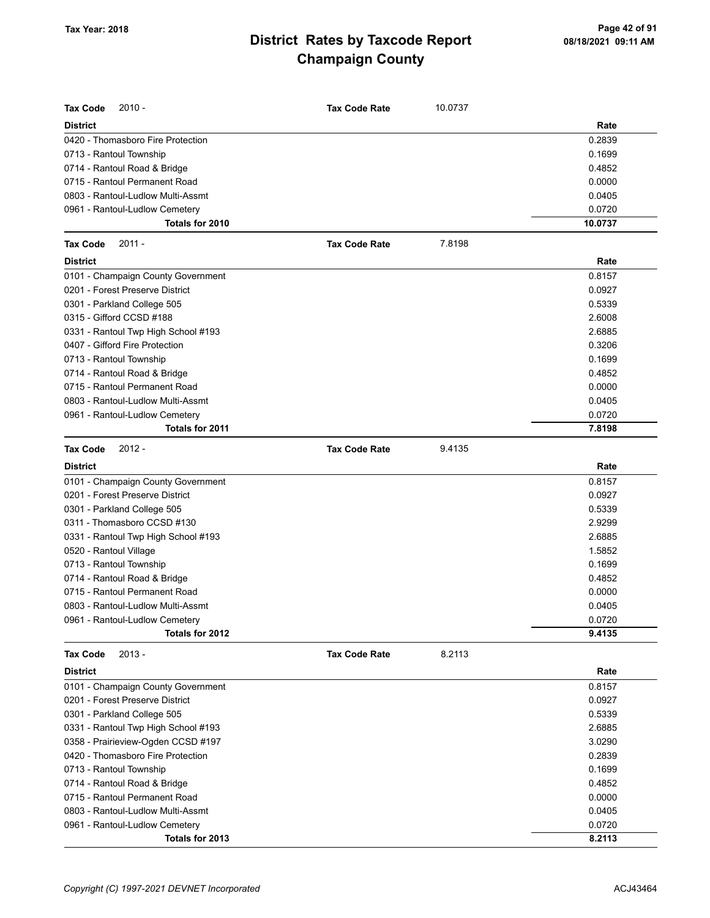| Tax Code<br>$2010 -$                | <b>Tax Code Rate</b> | 10.0737 |         |
|-------------------------------------|----------------------|---------|---------|
| <b>District</b>                     |                      |         | Rate    |
| 0420 - Thomasboro Fire Protection   |                      |         | 0.2839  |
| 0713 - Rantoul Township             |                      |         | 0.1699  |
| 0714 - Rantoul Road & Bridge        |                      |         | 0.4852  |
| 0715 - Rantoul Permanent Road       |                      |         | 0.0000  |
| 0803 - Rantoul-Ludlow Multi-Assmt   |                      |         | 0.0405  |
| 0961 - Rantoul-Ludlow Cemetery      |                      |         | 0.0720  |
| Totals for 2010                     |                      |         | 10.0737 |
| <b>Tax Code</b><br>$2011 -$         | <b>Tax Code Rate</b> | 7.8198  |         |
| <b>District</b>                     |                      |         | Rate    |
| 0101 - Champaign County Government  |                      |         | 0.8157  |
| 0201 - Forest Preserve District     |                      |         | 0.0927  |
| 0301 - Parkland College 505         |                      |         | 0.5339  |
| 0315 - Gifford CCSD #188            |                      |         | 2.6008  |
| 0331 - Rantoul Twp High School #193 |                      |         | 2.6885  |
| 0407 - Gifford Fire Protection      |                      |         | 0.3206  |
| 0713 - Rantoul Township             |                      |         | 0.1699  |
| 0714 - Rantoul Road & Bridge        |                      |         | 0.4852  |
| 0715 - Rantoul Permanent Road       |                      |         | 0.0000  |
| 0803 - Rantoul-Ludlow Multi-Assmt   |                      |         | 0.0405  |
| 0961 - Rantoul-Ludlow Cemetery      |                      |         | 0.0720  |
| Totals for 2011                     |                      |         | 7.8198  |
| $2012 -$<br>Tax Code                | <b>Tax Code Rate</b> | 9.4135  |         |
| <b>District</b>                     |                      |         | Rate    |
| 0101 - Champaign County Government  |                      |         | 0.8157  |
| 0201 - Forest Preserve District     |                      |         | 0.0927  |
| 0301 - Parkland College 505         |                      |         | 0.5339  |
| 0311 - Thomasboro CCSD #130         |                      |         | 2.9299  |
| 0331 - Rantoul Twp High School #193 |                      |         | 2.6885  |
| 0520 - Rantoul Village              |                      |         | 1.5852  |
| 0713 - Rantoul Township             |                      |         | 0.1699  |
| 0714 - Rantoul Road & Bridge        |                      |         | 0.4852  |
| 0715 - Rantoul Permanent Road       |                      |         | 0.0000  |
| 0803 - Rantoul-Ludlow Multi-Assmt   |                      |         | 0.0405  |
| 0961 - Rantoul-Ludlow Cemetery      |                      |         | 0.0720  |
| Totals for 2012                     |                      |         | 9.4135  |
| $2013 -$<br><b>Tax Code</b>         | <b>Tax Code Rate</b> | 8.2113  |         |
| <b>District</b>                     |                      |         | Rate    |
| 0101 - Champaign County Government  |                      |         | 0.8157  |
| 0201 - Forest Preserve District     |                      |         | 0.0927  |
| 0301 - Parkland College 505         |                      |         | 0.5339  |
| 0331 - Rantoul Twp High School #193 |                      |         | 2.6885  |
| 0358 - Prairieview-Ogden CCSD #197  |                      |         | 3.0290  |
| 0420 - Thomasboro Fire Protection   |                      |         | 0.2839  |
| 0713 - Rantoul Township             |                      |         | 0.1699  |
| 0714 - Rantoul Road & Bridge        |                      |         | 0.4852  |
| 0715 - Rantoul Permanent Road       |                      |         | 0.0000  |
| 0803 - Rantoul-Ludlow Multi-Assmt   |                      |         | 0.0405  |
| 0961 - Rantoul-Ludlow Cemetery      |                      |         | 0.0720  |
| Totals for 2013                     |                      |         | 8.2113  |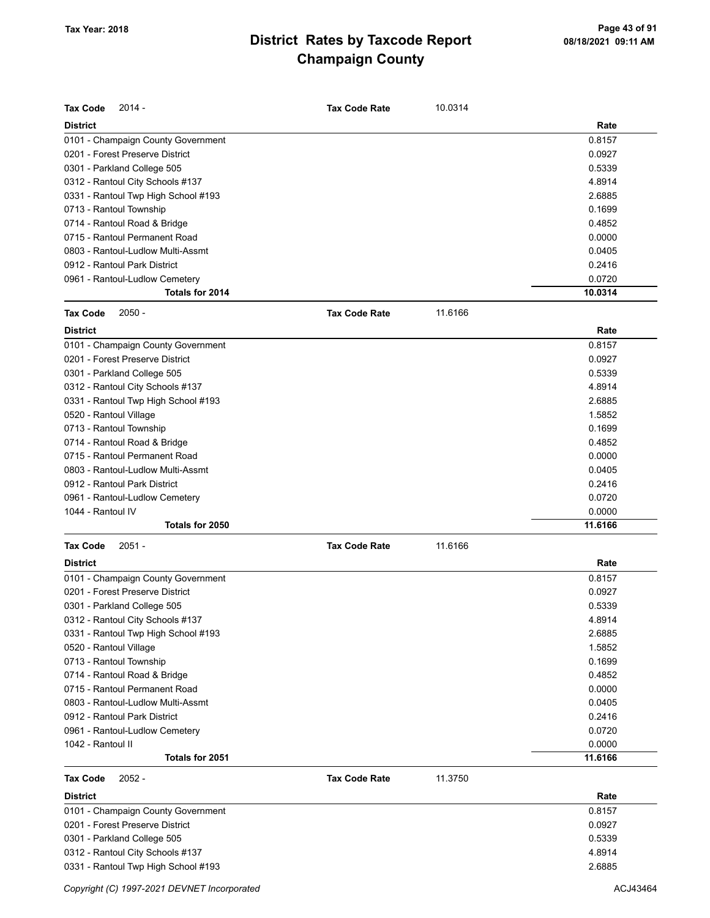| <b>Tax Code</b><br>$2014 -$         | <b>Tax Code Rate</b> | 10.0314 |         |
|-------------------------------------|----------------------|---------|---------|
| <b>District</b>                     |                      |         | Rate    |
| 0101 - Champaign County Government  |                      |         | 0.8157  |
| 0201 - Forest Preserve District     |                      |         | 0.0927  |
| 0301 - Parkland College 505         |                      |         | 0.5339  |
| 0312 - Rantoul City Schools #137    |                      |         | 4.8914  |
| 0331 - Rantoul Twp High School #193 |                      |         | 2.6885  |
| 0713 - Rantoul Township             |                      |         | 0.1699  |
| 0714 - Rantoul Road & Bridge        |                      |         | 0.4852  |
| 0715 - Rantoul Permanent Road       |                      |         | 0.0000  |
| 0803 - Rantoul-Ludlow Multi-Assmt   |                      |         | 0.0405  |
| 0912 - Rantoul Park District        |                      |         | 0.2416  |
| 0961 - Rantoul-Ludlow Cemetery      |                      |         | 0.0720  |
| Totals for 2014                     |                      |         | 10.0314 |
| <b>Tax Code</b><br>$2050 -$         | <b>Tax Code Rate</b> | 11.6166 |         |
| <b>District</b>                     |                      |         | Rate    |
| 0101 - Champaign County Government  |                      |         | 0.8157  |
| 0201 - Forest Preserve District     |                      |         | 0.0927  |
| 0301 - Parkland College 505         |                      |         | 0.5339  |
| 0312 - Rantoul City Schools #137    |                      |         | 4.8914  |
| 0331 - Rantoul Twp High School #193 |                      |         | 2.6885  |
| 0520 - Rantoul Village              |                      |         | 1.5852  |
| 0713 - Rantoul Township             |                      |         | 0.1699  |
| 0714 - Rantoul Road & Bridge        |                      |         | 0.4852  |
| 0715 - Rantoul Permanent Road       |                      |         | 0.0000  |
| 0803 - Rantoul-Ludlow Multi-Assmt   |                      |         | 0.0405  |
| 0912 - Rantoul Park District        |                      |         | 0.2416  |
| 0961 - Rantoul-Ludlow Cemetery      |                      |         | 0.0720  |
| 1044 - Rantoul IV                   |                      |         | 0.0000  |
| Totals for 2050                     |                      |         | 11.6166 |
| <b>Tax Code</b><br>$2051 -$         | <b>Tax Code Rate</b> | 11.6166 |         |
| <b>District</b>                     |                      |         | Rate    |
| 0101 - Champaign County Government  |                      |         | 0.8157  |
| 0201 - Forest Preserve District     |                      |         | 0.0927  |
| 0301 - Parkland College 505         |                      |         | 0.5339  |
| 0312 - Rantoul City Schools #137    |                      |         | 4.8914  |
| 0331 - Rantoul Twp High School #193 |                      |         | 2.6885  |
| 0520 - Rantoul Village              |                      |         | 1.5852  |
| 0713 - Rantoul Township             |                      |         | 0.1699  |
| 0714 - Rantoul Road & Bridge        |                      |         | 0.4852  |
| 0715 - Rantoul Permanent Road       |                      |         | 0.0000  |
| 0803 - Rantoul-Ludlow Multi-Assmt   |                      |         | 0.0405  |
| 0912 - Rantoul Park District        |                      |         | 0.2416  |
| 0961 - Rantoul-Ludlow Cemetery      |                      |         | 0.0720  |
| 1042 - Rantoul II                   |                      |         | 0.0000  |
| Totals for 2051                     |                      |         | 11.6166 |
| Tax Code<br>$2052 -$                | <b>Tax Code Rate</b> | 11.3750 |         |
| <b>District</b>                     |                      |         | Rate    |

| 0101 - Champaign County Government  | 0.8157 |
|-------------------------------------|--------|
| 0201 - Forest Preserve District     | 0.0927 |
| 0301 - Parkland College 505         | 0.5339 |
| 0312 - Rantoul City Schools #137    | 4.8914 |
| 0331 - Rantoul Twp High School #193 | 2.6885 |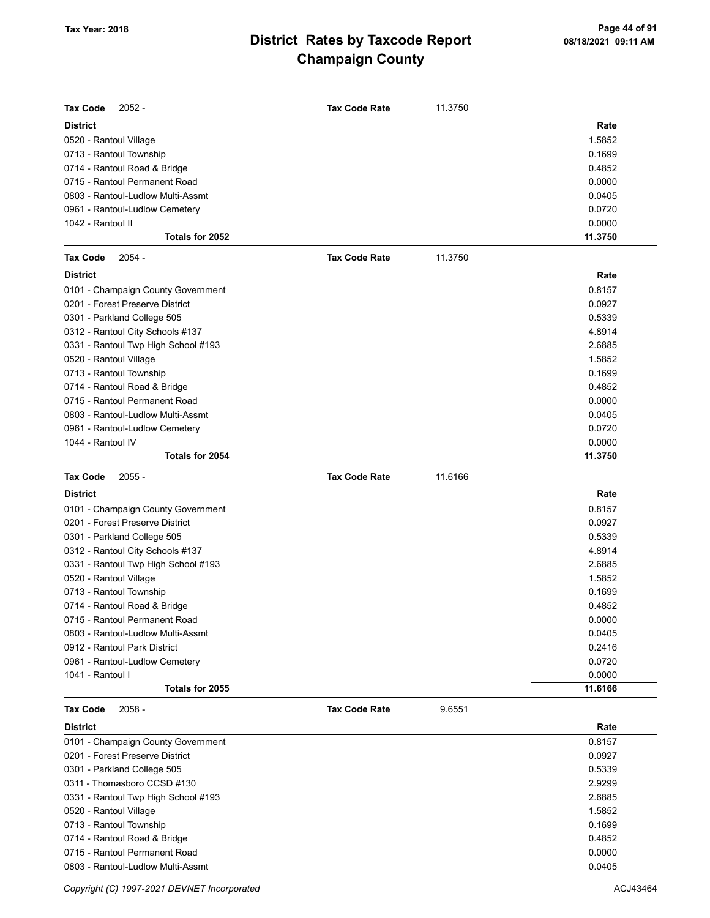| Tax Code<br>$2052 -$                                               | <b>Tax Code Rate</b> | 11.3750 |                  |
|--------------------------------------------------------------------|----------------------|---------|------------------|
| <b>District</b>                                                    |                      |         | Rate             |
| 0520 - Rantoul Village                                             |                      |         | 1.5852           |
| 0713 - Rantoul Township                                            |                      |         | 0.1699           |
| 0714 - Rantoul Road & Bridge                                       |                      |         | 0.4852           |
| 0715 - Rantoul Permanent Road                                      |                      |         | 0.0000           |
| 0803 - Rantoul-Ludlow Multi-Assmt                                  |                      |         | 0.0405           |
| 0961 - Rantoul-Ludlow Cemetery                                     |                      |         | 0.0720           |
| 1042 - Rantoul II                                                  |                      |         | 0.0000           |
| Totals for 2052                                                    |                      |         | 11.3750          |
| <b>Tax Code</b><br>$2054 -$                                        | <b>Tax Code Rate</b> | 11.3750 |                  |
| <b>District</b>                                                    |                      |         | Rate             |
| 0101 - Champaign County Government                                 |                      |         | 0.8157           |
| 0201 - Forest Preserve District                                    |                      |         | 0.0927           |
| 0301 - Parkland College 505                                        |                      |         | 0.5339           |
| 0312 - Rantoul City Schools #137                                   |                      |         | 4.8914           |
| 0331 - Rantoul Twp High School #193                                |                      |         | 2.6885           |
| 0520 - Rantoul Village                                             |                      |         | 1.5852           |
| 0713 - Rantoul Township                                            |                      |         | 0.1699           |
| 0714 - Rantoul Road & Bridge                                       |                      |         | 0.4852           |
| 0715 - Rantoul Permanent Road                                      |                      |         | 0.0000           |
| 0803 - Rantoul-Ludlow Multi-Assmt                                  |                      |         | 0.0405           |
| 0961 - Rantoul-Ludlow Cemetery                                     |                      |         | 0.0720           |
| 1044 - Rantoul IV                                                  |                      |         | 0.0000           |
| Totals for 2054                                                    |                      |         | 11.3750          |
| <b>Tax Code</b><br>$2055 -$                                        | <b>Tax Code Rate</b> | 11.6166 |                  |
|                                                                    |                      |         |                  |
|                                                                    |                      |         |                  |
| <b>District</b>                                                    |                      |         | Rate             |
| 0101 - Champaign County Government                                 |                      |         | 0.8157           |
| 0201 - Forest Preserve District                                    |                      |         | 0.0927           |
| 0301 - Parkland College 505                                        |                      |         | 0.5339           |
| 0312 - Rantoul City Schools #137                                   |                      |         | 4.8914           |
| 0331 - Rantoul Twp High School #193                                |                      |         | 2.6885           |
| 0520 - Rantoul Village                                             |                      |         | 1.5852           |
| 0713 - Rantoul Township                                            |                      |         | 0.1699           |
| 0714 - Rantoul Road & Bridge                                       |                      |         | 0.4852           |
| 0715 - Rantoul Permanent Road                                      |                      |         | 0.0000           |
| 0803 - Rantoul-Ludlow Multi-Assmt                                  |                      |         | 0.0405           |
| 0912 - Rantoul Park District                                       |                      |         | 0.2416           |
| 0961 - Rantoul-Ludlow Cemetery                                     |                      |         | 0.0720           |
| 1041 - Rantoul I                                                   |                      |         | 0.0000           |
| Totals for 2055                                                    |                      |         | 11.6166          |
| <b>Tax Code</b><br>$2058 -$                                        | <b>Tax Code Rate</b> | 9.6551  |                  |
| <b>District</b>                                                    |                      |         | Rate             |
| 0101 - Champaign County Government                                 |                      |         | 0.8157           |
| 0201 - Forest Preserve District                                    |                      |         | 0.0927           |
| 0301 - Parkland College 505                                        |                      |         | 0.5339           |
|                                                                    |                      |         |                  |
| 0311 - Thomasboro CCSD #130<br>0331 - Rantoul Twp High School #193 |                      |         | 2.9299<br>2.6885 |

0713 - Rantoul Township 0.1699 0714 - Rantoul Road & Bridge 0.4852 0715 - Rantoul Permanent Road 0.0000 0803 - Rantoul-Ludlow Multi-Assmt 0.0405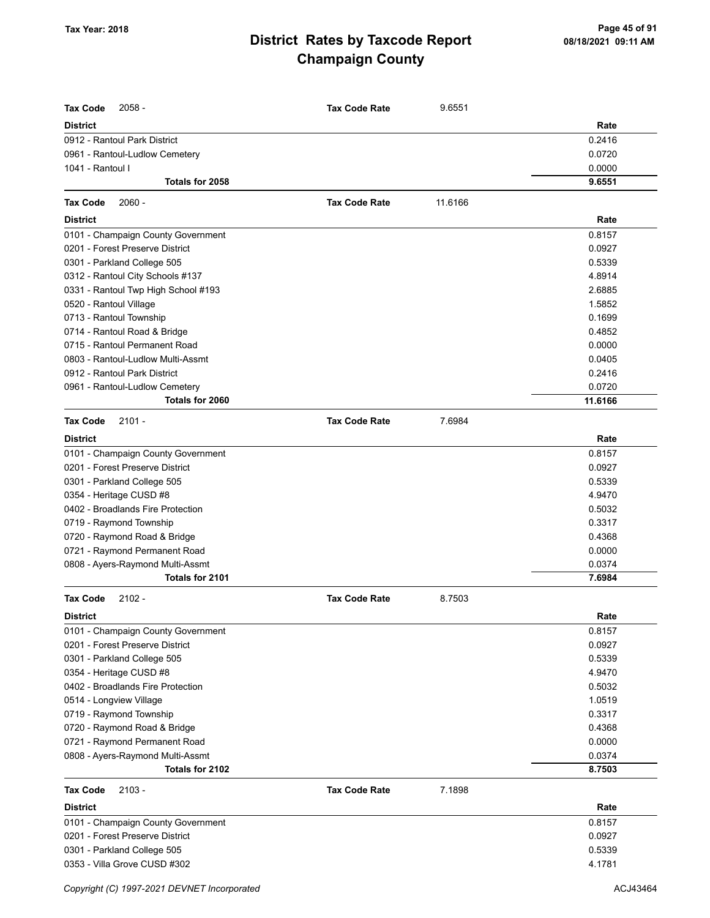| <b>Tax Code</b><br>$2058 -$         | <b>Tax Code Rate</b> | 9.6551  |         |
|-------------------------------------|----------------------|---------|---------|
| <b>District</b>                     |                      |         | Rate    |
| 0912 - Rantoul Park District        |                      |         | 0.2416  |
| 0961 - Rantoul-Ludlow Cemetery      |                      |         | 0.0720  |
| 1041 - Rantoul I                    |                      |         | 0.0000  |
| Totals for 2058                     |                      |         | 9.6551  |
| $2060 -$<br><b>Tax Code</b>         | <b>Tax Code Rate</b> | 11.6166 |         |
| <b>District</b>                     |                      |         | Rate    |
| 0101 - Champaign County Government  |                      |         | 0.8157  |
| 0201 - Forest Preserve District     |                      |         | 0.0927  |
| 0301 - Parkland College 505         |                      |         | 0.5339  |
| 0312 - Rantoul City Schools #137    |                      |         | 4.8914  |
| 0331 - Rantoul Twp High School #193 |                      |         | 2.6885  |
| 0520 - Rantoul Village              |                      |         | 1.5852  |
| 0713 - Rantoul Township             |                      |         | 0.1699  |
| 0714 - Rantoul Road & Bridge        |                      |         | 0.4852  |
| 0715 - Rantoul Permanent Road       |                      |         | 0.0000  |
| 0803 - Rantoul-Ludlow Multi-Assmt   |                      |         | 0.0405  |
| 0912 - Rantoul Park District        |                      |         | 0.2416  |
| 0961 - Rantoul-Ludlow Cemetery      |                      |         | 0.0720  |
| Totals for 2060                     |                      |         | 11.6166 |
| <b>Tax Code</b><br>$2101 -$         | <b>Tax Code Rate</b> | 7.6984  |         |
| <b>District</b>                     |                      |         | Rate    |
| 0101 - Champaign County Government  |                      |         | 0.8157  |
| 0201 - Forest Preserve District     |                      |         | 0.0927  |
| 0301 - Parkland College 505         |                      |         | 0.5339  |
| 0354 - Heritage CUSD #8             |                      |         | 4.9470  |
| 0402 - Broadlands Fire Protection   |                      |         | 0.5032  |
| 0719 - Raymond Township             |                      |         | 0.3317  |
| 0720 - Raymond Road & Bridge        |                      |         | 0.4368  |
| 0721 - Raymond Permanent Road       |                      |         | 0.0000  |
| 0808 - Ayers-Raymond Multi-Assmt    |                      |         | 0.0374  |
| Totals for 2101                     |                      |         | 7.6984  |
| <b>Tax Code</b><br>$2102 -$         | <b>Tax Code Rate</b> | 8.7503  |         |
| <b>District</b>                     |                      |         | Rate    |
| 0101 - Champaign County Government  |                      |         | 0.8157  |
| 0201 - Forest Preserve District     |                      |         | 0.0927  |
| 0301 - Parkland College 505         |                      |         | 0.5339  |
| 0354 - Heritage CUSD #8             |                      |         | 4.9470  |
| 0402 - Broadlands Fire Protection   |                      |         | 0.5032  |
| 0514 - Longview Village             |                      |         | 1.0519  |
| 0719 - Raymond Township             |                      |         | 0.3317  |
| 0720 - Raymond Road & Bridge        |                      |         | 0.4368  |
| 0721 - Raymond Permanent Road       |                      |         | 0.0000  |
| 0808 - Ayers-Raymond Multi-Assmt    |                      |         | 0.0374  |
| Totals for 2102                     |                      |         | 8.7503  |
| <b>Tax Code</b><br>$2103 -$         | <b>Tax Code Rate</b> | 7.1898  |         |
| <b>District</b>                     |                      |         | Rate    |
| 0101 - Champaign County Government  |                      |         | 0.8157  |
| 0201 - Forest Preserve District     |                      |         | 0.0927  |
| 0301 - Parkland College 505         |                      |         | 0.5339  |
| 0353 - Villa Grove CUSD #302        |                      |         | 4.1781  |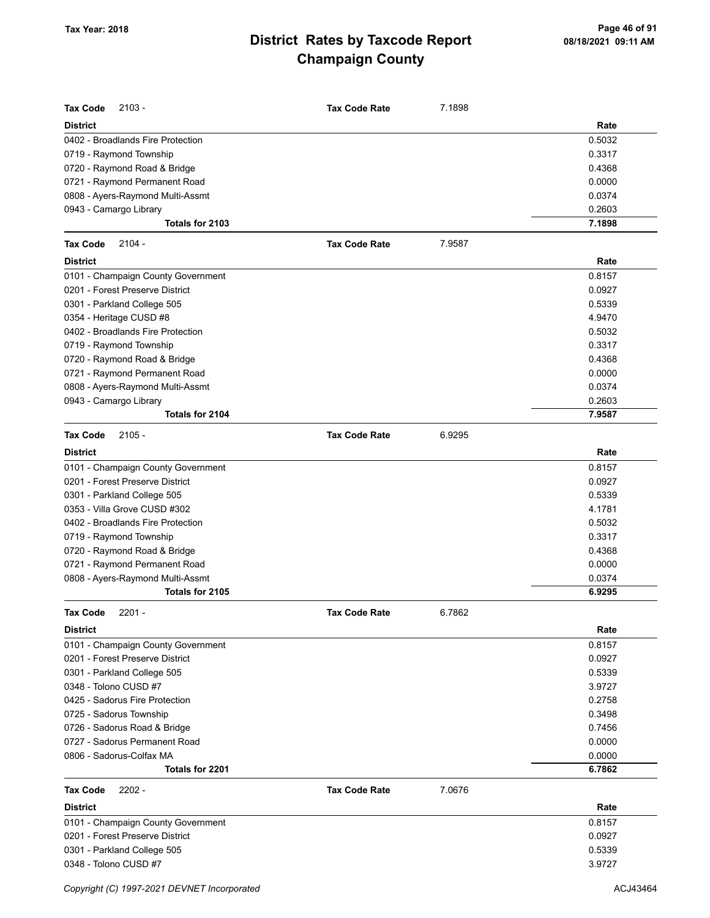| <b>Tax Code</b><br>$2103 -$        | <b>Tax Code Rate</b> | 7.1898 |        |
|------------------------------------|----------------------|--------|--------|
| <b>District</b>                    |                      |        | Rate   |
| 0402 - Broadlands Fire Protection  |                      |        | 0.5032 |
| 0719 - Raymond Township            |                      |        | 0.3317 |
| 0720 - Raymond Road & Bridge       |                      |        | 0.4368 |
| 0721 - Raymond Permanent Road      |                      |        | 0.0000 |
| 0808 - Ayers-Raymond Multi-Assmt   |                      |        | 0.0374 |
| 0943 - Camargo Library             |                      |        | 0.2603 |
| Totals for 2103                    |                      |        | 7.1898 |
| <b>Tax Code</b><br>$2104 -$        | <b>Tax Code Rate</b> | 7.9587 |        |
| <b>District</b>                    |                      |        | Rate   |
| 0101 - Champaign County Government |                      |        | 0.8157 |
| 0201 - Forest Preserve District    |                      |        | 0.0927 |
| 0301 - Parkland College 505        |                      |        | 0.5339 |
| 0354 - Heritage CUSD #8            |                      |        | 4.9470 |
| 0402 - Broadlands Fire Protection  |                      |        | 0.5032 |
| 0719 - Raymond Township            |                      |        | 0.3317 |
| 0720 - Raymond Road & Bridge       |                      |        | 0.4368 |
| 0721 - Raymond Permanent Road      |                      |        | 0.0000 |
| 0808 - Ayers-Raymond Multi-Assmt   |                      |        | 0.0374 |
| 0943 - Camargo Library             |                      |        | 0.2603 |
| Totals for 2104                    |                      |        | 7.9587 |
| <b>Tax Code</b><br>$2105 -$        | <b>Tax Code Rate</b> | 6.9295 |        |
| <b>District</b>                    |                      |        | Rate   |
| 0101 - Champaign County Government |                      |        | 0.8157 |
| 0201 - Forest Preserve District    |                      |        | 0.0927 |
| 0301 - Parkland College 505        |                      |        | 0.5339 |
| 0353 - Villa Grove CUSD #302       |                      |        | 4.1781 |
| 0402 - Broadlands Fire Protection  |                      |        | 0.5032 |
| 0719 - Raymond Township            |                      |        | 0.3317 |
| 0720 - Raymond Road & Bridge       |                      |        | 0.4368 |
| 0721 - Raymond Permanent Road      |                      |        | 0.0000 |
| 0808 - Ayers-Raymond Multi-Assmt   |                      |        | 0.0374 |
| Totals for 2105                    |                      |        | 6.9295 |
| $2201 -$<br><b>Tax Code</b>        | <b>Tax Code Rate</b> | 6.7862 |        |
| District                           |                      |        | Rate   |
| 0101 - Champaign County Government |                      |        | 0.8157 |
| 0201 - Forest Preserve District    |                      |        | 0.0927 |
| 0301 - Parkland College 505        |                      |        | 0.5339 |
| 0348 - Tolono CUSD #7              |                      |        | 3.9727 |
| 0425 - Sadorus Fire Protection     |                      |        | 0.2758 |
| 0725 - Sadorus Township            |                      |        | 0.3498 |
| 0726 - Sadorus Road & Bridge       |                      |        | 0.7456 |
| 0727 - Sadorus Permanent Road      |                      |        | 0.0000 |
| 0806 - Sadorus-Colfax MA           |                      |        | 0.0000 |
| Totals for 2201                    |                      |        | 6.7862 |
| <b>Tax Code</b><br>$2202 -$        | <b>Tax Code Rate</b> | 7.0676 |        |
| <b>District</b>                    |                      |        | Rate   |
| 0101 - Champaign County Government |                      |        | 0.8157 |
| 0201 - Forest Preserve District    |                      |        | 0.0927 |
| 0301 - Parkland College 505        |                      |        | 0.5339 |
| 0348 - Tolono CUSD #7              |                      |        | 3.9727 |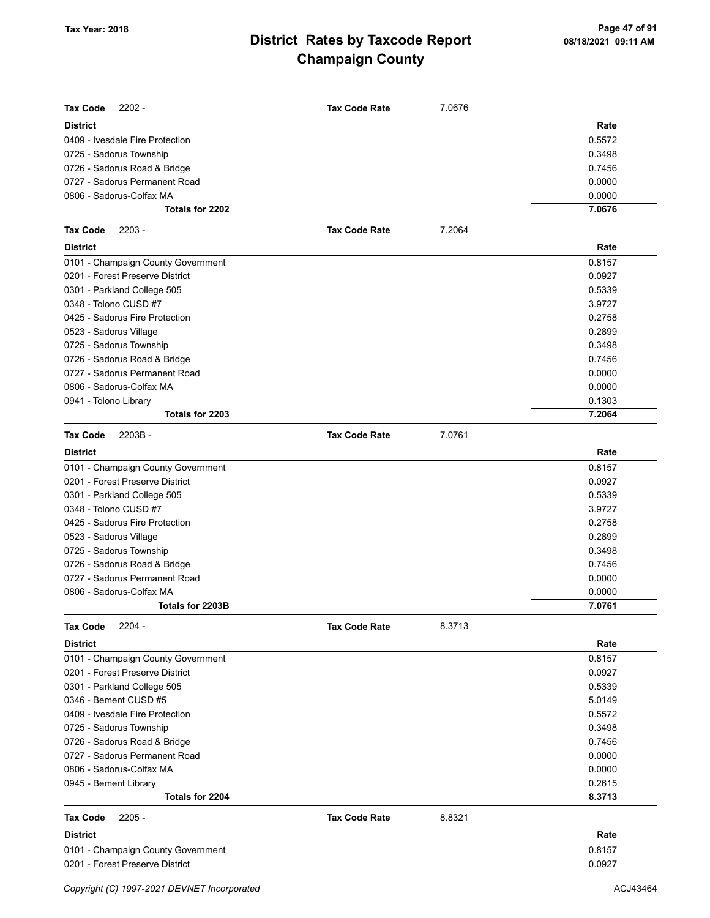| <b>Tax Code</b><br>$2202 -$              | <b>Tax Code Rate</b> | 7.0676 |                  |
|------------------------------------------|----------------------|--------|------------------|
| <b>District</b>                          |                      |        | Rate             |
| 0409 - Ivesdale Fire Protection          |                      |        | 0.5572           |
| 0725 - Sadorus Township                  |                      |        | 0.3498           |
| 0726 - Sadorus Road & Bridge             |                      |        | 0.7456           |
| 0727 - Sadorus Permanent Road            |                      |        | 0.0000           |
| 0806 - Sadorus-Colfax MA                 |                      |        | 0.0000           |
| Totals for 2202                          |                      |        | 7.0676           |
| <b>Tax Code</b><br>$2203 -$              | <b>Tax Code Rate</b> | 7.2064 |                  |
| <b>District</b>                          |                      |        | Rate             |
| 0101 - Champaign County Government       |                      |        | 0.8157           |
| 0201 - Forest Preserve District          |                      |        | 0.0927           |
| 0301 - Parkland College 505              |                      |        | 0.5339           |
| 0348 - Tolono CUSD #7                    |                      |        | 3.9727           |
| 0425 - Sadorus Fire Protection           |                      |        | 0.2758           |
| 0523 - Sadorus Village                   |                      |        | 0.2899           |
| 0725 - Sadorus Township                  |                      |        | 0.3498           |
| 0726 - Sadorus Road & Bridge             |                      |        | 0.7456           |
| 0727 - Sadorus Permanent Road            |                      |        | 0.0000           |
| 0806 - Sadorus-Colfax MA                 |                      |        | 0.0000           |
| 0941 - Tolono Library                    |                      |        | 0.1303           |
| Totals for 2203                          |                      |        | 7.2064           |
| <b>Tax Code</b><br>$2203B -$             | <b>Tax Code Rate</b> | 7.0761 |                  |
| <b>District</b>                          |                      |        | Rate             |
| 0101 - Champaign County Government       |                      |        | 0.8157           |
| 0201 - Forest Preserve District          |                      |        | 0.0927           |
| 0301 - Parkland College 505              |                      |        | 0.5339           |
| 0348 - Tolono CUSD #7                    |                      |        | 3.9727           |
| 0425 - Sadorus Fire Protection           |                      |        | 0.2758           |
| 0523 - Sadorus Village                   |                      |        | 0.2899           |
| 0725 - Sadorus Township                  |                      |        | 0.3498           |
| 0726 - Sadorus Road & Bridge             |                      |        | 0.7456           |
| 0727 - Sadorus Permanent Road            |                      |        | 0.0000           |
| 0806 - Sadorus-Colfax MA                 |                      |        | 0.0000           |
| Totals for 2203B                         |                      |        | 7.0761           |
| <b>Tax Code</b><br>$2204 -$              | <b>Tax Code Rate</b> | 8.3713 |                  |
| <b>District</b>                          |                      |        | Rate             |
| 0101 - Champaign County Government       |                      |        | 0.8157           |
| 0201 - Forest Preserve District          |                      |        | 0.0927           |
| 0301 - Parkland College 505              |                      |        | 0.5339           |
| 0346 - Bement CUSD #5                    |                      |        | 5.0149           |
| 0409 - Ivesdale Fire Protection          |                      |        | 0.5572           |
| 0725 - Sadorus Township                  |                      |        | 0.3498           |
| 0726 - Sadorus Road & Bridge             |                      |        | 0.7456           |
| 0727 - Sadorus Permanent Road            |                      |        | 0.0000           |
| 0806 - Sadorus-Colfax MA                 |                      |        | 0.0000           |
| 0945 - Bement Library<br>Totals for 2204 |                      |        | 0.2615<br>8.3713 |
|                                          |                      |        |                  |
| <b>Tax Code</b><br>$2205 -$              | <b>Tax Code Rate</b> | 8.8321 |                  |
| <b>District</b>                          |                      |        | Rate             |
| 0101 - Champaign County Government       |                      |        | 0.8157           |
| 0201 - Forest Preserve District          |                      |        | 0.0927           |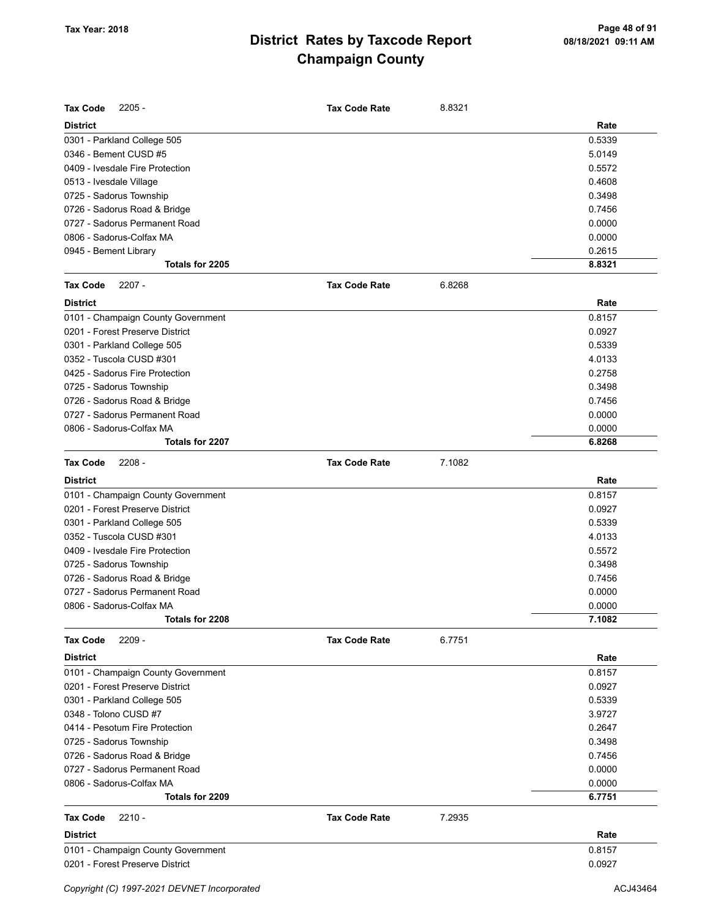| <b>Tax Code</b><br>$2205 -$        | <b>Tax Code Rate</b> | 8.8321 |        |
|------------------------------------|----------------------|--------|--------|
| <b>District</b>                    |                      |        | Rate   |
| 0301 - Parkland College 505        |                      |        | 0.5339 |
| 0346 - Bement CUSD #5              |                      |        | 5.0149 |
| 0409 - Ivesdale Fire Protection    |                      |        | 0.5572 |
| 0513 - Ivesdale Village            |                      |        | 0.4608 |
| 0725 - Sadorus Township            |                      |        | 0.3498 |
| 0726 - Sadorus Road & Bridge       |                      |        | 0.7456 |
| 0727 - Sadorus Permanent Road      |                      |        | 0.0000 |
| 0806 - Sadorus-Colfax MA           |                      |        | 0.0000 |
| 0945 - Bement Library              |                      |        | 0.2615 |
| Totals for 2205                    |                      |        | 8.8321 |
| <b>Tax Code</b><br>$2207 -$        | <b>Tax Code Rate</b> | 6.8268 |        |
| <b>District</b>                    |                      |        | Rate   |
| 0101 - Champaign County Government |                      |        | 0.8157 |
| 0201 - Forest Preserve District    |                      |        | 0.0927 |
| 0301 - Parkland College 505        |                      |        | 0.5339 |
| 0352 - Tuscola CUSD #301           |                      |        | 4.0133 |
| 0425 - Sadorus Fire Protection     |                      |        | 0.2758 |
| 0725 - Sadorus Township            |                      |        | 0.3498 |
| 0726 - Sadorus Road & Bridge       |                      |        | 0.7456 |
| 0727 - Sadorus Permanent Road      |                      |        | 0.0000 |
| 0806 - Sadorus-Colfax MA           |                      |        | 0.0000 |
| Totals for 2207                    |                      |        | 6.8268 |
| $2208 -$<br><b>Tax Code</b>        | <b>Tax Code Rate</b> | 7.1082 |        |
| <b>District</b>                    |                      |        | Rate   |
| 0101 - Champaign County Government |                      |        | 0.8157 |
| 0201 - Forest Preserve District    |                      |        | 0.0927 |
| 0301 - Parkland College 505        |                      |        | 0.5339 |
| 0352 - Tuscola CUSD #301           |                      |        | 4.0133 |
| 0409 - Ivesdale Fire Protection    |                      |        | 0.5572 |
| 0725 - Sadorus Township            |                      |        | 0.3498 |
| 0726 - Sadorus Road & Bridge       |                      |        | 0.7456 |
| 0727 - Sadorus Permanent Road      |                      |        | 0.0000 |
| 0806 - Sadorus-Colfax MA           |                      |        | 0.0000 |
| Totals for 2208                    |                      |        | 7.1082 |
| $2209 -$<br><b>Tax Code</b>        | <b>Tax Code Rate</b> | 6.7751 |        |
| <b>District</b>                    |                      |        | Rate   |
| 0101 - Champaign County Government |                      |        | 0.8157 |
| 0201 - Forest Preserve District    |                      |        | 0.0927 |
| 0301 - Parkland College 505        |                      |        | 0.5339 |
| 0348 - Tolono CUSD #7              |                      |        | 3.9727 |
| 0414 - Pesotum Fire Protection     |                      |        | 0.2647 |
| 0725 - Sadorus Township            |                      |        | 0.3498 |
| 0726 - Sadorus Road & Bridge       |                      |        | 0.7456 |
| 0727 - Sadorus Permanent Road      |                      |        | 0.0000 |
| 0806 - Sadorus-Colfax MA           |                      |        | 0.0000 |
| Totals for 2209                    |                      |        | 6.7751 |
| <b>Tax Code</b><br>$2210 -$        | <b>Tax Code Rate</b> | 7.2935 |        |
| <b>District</b>                    |                      |        | Rate   |
| 0101 - Champaign County Government |                      |        | 0.8157 |
| 0201 - Forest Preserve District    |                      |        | 0.0927 |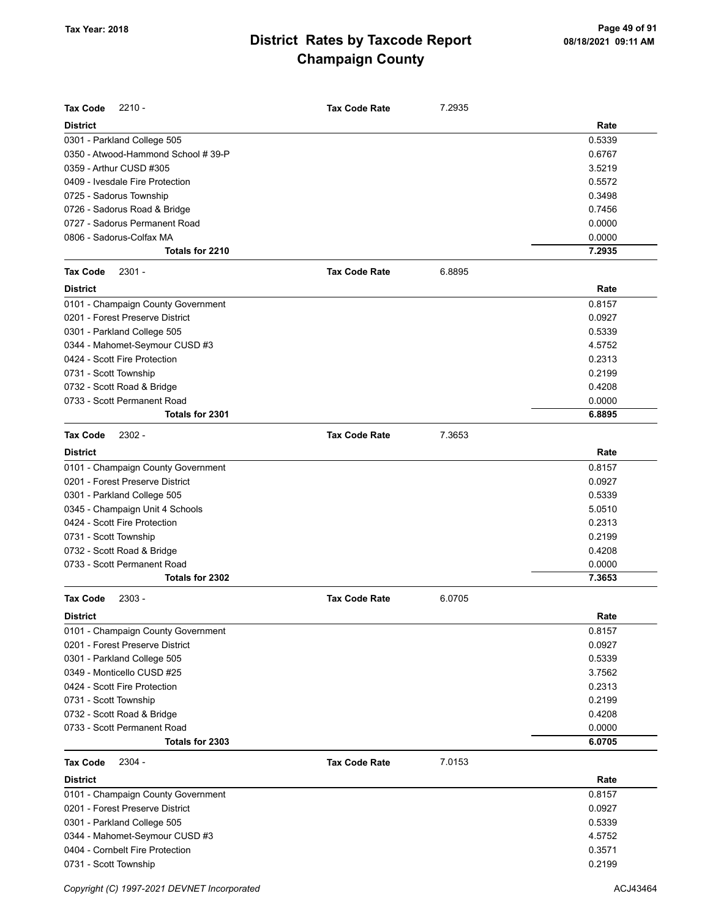| <b>Tax Code</b><br>$2210 -$         | <b>Tax Code Rate</b> | 7.2935 |        |
|-------------------------------------|----------------------|--------|--------|
| <b>District</b>                     |                      |        | Rate   |
| 0301 - Parkland College 505         |                      |        | 0.5339 |
| 0350 - Atwood-Hammond School # 39-P |                      |        | 0.6767 |
| 0359 - Arthur CUSD #305             |                      |        | 3.5219 |
| 0409 - Ivesdale Fire Protection     |                      |        | 0.5572 |
| 0725 - Sadorus Township             |                      |        | 0.3498 |
| 0726 - Sadorus Road & Bridge        |                      |        | 0.7456 |
| 0727 - Sadorus Permanent Road       |                      |        | 0.0000 |
| 0806 - Sadorus-Colfax MA            |                      |        | 0.0000 |
| Totals for 2210                     |                      |        | 7.2935 |
| $2301 -$<br><b>Tax Code</b>         | <b>Tax Code Rate</b> | 6.8895 |        |
| <b>District</b>                     |                      |        | Rate   |
| 0101 - Champaign County Government  |                      |        | 0.8157 |
| 0201 - Forest Preserve District     |                      |        | 0.0927 |
| 0301 - Parkland College 505         |                      |        | 0.5339 |
| 0344 - Mahomet-Seymour CUSD #3      |                      |        | 4.5752 |
| 0424 - Scott Fire Protection        |                      |        | 0.2313 |
| 0731 - Scott Township               |                      |        | 0.2199 |
| 0732 - Scott Road & Bridge          |                      |        | 0.4208 |
| 0733 - Scott Permanent Road         |                      |        | 0.0000 |
| Totals for 2301                     |                      |        | 6.8895 |
| <b>Tax Code</b><br>$2302 -$         | <b>Tax Code Rate</b> | 7.3653 |        |
| <b>District</b>                     |                      |        | Rate   |
| 0101 - Champaign County Government  |                      |        | 0.8157 |
| 0201 - Forest Preserve District     |                      |        | 0.0927 |
| 0301 - Parkland College 505         |                      |        | 0.5339 |
| 0345 - Champaign Unit 4 Schools     |                      |        | 5.0510 |
| 0424 - Scott Fire Protection        |                      |        | 0.2313 |
| 0731 - Scott Township               |                      |        | 0.2199 |
| 0732 - Scott Road & Bridge          |                      |        | 0.4208 |
| 0733 - Scott Permanent Road         |                      |        | 0.0000 |
| Totals for 2302                     |                      |        | 7.3653 |
| $2303 -$<br><b>Tax Code</b>         | <b>Tax Code Rate</b> | 6.0705 |        |
| <b>District</b>                     |                      |        | Rate   |
| 0101 - Champaign County Government  |                      |        | 0.8157 |
| 0201 - Forest Preserve District     |                      |        | 0.0927 |
| 0301 - Parkland College 505         |                      |        | 0.5339 |
| 0349 - Monticello CUSD #25          |                      |        | 3.7562 |
| 0424 - Scott Fire Protection        |                      |        | 0.2313 |
| 0731 - Scott Township               |                      |        | 0.2199 |
| 0732 - Scott Road & Bridge          |                      |        | 0.4208 |
| 0733 - Scott Permanent Road         |                      |        | 0.0000 |
| Totals for 2303                     |                      |        | 6.0705 |
| 2304 -<br><b>Tax Code</b>           | <b>Tax Code Rate</b> | 7.0153 |        |
| <b>District</b>                     |                      |        | Rate   |
| 0101 - Champaign County Government  |                      |        | 0.8157 |
| 0201 - Forest Preserve District     |                      |        | 0.0927 |
| 0301 - Parkland College 505         |                      |        | 0.5339 |
| 0344 - Mahomet-Seymour CUSD #3      |                      |        | 4.5752 |
| 0404 - Cornbelt Fire Protection     |                      |        | 0.3571 |
| 0731 - Scott Township               |                      |        | 0.2199 |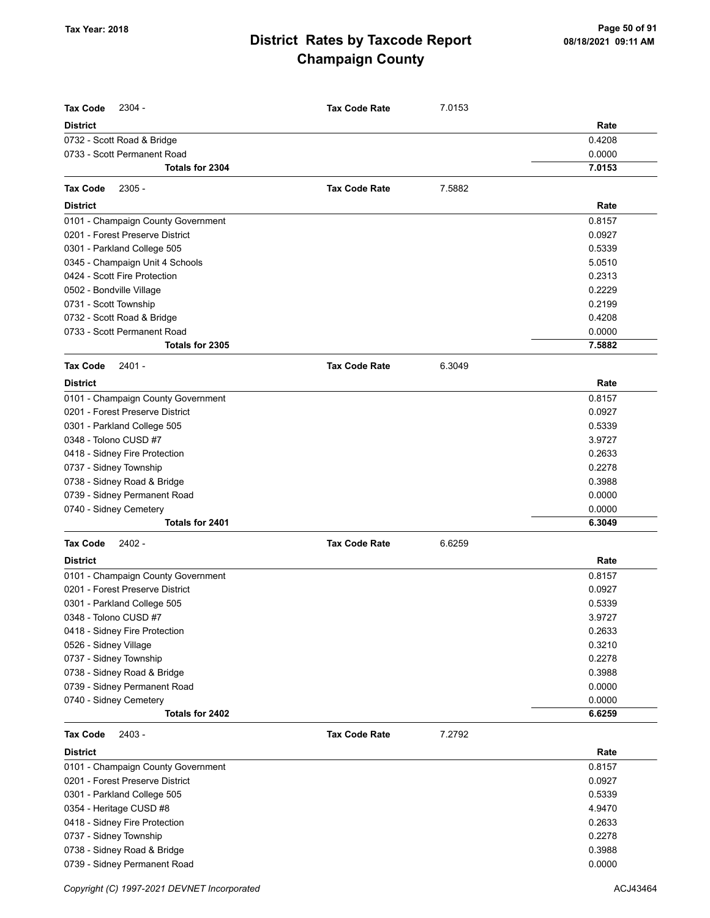| <b>Tax Code</b><br>2304 -          | <b>Tax Code Rate</b> | 7.0153 |        |
|------------------------------------|----------------------|--------|--------|
| <b>District</b>                    |                      |        | Rate   |
| 0732 - Scott Road & Bridge         |                      |        | 0.4208 |
| 0733 - Scott Permanent Road        |                      |        | 0.0000 |
| <b>Totals for 2304</b>             |                      |        | 7.0153 |
| <b>Tax Code</b><br>$2305 -$        | <b>Tax Code Rate</b> | 7.5882 |        |
| <b>District</b>                    |                      |        | Rate   |
| 0101 - Champaign County Government |                      |        | 0.8157 |
| 0201 - Forest Preserve District    |                      |        | 0.0927 |
| 0301 - Parkland College 505        |                      |        | 0.5339 |
| 0345 - Champaign Unit 4 Schools    |                      |        | 5.0510 |
| 0424 - Scott Fire Protection       |                      |        | 0.2313 |
| 0502 - Bondville Village           |                      |        | 0.2229 |
| 0731 - Scott Township              |                      |        | 0.2199 |
| 0732 - Scott Road & Bridge         |                      |        | 0.4208 |
| 0733 - Scott Permanent Road        |                      |        | 0.0000 |
| Totals for 2305                    |                      |        | 7.5882 |
| $2401 -$<br><b>Tax Code</b>        | <b>Tax Code Rate</b> | 6.3049 |        |
| <b>District</b>                    |                      |        | Rate   |
| 0101 - Champaign County Government |                      |        | 0.8157 |
| 0201 - Forest Preserve District    |                      |        | 0.0927 |
| 0301 - Parkland College 505        |                      |        | 0.5339 |
| 0348 - Tolono CUSD #7              |                      |        | 3.9727 |
| 0418 - Sidney Fire Protection      |                      |        | 0.2633 |
| 0737 - Sidney Township             |                      |        | 0.2278 |
| 0738 - Sidney Road & Bridge        |                      |        | 0.3988 |
| 0739 - Sidney Permanent Road       |                      |        | 0.0000 |
| 0740 - Sidney Cemetery             |                      |        | 0.0000 |
| Totals for 2401                    |                      |        | 6.3049 |
| <b>Tax Code</b><br>2402 -          | <b>Tax Code Rate</b> | 6.6259 |        |
| <b>District</b>                    |                      |        | Rate   |
| 0101 - Champaign County Government |                      |        | 0.8157 |
| 0201 - Forest Preserve District    |                      |        | 0.0927 |
| 0301 - Parkland College 505        |                      |        | 0.5339 |
| 0348 - Tolono CUSD #7              |                      |        | 3.9727 |
| 0418 - Sidney Fire Protection      |                      |        | 0.2633 |
| 0526 - Sidney Village              |                      |        | 0.3210 |
| 0737 - Sidney Township             |                      |        | 0.2278 |
| 0738 - Sidney Road & Bridge        |                      |        | 0.3988 |
| 0739 - Sidney Permanent Road       |                      |        | 0.0000 |
| 0740 - Sidney Cemetery             |                      |        | 0.0000 |
| Totals for 2402                    |                      |        | 6.6259 |
| <b>Tax Code</b><br>2403 -          | <b>Tax Code Rate</b> | 7.2792 |        |
| <b>District</b>                    |                      |        | Rate   |
| 0101 - Champaign County Government |                      |        | 0.8157 |
| 0201 - Forest Preserve District    |                      |        | 0.0927 |
| 0301 - Parkland College 505        |                      |        | 0.5339 |
| 0354 - Heritage CUSD #8            |                      |        | 4.9470 |
| 0418 - Sidney Fire Protection      |                      |        | 0.2633 |
| 0737 - Sidney Township             |                      |        | 0.2278 |
| 0738 - Sidney Road & Bridge        |                      |        | 0.3988 |
| 0739 - Sidney Permanent Road       |                      |        | 0.0000 |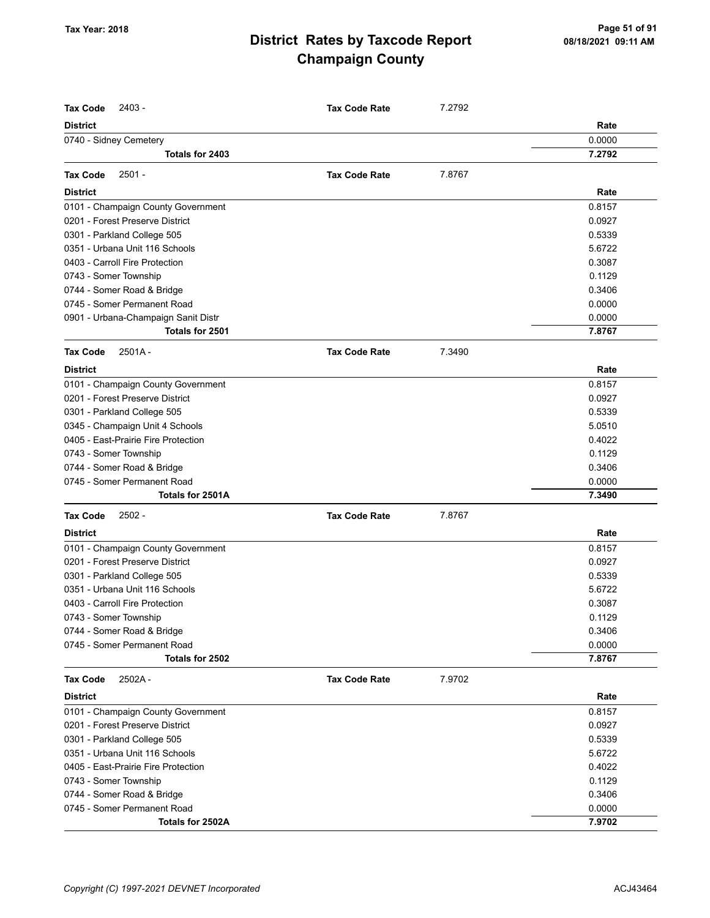| <b>Tax Code</b><br>2403 -                              | <b>Tax Code Rate</b> | 7.2792 |        |
|--------------------------------------------------------|----------------------|--------|--------|
| <b>District</b>                                        |                      |        | Rate   |
| 0740 - Sidney Cemetery                                 |                      |        | 0.0000 |
| Totals for 2403                                        |                      |        | 7.2792 |
| <b>Tax Code</b><br>$2501 -$                            | <b>Tax Code Rate</b> | 7.8767 |        |
| <b>District</b>                                        |                      |        | Rate   |
| 0101 - Champaign County Government                     |                      |        | 0.8157 |
| 0201 - Forest Preserve District                        |                      |        | 0.0927 |
| 0301 - Parkland College 505                            |                      |        | 0.5339 |
| 0351 - Urbana Unit 116 Schools                         |                      |        | 5.6722 |
| 0403 - Carroll Fire Protection                         |                      |        | 0.3087 |
| 0743 - Somer Township                                  |                      |        | 0.1129 |
| 0744 - Somer Road & Bridge                             |                      |        | 0.3406 |
| 0745 - Somer Permanent Road                            |                      |        | 0.0000 |
|                                                        |                      |        | 0.0000 |
| 0901 - Urbana-Champaign Sanit Distr<br>Totals for 2501 |                      |        | 7.8767 |
|                                                        |                      |        |        |
| <b>Tax Code</b><br>$2501A -$                           | <b>Tax Code Rate</b> | 7.3490 |        |
| <b>District</b>                                        |                      |        | Rate   |
| 0101 - Champaign County Government                     |                      |        | 0.8157 |
| 0201 - Forest Preserve District                        |                      |        | 0.0927 |
| 0301 - Parkland College 505                            |                      |        | 0.5339 |
| 0345 - Champaign Unit 4 Schools                        |                      |        | 5.0510 |
| 0405 - East-Prairie Fire Protection                    |                      |        | 0.4022 |
| 0743 - Somer Township                                  |                      |        | 0.1129 |
| 0744 - Somer Road & Bridge                             |                      |        | 0.3406 |
| 0745 - Somer Permanent Road                            |                      |        | 0.0000 |
| Totals for 2501A                                       |                      |        | 7.3490 |
| <b>Tax Code</b><br>$2502 -$                            | <b>Tax Code Rate</b> | 7.8767 |        |
| <b>District</b>                                        |                      |        | Rate   |
| 0101 - Champaign County Government                     |                      |        | 0.8157 |
| 0201 - Forest Preserve District                        |                      |        | 0.0927 |
| 0301 - Parkland College 505                            |                      |        | 0.5339 |
| 0351 - Urbana Unit 116 Schools                         |                      |        | 5.6722 |
| 0403 - Carroll Fire Protection                         |                      |        | 0.3087 |
| 0743 - Somer Township                                  |                      |        | 0.1129 |
| 0744 - Somer Road & Bridge                             |                      |        | 0.3406 |
| 0745 - Somer Permanent Road                            |                      |        | 0.0000 |
| Totals for 2502                                        |                      |        | 7.8767 |
| 2502A-<br><b>Tax Code</b>                              | <b>Tax Code Rate</b> | 7.9702 |        |
| <b>District</b>                                        |                      |        | Rate   |
| 0101 - Champaign County Government                     |                      |        | 0.8157 |
| 0201 - Forest Preserve District                        |                      |        | 0.0927 |
| 0301 - Parkland College 505                            |                      |        | 0.5339 |
| 0351 - Urbana Unit 116 Schools                         |                      |        | 5.6722 |
| 0405 - East-Prairie Fire Protection                    |                      |        | 0.4022 |
| 0743 - Somer Township                                  |                      |        | 0.1129 |
| 0744 - Somer Road & Bridge                             |                      |        | 0.3406 |
| 0745 - Somer Permanent Road                            |                      |        | 0.0000 |
| Totals for 2502A                                       |                      |        | 7.9702 |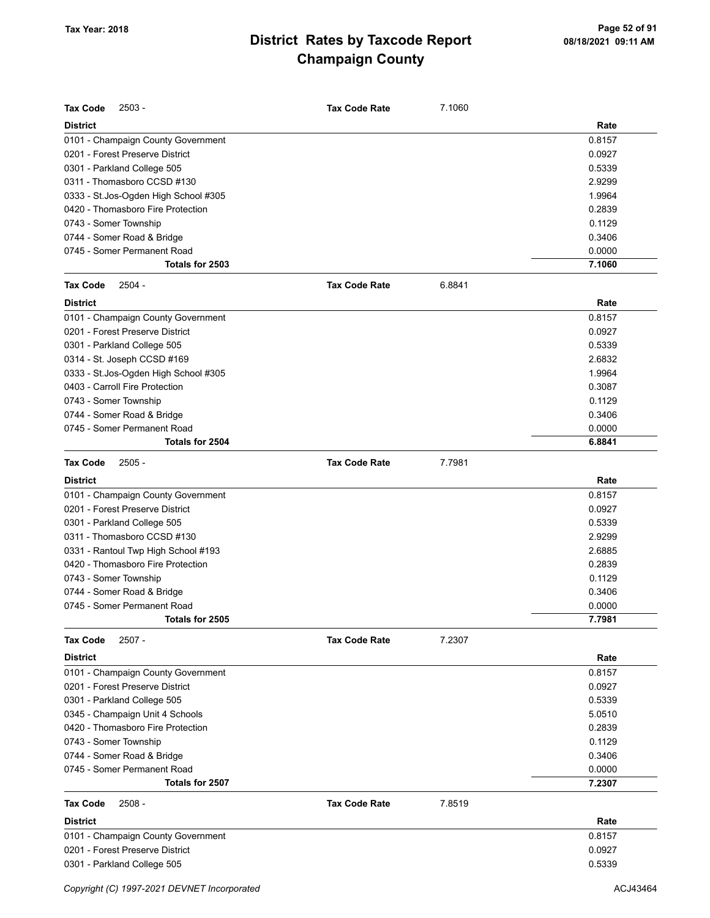| <b>Tax Code</b><br>- 2503             | <b>Tax Code Rate</b> | 7.1060 |        |
|---------------------------------------|----------------------|--------|--------|
| <b>District</b>                       |                      |        | Rate   |
| 0101 - Champaign County Government    |                      |        | 0.8157 |
| 0201 - Forest Preserve District       |                      |        | 0.0927 |
| 0301 - Parkland College 505           |                      |        | 0.5339 |
| 0311 - Thomasboro CCSD #130           |                      |        | 2.9299 |
| 0333 - St.Jos-Ogden High School #305  |                      |        | 1.9964 |
| 0420 - Thomasboro Fire Protection     |                      |        | 0.2839 |
| 0743 - Somer Township                 |                      |        | 0.1129 |
| 0744 - Somer Road & Bridge            |                      |        | 0.3406 |
| 0745 - Somer Permanent Road           |                      |        | 0.0000 |
| Totals for 2503                       |                      |        | 7.1060 |
| <b>Tax Code</b><br>$2504 -$           | <b>Tax Code Rate</b> | 6.8841 |        |
| <b>District</b>                       |                      |        | Rate   |
| 0101 - Champaign County Government    |                      |        | 0.8157 |
| 0201 - Forest Preserve District       |                      |        | 0.0927 |
| 0301 - Parkland College 505           |                      |        | 0.5339 |
| 0314 - St. Joseph CCSD #169           |                      |        | 2.6832 |
| 0333 - St. Jos-Ogden High School #305 |                      |        | 1.9964 |
| 0403 - Carroll Fire Protection        |                      |        | 0.3087 |
| 0743 - Somer Township                 |                      |        | 0.1129 |
| 0744 - Somer Road & Bridge            |                      |        | 0.3406 |
| 0745 - Somer Permanent Road           |                      |        | 0.0000 |
| Totals for 2504                       |                      |        | 6.8841 |
| <b>Tax Code</b><br>$2505 -$           | <b>Tax Code Rate</b> | 7.7981 |        |
| <b>District</b>                       |                      |        | Rate   |
| 0101 - Champaign County Government    |                      |        | 0.8157 |
| 0201 - Forest Preserve District       |                      |        | 0.0927 |
| 0301 - Parkland College 505           |                      |        | 0.5339 |
| 0311 - Thomasboro CCSD #130           |                      |        | 2.9299 |
| 0331 - Rantoul Twp High School #193   |                      |        | 2.6885 |
| 0420 - Thomasboro Fire Protection     |                      |        | 0.2839 |
| 0743 - Somer Township                 |                      |        | 0.1129 |
| 0744 - Somer Road & Bridge            |                      |        | 0.3406 |
| 0745 - Somer Permanent Road           |                      |        | 0.0000 |
| Totals for 2505                       |                      |        | 7.7981 |
| $2507 -$<br><b>Tax Code</b>           | <b>Tax Code Rate</b> | 7.2307 |        |
| <b>District</b>                       |                      |        | Rate   |
| 0101 - Champaign County Government    |                      |        | 0.8157 |
| 0201 - Forest Preserve District       |                      |        | 0.0927 |
| 0301 - Parkland College 505           |                      |        | 0.5339 |
| 0345 - Champaign Unit 4 Schools       |                      |        | 5.0510 |
| 0420 - Thomasboro Fire Protection     |                      |        | 0.2839 |
| 0743 - Somer Township                 |                      |        | 0.1129 |
| 0744 - Somer Road & Bridge            |                      |        | 0.3406 |
| 0745 - Somer Permanent Road           |                      |        | 0.0000 |
| Totals for 2507                       |                      |        | 7.2307 |
| <b>Tax Code</b><br>$2508 -$           | <b>Tax Code Rate</b> | 7.8519 |        |
| <b>District</b>                       |                      |        | Rate   |
| 0101 - Champaign County Government    |                      |        | 0.8157 |
| 0201 - Forest Preserve District       |                      |        | 0.0927 |
| 0301 - Parkland College 505           |                      |        | 0.5339 |
|                                       |                      |        |        |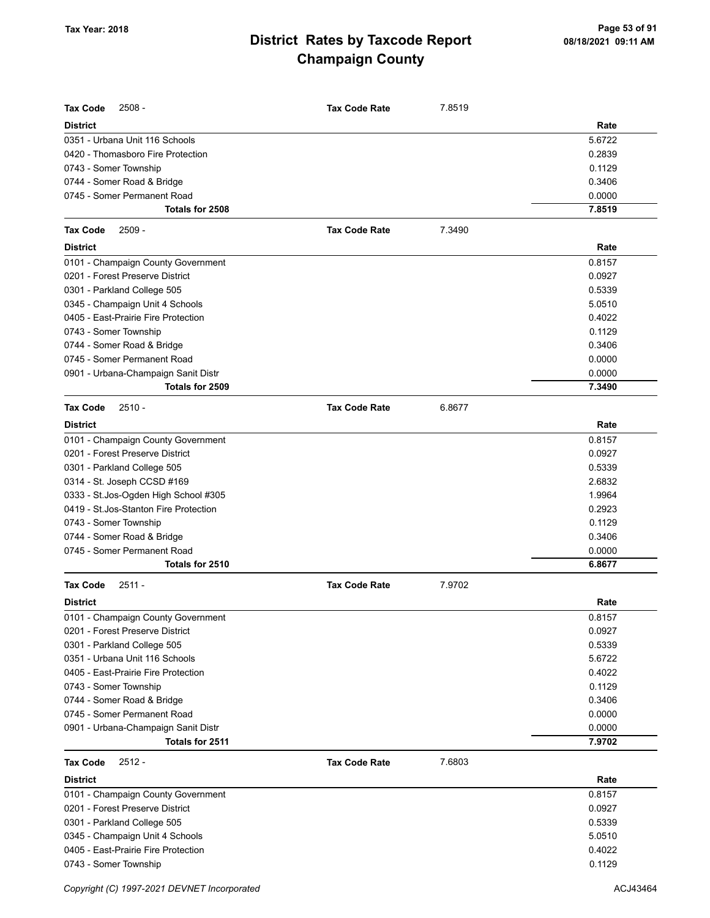| <b>Tax Code</b><br>$2508 -$                                            | <b>Tax Code Rate</b> | 7.8519 |                  |
|------------------------------------------------------------------------|----------------------|--------|------------------|
| <b>District</b>                                                        |                      |        | Rate             |
| 0351 - Urbana Unit 116 Schools                                         |                      |        | 5.6722           |
| 0420 - Thomasboro Fire Protection                                      |                      |        | 0.2839           |
| 0743 - Somer Township                                                  |                      |        | 0.1129           |
| 0744 - Somer Road & Bridge                                             |                      |        | 0.3406           |
| 0745 - Somer Permanent Road                                            |                      |        | 0.0000           |
| Totals for 2508                                                        |                      |        | 7.8519           |
| <b>Tax Code</b><br>$2509 -$                                            | <b>Tax Code Rate</b> | 7.3490 |                  |
| <b>District</b>                                                        |                      |        | Rate             |
| 0101 - Champaign County Government                                     |                      |        | 0.8157           |
| 0201 - Forest Preserve District                                        |                      |        | 0.0927           |
| 0301 - Parkland College 505                                            |                      |        | 0.5339           |
| 0345 - Champaign Unit 4 Schools                                        |                      |        | 5.0510           |
| 0405 - East-Prairie Fire Protection                                    |                      |        | 0.4022           |
| 0743 - Somer Township                                                  |                      |        | 0.1129           |
| 0744 - Somer Road & Bridge                                             |                      |        | 0.3406           |
| 0745 - Somer Permanent Road                                            |                      |        | 0.0000           |
| 0901 - Urbana-Champaign Sanit Distr                                    |                      |        | 0.0000           |
| Totals for 2509                                                        |                      |        | 7.3490           |
| <b>Tax Code</b><br>$2510 -$                                            | <b>Tax Code Rate</b> | 6.8677 |                  |
| <b>District</b>                                                        |                      |        | Rate             |
| 0101 - Champaign County Government                                     |                      |        | 0.8157           |
| 0201 - Forest Preserve District                                        |                      |        | 0.0927           |
| 0301 - Parkland College 505                                            |                      |        | 0.5339           |
| 0314 - St. Joseph CCSD #169                                            |                      |        | 2.6832           |
| 0333 - St.Jos-Ogden High School #305                                   |                      |        | 1.9964           |
| 0419 - St. Jos-Stanton Fire Protection                                 |                      |        | 0.2923           |
| 0743 - Somer Township                                                  |                      |        | 0.1129           |
| 0744 - Somer Road & Bridge                                             |                      |        | 0.3406           |
| 0745 - Somer Permanent Road                                            |                      |        | 0.0000           |
| Totals for 2510                                                        |                      |        | 6.8677           |
| <b>Tax Code</b><br>$2511 -$                                            | <b>Tax Code Rate</b> | 7.9702 |                  |
| District                                                               |                      |        | Rate             |
| 0101 - Champaign County Government                                     |                      |        | 0.8157           |
| 0201 - Forest Preserve District                                        |                      |        | 0.0927           |
| 0301 - Parkland College 505                                            |                      |        | 0.5339           |
| 0351 - Urbana Unit 116 Schools                                         |                      |        | 5.6722           |
| 0405 - East-Prairie Fire Protection                                    |                      |        | 0.4022           |
| 0743 - Somer Township                                                  |                      |        | 0.1129           |
| 0744 - Somer Road & Bridge                                             |                      |        | 0.3406           |
| 0745 - Somer Permanent Road                                            |                      |        | 0.0000           |
| 0901 - Urbana-Champaign Sanit Distr                                    |                      |        | 0.0000           |
| Totals for 2511                                                        |                      |        | 7.9702           |
| $2512 -$<br><b>Tax Code</b>                                            | <b>Tax Code Rate</b> | 7.6803 |                  |
| <b>District</b>                                                        |                      |        | Rate             |
| 0101 - Champaign County Government                                     |                      |        | 0.8157           |
| 0201 - Forest Preserve District                                        |                      |        | 0.0927           |
| 0301 - Parkland College 505                                            |                      |        | 0.5339           |
| 0345 - Champaign Unit 4 Schools<br>0405 - East-Prairie Fire Protection |                      |        | 5.0510<br>0.4022 |
| 0743 - Somer Township                                                  |                      |        | 0.1129           |
|                                                                        |                      |        |                  |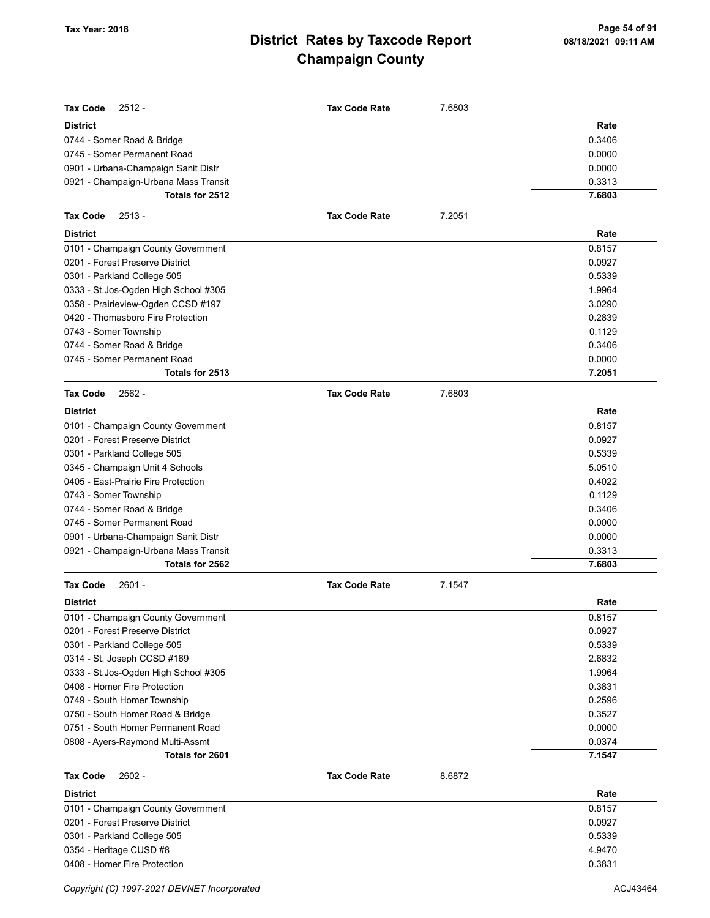| <b>Tax Code</b><br>$2512 -$<br>District | <b>Tax Code Rate</b> | 7.6803 | Rate   |
|-----------------------------------------|----------------------|--------|--------|
| 0744 - Somer Road & Bridge              |                      |        | 0.3406 |
| 0745 - Somer Permanent Road             |                      |        | 0.0000 |
| 0901 - Urbana-Champaign Sanit Distr     |                      |        | 0.0000 |
| 0921 - Champaign-Urbana Mass Transit    |                      |        | 0.3313 |
| Totals for 2512                         |                      |        | 7.6803 |
|                                         |                      |        |        |
| Tax Code<br>$2513 -$<br><b>District</b> | <b>Tax Code Rate</b> | 7.2051 | Rate   |
|                                         |                      |        |        |
| 0101 - Champaign County Government      |                      |        | 0.8157 |
| 0201 - Forest Preserve District         |                      |        | 0.0927 |
| 0301 - Parkland College 505             |                      |        | 0.5339 |
| 0333 - St.Jos-Ogden High School #305    |                      |        | 1.9964 |
| 0358 - Prairieview-Ogden CCSD #197      |                      |        | 3.0290 |
| 0420 - Thomasboro Fire Protection       |                      |        | 0.2839 |
| 0743 - Somer Township                   |                      |        | 0.1129 |
| 0744 - Somer Road & Bridge              |                      |        | 0.3406 |
| 0745 - Somer Permanent Road             |                      |        | 0.0000 |
| Totals for 2513                         |                      |        | 7.2051 |
| <b>Tax Code</b><br>$2562 -$             | <b>Tax Code Rate</b> | 7.6803 |        |
| <b>District</b>                         |                      |        | Rate   |
| 0101 - Champaign County Government      |                      |        | 0.8157 |
| 0201 - Forest Preserve District         |                      |        | 0.0927 |
| 0301 - Parkland College 505             |                      |        | 0.5339 |
| 0345 - Champaign Unit 4 Schools         |                      |        | 5.0510 |
| 0405 - East-Prairie Fire Protection     |                      |        | 0.4022 |
| 0743 - Somer Township                   |                      |        | 0.1129 |
| 0744 - Somer Road & Bridge              |                      |        | 0.3406 |
| 0745 - Somer Permanent Road             |                      |        | 0.0000 |
| 0901 - Urbana-Champaign Sanit Distr     |                      |        | 0.0000 |
| 0921 - Champaign-Urbana Mass Transit    |                      |        | 0.3313 |
| Totals for 2562                         |                      |        | 7.6803 |
| <b>Tax Code</b><br>$2601 -$             | <b>Tax Code Rate</b> | 7.1547 |        |
| District                                |                      |        | Rate   |
| 0101 - Champaign County Government      |                      |        | 0.8157 |
| 0201 - Forest Preserve District         |                      |        | 0.0927 |
| 0301 - Parkland College 505             |                      |        | 0.5339 |
| 0314 - St. Joseph CCSD #169             |                      |        | 2.6832 |
| 0333 - St. Jos-Ogden High School #305   |                      |        | 1.9964 |
| 0408 - Homer Fire Protection            |                      |        | 0.3831 |
| 0749 - South Homer Township             |                      |        | 0.2596 |
| 0750 - South Homer Road & Bridge        |                      |        | 0.3527 |
| 0751 - South Homer Permanent Road       |                      |        | 0.0000 |
| 0808 - Ayers-Raymond Multi-Assmt        |                      |        | 0.0374 |
| Totals for 2601                         |                      |        | 7.1547 |
| <b>Tax Code</b><br>$2602 -$             | <b>Tax Code Rate</b> | 8.6872 |        |
| District                                |                      |        | Rate   |
| 0101 - Champaign County Government      |                      |        | 0.8157 |
| 0201 - Forest Preserve District         |                      |        | 0.0927 |
| 0301 - Parkland College 505             |                      |        | 0.5339 |
| 0354 - Heritage CUSD #8                 |                      |        | 4.9470 |
| 0408 - Homer Fire Protection            |                      |        | 0.3831 |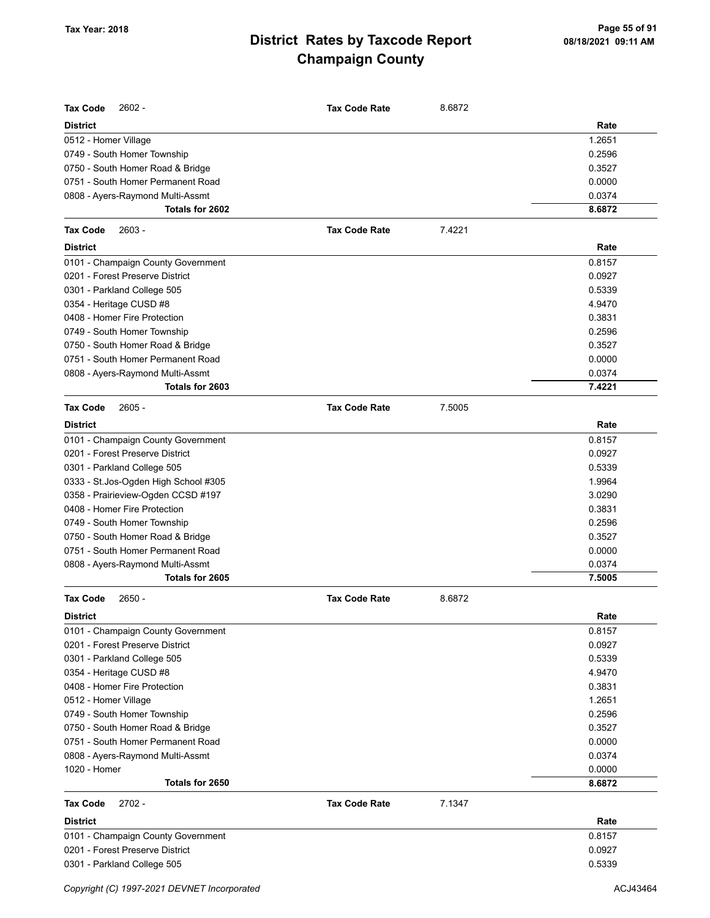| <b>Tax Code</b><br>$2602 -$           | <b>Tax Code Rate</b> | 8.6872 |        |
|---------------------------------------|----------------------|--------|--------|
| <b>District</b>                       |                      |        | Rate   |
| 0512 - Homer Village                  |                      |        | 1.2651 |
| 0749 - South Homer Township           |                      |        | 0.2596 |
| 0750 - South Homer Road & Bridge      |                      |        | 0.3527 |
| 0751 - South Homer Permanent Road     |                      |        | 0.0000 |
| 0808 - Ayers-Raymond Multi-Assmt      |                      |        | 0.0374 |
| Totals for 2602                       |                      |        | 8.6872 |
| <b>Tax Code</b><br>$2603 -$           | <b>Tax Code Rate</b> | 7.4221 |        |
| <b>District</b>                       |                      |        | Rate   |
| 0101 - Champaign County Government    |                      |        | 0.8157 |
| 0201 - Forest Preserve District       |                      |        | 0.0927 |
| 0301 - Parkland College 505           |                      |        | 0.5339 |
| 0354 - Heritage CUSD #8               |                      |        | 4.9470 |
| 0408 - Homer Fire Protection          |                      |        | 0.3831 |
| 0749 - South Homer Township           |                      |        | 0.2596 |
| 0750 - South Homer Road & Bridge      |                      |        | 0.3527 |
| 0751 - South Homer Permanent Road     |                      |        | 0.0000 |
| 0808 - Ayers-Raymond Multi-Assmt      |                      |        | 0.0374 |
| Totals for 2603                       |                      |        | 7.4221 |
| <b>Tax Code</b><br>$2605 -$           | <b>Tax Code Rate</b> | 7.5005 |        |
| <b>District</b>                       |                      |        | Rate   |
| 0101 - Champaign County Government    |                      |        | 0.8157 |
| 0201 - Forest Preserve District       |                      |        | 0.0927 |
| 0301 - Parkland College 505           |                      |        | 0.5339 |
| 0333 - St. Jos-Ogden High School #305 |                      |        | 1.9964 |
| 0358 - Prairieview-Ogden CCSD #197    |                      |        | 3.0290 |
| 0408 - Homer Fire Protection          |                      |        | 0.3831 |
| 0749 - South Homer Township           |                      |        | 0.2596 |
| 0750 - South Homer Road & Bridge      |                      |        | 0.3527 |
| 0751 - South Homer Permanent Road     |                      |        | 0.0000 |
| 0808 - Ayers-Raymond Multi-Assmt      |                      |        | 0.0374 |
| Totals for 2605                       |                      |        | 7.5005 |
| $2650 -$<br><b>Tax Code</b>           | <b>Tax Code Rate</b> | 8.6872 |        |
| <b>District</b>                       |                      |        | Rate   |
| 0101 - Champaign County Government    |                      |        | 0.8157 |
| 0201 - Forest Preserve District       |                      |        | 0.0927 |
| 0301 - Parkland College 505           |                      |        | 0.5339 |
| 0354 - Heritage CUSD #8               |                      |        | 4.9470 |
| 0408 - Homer Fire Protection          |                      |        | 0.3831 |
| 0512 - Homer Village                  |                      |        | 1.2651 |
| 0749 - South Homer Township           |                      |        | 0.2596 |
| 0750 - South Homer Road & Bridge      |                      |        | 0.3527 |
| 0751 - South Homer Permanent Road     |                      |        | 0.0000 |
| 0808 - Ayers-Raymond Multi-Assmt      |                      |        | 0.0374 |
| 1020 - Homer                          |                      |        | 0.0000 |
| Totals for 2650                       |                      |        | 8.6872 |
| <b>Tax Code</b><br>$2702 -$           | <b>Tax Code Rate</b> | 7.1347 |        |
| <b>District</b>                       |                      |        | Rate   |
| 0101 - Champaign County Government    |                      |        | 0.8157 |
| 0201 - Forest Preserve District       |                      |        | 0.0927 |
| 0301 - Parkland College 505           |                      |        | 0.5339 |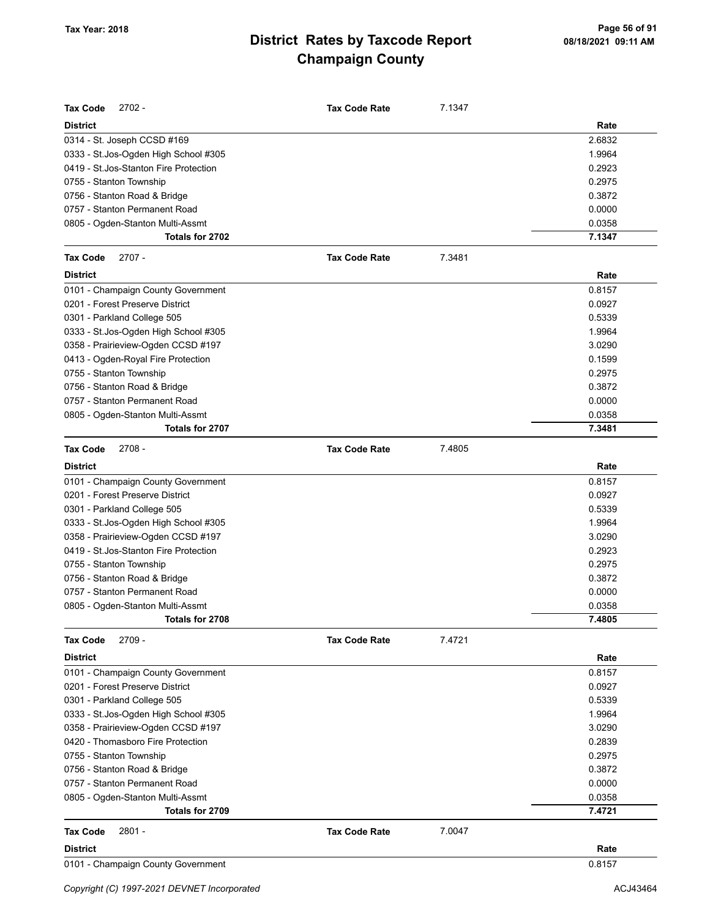| <b>Tax Code</b><br>$2702 -$            | <b>Tax Code Rate</b> | 7.1347 |        |
|----------------------------------------|----------------------|--------|--------|
| <b>District</b>                        |                      |        | Rate   |
| 0314 - St. Joseph CCSD #169            |                      |        | 2.6832 |
| 0333 - St.Jos-Ogden High School #305   |                      |        | 1.9964 |
| 0419 - St. Jos-Stanton Fire Protection |                      |        | 0.2923 |
| 0755 - Stanton Township                |                      |        | 0.2975 |
| 0756 - Stanton Road & Bridge           |                      |        | 0.3872 |
| 0757 - Stanton Permanent Road          |                      |        | 0.0000 |
| 0805 - Ogden-Stanton Multi-Assmt       |                      |        | 0.0358 |
| Totals for 2702                        |                      |        | 7.1347 |
| $2707 -$<br><b>Tax Code</b>            | <b>Tax Code Rate</b> | 7.3481 |        |
| <b>District</b>                        |                      |        | Rate   |
| 0101 - Champaign County Government     |                      |        | 0.8157 |
| 0201 - Forest Preserve District        |                      |        | 0.0927 |
| 0301 - Parkland College 505            |                      |        | 0.5339 |
| 0333 - St. Jos-Ogden High School #305  |                      |        | 1.9964 |
| 0358 - Prairieview-Ogden CCSD #197     |                      |        | 3.0290 |
| 0413 - Ogden-Royal Fire Protection     |                      |        | 0.1599 |
| 0755 - Stanton Township                |                      |        | 0.2975 |
| 0756 - Stanton Road & Bridge           |                      |        | 0.3872 |
| 0757 - Stanton Permanent Road          |                      |        | 0.0000 |
| 0805 - Ogden-Stanton Multi-Assmt       |                      |        | 0.0358 |
| Totals for 2707                        |                      |        | 7.3481 |
| $2708 -$<br><b>Tax Code</b>            | <b>Tax Code Rate</b> | 7.4805 |        |
| <b>District</b>                        |                      |        | Rate   |
| 0101 - Champaign County Government     |                      |        | 0.8157 |
| 0201 - Forest Preserve District        |                      |        | 0.0927 |
| 0301 - Parkland College 505            |                      |        | 0.5339 |
| 0333 - St. Jos-Ogden High School #305  |                      |        | 1.9964 |
| 0358 - Prairieview-Ogden CCSD #197     |                      |        | 3.0290 |
| 0419 - St. Jos-Stanton Fire Protection |                      |        | 0.2923 |
| 0755 - Stanton Township                |                      |        | 0.2975 |
| 0756 - Stanton Road & Bridge           |                      |        | 0.3872 |
| 0757 - Stanton Permanent Road          |                      |        | 0.0000 |
| 0805 - Ogden-Stanton Multi-Assmt       |                      |        | 0.0358 |
| Totals for 2708                        |                      |        | 7.4805 |
| $2709 -$<br><b>Tax Code</b>            | <b>Tax Code Rate</b> | 7.4721 |        |
| <b>District</b>                        |                      |        | Rate   |
| 0101 - Champaign County Government     |                      |        | 0.8157 |
| 0201 - Forest Preserve District        |                      |        | 0.0927 |
| 0301 - Parkland College 505            |                      |        | 0.5339 |
| 0333 - St. Jos-Ogden High School #305  |                      |        | 1.9964 |
| 0358 - Prairieview-Ogden CCSD #197     |                      |        | 3.0290 |
| 0420 - Thomasboro Fire Protection      |                      |        | 0.2839 |
| 0755 - Stanton Township                |                      |        | 0.2975 |
| 0756 - Stanton Road & Bridge           |                      |        | 0.3872 |
| 0757 - Stanton Permanent Road          |                      |        | 0.0000 |
| 0805 - Ogden-Stanton Multi-Assmt       |                      |        | 0.0358 |
| Totals for 2709                        |                      |        | 7.4721 |
| $2801 -$<br><b>Tax Code</b>            | <b>Tax Code Rate</b> | 7.0047 |        |
| <b>District</b>                        |                      |        | Rate   |
| 0101 - Champaign County Government     |                      |        | 0.8157 |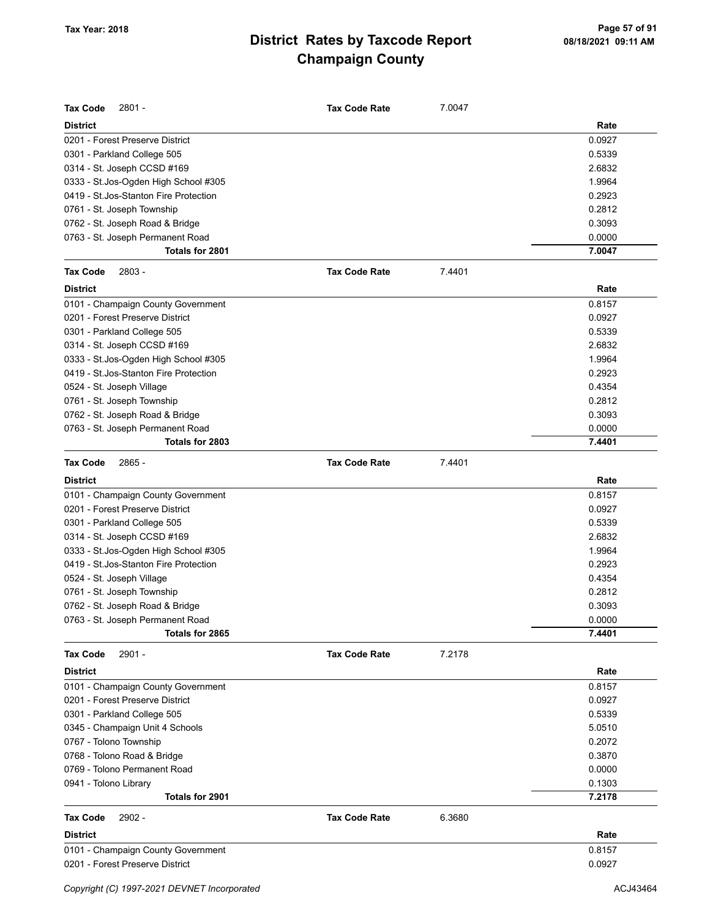| <b>Tax Code</b><br>$2801 -$                 | <b>Tax Code Rate</b> | 7.0047 |          |
|---------------------------------------------|----------------------|--------|----------|
| <b>District</b>                             |                      |        | Rate     |
| 0201 - Forest Preserve District             |                      |        | 0.0927   |
| 0301 - Parkland College 505                 |                      |        | 0.5339   |
| 0314 - St. Joseph CCSD #169                 |                      |        | 2.6832   |
| 0333 - St.Jos-Ogden High School #305        |                      |        | 1.9964   |
| 0419 - St. Jos-Stanton Fire Protection      |                      |        | 0.2923   |
| 0761 - St. Joseph Township                  |                      |        | 0.2812   |
| 0762 - St. Joseph Road & Bridge             |                      |        | 0.3093   |
| 0763 - St. Joseph Permanent Road            |                      |        | 0.0000   |
| Totals for 2801                             |                      |        | 7.0047   |
| $2803 -$<br><b>Tax Code</b>                 | <b>Tax Code Rate</b> | 7.4401 |          |
| <b>District</b>                             |                      |        | Rate     |
| 0101 - Champaign County Government          |                      |        | 0.8157   |
| 0201 - Forest Preserve District             |                      |        | 0.0927   |
| 0301 - Parkland College 505                 |                      |        | 0.5339   |
| 0314 - St. Joseph CCSD #169                 |                      |        | 2.6832   |
| 0333 - St.Jos-Ogden High School #305        |                      |        | 1.9964   |
| 0419 - St. Jos-Stanton Fire Protection      |                      |        | 0.2923   |
| 0524 - St. Joseph Village                   |                      |        | 0.4354   |
| 0761 - St. Joseph Township                  |                      |        | 0.2812   |
| 0762 - St. Joseph Road & Bridge             |                      |        | 0.3093   |
| 0763 - St. Joseph Permanent Road            |                      |        | 0.0000   |
| Totals for 2803                             |                      |        | 7.4401   |
| 2865 -<br><b>Tax Code</b>                   | <b>Tax Code Rate</b> | 7.4401 |          |
| <b>District</b>                             |                      |        | Rate     |
| 0101 - Champaign County Government          |                      |        | 0.8157   |
| 0201 - Forest Preserve District             |                      |        | 0.0927   |
| 0301 - Parkland College 505                 |                      |        | 0.5339   |
| 0314 - St. Joseph CCSD #169                 |                      |        | 2.6832   |
| 0333 - St.Jos-Ogden High School #305        |                      |        | 1.9964   |
| 0419 - St. Jos-Stanton Fire Protection      |                      |        | 0.2923   |
| 0524 - St. Joseph Village                   |                      |        | 0.4354   |
| 0761 - St. Joseph Township                  |                      |        | 0.2812   |
| 0762 - St. Joseph Road & Bridge             |                      |        | 0.3093   |
| 0763 - St. Joseph Permanent Road            |                      |        | 0.0000   |
| Totals for 2865                             |                      |        | 7.4401   |
| $2901 -$<br><b>Tax Code</b>                 | <b>Tax Code Rate</b> | 7.2178 |          |
| <b>District</b>                             |                      |        | Rate     |
| 0101 - Champaign County Government          |                      |        | 0.8157   |
| 0201 - Forest Preserve District             |                      |        | 0.0927   |
| 0301 - Parkland College 505                 |                      |        | 0.5339   |
| 0345 - Champaign Unit 4 Schools             |                      |        | 5.0510   |
| 0767 - Tolono Township                      |                      |        | 0.2072   |
| 0768 - Tolono Road & Bridge                 |                      |        | 0.3870   |
| 0769 - Tolono Permanent Road                |                      |        | 0.0000   |
| 0941 - Tolono Library                       |                      |        | 0.1303   |
| Totals for 2901                             |                      |        | 7.2178   |
| <b>Tax Code</b><br>$2902 -$                 | <b>Tax Code Rate</b> | 6.3680 |          |
| <b>District</b>                             |                      |        | Rate     |
| 0101 - Champaign County Government          |                      |        | 0.8157   |
| 0201 - Forest Preserve District             |                      |        | 0.0927   |
| Copyright (C) 1997-2021 DEVNET Incorporated |                      |        | ACJ43464 |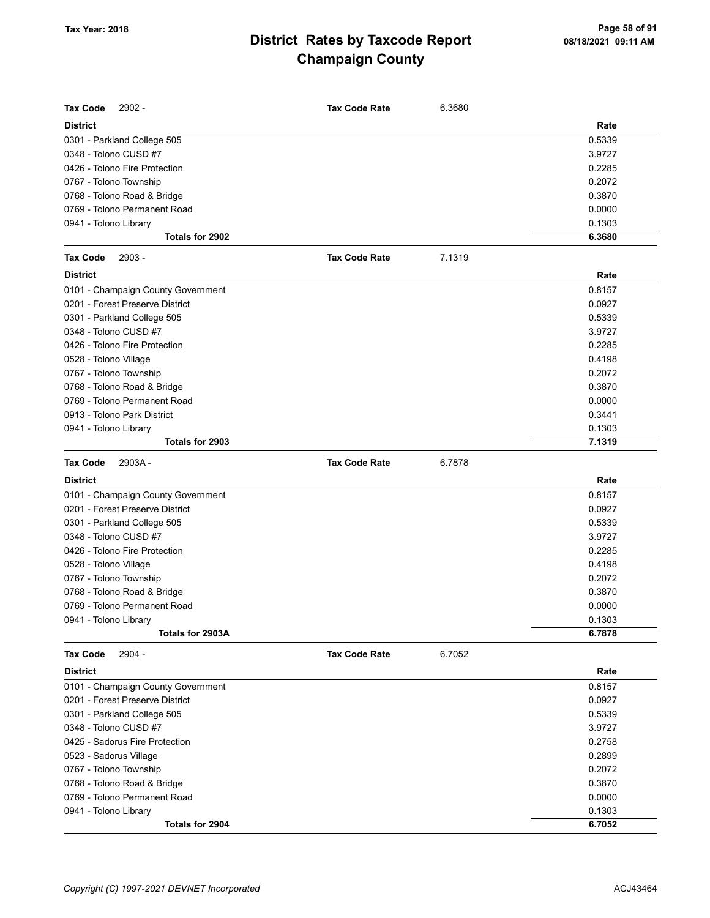| <b>Tax Code</b><br>2902 -          | <b>Tax Code Rate</b> | 6.3680 |        |
|------------------------------------|----------------------|--------|--------|
| <b>District</b>                    |                      |        | Rate   |
| 0301 - Parkland College 505        |                      |        | 0.5339 |
| 0348 - Tolono CUSD #7              |                      |        | 3.9727 |
| 0426 - Tolono Fire Protection      |                      |        | 0.2285 |
| 0767 - Tolono Township             |                      |        | 0.2072 |
| 0768 - Tolono Road & Bridge        |                      |        | 0.3870 |
| 0769 - Tolono Permanent Road       |                      |        | 0.0000 |
| 0941 - Tolono Library              |                      |        | 0.1303 |
| Totals for 2902                    |                      |        | 6.3680 |
| $2903 -$<br><b>Tax Code</b>        | <b>Tax Code Rate</b> | 7.1319 |        |
| <b>District</b>                    |                      |        | Rate   |
| 0101 - Champaign County Government |                      |        | 0.8157 |
| 0201 - Forest Preserve District    |                      |        | 0.0927 |
| 0301 - Parkland College 505        |                      |        | 0.5339 |
| 0348 - Tolono CUSD #7              |                      |        | 3.9727 |
| 0426 - Tolono Fire Protection      |                      |        | 0.2285 |
| 0528 - Tolono Village              |                      |        | 0.4198 |
| 0767 - Tolono Township             |                      |        | 0.2072 |
| 0768 - Tolono Road & Bridge        |                      |        | 0.3870 |
| 0769 - Tolono Permanent Road       |                      |        | 0.0000 |
| 0913 - Tolono Park District        |                      |        | 0.3441 |
| 0941 - Tolono Library              |                      |        | 0.1303 |
| Totals for 2903                    |                      |        | 7.1319 |
| 2903A-<br><b>Tax Code</b>          | <b>Tax Code Rate</b> | 6.7878 |        |
| <b>District</b>                    |                      |        | Rate   |
| 0101 - Champaign County Government |                      |        | 0.8157 |
| 0201 - Forest Preserve District    |                      |        | 0.0927 |
| 0301 - Parkland College 505        |                      |        | 0.5339 |
| 0348 - Tolono CUSD #7              |                      |        | 3.9727 |
| 0426 - Tolono Fire Protection      |                      |        | 0.2285 |
| 0528 - Tolono Village              |                      |        | 0.4198 |
| 0767 - Tolono Township             |                      |        | 0.2072 |
| 0768 - Tolono Road & Bridge        |                      |        | 0.3870 |
| 0769 - Tolono Permanent Road       |                      |        | 0.0000 |
| 0941 - Tolono Library              |                      |        | 0.1303 |
| Totals for 2903A                   |                      |        | 6.7878 |
| 2904 -<br><b>Tax Code</b>          | <b>Tax Code Rate</b> | 6.7052 |        |
| <b>District</b>                    |                      |        | Rate   |
| 0101 - Champaign County Government |                      |        | 0.8157 |
| 0201 - Forest Preserve District    |                      |        | 0.0927 |
| 0301 - Parkland College 505        |                      |        | 0.5339 |
| 0348 - Tolono CUSD #7              |                      |        | 3.9727 |
| 0425 - Sadorus Fire Protection     |                      |        | 0.2758 |
| 0523 - Sadorus Village             |                      |        | 0.2899 |
| 0767 - Tolono Township             |                      |        | 0.2072 |
| 0768 - Tolono Road & Bridge        |                      |        | 0.3870 |
| 0769 - Tolono Permanent Road       |                      |        | 0.0000 |
| 0941 - Tolono Library              |                      |        | 0.1303 |
| Totals for 2904                    |                      |        | 6.7052 |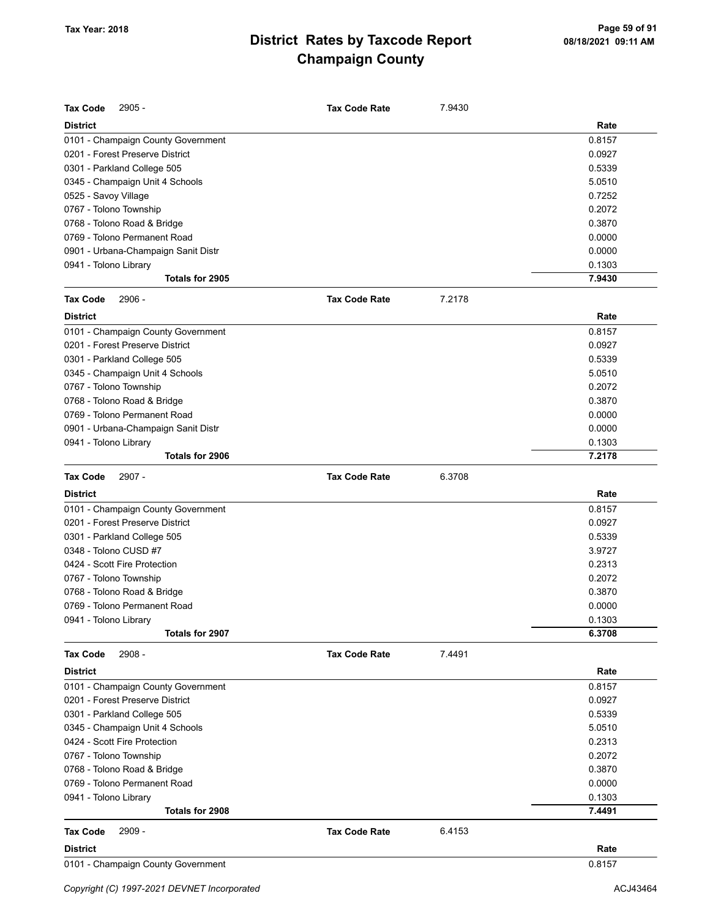| <b>Tax Code</b><br>$2905 -$         | <b>Tax Code Rate</b> | 7.9430 |        |
|-------------------------------------|----------------------|--------|--------|
| <b>District</b>                     |                      |        | Rate   |
| 0101 - Champaign County Government  |                      |        | 0.8157 |
| 0201 - Forest Preserve District     |                      |        | 0.0927 |
| 0301 - Parkland College 505         |                      |        | 0.5339 |
| 0345 - Champaign Unit 4 Schools     |                      |        | 5.0510 |
| 0525 - Savoy Village                |                      |        | 0.7252 |
| 0767 - Tolono Township              |                      |        | 0.2072 |
| 0768 - Tolono Road & Bridge         |                      |        | 0.3870 |
| 0769 - Tolono Permanent Road        |                      |        | 0.0000 |
| 0901 - Urbana-Champaign Sanit Distr |                      |        | 0.0000 |
| 0941 - Tolono Library               |                      |        | 0.1303 |
| Totals for 2905                     |                      |        | 7.9430 |
| <b>Tax Code</b><br>2906 -           | <b>Tax Code Rate</b> | 7.2178 |        |
| <b>District</b>                     |                      |        | Rate   |
| 0101 - Champaign County Government  |                      |        | 0.8157 |
| 0201 - Forest Preserve District     |                      |        | 0.0927 |
| 0301 - Parkland College 505         |                      |        | 0.5339 |
| 0345 - Champaign Unit 4 Schools     |                      |        | 5.0510 |
| 0767 - Tolono Township              |                      |        | 0.2072 |
| 0768 - Tolono Road & Bridge         |                      |        | 0.3870 |
| 0769 - Tolono Permanent Road        |                      |        | 0.0000 |
| 0901 - Urbana-Champaign Sanit Distr |                      |        | 0.0000 |
| 0941 - Tolono Library               |                      |        | 0.1303 |
| Totals for 2906                     |                      |        | 7.2178 |
| <b>Tax Code</b><br>2907 -           | <b>Tax Code Rate</b> | 6.3708 |        |
|                                     |                      |        |        |
| <b>District</b>                     |                      |        | Rate   |
| 0101 - Champaign County Government  |                      |        | 0.8157 |
| 0201 - Forest Preserve District     |                      |        | 0.0927 |
| 0301 - Parkland College 505         |                      |        | 0.5339 |
| 0348 - Tolono CUSD #7               |                      |        | 3.9727 |
| 0424 - Scott Fire Protection        |                      |        | 0.2313 |
| 0767 - Tolono Township              |                      |        | 0.2072 |
| 0768 - Tolono Road & Bridge         |                      |        | 0.3870 |
| 0769 - Tolono Permanent Road        |                      |        | 0.0000 |
| 0941 - Tolono Library               |                      |        | 0.1303 |
| Totals for 2907                     |                      |        | 6.3708 |
| 2908 -<br><b>Tax Code</b>           | <b>Tax Code Rate</b> | 7.4491 |        |
| <b>District</b>                     |                      |        | Rate   |
| 0101 - Champaign County Government  |                      |        | 0.8157 |
| 0201 - Forest Preserve District     |                      |        | 0.0927 |
| 0301 - Parkland College 505         |                      |        | 0.5339 |
| 0345 - Champaign Unit 4 Schools     |                      |        | 5.0510 |
| 0424 - Scott Fire Protection        |                      |        | 0.2313 |
| 0767 - Tolono Township              |                      |        | 0.2072 |
| 0768 - Tolono Road & Bridge         |                      |        | 0.3870 |
| 0769 - Tolono Permanent Road        |                      |        | 0.0000 |
| 0941 - Tolono Library               |                      |        | 0.1303 |
| Totals for 2908                     |                      |        | 7.4491 |
| 2909 -<br><b>Tax Code</b>           | <b>Tax Code Rate</b> | 6.4153 |        |
| District                            |                      |        | Rate   |
| 0101 - Champaign County Government  |                      |        | 0.8157 |
|                                     |                      |        |        |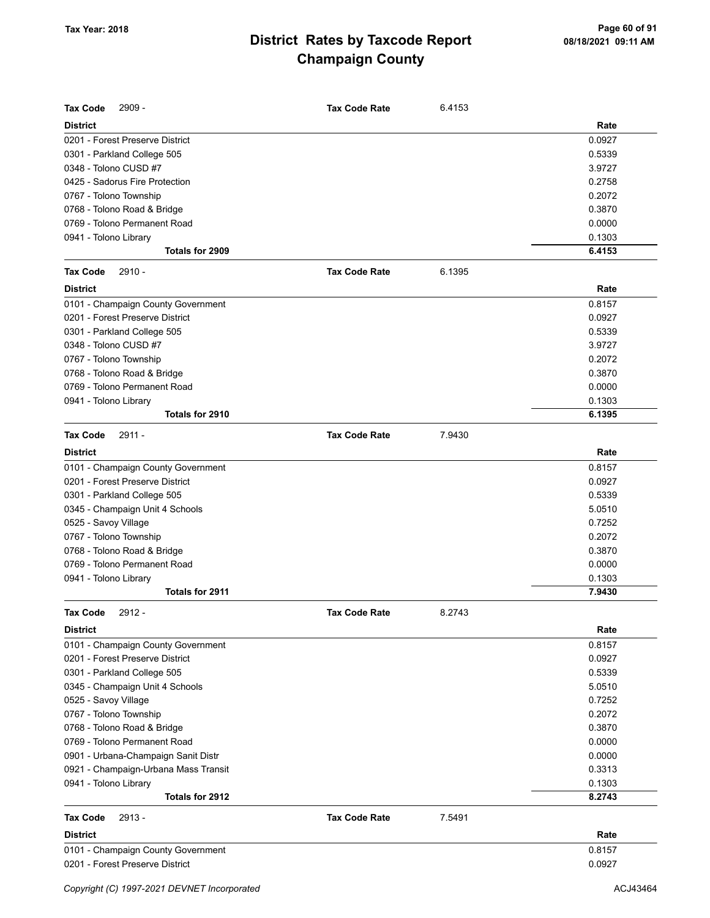| <b>Tax Code</b><br>$2909 -$          | <b>Tax Code Rate</b> | 6.4153 |        |
|--------------------------------------|----------------------|--------|--------|
| <b>District</b>                      |                      |        | Rate   |
| 0201 - Forest Preserve District      |                      |        | 0.0927 |
| 0301 - Parkland College 505          |                      |        | 0.5339 |
| 0348 - Tolono CUSD #7                |                      |        | 3.9727 |
| 0425 - Sadorus Fire Protection       |                      |        | 0.2758 |
| 0767 - Tolono Township               |                      |        | 0.2072 |
| 0768 - Tolono Road & Bridge          |                      |        | 0.3870 |
| 0769 - Tolono Permanent Road         |                      |        | 0.0000 |
| 0941 - Tolono Library                |                      |        | 0.1303 |
| Totals for 2909                      |                      |        | 6.4153 |
| $2910 -$<br><b>Tax Code</b>          | <b>Tax Code Rate</b> | 6.1395 |        |
| <b>District</b>                      |                      |        | Rate   |
| 0101 - Champaign County Government   |                      |        | 0.8157 |
| 0201 - Forest Preserve District      |                      |        | 0.0927 |
| 0301 - Parkland College 505          |                      |        | 0.5339 |
| 0348 - Tolono CUSD #7                |                      |        | 3.9727 |
| 0767 - Tolono Township               |                      |        | 0.2072 |
| 0768 - Tolono Road & Bridge          |                      |        | 0.3870 |
| 0769 - Tolono Permanent Road         |                      |        | 0.0000 |
| 0941 - Tolono Library                |                      |        | 0.1303 |
| Totals for 2910                      |                      |        | 6.1395 |
| <b>Tax Code</b><br>$2911 -$          | <b>Tax Code Rate</b> | 7.9430 |        |
| <b>District</b>                      |                      |        | Rate   |
| 0101 - Champaign County Government   |                      |        | 0.8157 |
| 0201 - Forest Preserve District      |                      |        | 0.0927 |
| 0301 - Parkland College 505          |                      |        | 0.5339 |
| 0345 - Champaign Unit 4 Schools      |                      |        | 5.0510 |
| 0525 - Savoy Village                 |                      |        | 0.7252 |
| 0767 - Tolono Township               |                      |        | 0.2072 |
| 0768 - Tolono Road & Bridge          |                      |        | 0.3870 |
| 0769 - Tolono Permanent Road         |                      |        | 0.0000 |
| 0941 - Tolono Library                |                      |        | 0.1303 |
| Totals for 2911                      |                      |        | 7.9430 |
| 2912 -<br>Tax Code                   | <b>Tax Code Rate</b> | 8.2743 |        |
| <b>District</b>                      |                      |        | Rate   |
| 0101 - Champaign County Government   |                      |        | 0.8157 |
| 0201 - Forest Preserve District      |                      |        | 0.0927 |
| 0301 - Parkland College 505          |                      |        | 0.5339 |
| 0345 - Champaign Unit 4 Schools      |                      |        | 5.0510 |
| 0525 - Savoy Village                 |                      |        | 0.7252 |
| 0767 - Tolono Township               |                      |        | 0.2072 |
| 0768 - Tolono Road & Bridge          |                      |        | 0.3870 |
| 0769 - Tolono Permanent Road         |                      |        | 0.0000 |
| 0901 - Urbana-Champaign Sanit Distr  |                      |        | 0.0000 |
| 0921 - Champaign-Urbana Mass Transit |                      |        | 0.3313 |
| 0941 - Tolono Library                |                      |        | 0.1303 |
| Totals for 2912                      |                      |        | 8.2743 |
| <b>Tax Code</b><br>$2913 -$          | <b>Tax Code Rate</b> | 7.5491 |        |
| <b>District</b>                      |                      |        | Rate   |
| 0101 - Champaign County Government   |                      |        | 0.8157 |
| 0201 - Forest Preserve District      |                      |        | 0.0927 |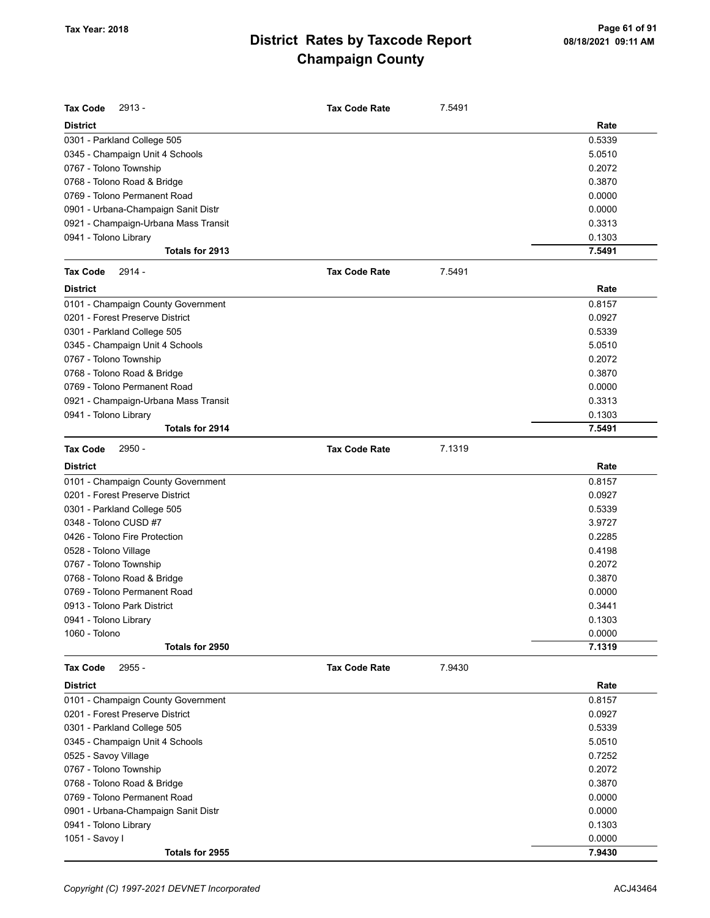| <b>Tax Code</b><br>$2913 -$          | <b>Tax Code Rate</b> | 7.5491 |        |
|--------------------------------------|----------------------|--------|--------|
| <b>District</b>                      |                      |        | Rate   |
| 0301 - Parkland College 505          |                      |        | 0.5339 |
| 0345 - Champaign Unit 4 Schools      |                      |        | 5.0510 |
| 0767 - Tolono Township               |                      |        | 0.2072 |
| 0768 - Tolono Road & Bridge          |                      |        | 0.3870 |
| 0769 - Tolono Permanent Road         |                      |        | 0.0000 |
| 0901 - Urbana-Champaign Sanit Distr  |                      |        | 0.0000 |
| 0921 - Champaign-Urbana Mass Transit |                      |        | 0.3313 |
| 0941 - Tolono Library                |                      |        | 0.1303 |
| Totals for 2913                      |                      |        | 7.5491 |
| 2914 -<br><b>Tax Code</b>            | <b>Tax Code Rate</b> | 7.5491 |        |
| <b>District</b>                      |                      |        | Rate   |
| 0101 - Champaign County Government   |                      |        | 0.8157 |
| 0201 - Forest Preserve District      |                      |        | 0.0927 |
| 0301 - Parkland College 505          |                      |        | 0.5339 |
| 0345 - Champaign Unit 4 Schools      |                      |        | 5.0510 |
| 0767 - Tolono Township               |                      |        | 0.2072 |
| 0768 - Tolono Road & Bridge          |                      |        | 0.3870 |
| 0769 - Tolono Permanent Road         |                      |        | 0.0000 |
| 0921 - Champaign-Urbana Mass Transit |                      |        | 0.3313 |
| 0941 - Tolono Library                |                      |        | 0.1303 |
| Totals for 2914                      |                      |        | 7.5491 |
| <b>Tax Code</b><br>2950 -            | <b>Tax Code Rate</b> | 7.1319 |        |
| <b>District</b>                      |                      |        | Rate   |
| 0101 - Champaign County Government   |                      |        | 0.8157 |
| 0201 - Forest Preserve District      |                      |        | 0.0927 |
| 0301 - Parkland College 505          |                      |        | 0.5339 |
| 0348 - Tolono CUSD #7                |                      |        | 3.9727 |
| 0426 - Tolono Fire Protection        |                      |        | 0.2285 |
| 0528 - Tolono Village                |                      |        | 0.4198 |
| 0767 - Tolono Township               |                      |        | 0.2072 |
| 0768 - Tolono Road & Bridge          |                      |        | 0.3870 |
| 0769 - Tolono Permanent Road         |                      |        | 0.0000 |
| 0913 - Tolono Park District          |                      |        | 0.3441 |
| 0941 - Tolono Library                |                      |        | 0.1303 |
| 1060 - Tolono                        |                      |        | 0.0000 |
| Totals for 2950                      |                      |        | 7.1319 |
| <b>Tax Code</b><br>2955 -            | <b>Tax Code Rate</b> | 7.9430 |        |
| <b>District</b>                      |                      |        | Rate   |
| 0101 - Champaign County Government   |                      |        | 0.8157 |
| 0201 - Forest Preserve District      |                      |        | 0.0927 |
| 0301 - Parkland College 505          |                      |        | 0.5339 |
| 0345 - Champaign Unit 4 Schools      |                      |        | 5.0510 |
| 0525 - Savoy Village                 |                      |        | 0.7252 |
| 0767 - Tolono Township               |                      |        | 0.2072 |
| 0768 - Tolono Road & Bridge          |                      |        | 0.3870 |
| 0769 - Tolono Permanent Road         |                      |        | 0.0000 |
| 0901 - Urbana-Champaign Sanit Distr  |                      |        | 0.0000 |
| 0941 - Tolono Library                |                      |        | 0.1303 |
| 1051 - Savoy I                       |                      |        | 0.0000 |
| Totals for 2955                      |                      |        | 7.9430 |
|                                      |                      |        |        |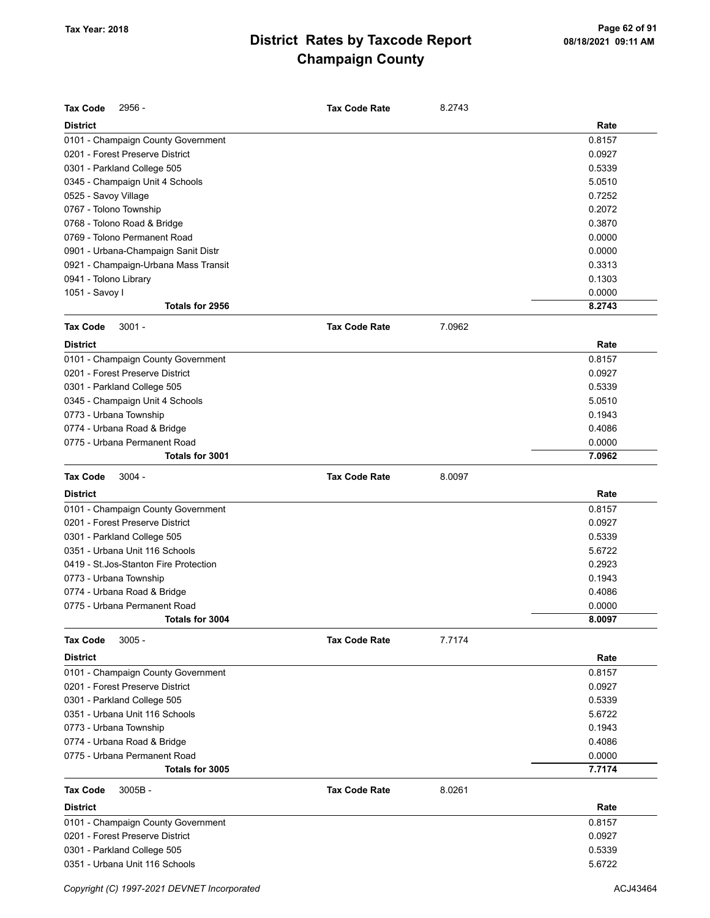| <b>Tax Code</b><br>2956 -              | <b>Tax Code Rate</b> | 8.2743 |        |
|----------------------------------------|----------------------|--------|--------|
| <b>District</b>                        |                      |        | Rate   |
| 0101 - Champaign County Government     |                      |        | 0.8157 |
| 0201 - Forest Preserve District        |                      |        | 0.0927 |
| 0301 - Parkland College 505            |                      |        | 0.5339 |
| 0345 - Champaign Unit 4 Schools        |                      |        | 5.0510 |
| 0525 - Savoy Village                   |                      |        | 0.7252 |
| 0767 - Tolono Township                 |                      |        | 0.2072 |
| 0768 - Tolono Road & Bridge            |                      |        | 0.3870 |
| 0769 - Tolono Permanent Road           |                      |        | 0.0000 |
| 0901 - Urbana-Champaign Sanit Distr    |                      |        | 0.0000 |
| 0921 - Champaign-Urbana Mass Transit   |                      |        | 0.3313 |
| 0941 - Tolono Library                  |                      |        | 0.1303 |
| 1051 - Savoy I                         |                      |        | 0.0000 |
| Totals for 2956                        |                      |        | 8.2743 |
| <b>Tax Code</b><br>$3001 -$            | <b>Tax Code Rate</b> | 7.0962 |        |
| <b>District</b>                        |                      |        | Rate   |
| 0101 - Champaign County Government     |                      |        | 0.8157 |
| 0201 - Forest Preserve District        |                      |        | 0.0927 |
| 0301 - Parkland College 505            |                      |        | 0.5339 |
| 0345 - Champaign Unit 4 Schools        |                      |        | 5.0510 |
| 0773 - Urbana Township                 |                      |        | 0.1943 |
| 0774 - Urbana Road & Bridge            |                      |        | 0.4086 |
| 0775 - Urbana Permanent Road           |                      |        | 0.0000 |
| Totals for 3001                        |                      |        | 7.0962 |
| <b>Tax Code</b><br>$3004 -$            | <b>Tax Code Rate</b> | 8.0097 |        |
|                                        |                      |        |        |
| <b>District</b>                        |                      |        | Rate   |
| 0101 - Champaign County Government     |                      |        | 0.8157 |
| 0201 - Forest Preserve District        |                      |        | 0.0927 |
| 0301 - Parkland College 505            |                      |        | 0.5339 |
| 0351 - Urbana Unit 116 Schools         |                      |        | 5.6722 |
| 0419 - St. Jos-Stanton Fire Protection |                      |        | 0.2923 |
| 0773 - Urbana Township                 |                      |        | 0.1943 |
| 0774 - Urbana Road & Bridge            |                      |        | 0.4086 |
| 0775 - Urbana Permanent Road           |                      |        | 0.0000 |
| Totals for 3004                        |                      |        | 8.0097 |
| $3005 -$<br><b>Tax Code</b>            | <b>Tax Code Rate</b> | 7.7174 |        |
| <b>District</b>                        |                      |        | Rate   |
| 0101 - Champaign County Government     |                      |        | 0.8157 |
| 0201 - Forest Preserve District        |                      |        | 0.0927 |
| 0301 - Parkland College 505            |                      |        | 0.5339 |
| 0351 - Urbana Unit 116 Schools         |                      |        | 5.6722 |
| 0773 - Urbana Township                 |                      |        | 0.1943 |
| 0774 - Urbana Road & Bridge            |                      |        | 0.4086 |
| 0775 - Urbana Permanent Road           |                      |        |        |
|                                        |                      |        | 0.0000 |
| Totals for 3005                        |                      |        | 7.7174 |
| <b>Tax Code</b><br>$3005B -$           | <b>Tax Code Rate</b> | 8.0261 |        |
| <b>District</b>                        |                      |        | Rate   |
| 0101 - Champaign County Government     |                      |        | 0.8157 |
| 0201 - Forest Preserve District        |                      |        | 0.0927 |
| 0301 - Parkland College 505            |                      |        | 0.5339 |
| 0351 - Urbana Unit 116 Schools         |                      |        | 5.6722 |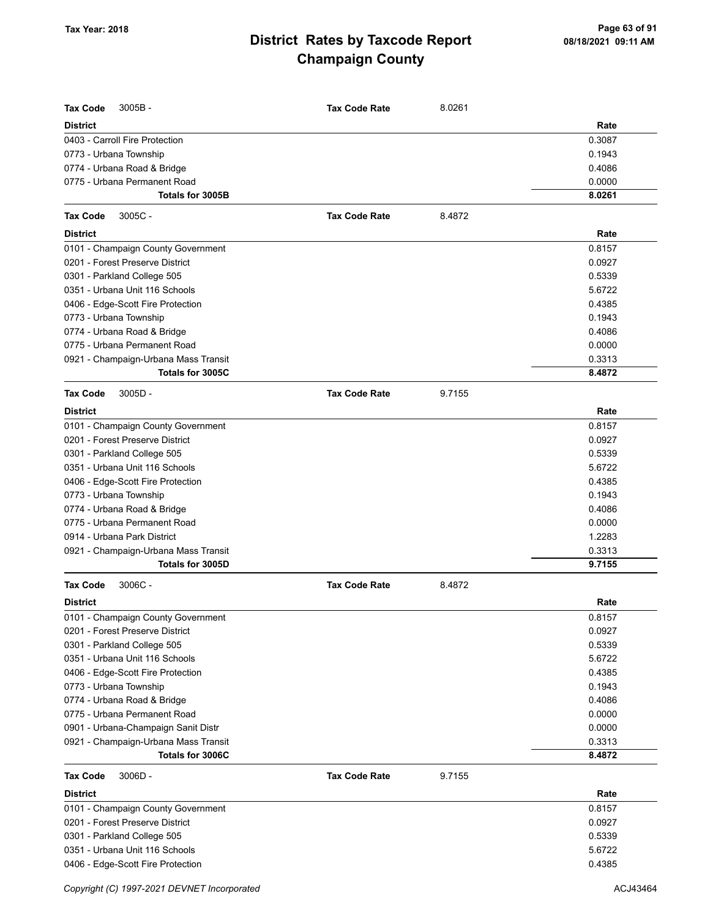| <b>Tax Code</b><br>$3005B -$<br><b>District</b> | <b>Tax Code Rate</b> | 8.0261 | Rate   |
|-------------------------------------------------|----------------------|--------|--------|
| 0403 - Carroll Fire Protection                  |                      |        | 0.3087 |
| 0773 - Urbana Township                          |                      |        | 0.1943 |
| 0774 - Urbana Road & Bridge                     |                      |        | 0.4086 |
| 0775 - Urbana Permanent Road                    |                      |        | 0.0000 |
| Totals for 3005B                                |                      |        | 8.0261 |
| <b>Tax Code</b><br>$3005C -$                    | <b>Tax Code Rate</b> | 8.4872 |        |
| <b>District</b>                                 |                      |        | Rate   |
| 0101 - Champaign County Government              |                      |        | 0.8157 |
| 0201 - Forest Preserve District                 |                      |        | 0.0927 |
| 0301 - Parkland College 505                     |                      |        | 0.5339 |
| 0351 - Urbana Unit 116 Schools                  |                      |        | 5.6722 |
| 0406 - Edge-Scott Fire Protection               |                      |        | 0.4385 |
| 0773 - Urbana Township                          |                      |        | 0.1943 |
| 0774 - Urbana Road & Bridge                     |                      |        | 0.4086 |
| 0775 - Urbana Permanent Road                    |                      |        | 0.0000 |
| 0921 - Champaign-Urbana Mass Transit            |                      |        | 0.3313 |
| Totals for 3005C                                |                      |        | 8.4872 |
| <b>Tax Code</b><br>$3005D -$                    | <b>Tax Code Rate</b> | 9.7155 |        |
| <b>District</b>                                 |                      |        | Rate   |
| 0101 - Champaign County Government              |                      |        | 0.8157 |
| 0201 - Forest Preserve District                 |                      |        | 0.0927 |
| 0301 - Parkland College 505                     |                      |        | 0.5339 |
| 0351 - Urbana Unit 116 Schools                  |                      |        | 5.6722 |
| 0406 - Edge-Scott Fire Protection               |                      |        | 0.4385 |
| 0773 - Urbana Township                          |                      |        | 0.1943 |
| 0774 - Urbana Road & Bridge                     |                      |        | 0.4086 |
| 0775 - Urbana Permanent Road                    |                      |        | 0.0000 |
| 0914 - Urbana Park District                     |                      |        | 1.2283 |
| 0921 - Champaign-Urbana Mass Transit            |                      |        | 0.3313 |
| Totals for 3005D                                |                      |        | 9.7155 |
| <b>Tax Code</b><br>$3006C -$                    | <b>Tax Code Rate</b> | 8.4872 |        |
| <b>District</b>                                 |                      |        | Rate   |
| 0101 - Champaign County Government              |                      |        | 0.8157 |
| 0201 - Forest Preserve District                 |                      |        | 0.0927 |
| 0301 - Parkland College 505                     |                      |        | 0.5339 |
| 0351 - Urbana Unit 116 Schools                  |                      |        | 5.6722 |
| 0406 - Edge-Scott Fire Protection               |                      |        | 0.4385 |
| 0773 - Urbana Township                          |                      |        | 0.1943 |
| 0774 - Urbana Road & Bridge                     |                      |        | 0.4086 |
| 0775 - Urbana Permanent Road                    |                      |        | 0.0000 |
| 0901 - Urbana-Champaign Sanit Distr             |                      |        | 0.0000 |
| 0921 - Champaign-Urbana Mass Transit            |                      |        | 0.3313 |
| Totals for 3006C                                |                      |        | 8.4872 |
| <b>Tax Code</b><br>$3006D -$                    | <b>Tax Code Rate</b> | 9.7155 |        |
| <b>District</b>                                 |                      |        | Rate   |
| 0101 - Champaign County Government              |                      |        | 0.8157 |
| 0201 - Forest Preserve District                 |                      |        | 0.0927 |
| 0301 - Parkland College 505                     |                      |        | 0.5339 |
| 0351 - Urbana Unit 116 Schools                  |                      |        | 5.6722 |
| 0406 - Edge-Scott Fire Protection               |                      |        | 0.4385 |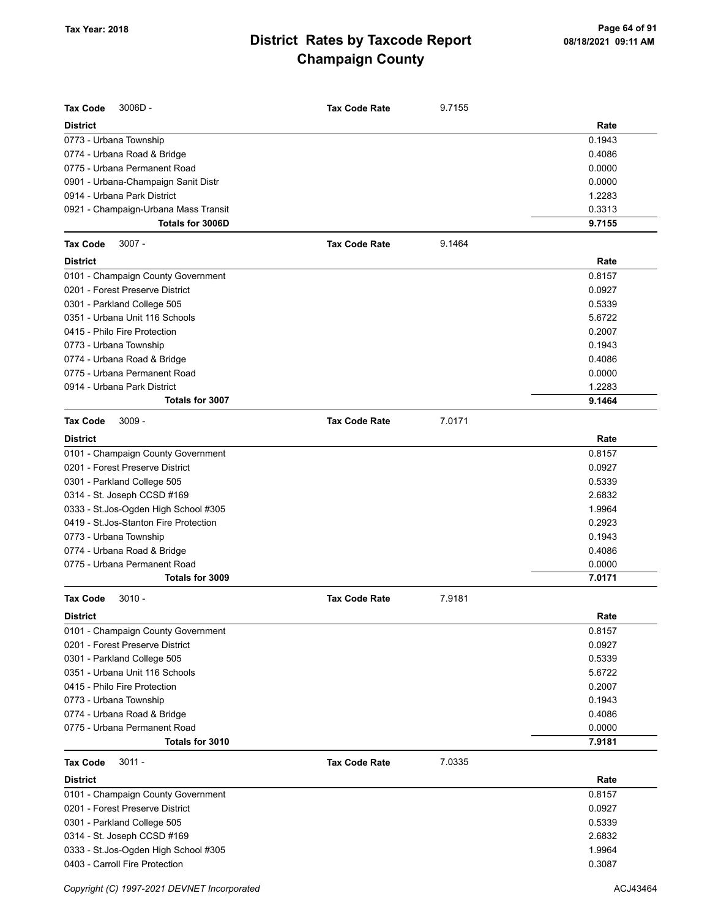| <b>Tax Code</b><br>$3006D -$           | <b>Tax Code Rate</b> | 9.7155 |        |
|----------------------------------------|----------------------|--------|--------|
| <b>District</b>                        |                      |        | Rate   |
| 0773 - Urbana Township                 |                      |        | 0.1943 |
| 0774 - Urbana Road & Bridge            |                      |        | 0.4086 |
| 0775 - Urbana Permanent Road           |                      |        | 0.0000 |
| 0901 - Urbana-Champaign Sanit Distr    |                      |        | 0.0000 |
| 0914 - Urbana Park District            |                      |        | 1.2283 |
| 0921 - Champaign-Urbana Mass Transit   |                      |        | 0.3313 |
| Totals for 3006D                       |                      |        | 9.7155 |
| <b>Tax Code</b><br>$3007 -$            | <b>Tax Code Rate</b> | 9.1464 |        |
| <b>District</b>                        |                      |        | Rate   |
| 0101 - Champaign County Government     |                      |        | 0.8157 |
| 0201 - Forest Preserve District        |                      |        | 0.0927 |
| 0301 - Parkland College 505            |                      |        | 0.5339 |
| 0351 - Urbana Unit 116 Schools         |                      |        | 5.6722 |
| 0415 - Philo Fire Protection           |                      |        | 0.2007 |
| 0773 - Urbana Township                 |                      |        | 0.1943 |
| 0774 - Urbana Road & Bridge            |                      |        | 0.4086 |
| 0775 - Urbana Permanent Road           |                      |        | 0.0000 |
| 0914 - Urbana Park District            |                      |        | 1.2283 |
| Totals for 3007                        |                      |        | 9.1464 |
| <b>Tax Code</b><br>$3009 -$            | <b>Tax Code Rate</b> | 7.0171 |        |
| <b>District</b>                        |                      |        | Rate   |
| 0101 - Champaign County Government     |                      |        | 0.8157 |
| 0201 - Forest Preserve District        |                      |        | 0.0927 |
| 0301 - Parkland College 505            |                      |        | 0.5339 |
| 0314 - St. Joseph CCSD #169            |                      |        | 2.6832 |
| 0333 - St.Jos-Ogden High School #305   |                      |        | 1.9964 |
| 0419 - St. Jos-Stanton Fire Protection |                      |        | 0.2923 |
| 0773 - Urbana Township                 |                      |        | 0.1943 |
| 0774 - Urbana Road & Bridge            |                      |        | 0.4086 |
| 0775 - Urbana Permanent Road           |                      |        | 0.0000 |
| Totals for 3009                        |                      |        | 7.0171 |
| <b>Tax Code</b><br>$3010 -$            | <b>Tax Code Rate</b> | 7.9181 |        |
| <b>District</b>                        |                      |        | Rate   |
| 0101 - Champaign County Government     |                      |        | 0.8157 |
| 0201 - Forest Preserve District        |                      |        | 0.0927 |
| 0301 - Parkland College 505            |                      |        | 0.5339 |
| 0351 - Urbana Unit 116 Schools         |                      |        | 5.6722 |
| 0415 - Philo Fire Protection           |                      |        | 0.2007 |
| 0773 - Urbana Township                 |                      |        | 0.1943 |
| 0774 - Urbana Road & Bridge            |                      |        | 0.4086 |
| 0775 - Urbana Permanent Road           |                      |        | 0.0000 |
| Totals for 3010                        |                      |        | 7.9181 |
| $3011 -$<br><b>Tax Code</b>            | <b>Tax Code Rate</b> | 7.0335 |        |
| <b>District</b>                        |                      |        | Rate   |
| 0101 - Champaign County Government     |                      |        | 0.8157 |
| 0201 - Forest Preserve District        |                      |        | 0.0927 |
| 0301 - Parkland College 505            |                      |        | 0.5339 |
| 0314 - St. Joseph CCSD #169            |                      |        | 2.6832 |
| 0333 - St.Jos-Ogden High School #305   |                      |        | 1.9964 |
| 0403 - Carroll Fire Protection         |                      |        | 0.3087 |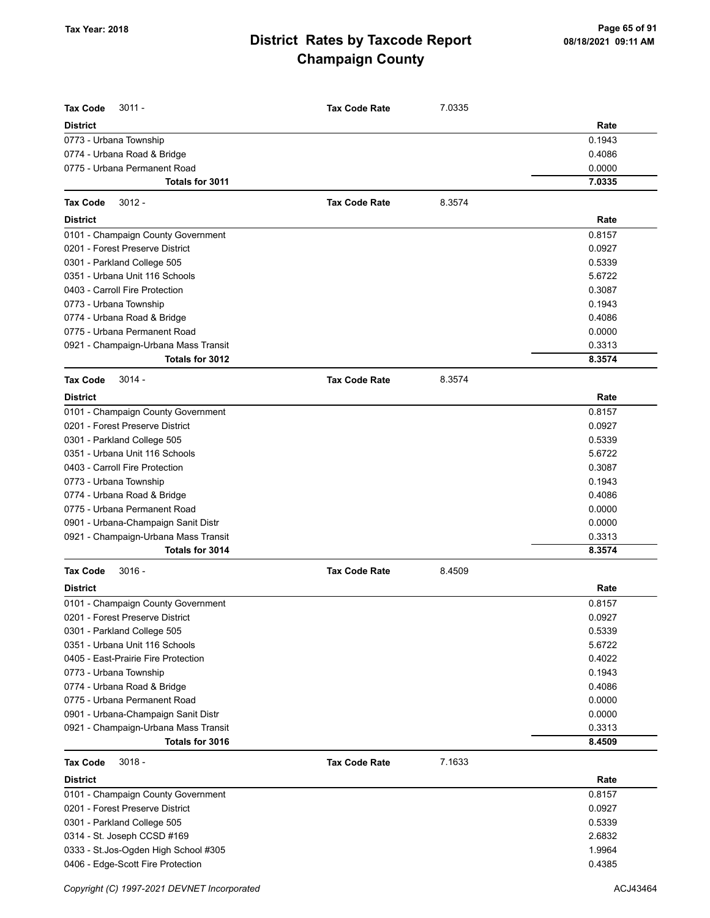| <b>Tax Code</b><br>$3011 -$                     | <b>Tax Code Rate</b> | 7.0335 |                  |
|-------------------------------------------------|----------------------|--------|------------------|
| <b>District</b>                                 |                      |        | Rate             |
| 0773 - Urbana Township                          |                      |        | 0.1943           |
| 0774 - Urbana Road & Bridge                     |                      |        | 0.4086           |
| 0775 - Urbana Permanent Road<br>Totals for 3011 |                      |        | 0.0000<br>7.0335 |
|                                                 |                      |        |                  |
| <b>Tax Code</b><br>$3012 -$                     | <b>Tax Code Rate</b> | 8.3574 |                  |
| <b>District</b>                                 |                      |        | Rate             |
| 0101 - Champaign County Government              |                      |        | 0.8157           |
| 0201 - Forest Preserve District                 |                      |        | 0.0927           |
| 0301 - Parkland College 505                     |                      |        | 0.5339           |
| 0351 - Urbana Unit 116 Schools                  |                      |        | 5.6722           |
| 0403 - Carroll Fire Protection                  |                      |        | 0.3087           |
| 0773 - Urbana Township                          |                      |        | 0.1943           |
| 0774 - Urbana Road & Bridge                     |                      |        | 0.4086           |
| 0775 - Urbana Permanent Road                    |                      |        | 0.0000           |
| 0921 - Champaign-Urbana Mass Transit            |                      |        | 0.3313           |
| Totals for 3012                                 |                      |        | 8.3574           |
| <b>Tax Code</b><br>$3014 -$                     | <b>Tax Code Rate</b> | 8.3574 |                  |
| <b>District</b>                                 |                      |        | Rate             |
| 0101 - Champaign County Government              |                      |        | 0.8157           |
| 0201 - Forest Preserve District                 |                      |        | 0.0927           |
| 0301 - Parkland College 505                     |                      |        | 0.5339           |
| 0351 - Urbana Unit 116 Schools                  |                      |        | 5.6722           |
| 0403 - Carroll Fire Protection                  |                      |        | 0.3087           |
| 0773 - Urbana Township                          |                      |        | 0.1943           |
| 0774 - Urbana Road & Bridge                     |                      |        | 0.4086           |
| 0775 - Urbana Permanent Road                    |                      |        | 0.0000           |
| 0901 - Urbana-Champaign Sanit Distr             |                      |        | 0.0000           |
| 0921 - Champaign-Urbana Mass Transit            |                      |        | 0.3313           |
| Totals for 3014                                 |                      |        | 8.3574           |
| $3016 -$<br><b>Tax Code</b>                     | <b>Tax Code Rate</b> | 8.4509 |                  |
| <b>District</b>                                 |                      |        | Rate             |
| 0101 - Champaign County Government              |                      |        | 0.8157           |
| 0201 - Forest Preserve District                 |                      |        | 0.0927           |
| 0301 - Parkland College 505                     |                      |        | 0.5339           |
| 0351 - Urbana Unit 116 Schools                  |                      |        | 5.6722           |
| 0405 - East-Prairie Fire Protection             |                      |        | 0.4022           |
| 0773 - Urbana Township                          |                      |        | 0.1943           |
| 0774 - Urbana Road & Bridge                     |                      |        | 0.4086           |
| 0775 - Urbana Permanent Road                    |                      |        | 0.0000           |
| 0901 - Urbana-Champaign Sanit Distr             |                      |        | 0.0000           |
| 0921 - Champaign-Urbana Mass Transit            |                      |        | 0.3313           |
| Totals for 3016                                 |                      |        | 8.4509           |
| $3018 -$<br><b>Tax Code</b>                     | <b>Tax Code Rate</b> | 7.1633 |                  |
| <b>District</b>                                 |                      |        | Rate             |
| 0101 - Champaign County Government              |                      |        | 0.8157           |
| 0201 - Forest Preserve District                 |                      |        | 0.0927           |
| 0301 - Parkland College 505                     |                      |        | 0.5339           |
| 0314 - St. Joseph CCSD #169                     |                      |        | 2.6832           |
| 0333 - St. Jos-Ogden High School #305           |                      |        | 1.9964           |
| 0406 - Edge-Scott Fire Protection               |                      |        | 0.4385           |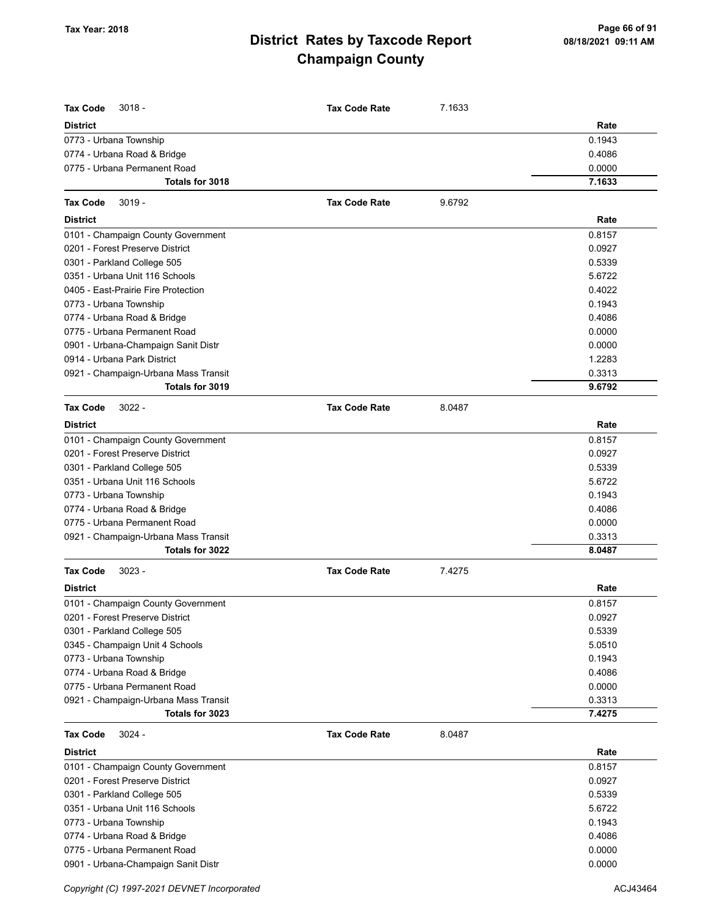| <b>Tax Code</b><br>$3018 -$          | <b>Tax Code Rate</b> | 7.1633 |        |
|--------------------------------------|----------------------|--------|--------|
| <b>District</b>                      |                      |        | Rate   |
| 0773 - Urbana Township               |                      |        | 0.1943 |
| 0774 - Urbana Road & Bridge          |                      |        | 0.4086 |
| 0775 - Urbana Permanent Road         |                      |        | 0.0000 |
| Totals for 3018                      |                      |        | 7.1633 |
| <b>Tax Code</b>                      | <b>Tax Code Rate</b> |        |        |
| $3019 -$                             |                      | 9.6792 |        |
| <b>District</b>                      |                      |        | Rate   |
| 0101 - Champaign County Government   |                      |        | 0.8157 |
| 0201 - Forest Preserve District      |                      |        | 0.0927 |
| 0301 - Parkland College 505          |                      |        | 0.5339 |
| 0351 - Urbana Unit 116 Schools       |                      |        | 5.6722 |
| 0405 - East-Prairie Fire Protection  |                      |        | 0.4022 |
| 0773 - Urbana Township               |                      |        | 0.1943 |
| 0774 - Urbana Road & Bridge          |                      |        | 0.4086 |
| 0775 - Urbana Permanent Road         |                      |        | 0.0000 |
| 0901 - Urbana-Champaign Sanit Distr  |                      |        | 0.0000 |
| 0914 - Urbana Park District          |                      |        | 1.2283 |
| 0921 - Champaign-Urbana Mass Transit |                      |        | 0.3313 |
| Totals for 3019                      |                      |        | 9.6792 |
| <b>Tax Code</b><br>$3022 -$          | <b>Tax Code Rate</b> | 8.0487 |        |
| <b>District</b>                      |                      |        | Rate   |
| 0101 - Champaign County Government   |                      |        | 0.8157 |
| 0201 - Forest Preserve District      |                      |        | 0.0927 |
| 0301 - Parkland College 505          |                      |        | 0.5339 |
| 0351 - Urbana Unit 116 Schools       |                      |        | 5.6722 |
| 0773 - Urbana Township               |                      |        | 0.1943 |
| 0774 - Urbana Road & Bridge          |                      |        | 0.4086 |
| 0775 - Urbana Permanent Road         |                      |        | 0.0000 |
| 0921 - Champaign-Urbana Mass Transit |                      |        | 0.3313 |
| Totals for 3022                      |                      |        | 8.0487 |
| $3023 -$<br><b>Tax Code</b>          | <b>Tax Code Rate</b> | 7.4275 |        |
| <b>District</b>                      |                      |        | Rate   |
| 0101 - Champaign County Government   |                      |        | 0.8157 |
| 0201 - Forest Preserve District      |                      |        | 0.0927 |
| 0301 - Parkland College 505          |                      |        | 0.5339 |
| 0345 - Champaign Unit 4 Schools      |                      |        | 5.0510 |
| 0773 - Urbana Township               |                      |        | 0.1943 |
| 0774 - Urbana Road & Bridge          |                      |        | 0.4086 |
| 0775 - Urbana Permanent Road         |                      |        | 0.0000 |
| 0921 - Champaign-Urbana Mass Transit |                      |        | 0.3313 |
| Totals for 3023                      |                      |        | 7.4275 |
| <b>Tax Code</b><br>$3024 -$          | <b>Tax Code Rate</b> | 8.0487 |        |
| <b>District</b>                      |                      |        | Rate   |
| 0101 - Champaign County Government   |                      |        | 0.8157 |
| 0201 - Forest Preserve District      |                      |        | 0.0927 |
| 0301 - Parkland College 505          |                      |        | 0.5339 |
| 0351 - Urbana Unit 116 Schools       |                      |        | 5.6722 |
| 0773 - Urbana Township               |                      |        | 0.1943 |
| 0774 - Urbana Road & Bridge          |                      |        | 0.4086 |
| 0775 - Urbana Permanent Road         |                      |        | 0.0000 |
| 0901 - Urbana-Champaign Sanit Distr  |                      |        | 0.0000 |

Copyright (C) 1997-2021 DEVNET Incorporated **ACJ43464** ACJ43464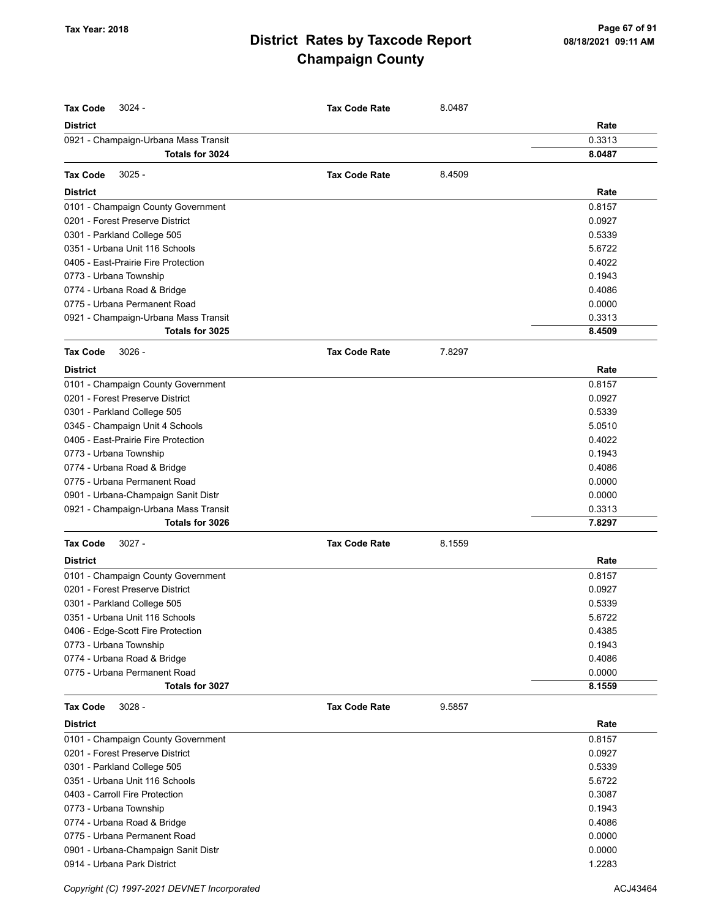| <b>Tax Code</b><br>$3024 -$          | <b>Tax Code Rate</b> | 8.0487 |        |
|--------------------------------------|----------------------|--------|--------|
| <b>District</b>                      |                      |        | Rate   |
| 0921 - Champaign-Urbana Mass Transit |                      |        | 0.3313 |
| Totals for 3024                      |                      |        | 8.0487 |
|                                      |                      |        |        |
| $3025 -$<br><b>Tax Code</b>          | <b>Tax Code Rate</b> | 8.4509 |        |
| <b>District</b>                      |                      |        | Rate   |
| 0101 - Champaign County Government   |                      |        | 0.8157 |
| 0201 - Forest Preserve District      |                      |        | 0.0927 |
| 0301 - Parkland College 505          |                      |        | 0.5339 |
| 0351 - Urbana Unit 116 Schools       |                      |        | 5.6722 |
| 0405 - East-Prairie Fire Protection  |                      |        | 0.4022 |
| 0773 - Urbana Township               |                      |        | 0.1943 |
| 0774 - Urbana Road & Bridge          |                      |        | 0.4086 |
| 0775 - Urbana Permanent Road         |                      |        | 0.0000 |
| 0921 - Champaign-Urbana Mass Transit |                      |        | 0.3313 |
| Totals for 3025                      |                      |        | 8.4509 |
| <b>Tax Code</b><br>$3026 -$          | <b>Tax Code Rate</b> | 7.8297 |        |
| <b>District</b>                      |                      |        | Rate   |
| 0101 - Champaign County Government   |                      |        | 0.8157 |
| 0201 - Forest Preserve District      |                      |        | 0.0927 |
| 0301 - Parkland College 505          |                      |        | 0.5339 |
| 0345 - Champaign Unit 4 Schools      |                      |        | 5.0510 |
| 0405 - East-Prairie Fire Protection  |                      |        | 0.4022 |
| 0773 - Urbana Township               |                      |        | 0.1943 |
| 0774 - Urbana Road & Bridge          |                      |        | 0.4086 |
| 0775 - Urbana Permanent Road         |                      |        | 0.0000 |
| 0901 - Urbana-Champaign Sanit Distr  |                      |        | 0.0000 |
| 0921 - Champaign-Urbana Mass Transit |                      |        | 0.3313 |
| Totals for 3026                      |                      |        | 7.8297 |
| <b>Tax Code</b><br>$3027 -$          | <b>Tax Code Rate</b> | 8.1559 |        |
| <b>District</b>                      |                      |        | Rate   |
| 0101 - Champaign County Government   |                      |        | 0.8157 |
| 0201 - Forest Preserve District      |                      |        | 0.0927 |
| 0301 - Parkland College 505          |                      |        | 0.5339 |
| 0351 - Urbana Unit 116 Schools       |                      |        | 5.6722 |
| 0406 - Edge-Scott Fire Protection    |                      |        | 0.4385 |
| 0773 - Urbana Township               |                      |        | 0.1943 |
| 0774 - Urbana Road & Bridge          |                      |        | 0.4086 |
| 0775 - Urbana Permanent Road         |                      |        | 0.0000 |
| Totals for 3027                      |                      |        | 8.1559 |
| <b>Tax Code</b><br>$3028 -$          | <b>Tax Code Rate</b> | 9.5857 |        |
| <b>District</b>                      |                      |        | Rate   |
| 0101 - Champaign County Government   |                      |        | 0.8157 |
| 0201 - Forest Preserve District      |                      |        | 0.0927 |
| 0301 - Parkland College 505          |                      |        | 0.5339 |
| 0351 - Urbana Unit 116 Schools       |                      |        | 5.6722 |
| 0403 - Carroll Fire Protection       |                      |        | 0.3087 |
| 0773 - Urbana Township               |                      |        | 0.1943 |
| 0774 - Urbana Road & Bridge          |                      |        | 0.4086 |
| 0775 - Urbana Permanent Road         |                      |        | 0.0000 |
| 0901 - Urbana-Champaign Sanit Distr  |                      |        | 0.0000 |
| 0914 - Urbana Park District          |                      |        | 1.2283 |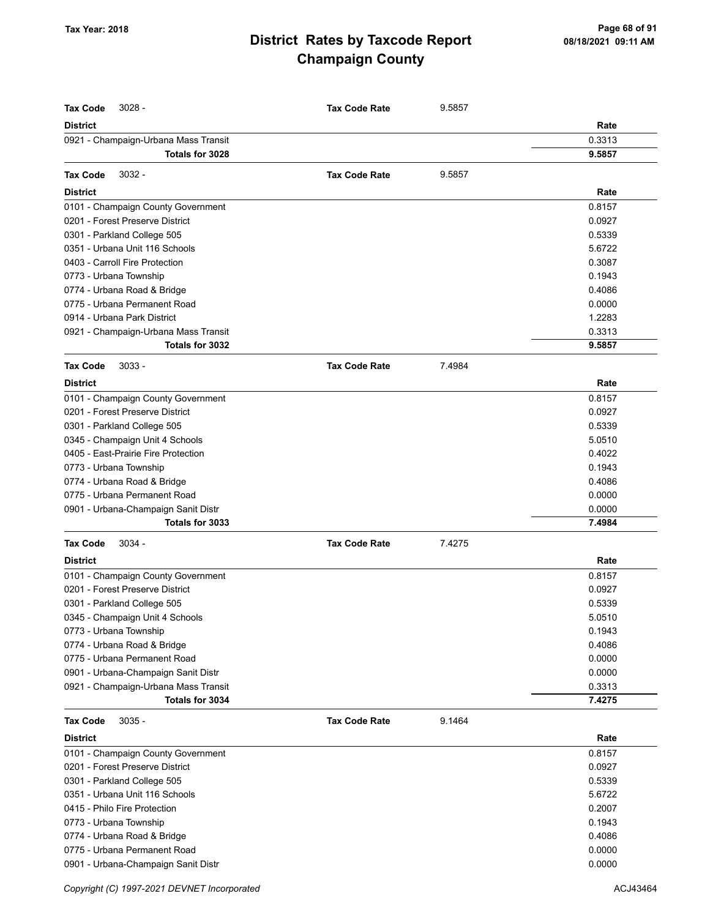| <b>Tax Code</b><br>$3028 -$          | <b>Tax Code Rate</b> | 9.5857 |        |
|--------------------------------------|----------------------|--------|--------|
| <b>District</b>                      |                      |        | Rate   |
| 0921 - Champaign-Urbana Mass Transit |                      |        | 0.3313 |
| Totals for 3028                      |                      |        | 9.5857 |
| $3032 -$<br><b>Tax Code</b>          | <b>Tax Code Rate</b> | 9.5857 |        |
| <b>District</b>                      |                      |        | Rate   |
| 0101 - Champaign County Government   |                      |        | 0.8157 |
| 0201 - Forest Preserve District      |                      |        | 0.0927 |
| 0301 - Parkland College 505          |                      |        | 0.5339 |
| 0351 - Urbana Unit 116 Schools       |                      |        | 5.6722 |
| 0403 - Carroll Fire Protection       |                      |        | 0.3087 |
| 0773 - Urbana Township               |                      |        | 0.1943 |
| 0774 - Urbana Road & Bridge          |                      |        | 0.4086 |
| 0775 - Urbana Permanent Road         |                      |        | 0.0000 |
| 0914 - Urbana Park District          |                      |        | 1.2283 |
| 0921 - Champaign-Urbana Mass Transit |                      |        | 0.3313 |
| Totals for 3032                      |                      |        | 9.5857 |
| $3033 -$<br><b>Tax Code</b>          | <b>Tax Code Rate</b> | 7.4984 |        |
| <b>District</b>                      |                      |        | Rate   |
| 0101 - Champaign County Government   |                      |        | 0.8157 |
| 0201 - Forest Preserve District      |                      |        | 0.0927 |
| 0301 - Parkland College 505          |                      |        | 0.5339 |
| 0345 - Champaign Unit 4 Schools      |                      |        | 5.0510 |
| 0405 - East-Prairie Fire Protection  |                      |        | 0.4022 |
| 0773 - Urbana Township               |                      |        | 0.1943 |
| 0774 - Urbana Road & Bridge          |                      |        | 0.4086 |
| 0775 - Urbana Permanent Road         |                      |        | 0.0000 |
| 0901 - Urbana-Champaign Sanit Distr  |                      |        | 0.0000 |
| Totals for 3033                      |                      |        | 7.4984 |
| <b>Tax Code</b><br>$3034 -$          | <b>Tax Code Rate</b> | 7.4275 |        |
| <b>District</b>                      |                      |        | Rate   |
| 0101 - Champaign County Government   |                      |        | 0.8157 |
| 0201 - Forest Preserve District      |                      |        | 0.0927 |
| 0301 - Parkland College 505          |                      |        | 0.5339 |
| 0345 - Champaign Unit 4 Schools      |                      |        | 5.0510 |
| 0773 - Urbana Township               |                      |        | 0.1943 |
| 0774 - Urbana Road & Bridge          |                      |        | 0.4086 |
| 0775 - Urbana Permanent Road         |                      |        | 0.0000 |
| 0901 - Urbana-Champaign Sanit Distr  |                      |        | 0.0000 |
| 0921 - Champaign-Urbana Mass Transit |                      |        | 0.3313 |
| Totals for 3034                      |                      |        | 7.4275 |
| <b>Tax Code</b><br>$3035 -$          | <b>Tax Code Rate</b> | 9.1464 |        |
| <b>District</b>                      |                      |        | Rate   |
| 0101 - Champaign County Government   |                      |        | 0.8157 |
| 0201 - Forest Preserve District      |                      |        | 0.0927 |
| 0301 - Parkland College 505          |                      |        | 0.5339 |
| 0351 - Urbana Unit 116 Schools       |                      |        | 5.6722 |
| 0415 - Philo Fire Protection         |                      |        | 0.2007 |
| 0773 - Urbana Township               |                      |        | 0.1943 |
| 0774 - Urbana Road & Bridge          |                      |        | 0.4086 |
| 0775 - Urbana Permanent Road         |                      |        | 0.0000 |
| 0901 - Urbana-Champaign Sanit Distr  |                      |        | 0.0000 |

Copyright (C) 1997-2021 DEVNET Incorporated **ACJ43464** ACJ43464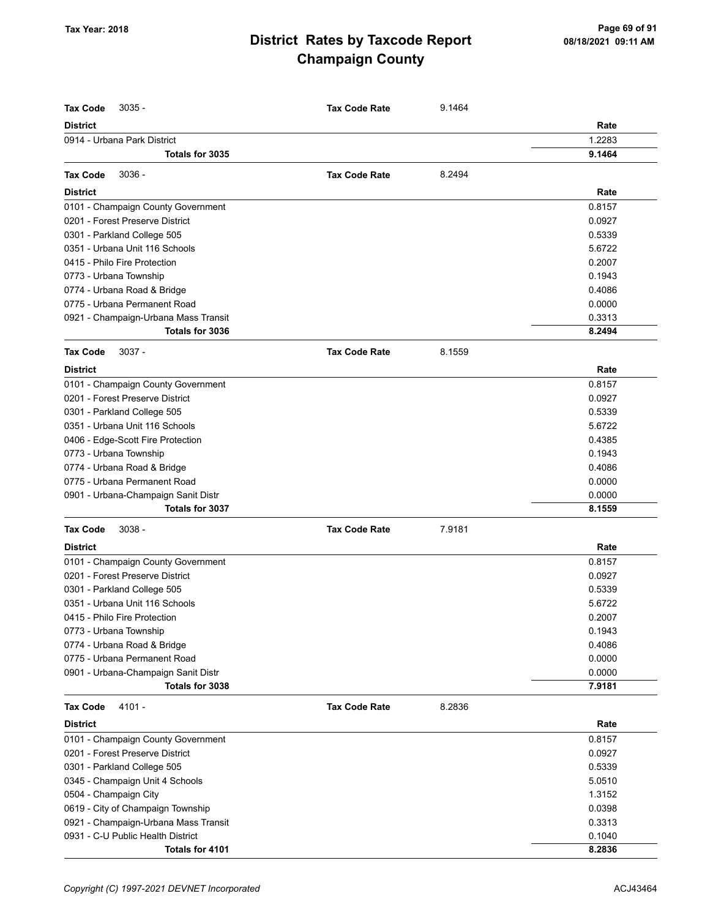| <b>Tax Code</b><br>$3035 -$          | <b>Tax Code Rate</b> | 9.1464 |        |
|--------------------------------------|----------------------|--------|--------|
| <b>District</b>                      |                      |        | Rate   |
| 0914 - Urbana Park District          |                      |        | 1.2283 |
| Totals for 3035                      |                      |        | 9.1464 |
|                                      |                      |        |        |
| $3036 -$<br><b>Tax Code</b>          | <b>Tax Code Rate</b> | 8.2494 |        |
| <b>District</b>                      |                      |        | Rate   |
| 0101 - Champaign County Government   |                      |        | 0.8157 |
| 0201 - Forest Preserve District      |                      |        | 0.0927 |
| 0301 - Parkland College 505          |                      |        | 0.5339 |
| 0351 - Urbana Unit 116 Schools       |                      |        | 5.6722 |
| 0415 - Philo Fire Protection         |                      |        | 0.2007 |
| 0773 - Urbana Township               |                      |        | 0.1943 |
| 0774 - Urbana Road & Bridge          |                      |        | 0.4086 |
| 0775 - Urbana Permanent Road         |                      |        | 0.0000 |
| 0921 - Champaign-Urbana Mass Transit |                      |        | 0.3313 |
| Totals for 3036                      |                      |        | 8.2494 |
| <b>Tax Code</b><br>$3037 -$          | <b>Tax Code Rate</b> | 8.1559 |        |
| <b>District</b>                      |                      |        | Rate   |
| 0101 - Champaign County Government   |                      |        | 0.8157 |
| 0201 - Forest Preserve District      |                      |        | 0.0927 |
| 0301 - Parkland College 505          |                      |        | 0.5339 |
| 0351 - Urbana Unit 116 Schools       |                      |        | 5.6722 |
| 0406 - Edge-Scott Fire Protection    |                      |        | 0.4385 |
| 0773 - Urbana Township               |                      |        | 0.1943 |
| 0774 - Urbana Road & Bridge          |                      |        | 0.4086 |
| 0775 - Urbana Permanent Road         |                      |        | 0.0000 |
| 0901 - Urbana-Champaign Sanit Distr  |                      |        | 0.0000 |
| Totals for 3037                      |                      |        | 8.1559 |
| <b>Tax Code</b><br>$3038 -$          | <b>Tax Code Rate</b> | 7.9181 |        |
| <b>District</b>                      |                      |        | Rate   |
| 0101 - Champaign County Government   |                      |        | 0.8157 |
| 0201 - Forest Preserve District      |                      |        | 0.0927 |
| 0301 - Parkland College 505          |                      |        | 0.5339 |
| 0351 - Urbana Unit 116 Schools       |                      |        | 5.6722 |
| 0415 - Philo Fire Protection         |                      |        | 0.2007 |
| 0773 - Urbana Township               |                      |        | 0.1943 |
| 0774 - Urbana Road & Bridge          |                      |        | 0.4086 |
| 0775 - Urbana Permanent Road         |                      |        | 0.0000 |
| 0901 - Urbana-Champaign Sanit Distr  |                      |        | 0.0000 |
| Totals for 3038                      |                      |        | 7.9181 |
| <b>Tax Code</b><br>4101 -            | <b>Tax Code Rate</b> | 8.2836 |        |
| <b>District</b>                      |                      |        | Rate   |
| 0101 - Champaign County Government   |                      |        | 0.8157 |
| 0201 - Forest Preserve District      |                      |        | 0.0927 |
| 0301 - Parkland College 505          |                      |        | 0.5339 |
| 0345 - Champaign Unit 4 Schools      |                      |        | 5.0510 |
| 0504 - Champaign City                |                      |        | 1.3152 |
| 0619 - City of Champaign Township    |                      |        | 0.0398 |
| 0921 - Champaign-Urbana Mass Transit |                      |        | 0.3313 |
| 0931 - C-U Public Health District    |                      |        | 0.1040 |
| Totals for 4101                      |                      |        | 8.2836 |
|                                      |                      |        |        |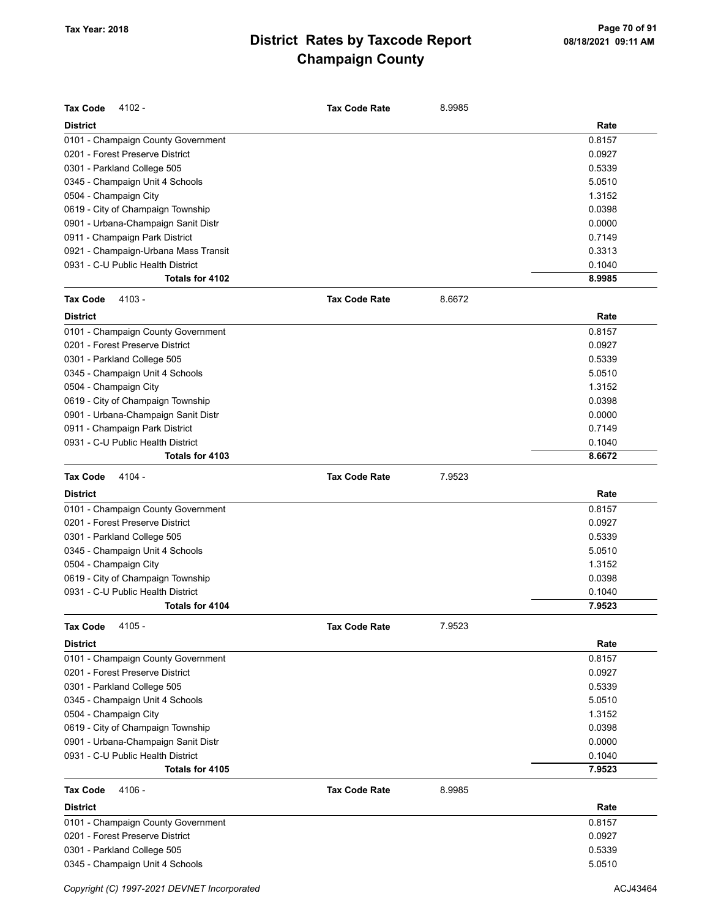| <b>Tax Code</b><br>4102 -                                      | <b>Tax Code Rate</b> | 8.9985 |                  |
|----------------------------------------------------------------|----------------------|--------|------------------|
| <b>District</b>                                                |                      |        | Rate             |
| 0101 - Champaign County Government                             |                      |        | 0.8157           |
| 0201 - Forest Preserve District                                |                      |        | 0.0927           |
| 0301 - Parkland College 505                                    |                      |        | 0.5339           |
| 0345 - Champaign Unit 4 Schools                                |                      |        | 5.0510           |
| 0504 - Champaign City                                          |                      |        | 1.3152           |
| 0619 - City of Champaign Township                              |                      |        | 0.0398           |
| 0901 - Urbana-Champaign Sanit Distr                            |                      |        | 0.0000           |
| 0911 - Champaign Park District                                 |                      |        | 0.7149           |
| 0921 - Champaign-Urbana Mass Transit                           |                      |        | 0.3313           |
| 0931 - C-U Public Health District                              |                      |        | 0.1040           |
| Totals for 4102                                                |                      |        | 8.9985           |
| <b>Tax Code</b><br>$4103 -$                                    | <b>Tax Code Rate</b> | 8.6672 |                  |
| <b>District</b>                                                |                      |        | Rate             |
| 0101 - Champaign County Government                             |                      |        | 0.8157           |
| 0201 - Forest Preserve District                                |                      |        | 0.0927           |
| 0301 - Parkland College 505                                    |                      |        | 0.5339           |
| 0345 - Champaign Unit 4 Schools                                |                      |        | 5.0510           |
| 0504 - Champaign City                                          |                      |        | 1.3152           |
| 0619 - City of Champaign Township                              |                      |        | 0.0398           |
| 0901 - Urbana-Champaign Sanit Distr                            |                      |        | 0.0000           |
| 0911 - Champaign Park District                                 |                      |        | 0.7149           |
| 0931 - C-U Public Health District                              |                      |        | 0.1040           |
| Totals for 4103                                                |                      |        | 8.6672           |
| <b>Tax Code</b><br>4104 -                                      | <b>Tax Code Rate</b> | 7.9523 |                  |
| <b>District</b>                                                |                      |        | Rate             |
| 0101 - Champaign County Government                             |                      |        | 0.8157           |
|                                                                |                      |        |                  |
|                                                                |                      |        |                  |
| 0201 - Forest Preserve District                                |                      |        | 0.0927           |
| 0301 - Parkland College 505                                    |                      |        | 0.5339           |
| 0345 - Champaign Unit 4 Schools                                |                      |        | 5.0510           |
| 0504 - Champaign City                                          |                      |        | 1.3152           |
| 0619 - City of Champaign Township                              |                      |        | 0.0398           |
| 0931 - C-U Public Health District<br>Totals for 4104           |                      |        | 0.1040<br>7.9523 |
|                                                                |                      |        |                  |
| <b>Tax Code</b><br>$4105 -$                                    | <b>Tax Code Rate</b> | 7.9523 |                  |
| <b>District</b>                                                |                      |        | Rate             |
| 0101 - Champaign County Government                             |                      |        | 0.8157           |
| 0201 - Forest Preserve District                                |                      |        | 0.0927           |
| 0301 - Parkland College 505                                    |                      |        | 0.5339           |
| 0345 - Champaign Unit 4 Schools                                |                      |        | 5.0510           |
| 0504 - Champaign City                                          |                      |        | 1.3152           |
| 0619 - City of Champaign Township                              |                      |        | 0.0398           |
| 0901 - Urbana-Champaign Sanit Distr                            |                      |        | 0.0000           |
| 0931 - C-U Public Health District                              |                      |        | 0.1040           |
| Totals for 4105                                                |                      |        | 7.9523           |
| <b>Tax Code</b><br>4106 -                                      | <b>Tax Code Rate</b> | 8.9985 |                  |
| <b>District</b>                                                |                      |        | Rate             |
| 0101 - Champaign County Government                             |                      |        | 0.8157           |
| 0201 - Forest Preserve District                                |                      |        | 0.0927           |
| 0301 - Parkland College 505<br>0345 - Champaign Unit 4 Schools |                      |        | 0.5339<br>5.0510 |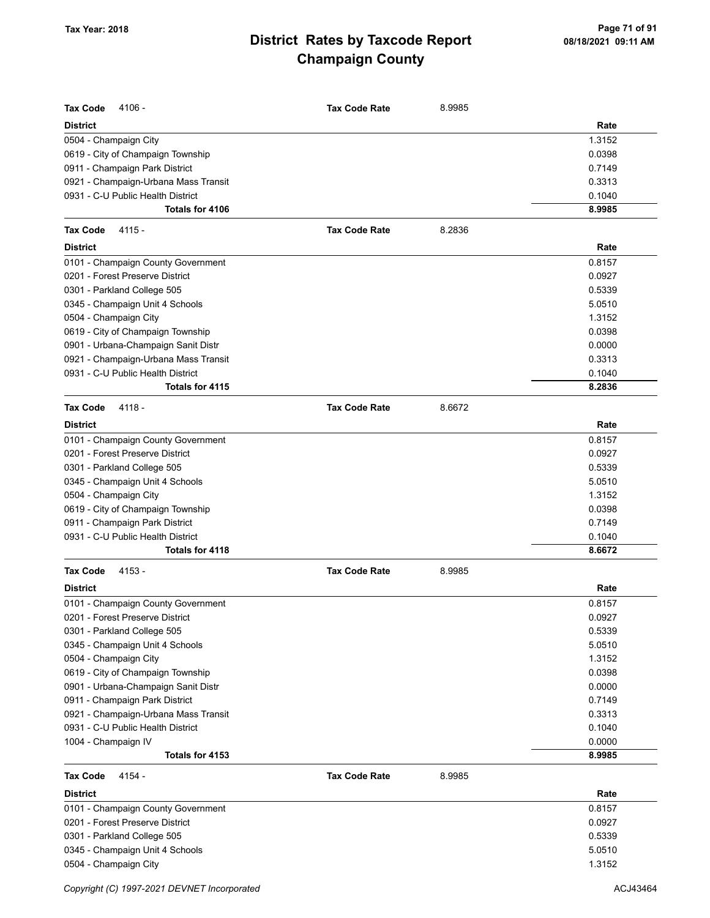| <b>Tax Code</b><br>4106 -            | <b>Tax Code Rate</b> | 8.9985 |        |
|--------------------------------------|----------------------|--------|--------|
| <b>District</b>                      |                      |        | Rate   |
| 0504 - Champaign City                |                      |        | 1.3152 |
| 0619 - City of Champaign Township    |                      |        | 0.0398 |
| 0911 - Champaign Park District       |                      |        | 0.7149 |
| 0921 - Champaign-Urbana Mass Transit |                      |        | 0.3313 |
| 0931 - C-U Public Health District    |                      |        | 0.1040 |
| Totals for 4106                      |                      |        | 8.9985 |
| <b>Tax Code</b><br>4115 -            | <b>Tax Code Rate</b> | 8.2836 |        |
| <b>District</b>                      |                      |        | Rate   |
| 0101 - Champaign County Government   |                      |        | 0.8157 |
| 0201 - Forest Preserve District      |                      |        | 0.0927 |
| 0301 - Parkland College 505          |                      |        | 0.5339 |
| 0345 - Champaign Unit 4 Schools      |                      |        | 5.0510 |
| 0504 - Champaign City                |                      |        | 1.3152 |
| 0619 - City of Champaign Township    |                      |        | 0.0398 |
| 0901 - Urbana-Champaign Sanit Distr  |                      |        | 0.0000 |
| 0921 - Champaign-Urbana Mass Transit |                      |        | 0.3313 |
| 0931 - C-U Public Health District    |                      |        | 0.1040 |
| Totals for 4115                      |                      |        | 8.2836 |
| <b>Tax Code</b><br>4118 -            | <b>Tax Code Rate</b> | 8.6672 |        |
| <b>District</b>                      |                      |        | Rate   |
| 0101 - Champaign County Government   |                      |        | 0.8157 |
| 0201 - Forest Preserve District      |                      |        | 0.0927 |
| 0301 - Parkland College 505          |                      |        | 0.5339 |
| 0345 - Champaign Unit 4 Schools      |                      |        | 5.0510 |
| 0504 - Champaign City                |                      |        | 1.3152 |
| 0619 - City of Champaign Township    |                      |        | 0.0398 |
| 0911 - Champaign Park District       |                      |        | 0.7149 |
| 0931 - C-U Public Health District    |                      |        | 0.1040 |
| Totals for 4118                      |                      |        | 8.6672 |
| 4153 -<br><b>Tax Code</b>            | <b>Tax Code Rate</b> | 8.9985 |        |
| <b>District</b>                      |                      |        | Rate   |
| 0101 - Champaign County Government   |                      |        | 0.8157 |
| 0201 - Forest Preserve District      |                      |        | 0.0927 |
| 0301 - Parkland College 505          |                      |        | 0.5339 |
| 0345 - Champaign Unit 4 Schools      |                      |        | 5.0510 |
| 0504 - Champaign City                |                      |        | 1.3152 |
| 0619 - City of Champaign Township    |                      |        | 0.0398 |
| 0901 - Urbana-Champaign Sanit Distr  |                      |        | 0.0000 |
| 0911 - Champaign Park District       |                      |        | 0.7149 |
| 0921 - Champaign-Urbana Mass Transit |                      |        | 0.3313 |
| 0931 - C-U Public Health District    |                      |        | 0.1040 |
| 1004 - Champaign IV                  |                      |        | 0.0000 |
| Totals for 4153                      |                      |        | 8.9985 |
| <b>Tax Code</b><br>4154 -            | <b>Tax Code Rate</b> | 8.9985 |        |
| <b>District</b>                      |                      |        | Rate   |
| 0101 - Champaign County Government   |                      |        | 0.8157 |
| 0201 - Forest Preserve District      |                      |        | 0.0927 |
| 0301 - Parkland College 505          |                      |        | 0.5339 |
| 0345 - Champaign Unit 4 Schools      |                      |        | 5.0510 |

0504 - Champaign City 1.3152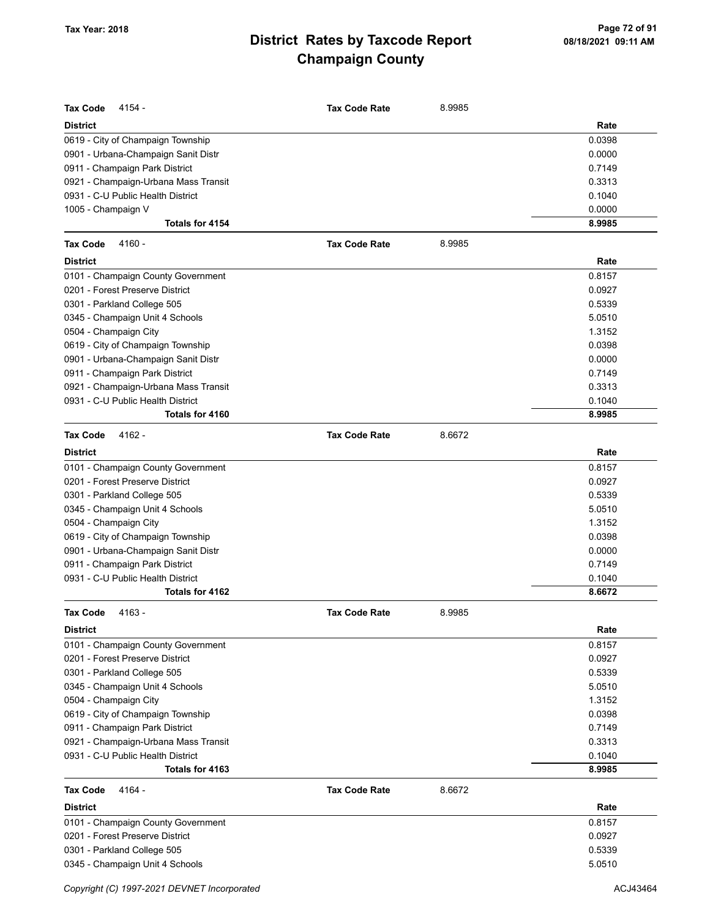| <b>Tax Code</b><br>4154 -            | <b>Tax Code Rate</b> | 8.9985 |        |
|--------------------------------------|----------------------|--------|--------|
| <b>District</b>                      |                      |        | Rate   |
| 0619 - City of Champaign Township    |                      |        | 0.0398 |
| 0901 - Urbana-Champaign Sanit Distr  |                      |        | 0.0000 |
| 0911 - Champaign Park District       |                      |        | 0.7149 |
| 0921 - Champaign-Urbana Mass Transit |                      |        | 0.3313 |
| 0931 - C-U Public Health District    |                      |        | 0.1040 |
| 1005 - Champaign V                   |                      |        | 0.0000 |
| Totals for 4154                      |                      |        | 8.9985 |
| <b>Tax Code</b><br>4160 -            | <b>Tax Code Rate</b> | 8.9985 |        |
| <b>District</b>                      |                      |        | Rate   |
| 0101 - Champaign County Government   |                      |        | 0.8157 |
| 0201 - Forest Preserve District      |                      |        | 0.0927 |
| 0301 - Parkland College 505          |                      |        | 0.5339 |
| 0345 - Champaign Unit 4 Schools      |                      |        | 5.0510 |
| 0504 - Champaign City                |                      |        | 1.3152 |
| 0619 - City of Champaign Township    |                      |        | 0.0398 |
| 0901 - Urbana-Champaign Sanit Distr  |                      |        | 0.0000 |
| 0911 - Champaign Park District       |                      |        | 0.7149 |
| 0921 - Champaign-Urbana Mass Transit |                      |        | 0.3313 |
| 0931 - C-U Public Health District    |                      |        | 0.1040 |
| Totals for 4160                      |                      |        | 8.9985 |
| <b>Tax Code</b><br>4162 -            | <b>Tax Code Rate</b> | 8.6672 |        |
| <b>District</b>                      |                      |        | Rate   |
| 0101 - Champaign County Government   |                      |        | 0.8157 |
| 0201 - Forest Preserve District      |                      |        | 0.0927 |
| 0301 - Parkland College 505          |                      |        | 0.5339 |
| 0345 - Champaign Unit 4 Schools      |                      |        | 5.0510 |
| 0504 - Champaign City                |                      |        | 1.3152 |
| 0619 - City of Champaign Township    |                      |        | 0.0398 |
| 0901 - Urbana-Champaign Sanit Distr  |                      |        | 0.0000 |
| 0911 - Champaign Park District       |                      |        | 0.7149 |
| 0931 - C-U Public Health District    |                      |        | 0.1040 |
| Totals for 4162                      |                      |        | 8.6672 |
| <b>Tax Code 4163 -</b>               | <b>Tax Code Rate</b> | 8.9985 |        |
| District                             |                      |        | Rate   |
| 0101 - Champaign County Government   |                      |        | 0.8157 |
| 0201 - Forest Preserve District      |                      |        | 0.0927 |
| 0301 - Parkland College 505          |                      |        | 0.5339 |
| 0345 - Champaign Unit 4 Schools      |                      |        | 5.0510 |
| 0504 - Champaign City                |                      |        | 1.3152 |
| 0619 - City of Champaign Township    |                      |        | 0.0398 |
| 0911 - Champaign Park District       |                      |        | 0.7149 |
| 0921 - Champaign-Urbana Mass Transit |                      |        | 0.3313 |
| 0931 - C-U Public Health District    |                      |        | 0.1040 |
| Totals for 4163                      |                      |        | 8.9985 |
| <b>Tax Code</b><br>4164 -            | <b>Tax Code Rate</b> | 8.6672 |        |
| <b>District</b>                      |                      |        | Rate   |
| 0101 - Champaign County Government   |                      |        | 0.8157 |
| 0201 - Forest Preserve District      |                      |        | 0.0927 |
| 0301 - Parkland College 505          |                      |        | 0.5339 |
| 0345 - Champaign Unit 4 Schools      |                      |        | 5.0510 |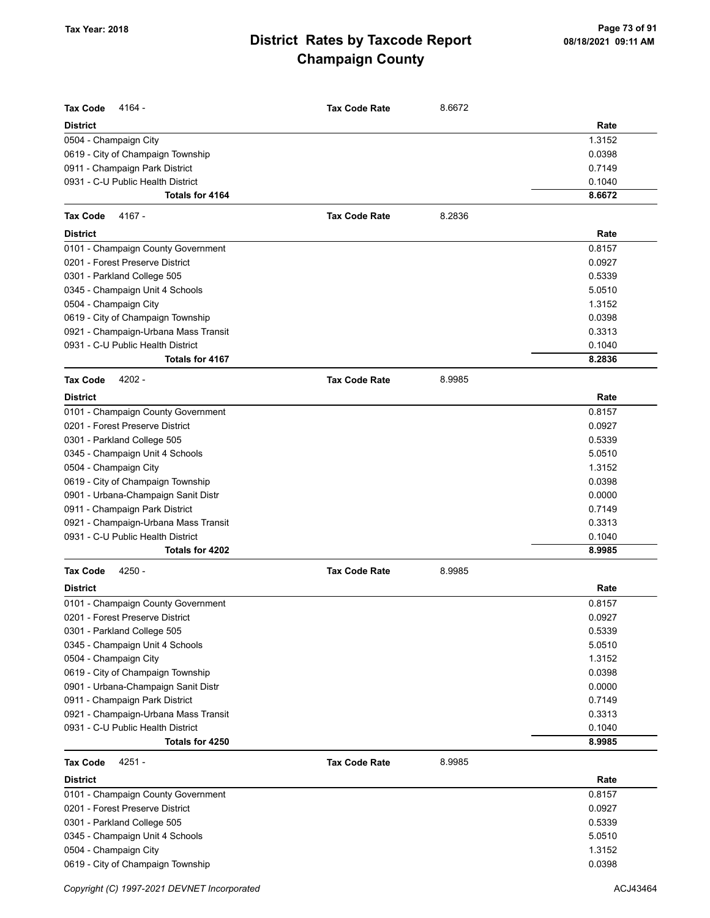|                                              | <b>Tax Code Rate</b> |        |        |
|----------------------------------------------|----------------------|--------|--------|
| <b>Tax Code</b><br>4164 -<br><b>District</b> |                      | 8.6672 | Rate   |
| 0504 - Champaign City                        |                      |        | 1.3152 |
| 0619 - City of Champaign Township            |                      |        | 0.0398 |
| 0911 - Champaign Park District               |                      |        | 0.7149 |
| 0931 - C-U Public Health District            |                      |        | 0.1040 |
| <b>Totals for 4164</b>                       |                      |        | 8.6672 |
| <b>Tax Code</b><br>4167 -                    | <b>Tax Code Rate</b> | 8.2836 |        |
| <b>District</b>                              |                      |        | Rate   |
| 0101 - Champaign County Government           |                      |        | 0.8157 |
| 0201 - Forest Preserve District              |                      |        | 0.0927 |
| 0301 - Parkland College 505                  |                      |        | 0.5339 |
| 0345 - Champaign Unit 4 Schools              |                      |        | 5.0510 |
| 0504 - Champaign City                        |                      |        | 1.3152 |
| 0619 - City of Champaign Township            |                      |        | 0.0398 |
| 0921 - Champaign-Urbana Mass Transit         |                      |        | 0.3313 |
| 0931 - C-U Public Health District            |                      |        | 0.1040 |
| <b>Totals for 4167</b>                       |                      |        | 8.2836 |
| 4202 -<br><b>Tax Code</b>                    | <b>Tax Code Rate</b> | 8.9985 |        |
| <b>District</b>                              |                      |        | Rate   |
| 0101 - Champaign County Government           |                      |        | 0.8157 |
| 0201 - Forest Preserve District              |                      |        | 0.0927 |
| 0301 - Parkland College 505                  |                      |        | 0.5339 |
| 0345 - Champaign Unit 4 Schools              |                      |        | 5.0510 |
| 0504 - Champaign City                        |                      |        | 1.3152 |
| 0619 - City of Champaign Township            |                      |        | 0.0398 |
| 0901 - Urbana-Champaign Sanit Distr          |                      |        | 0.0000 |
| 0911 - Champaign Park District               |                      |        | 0.7149 |
| 0921 - Champaign-Urbana Mass Transit         |                      |        | 0.3313 |
| 0931 - C-U Public Health District            |                      |        | 0.1040 |
| Totals for 4202                              |                      |        | 8.9985 |
| 4250 -<br><b>Tax Code</b>                    | <b>Tax Code Rate</b> | 8.9985 |        |
| <b>District</b>                              |                      |        | Rate   |
| 0101 - Champaign County Government           |                      |        | 0.8157 |
| 0201 - Forest Preserve District              |                      |        | 0.0927 |
| 0301 - Parkland College 505                  |                      |        | 0.5339 |
| 0345 - Champaign Unit 4 Schools              |                      |        | 5.0510 |
| 0504 - Champaign City                        |                      |        | 1.3152 |
| 0619 - City of Champaign Township            |                      |        | 0.0398 |
| 0901 - Urbana-Champaign Sanit Distr          |                      |        | 0.0000 |
| 0911 - Champaign Park District               |                      |        | 0.7149 |
| 0921 - Champaign-Urbana Mass Transit         |                      |        | 0.3313 |
| 0931 - C-U Public Health District            |                      |        | 0.1040 |
| Totals for 4250                              |                      |        | 8.9985 |
| 4251 -<br><b>Tax Code</b>                    | <b>Tax Code Rate</b> | 8.9985 |        |
| <b>District</b>                              |                      |        | Rate   |
| 0101 - Champaign County Government           |                      |        | 0.8157 |
| 0201 - Forest Preserve District              |                      |        | 0.0927 |
| 0301 - Parkland College 505                  |                      |        | 0.5339 |
| 0345 - Champaign Unit 4 Schools              |                      |        | 5.0510 |
| 0504 - Champaign City                        |                      |        | 1.3152 |
| 0619 - City of Champaign Township            |                      |        | 0.0398 |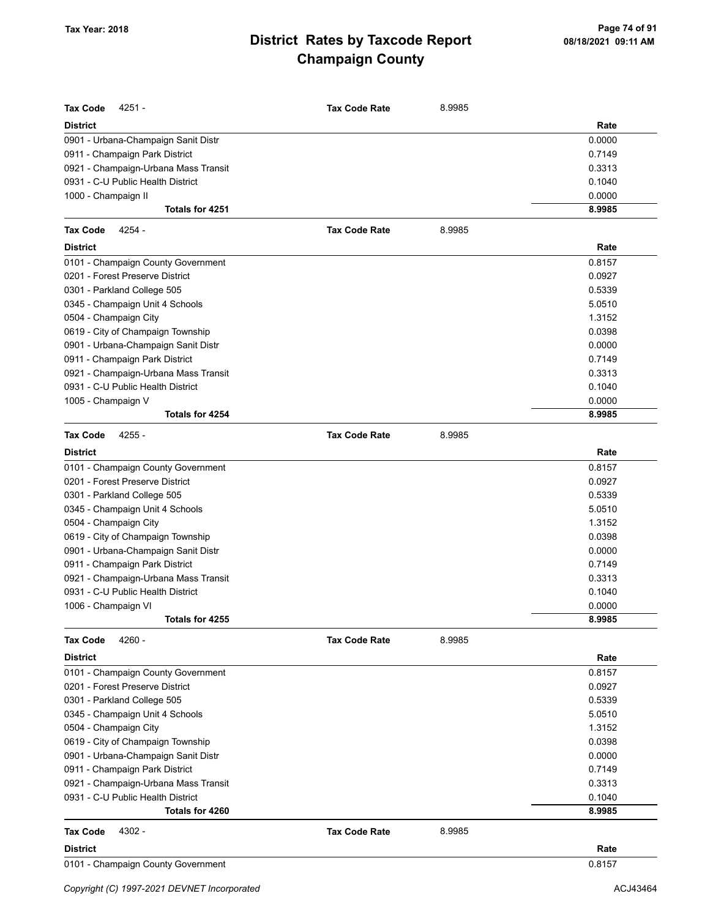| <b>Tax Code</b><br>4251 -            | <b>Tax Code Rate</b> | 8.9985 |        |
|--------------------------------------|----------------------|--------|--------|
| <b>District</b>                      |                      |        | Rate   |
| 0901 - Urbana-Champaign Sanit Distr  |                      |        | 0.0000 |
| 0911 - Champaign Park District       |                      |        | 0.7149 |
| 0921 - Champaign-Urbana Mass Transit |                      |        | 0.3313 |
| 0931 - C-U Public Health District    |                      |        | 0.1040 |
| 1000 - Champaign II                  |                      |        | 0.0000 |
| Totals for 4251                      |                      |        | 8.9985 |
| <b>Tax Code</b><br>4254 -            | <b>Tax Code Rate</b> | 8.9985 |        |
| <b>District</b>                      |                      |        | Rate   |
| 0101 - Champaign County Government   |                      |        | 0.8157 |
| 0201 - Forest Preserve District      |                      |        | 0.0927 |
| 0301 - Parkland College 505          |                      |        | 0.5339 |
| 0345 - Champaign Unit 4 Schools      |                      |        | 5.0510 |
| 0504 - Champaign City                |                      |        | 1.3152 |
| 0619 - City of Champaign Township    |                      |        | 0.0398 |
| 0901 - Urbana-Champaign Sanit Distr  |                      |        | 0.0000 |
| 0911 - Champaign Park District       |                      |        | 0.7149 |
| 0921 - Champaign-Urbana Mass Transit |                      |        | 0.3313 |
| 0931 - C-U Public Health District    |                      |        | 0.1040 |
| 1005 - Champaign V                   |                      |        | 0.0000 |
| Totals for 4254                      |                      |        | 8.9985 |
| <b>Tax Code</b><br>4255 -            | <b>Tax Code Rate</b> | 8.9985 |        |
| <b>District</b>                      |                      |        | Rate   |
| 0101 - Champaign County Government   |                      |        | 0.8157 |
| 0201 - Forest Preserve District      |                      |        | 0.0927 |
| 0301 - Parkland College 505          |                      |        | 0.5339 |
| 0345 - Champaign Unit 4 Schools      |                      |        | 5.0510 |
| 0504 - Champaign City                |                      |        | 1.3152 |
| 0619 - City of Champaign Township    |                      |        | 0.0398 |
| 0901 - Urbana-Champaign Sanit Distr  |                      |        | 0.0000 |
| 0911 - Champaign Park District       |                      |        | 0.7149 |
| 0921 - Champaign-Urbana Mass Transit |                      |        | 0.3313 |
| 0931 - C-U Public Health District    |                      |        | 0.1040 |
| 1006 - Champaign VI                  |                      |        | 0.0000 |
| Totals for 4255                      |                      |        | 8.9985 |
| 4260 -<br>Tax Code                   | <b>Tax Code Rate</b> | 8.9985 |        |
| <b>District</b>                      |                      |        | Rate   |
| 0101 - Champaign County Government   |                      |        | 0.8157 |
| 0201 - Forest Preserve District      |                      |        | 0.0927 |
| 0301 - Parkland College 505          |                      |        | 0.5339 |
| 0345 - Champaign Unit 4 Schools      |                      |        | 5.0510 |
| 0504 - Champaign City                |                      |        | 1.3152 |
| 0619 - City of Champaign Township    |                      |        | 0.0398 |
| 0901 - Urbana-Champaign Sanit Distr  |                      |        | 0.0000 |
| 0911 - Champaign Park District       |                      |        | 0.7149 |
| 0921 - Champaign-Urbana Mass Transit |                      |        | 0.3313 |
| 0931 - C-U Public Health District    |                      |        | 0.1040 |
| Totals for 4260                      |                      |        | 8.9985 |
| 4302 -<br><b>Tax Code</b>            | <b>Tax Code Rate</b> | 8.9985 |        |
| <b>District</b>                      |                      |        | Rate   |
| 0101 - Champaign County Government   |                      |        | 0.8157 |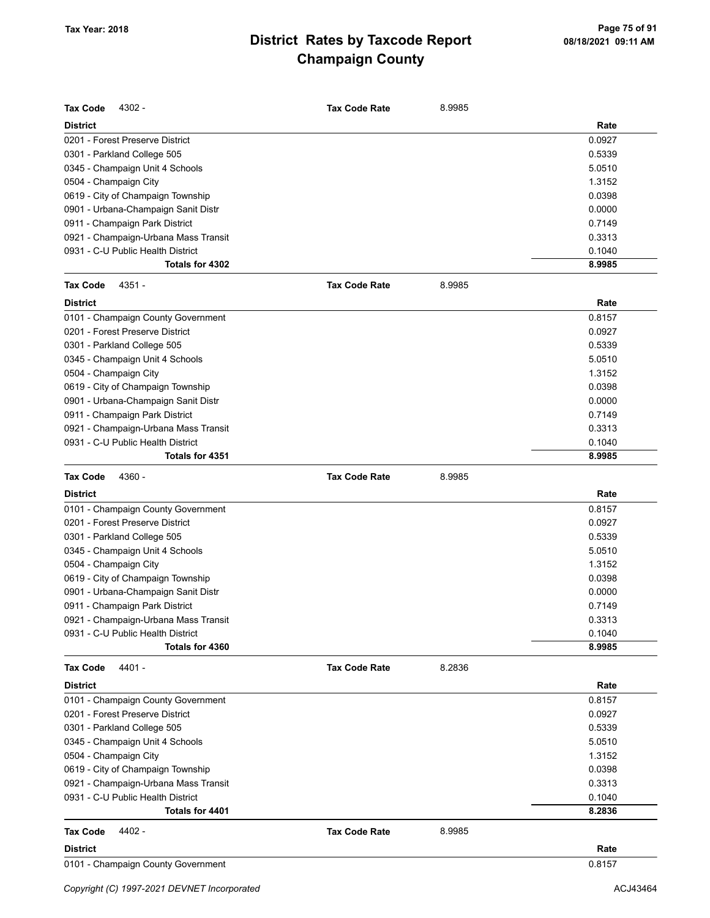| <b>Tax Code</b><br>4302 -            | <b>Tax Code Rate</b> | 8.9985 |        |
|--------------------------------------|----------------------|--------|--------|
| <b>District</b>                      |                      |        | Rate   |
| 0201 - Forest Preserve District      |                      |        | 0.0927 |
| 0301 - Parkland College 505          |                      |        | 0.5339 |
| 0345 - Champaign Unit 4 Schools      |                      |        | 5.0510 |
| 0504 - Champaign City                |                      |        | 1.3152 |
| 0619 - City of Champaign Township    |                      |        | 0.0398 |
| 0901 - Urbana-Champaign Sanit Distr  |                      |        | 0.0000 |
| 0911 - Champaign Park District       |                      |        | 0.7149 |
| 0921 - Champaign-Urbana Mass Transit |                      |        | 0.3313 |
| 0931 - C-U Public Health District    |                      |        | 0.1040 |
| Totals for 4302                      |                      |        | 8.9985 |
| <b>Tax Code</b><br>4351 -            | <b>Tax Code Rate</b> | 8.9985 |        |
| <b>District</b>                      |                      |        | Rate   |
| 0101 - Champaign County Government   |                      |        | 0.8157 |
| 0201 - Forest Preserve District      |                      |        | 0.0927 |
| 0301 - Parkland College 505          |                      |        | 0.5339 |
| 0345 - Champaign Unit 4 Schools      |                      |        | 5.0510 |
| 0504 - Champaign City                |                      |        | 1.3152 |
| 0619 - City of Champaign Township    |                      |        | 0.0398 |
| 0901 - Urbana-Champaign Sanit Distr  |                      |        | 0.0000 |
| 0911 - Champaign Park District       |                      |        | 0.7149 |
| 0921 - Champaign-Urbana Mass Transit |                      |        | 0.3313 |
| 0931 - C-U Public Health District    |                      |        | 0.1040 |
| Totals for 4351                      |                      |        | 8.9985 |
| <b>Tax Code</b><br>4360 -            | <b>Tax Code Rate</b> | 8.9985 |        |
| <b>District</b>                      |                      |        | Rate   |
| 0101 - Champaign County Government   |                      |        | 0.8157 |
| 0201 - Forest Preserve District      |                      |        | 0.0927 |
| 0301 - Parkland College 505          |                      |        | 0.5339 |
| 0345 - Champaign Unit 4 Schools      |                      |        | 5.0510 |
| 0504 - Champaign City                |                      |        | 1.3152 |
| 0619 - City of Champaign Township    |                      |        | 0.0398 |
| 0901 - Urbana-Champaign Sanit Distr  |                      |        | 0.0000 |
| 0911 - Champaign Park District       |                      |        | 0.7149 |
| 0921 - Champaign-Urbana Mass Transit |                      |        | 0.3313 |
| 0931 - C-U Public Health District    |                      |        | 0.1040 |
| Totals for 4360                      |                      |        | 8.9985 |
| 4401 -<br>Tax Code                   | <b>Tax Code Rate</b> | 8.2836 |        |
| <b>District</b>                      |                      |        | Rate   |
| 0101 - Champaign County Government   |                      |        | 0.8157 |
| 0201 - Forest Preserve District      |                      |        | 0.0927 |
| 0301 - Parkland College 505          |                      |        | 0.5339 |
| 0345 - Champaign Unit 4 Schools      |                      |        | 5.0510 |
| 0504 - Champaign City                |                      |        | 1.3152 |
| 0619 - City of Champaign Township    |                      |        | 0.0398 |
| 0921 - Champaign-Urbana Mass Transit |                      |        | 0.3313 |
| 0931 - C-U Public Health District    |                      |        | 0.1040 |
| Totals for 4401                      |                      |        | 8.2836 |
| 4402 -<br>Tax Code                   | <b>Tax Code Rate</b> | 8.9985 |        |
| District                             |                      |        | Rate   |
| 0101 - Champaign County Government   |                      |        | 0.8157 |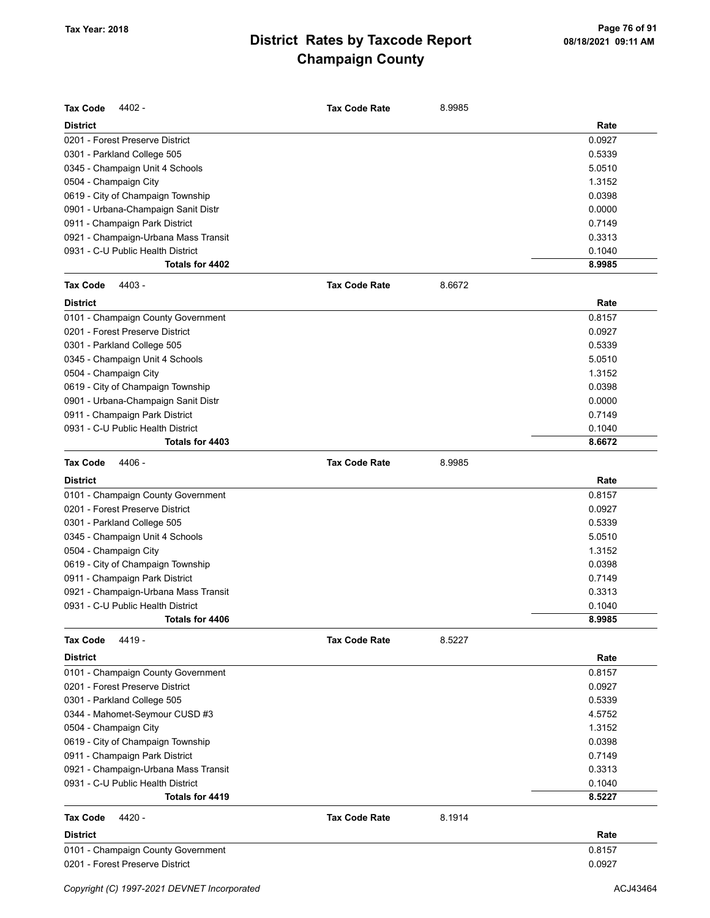| <b>Tax Code</b><br>4402 -            | <b>Tax Code Rate</b> | 8.9985 |        |
|--------------------------------------|----------------------|--------|--------|
| <b>District</b>                      |                      |        | Rate   |
| 0201 - Forest Preserve District      |                      |        | 0.0927 |
| 0301 - Parkland College 505          |                      |        | 0.5339 |
| 0345 - Champaign Unit 4 Schools      |                      |        | 5.0510 |
| 0504 - Champaign City                |                      |        | 1.3152 |
| 0619 - City of Champaign Township    |                      |        | 0.0398 |
| 0901 - Urbana-Champaign Sanit Distr  |                      |        | 0.0000 |
| 0911 - Champaign Park District       |                      |        | 0.7149 |
| 0921 - Champaign-Urbana Mass Transit |                      |        | 0.3313 |
| 0931 - C-U Public Health District    |                      |        | 0.1040 |
| Totals for 4402                      |                      |        | 8.9985 |
| <b>Tax Code</b><br>4403 -            | <b>Tax Code Rate</b> | 8.6672 |        |
| <b>District</b>                      |                      |        | Rate   |
| 0101 - Champaign County Government   |                      |        | 0.8157 |
| 0201 - Forest Preserve District      |                      |        | 0.0927 |
| 0301 - Parkland College 505          |                      |        | 0.5339 |
| 0345 - Champaign Unit 4 Schools      |                      |        | 5.0510 |
| 0504 - Champaign City                |                      |        | 1.3152 |
| 0619 - City of Champaign Township    |                      |        | 0.0398 |
| 0901 - Urbana-Champaign Sanit Distr  |                      |        | 0.0000 |
| 0911 - Champaign Park District       |                      |        | 0.7149 |
| 0931 - C-U Public Health District    |                      |        | 0.1040 |
| Totals for 4403                      |                      |        | 8.6672 |
| 4406 -<br><b>Tax Code</b>            | <b>Tax Code Rate</b> | 8.9985 |        |
| <b>District</b>                      |                      |        | Rate   |
| 0101 - Champaign County Government   |                      |        | 0.8157 |
| 0201 - Forest Preserve District      |                      |        | 0.0927 |
| 0301 - Parkland College 505          |                      |        | 0.5339 |
| 0345 - Champaign Unit 4 Schools      |                      |        | 5.0510 |
| 0504 - Champaign City                |                      |        | 1.3152 |
| 0619 - City of Champaign Township    |                      |        | 0.0398 |
| 0911 - Champaign Park District       |                      |        | 0.7149 |
| 0921 - Champaign-Urbana Mass Transit |                      |        | 0.3313 |
| 0931 - C-U Public Health District    |                      |        | 0.1040 |
| Totals for 4406                      |                      |        | 8.9985 |
| 4419 -<br><b>Tax Code</b>            | <b>Tax Code Rate</b> | 8.5227 |        |
| <b>District</b>                      |                      |        | Rate   |
| 0101 - Champaign County Government   |                      |        | 0.8157 |
| 0201 - Forest Preserve District      |                      |        | 0.0927 |
| 0301 - Parkland College 505          |                      |        | 0.5339 |
| 0344 - Mahomet-Seymour CUSD #3       |                      |        | 4.5752 |
| 0504 - Champaign City                |                      |        | 1.3152 |
| 0619 - City of Champaign Township    |                      |        | 0.0398 |
| 0911 - Champaign Park District       |                      |        | 0.7149 |
| 0921 - Champaign-Urbana Mass Transit |                      |        | 0.3313 |
| 0931 - C-U Public Health District    |                      |        | 0.1040 |
| Totals for 4419                      |                      |        | 8.5227 |
| <b>Tax Code</b><br>4420 -            | <b>Tax Code Rate</b> | 8.1914 |        |
| <b>District</b>                      |                      |        | Rate   |
| 0101 - Champaign County Government   |                      |        | 0.8157 |
| 0201 - Forest Preserve District      |                      |        | 0.0927 |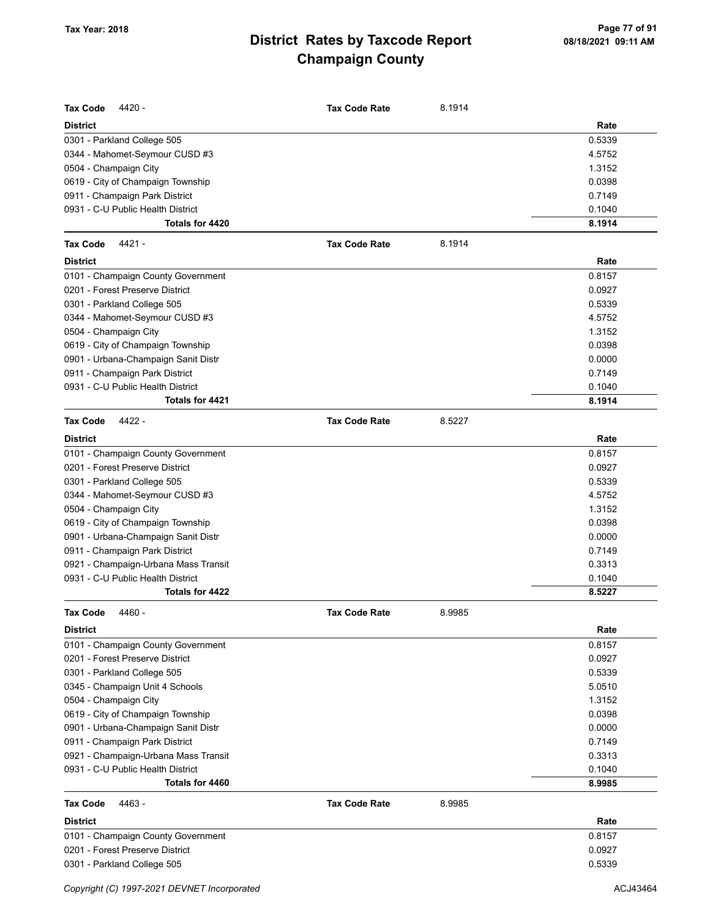| <b>Tax Code</b><br>4420 -                            | <b>Tax Code Rate</b> | 8.1914 |                  |
|------------------------------------------------------|----------------------|--------|------------------|
| <b>District</b>                                      |                      |        | Rate             |
| 0301 - Parkland College 505                          |                      |        | 0.5339           |
| 0344 - Mahomet-Seymour CUSD #3                       |                      |        | 4.5752           |
| 0504 - Champaign City                                |                      |        | 1.3152           |
| 0619 - City of Champaign Township                    |                      |        | 0.0398           |
| 0911 - Champaign Park District                       |                      |        | 0.7149           |
| 0931 - C-U Public Health District                    |                      |        | 0.1040           |
| Totals for 4420                                      |                      |        | 8.1914           |
| <b>Tax Code</b><br>4421 -                            | <b>Tax Code Rate</b> | 8.1914 |                  |
| <b>District</b>                                      |                      |        | Rate             |
| 0101 - Champaign County Government                   |                      |        | 0.8157           |
| 0201 - Forest Preserve District                      |                      |        | 0.0927           |
| 0301 - Parkland College 505                          |                      |        | 0.5339           |
| 0344 - Mahomet-Seymour CUSD #3                       |                      |        | 4.5752           |
| 0504 - Champaign City                                |                      |        | 1.3152           |
| 0619 - City of Champaign Township                    |                      |        | 0.0398           |
| 0901 - Urbana-Champaign Sanit Distr                  |                      |        | 0.0000           |
| 0911 - Champaign Park District                       |                      |        | 0.7149           |
| 0931 - C-U Public Health District                    |                      |        | 0.1040           |
| Totals for 4421                                      |                      |        | 8.1914           |
| <b>Tax Code</b><br>4422 -                            | <b>Tax Code Rate</b> | 8.5227 |                  |
| <b>District</b>                                      |                      |        | Rate             |
| 0101 - Champaign County Government                   |                      |        | 0.8157           |
| 0201 - Forest Preserve District                      |                      |        | 0.0927           |
| 0301 - Parkland College 505                          |                      |        | 0.5339           |
| 0344 - Mahomet-Seymour CUSD #3                       |                      |        | 4.5752           |
| 0504 - Champaign City                                |                      |        | 1.3152           |
| 0619 - City of Champaign Township                    |                      |        | 0.0398           |
| 0901 - Urbana-Champaign Sanit Distr                  |                      |        | 0.0000           |
| 0911 - Champaign Park District                       |                      |        | 0.7149           |
| 0921 - Champaign-Urbana Mass Transit                 |                      |        | 0.3313           |
| 0931 - C-U Public Health District                    |                      |        | 0.1040           |
| Totals for 4422                                      |                      |        | 8.5227           |
| <b>Tax Code</b><br>4460 -                            | <b>Tax Code Rate</b> | 8.9985 |                  |
| <b>District</b>                                      |                      |        | Rate             |
| 0101 - Champaign County Government                   |                      |        | 0.8157           |
| 0201 - Forest Preserve District                      |                      |        | 0.0927           |
| 0301 - Parkland College 505                          |                      |        | 0.5339           |
| 0345 - Champaign Unit 4 Schools                      |                      |        | 5.0510           |
| 0504 - Champaign City                                |                      |        | 1.3152           |
| 0619 - City of Champaign Township                    |                      |        | 0.0398           |
| 0901 - Urbana-Champaign Sanit Distr                  |                      |        | 0.0000           |
| 0911 - Champaign Park District                       |                      |        | 0.7149           |
| 0921 - Champaign-Urbana Mass Transit                 |                      |        | 0.3313           |
| 0931 - C-U Public Health District<br>Totals for 4460 |                      |        | 0.1040<br>8.9985 |
|                                                      |                      |        |                  |
| <b>Tax Code</b><br>4463 -                            | <b>Tax Code Rate</b> | 8.9985 |                  |
| <b>District</b>                                      |                      |        | Rate             |
| 0101 - Champaign County Government                   |                      |        | 0.8157           |
| 0201 - Forest Preserve District                      |                      |        | 0.0927           |
| 0301 - Parkland College 505                          |                      |        | 0.5339           |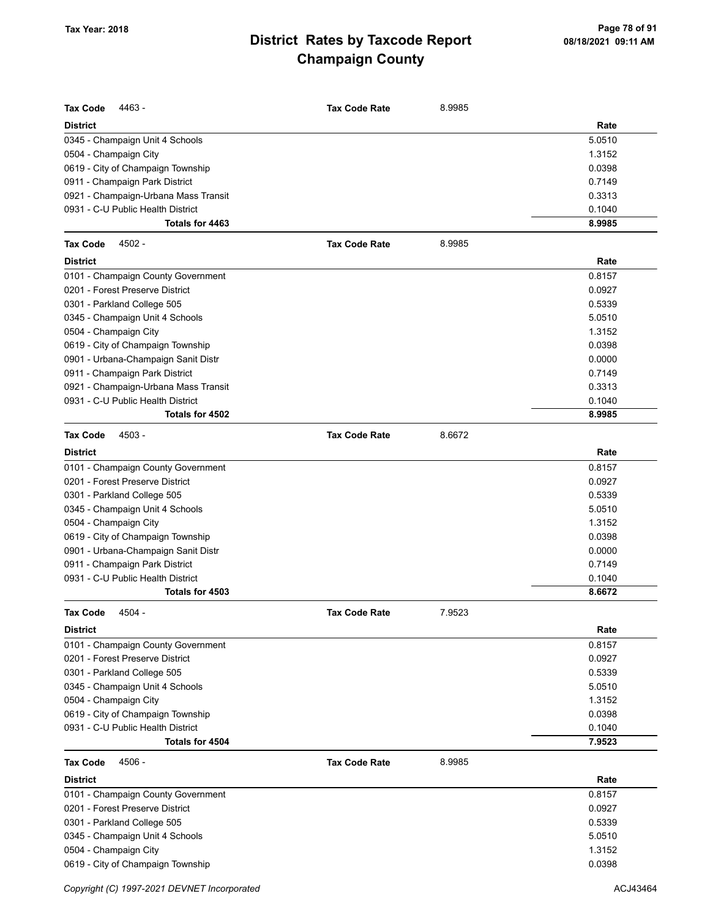| <b>Tax Code</b><br>4463 -            | <b>Tax Code Rate</b> | 8.9985 |        |
|--------------------------------------|----------------------|--------|--------|
| <b>District</b>                      |                      |        | Rate   |
| 0345 - Champaign Unit 4 Schools      |                      |        | 5.0510 |
| 0504 - Champaign City                |                      |        | 1.3152 |
| 0619 - City of Champaign Township    |                      |        | 0.0398 |
| 0911 - Champaign Park District       |                      |        | 0.7149 |
| 0921 - Champaign-Urbana Mass Transit |                      |        | 0.3313 |
| 0931 - C-U Public Health District    |                      |        | 0.1040 |
| Totals for 4463                      |                      |        | 8.9985 |
| <b>Tax Code</b><br>4502 -            | <b>Tax Code Rate</b> | 8.9985 |        |
| <b>District</b>                      |                      |        | Rate   |
| 0101 - Champaign County Government   |                      |        | 0.8157 |
| 0201 - Forest Preserve District      |                      |        | 0.0927 |
| 0301 - Parkland College 505          |                      |        | 0.5339 |
| 0345 - Champaign Unit 4 Schools      |                      |        | 5.0510 |
| 0504 - Champaign City                |                      |        | 1.3152 |
| 0619 - City of Champaign Township    |                      |        | 0.0398 |
| 0901 - Urbana-Champaign Sanit Distr  |                      |        | 0.0000 |
| 0911 - Champaign Park District       |                      |        | 0.7149 |
| 0921 - Champaign-Urbana Mass Transit |                      |        | 0.3313 |
| 0931 - C-U Public Health District    |                      |        | 0.1040 |
| Totals for 4502                      |                      |        | 8.9985 |
| <b>Tax Code</b><br>4503 -            | <b>Tax Code Rate</b> | 8.6672 |        |
| <b>District</b>                      |                      |        | Rate   |
| 0101 - Champaign County Government   |                      |        | 0.8157 |
| 0201 - Forest Preserve District      |                      |        | 0.0927 |
| 0301 - Parkland College 505          |                      |        | 0.5339 |
| 0345 - Champaign Unit 4 Schools      |                      |        | 5.0510 |
| 0504 - Champaign City                |                      |        | 1.3152 |
| 0619 - City of Champaign Township    |                      |        | 0.0398 |
| 0901 - Urbana-Champaign Sanit Distr  |                      |        | 0.0000 |
| 0911 - Champaign Park District       |                      |        | 0.7149 |
| 0931 - C-U Public Health District    |                      |        | 0.1040 |
| Totals for 4503                      |                      |        | 8.6672 |
| <b>Tax Code</b><br>4504 -            | <b>Tax Code Rate</b> | 7.9523 |        |
| <b>District</b>                      |                      |        | Rate   |
| 0101 - Champaign County Government   |                      |        | 0.8157 |
| 0201 - Forest Preserve District      |                      |        | 0.0927 |
| 0301 - Parkland College 505          |                      |        | 0.5339 |
| 0345 - Champaign Unit 4 Schools      |                      |        | 5.0510 |
| 0504 - Champaign City                |                      |        | 1.3152 |
| 0619 - City of Champaign Township    |                      |        | 0.0398 |
| 0931 - C-U Public Health District    |                      |        | 0.1040 |
| Totals for 4504                      |                      |        | 7.9523 |
| 4506 -<br><b>Tax Code</b>            | <b>Tax Code Rate</b> | 8.9985 |        |
| <b>District</b>                      |                      |        | Rate   |
| 0101 - Champaign County Government   |                      |        | 0.8157 |
| 0201 - Forest Preserve District      |                      |        | 0.0927 |
| 0301 - Parkland College 505          |                      |        | 0.5339 |
| 0345 - Champaign Unit 4 Schools      |                      |        | 5.0510 |
| 0504 - Champaign City                |                      |        | 1.3152 |
| 0619 - City of Champaign Township    |                      |        | 0.0398 |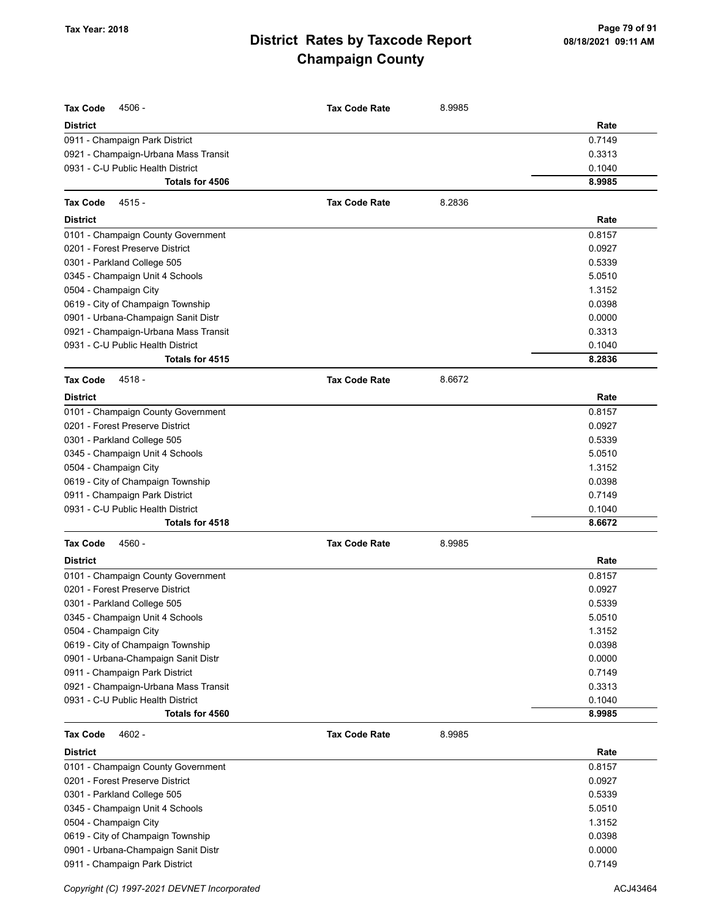| <b>Tax Code</b><br>4506 -                                              | <b>Tax Code Rate</b> | 8.9985 |        |
|------------------------------------------------------------------------|----------------------|--------|--------|
| <b>District</b>                                                        |                      |        | Rate   |
|                                                                        |                      |        | 0.7149 |
| 0911 - Champaign Park District<br>0921 - Champaign-Urbana Mass Transit |                      |        | 0.3313 |
| 0931 - C-U Public Health District                                      |                      |        | 0.1040 |
| Totals for 4506                                                        |                      |        | 8.9985 |
| <b>Tax Code</b><br>$4515 -$                                            | <b>Tax Code Rate</b> | 8.2836 |        |
| <b>District</b>                                                        |                      |        | Rate   |
| 0101 - Champaign County Government                                     |                      |        | 0.8157 |
| 0201 - Forest Preserve District                                        |                      |        | 0.0927 |
| 0301 - Parkland College 505                                            |                      |        | 0.5339 |
| 0345 - Champaign Unit 4 Schools                                        |                      |        | 5.0510 |
| 0504 - Champaign City                                                  |                      |        | 1.3152 |
| 0619 - City of Champaign Township                                      |                      |        | 0.0398 |
| 0901 - Urbana-Champaign Sanit Distr                                    |                      |        | 0.0000 |
| 0921 - Champaign-Urbana Mass Transit                                   |                      |        | 0.3313 |
| 0931 - C-U Public Health District                                      |                      |        | 0.1040 |
| Totals for 4515                                                        |                      |        | 8.2836 |
| 4518 -<br><b>Tax Code</b>                                              | <b>Tax Code Rate</b> | 8.6672 |        |
| <b>District</b>                                                        |                      |        | Rate   |
| 0101 - Champaign County Government                                     |                      |        | 0.8157 |
| 0201 - Forest Preserve District                                        |                      |        | 0.0927 |
| 0301 - Parkland College 505                                            |                      |        | 0.5339 |
| 0345 - Champaign Unit 4 Schools                                        |                      |        | 5.0510 |
| 0504 - Champaign City                                                  |                      |        | 1.3152 |
| 0619 - City of Champaign Township                                      |                      |        | 0.0398 |
| 0911 - Champaign Park District                                         |                      |        | 0.7149 |
| 0931 - C-U Public Health District                                      |                      |        | 0.1040 |
| Totals for 4518                                                        |                      |        | 8.6672 |
| <b>Tax Code</b><br>4560 -                                              | <b>Tax Code Rate</b> | 8.9985 |        |
| <b>District</b>                                                        |                      |        | Rate   |
| 0101 - Champaign County Government                                     |                      |        | 0.8157 |
| 0201 - Forest Preserve District                                        |                      |        | 0.0927 |
| 0301 - Parkland College 505                                            |                      |        | 0.5339 |
| 0345 - Champaign Unit 4 Schools                                        |                      |        | 5.0510 |
| 0504 - Champaign City                                                  |                      |        | 1.3152 |
| 0619 - City of Champaign Township                                      |                      |        | 0.0398 |
| 0901 - Urbana-Champaign Sanit Distr                                    |                      |        | 0.0000 |
| 0911 - Champaign Park District                                         |                      |        | 0.7149 |
| 0921 - Champaign-Urbana Mass Transit                                   |                      |        | 0.3313 |
| 0931 - C-U Public Health District                                      |                      |        | 0.1040 |
| Totals for 4560                                                        |                      |        | 8.9985 |
| <b>Tax Code</b><br>4602 -                                              | <b>Tax Code Rate</b> | 8.9985 |        |
| <b>District</b>                                                        |                      |        | Rate   |
| 0101 - Champaign County Government                                     |                      |        | 0.8157 |
| 0201 - Forest Preserve District                                        |                      |        | 0.0927 |
| 0301 - Parkland College 505                                            |                      |        | 0.5339 |
| 0345 - Champaign Unit 4 Schools                                        |                      |        | 5.0510 |
| 0504 - Champaign City                                                  |                      |        | 1.3152 |
| 0619 - City of Champaign Township                                      |                      |        | 0.0398 |
| 0901 - Urbana-Champaign Sanit Distr                                    |                      |        | 0.0000 |
| 0911 - Champaign Park District                                         |                      |        | 0.7149 |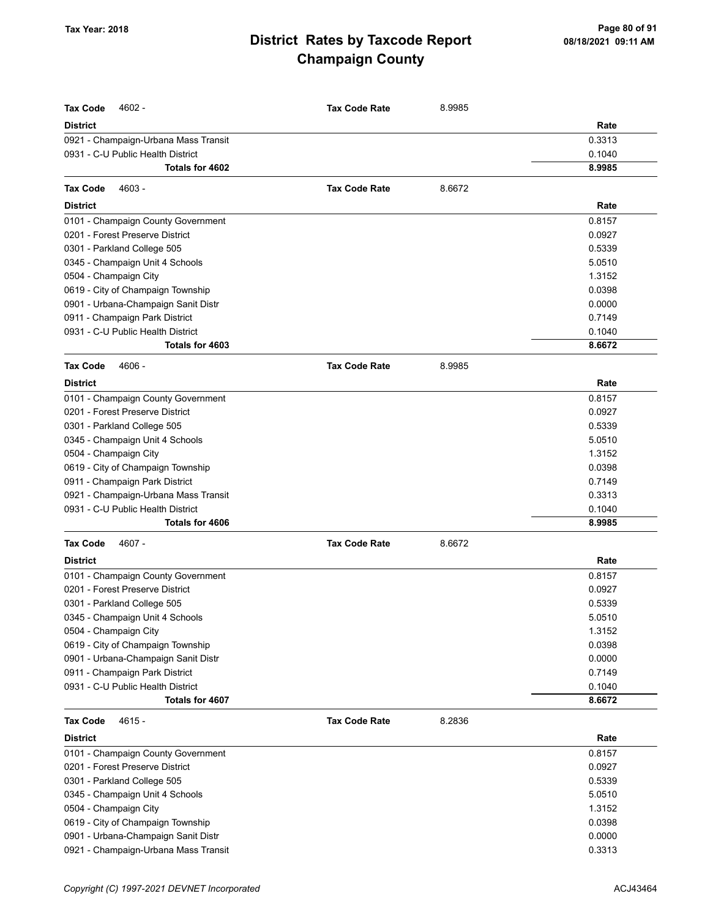| <b>Tax Code</b>                                                           | <b>Tax Code Rate</b> |        |        |
|---------------------------------------------------------------------------|----------------------|--------|--------|
| 4602 -<br><b>District</b>                                                 |                      | 8.9985 | Rate   |
|                                                                           |                      |        | 0.3313 |
| 0921 - Champaign-Urbana Mass Transit<br>0931 - C-U Public Health District |                      |        | 0.1040 |
| Totals for 4602                                                           |                      |        | 8.9985 |
|                                                                           |                      |        |        |
| 4603 -<br><b>Tax Code</b>                                                 | <b>Tax Code Rate</b> | 8.6672 |        |
| <b>District</b>                                                           |                      |        | Rate   |
| 0101 - Champaign County Government                                        |                      |        | 0.8157 |
| 0201 - Forest Preserve District                                           |                      |        | 0.0927 |
| 0301 - Parkland College 505                                               |                      |        | 0.5339 |
| 0345 - Champaign Unit 4 Schools                                           |                      |        | 5.0510 |
| 0504 - Champaign City                                                     |                      |        | 1.3152 |
| 0619 - City of Champaign Township                                         |                      |        | 0.0398 |
| 0901 - Urbana-Champaign Sanit Distr                                       |                      |        | 0.0000 |
| 0911 - Champaign Park District                                            |                      |        | 0.7149 |
| 0931 - C-U Public Health District                                         |                      |        | 0.1040 |
| Totals for 4603                                                           |                      |        | 8.6672 |
| 4606 -<br><b>Tax Code</b>                                                 | <b>Tax Code Rate</b> | 8.9985 |        |
| <b>District</b>                                                           |                      |        | Rate   |
| 0101 - Champaign County Government                                        |                      |        | 0.8157 |
| 0201 - Forest Preserve District                                           |                      |        | 0.0927 |
| 0301 - Parkland College 505                                               |                      |        | 0.5339 |
| 0345 - Champaign Unit 4 Schools                                           |                      |        | 5.0510 |
| 0504 - Champaign City                                                     |                      |        | 1.3152 |
| 0619 - City of Champaign Township                                         |                      |        | 0.0398 |
| 0911 - Champaign Park District                                            |                      |        | 0.7149 |
| 0921 - Champaign-Urbana Mass Transit                                      |                      |        | 0.3313 |
| 0931 - C-U Public Health District                                         |                      |        | 0.1040 |
| Totals for 4606                                                           |                      |        | 8.9985 |
| <b>Tax Code</b><br>4607 -                                                 | <b>Tax Code Rate</b> | 8.6672 |        |
| <b>District</b>                                                           |                      |        | Rate   |
| 0101 - Champaign County Government                                        |                      |        | 0.8157 |
| 0201 - Forest Preserve District                                           |                      |        | 0.0927 |
| 0301 - Parkland College 505                                               |                      |        | 0.5339 |
| 0345 - Champaign Unit 4 Schools                                           |                      |        | 5.0510 |
| 0504 - Champaign City                                                     |                      |        | 1.3152 |
| 0619 - City of Champaign Township                                         |                      |        | 0.0398 |
| 0901 - Urbana-Champaign Sanit Distr                                       |                      |        | 0.0000 |
| 0911 - Champaign Park District                                            |                      |        | 0.7149 |
| 0931 - C-U Public Health District                                         |                      |        | 0.1040 |
| Totals for 4607                                                           |                      |        | 8.6672 |
| <b>Tax Code</b><br>$4615 -$                                               | <b>Tax Code Rate</b> | 8.2836 |        |
| <b>District</b>                                                           |                      |        | Rate   |
| 0101 - Champaign County Government                                        |                      |        | 0.8157 |
| 0201 - Forest Preserve District                                           |                      |        | 0.0927 |
| 0301 - Parkland College 505                                               |                      |        | 0.5339 |
| 0345 - Champaign Unit 4 Schools                                           |                      |        | 5.0510 |
| 0504 - Champaign City                                                     |                      |        | 1.3152 |
| 0619 - City of Champaign Township                                         |                      |        | 0.0398 |
| 0901 - Urbana-Champaign Sanit Distr                                       |                      |        | 0.0000 |

0921 - Champaign-Urbana Mass Transit 0.3313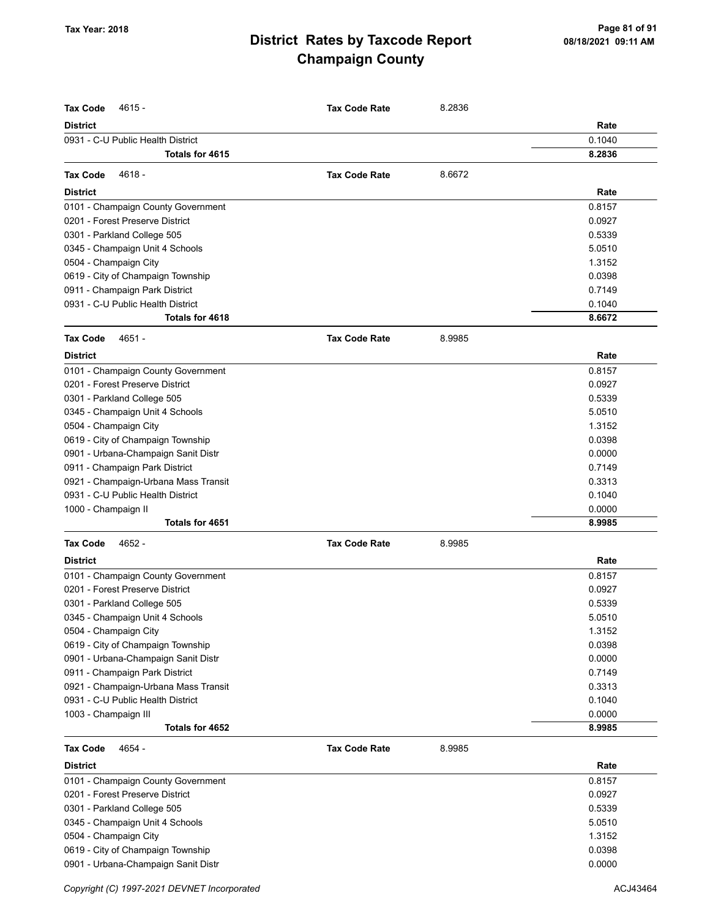| <b>Tax Code</b><br>$4615 -$          | <b>Tax Code Rate</b> | 8.2836 |        |
|--------------------------------------|----------------------|--------|--------|
| <b>District</b>                      |                      |        | Rate   |
| 0931 - C-U Public Health District    |                      |        | 0.1040 |
| Totals for 4615                      |                      |        | 8.2836 |
|                                      |                      |        |        |
| 4618 -<br><b>Tax Code</b>            | <b>Tax Code Rate</b> | 8.6672 |        |
| <b>District</b>                      |                      |        | Rate   |
| 0101 - Champaign County Government   |                      |        | 0.8157 |
| 0201 - Forest Preserve District      |                      |        | 0.0927 |
| 0301 - Parkland College 505          |                      |        | 0.5339 |
| 0345 - Champaign Unit 4 Schools      |                      |        | 5.0510 |
| 0504 - Champaign City                |                      |        | 1.3152 |
| 0619 - City of Champaign Township    |                      |        | 0.0398 |
| 0911 - Champaign Park District       |                      |        | 0.7149 |
| 0931 - C-U Public Health District    |                      |        | 0.1040 |
| Totals for 4618                      |                      |        | 8.6672 |
| <b>Tax Code</b><br>4651 -            | <b>Tax Code Rate</b> | 8.9985 |        |
| <b>District</b>                      |                      |        | Rate   |
| 0101 - Champaign County Government   |                      |        | 0.8157 |
| 0201 - Forest Preserve District      |                      |        | 0.0927 |
| 0301 - Parkland College 505          |                      |        | 0.5339 |
| 0345 - Champaign Unit 4 Schools      |                      |        | 5.0510 |
| 0504 - Champaign City                |                      |        | 1.3152 |
| 0619 - City of Champaign Township    |                      |        | 0.0398 |
| 0901 - Urbana-Champaign Sanit Distr  |                      |        | 0.0000 |
| 0911 - Champaign Park District       |                      |        | 0.7149 |
| 0921 - Champaign-Urbana Mass Transit |                      |        | 0.3313 |
| 0931 - C-U Public Health District    |                      |        | 0.1040 |
| 1000 - Champaign II                  |                      |        | 0.0000 |
| Totals for 4651                      |                      |        | 8.9985 |
| <b>Tax Code</b><br>4652 -            | <b>Tax Code Rate</b> | 8.9985 |        |
| <b>District</b>                      |                      |        | Rate   |
| 0101 - Champaign County Government   |                      |        | 0.8157 |
| 0201 - Forest Preserve District      |                      |        | 0.0927 |
| 0301 - Parkland College 505          |                      |        | 0.5339 |
| 0345 - Champaign Unit 4 Schools      |                      |        | 5.0510 |
| 0504 - Champaign City                |                      |        | 1.3152 |
| 0619 - City of Champaign Township    |                      |        | 0.0398 |
| 0901 - Urbana-Champaign Sanit Distr  |                      |        | 0.0000 |
| 0911 - Champaign Park District       |                      |        | 0.7149 |
| 0921 - Champaign-Urbana Mass Transit |                      |        | 0.3313 |
| 0931 - C-U Public Health District    |                      |        | 0.1040 |
| 1003 - Champaign III                 |                      |        | 0.0000 |
| Totals for 4652                      |                      |        | 8.9985 |
| 4654 -<br><b>Tax Code</b>            | <b>Tax Code Rate</b> | 8.9985 |        |
| <b>District</b>                      |                      |        | Rate   |
| 0101 - Champaign County Government   |                      |        | 0.8157 |
| 0201 - Forest Preserve District      |                      |        | 0.0927 |
| 0301 - Parkland College 505          |                      |        | 0.5339 |
| 0345 - Champaign Unit 4 Schools      |                      |        | 5.0510 |
| 0504 - Champaign City                |                      |        | 1.3152 |
| 0619 - City of Champaign Township    |                      |        | 0.0398 |
| 0901 - Urbana-Champaign Sanit Distr  |                      |        | 0.0000 |
|                                      |                      |        |        |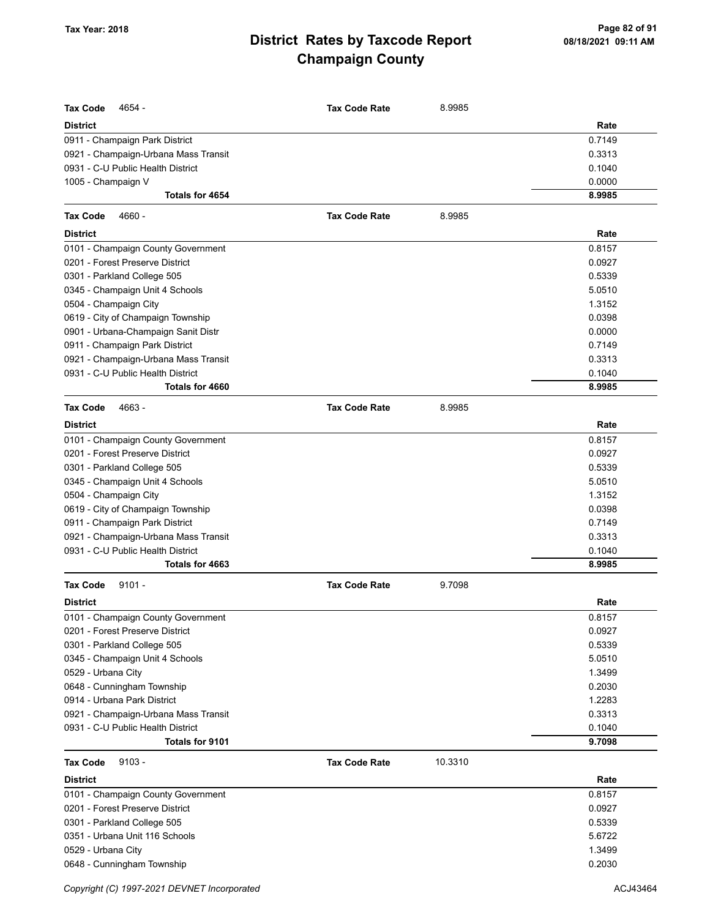| <b>Tax Code</b><br>4654 -                                              | <b>Tax Code Rate</b> |         |                  |
|------------------------------------------------------------------------|----------------------|---------|------------------|
|                                                                        |                      | 8.9985  |                  |
| <b>District</b>                                                        |                      |         | Rate<br>0.7149   |
| 0911 - Champaign Park District<br>0921 - Champaign-Urbana Mass Transit |                      |         | 0.3313           |
| 0931 - C-U Public Health District                                      |                      |         | 0.1040           |
| 1005 - Champaign V                                                     |                      |         | 0.0000           |
| Totals for 4654                                                        |                      |         | 8.9985           |
|                                                                        |                      |         |                  |
| <b>Tax Code</b><br>4660 -                                              | <b>Tax Code Rate</b> | 8.9985  |                  |
| <b>District</b>                                                        |                      |         | Rate             |
| 0101 - Champaign County Government                                     |                      |         | 0.8157           |
| 0201 - Forest Preserve District                                        |                      |         | 0.0927           |
| 0301 - Parkland College 505                                            |                      |         | 0.5339           |
| 0345 - Champaign Unit 4 Schools                                        |                      |         | 5.0510           |
| 0504 - Champaign City                                                  |                      |         | 1.3152           |
| 0619 - City of Champaign Township                                      |                      |         | 0.0398           |
| 0901 - Urbana-Champaign Sanit Distr                                    |                      |         | 0.0000           |
| 0911 - Champaign Park District                                         |                      |         | 0.7149           |
| 0921 - Champaign-Urbana Mass Transit                                   |                      |         | 0.3313           |
| 0931 - C-U Public Health District<br>Totals for 4660                   |                      |         | 0.1040<br>8.9985 |
|                                                                        |                      |         |                  |
| <b>Tax Code</b><br>4663 -                                              | <b>Tax Code Rate</b> | 8.9985  |                  |
| <b>District</b>                                                        |                      |         | Rate             |
| 0101 - Champaign County Government                                     |                      |         | 0.8157           |
| 0201 - Forest Preserve District                                        |                      |         | 0.0927           |
| 0301 - Parkland College 505                                            |                      |         | 0.5339           |
| 0345 - Champaign Unit 4 Schools                                        |                      |         | 5.0510           |
| 0504 - Champaign City                                                  |                      |         | 1.3152           |
| 0619 - City of Champaign Township                                      |                      |         | 0.0398           |
| 0911 - Champaign Park District                                         |                      |         | 0.7149           |
| 0921 - Champaign-Urbana Mass Transit                                   |                      |         | 0.3313           |
| 0931 - C-U Public Health District                                      |                      |         | 0.1040           |
| Totals for 4663                                                        |                      |         | 8.9985           |
| <b>Tax Code</b><br>$9101 -$                                            | <b>Tax Code Rate</b> | 9.7098  |                  |
| <b>District</b>                                                        |                      |         | Rate             |
| 0101 - Champaign County Government                                     |                      |         | 0.8157           |
| 0201 - Forest Preserve District                                        |                      |         | 0.0927           |
| 0301 - Parkland College 505                                            |                      |         | 0.5339           |
| 0345 - Champaign Unit 4 Schools                                        |                      |         | 5.0510           |
| 0529 - Urbana City                                                     |                      |         | 1.3499           |
| 0648 - Cunningham Township                                             |                      |         | 0.2030           |
| 0914 - Urbana Park District                                            |                      |         | 1.2283           |
| 0921 - Champaign-Urbana Mass Transit                                   |                      |         | 0.3313           |
| 0931 - C-U Public Health District                                      |                      |         | 0.1040           |
| <b>Totals for 9101</b>                                                 |                      |         | 9.7098           |
| $9103 -$<br><b>Tax Code</b>                                            | <b>Tax Code Rate</b> | 10.3310 |                  |
| <b>District</b>                                                        |                      |         | Rate             |
| 0101 - Champaign County Government                                     |                      |         | 0.8157           |
| 0201 - Forest Preserve District                                        |                      |         | 0.0927           |
| 0301 - Parkland College 505                                            |                      |         | 0.5339           |
| 0351 - Urbana Unit 116 Schools                                         |                      |         | 5.6722           |
| 0529 - Urbana City                                                     |                      |         | 1.3499           |
| 0648 - Cunningham Township                                             |                      |         | 0.2030           |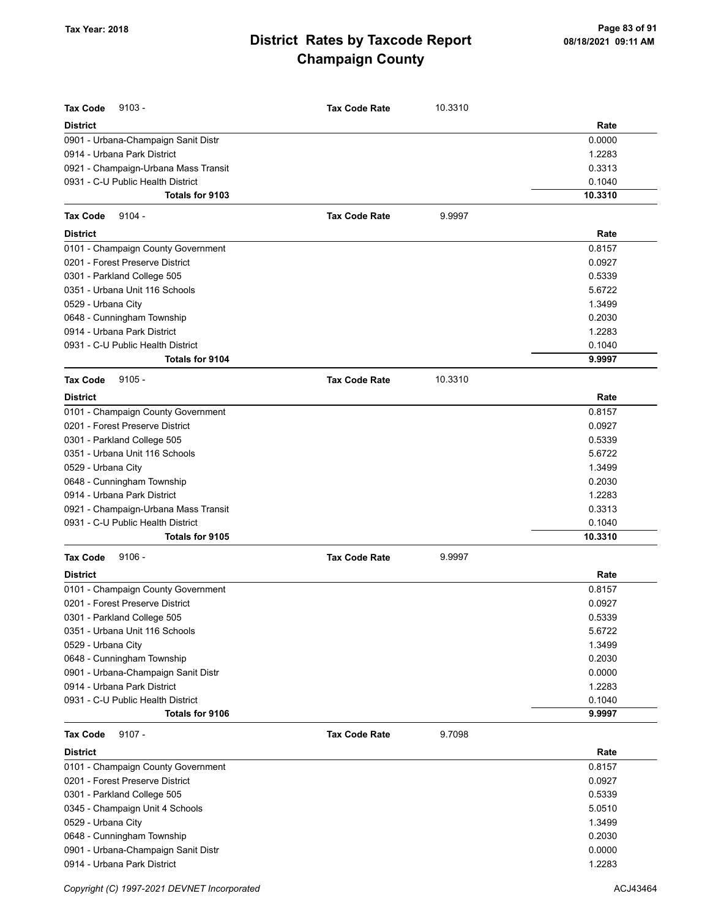| <b>Tax Code</b><br>$9103 -$          | <b>Tax Code Rate</b> | 10.3310 |         |
|--------------------------------------|----------------------|---------|---------|
| <b>District</b>                      |                      |         | Rate    |
| 0901 - Urbana-Champaign Sanit Distr  |                      |         | 0.0000  |
| 0914 - Urbana Park District          |                      |         | 1.2283  |
| 0921 - Champaign-Urbana Mass Transit |                      |         | 0.3313  |
| 0931 - C-U Public Health District    |                      |         | 0.1040  |
| Totals for 9103                      |                      |         | 10.3310 |
| <b>Tax Code</b><br>$9104 -$          | <b>Tax Code Rate</b> | 9.9997  |         |
| <b>District</b>                      |                      |         | Rate    |
| 0101 - Champaign County Government   |                      |         | 0.8157  |
| 0201 - Forest Preserve District      |                      |         | 0.0927  |
| 0301 - Parkland College 505          |                      |         | 0.5339  |
| 0351 - Urbana Unit 116 Schools       |                      |         | 5.6722  |
| 0529 - Urbana City                   |                      |         | 1.3499  |
| 0648 - Cunningham Township           |                      |         | 0.2030  |
| 0914 - Urbana Park District          |                      |         | 1.2283  |
| 0931 - C-U Public Health District    |                      |         | 0.1040  |
| Totals for 9104                      |                      |         | 9.9997  |
| $9105 -$<br><b>Tax Code</b>          | <b>Tax Code Rate</b> | 10.3310 |         |
| <b>District</b>                      |                      |         | Rate    |
| 0101 - Champaign County Government   |                      |         | 0.8157  |
| 0201 - Forest Preserve District      |                      |         | 0.0927  |
| 0301 - Parkland College 505          |                      |         | 0.5339  |
| 0351 - Urbana Unit 116 Schools       |                      |         | 5.6722  |
| 0529 - Urbana City                   |                      |         | 1.3499  |
| 0648 - Cunningham Township           |                      |         | 0.2030  |
| 0914 - Urbana Park District          |                      |         | 1.2283  |
| 0921 - Champaign-Urbana Mass Transit |                      |         | 0.3313  |
| 0931 - C-U Public Health District    |                      |         | 0.1040  |
| Totals for 9105                      |                      |         | 10.3310 |
| $9106 -$<br><b>Tax Code</b>          | <b>Tax Code Rate</b> | 9.9997  |         |
| <b>District</b>                      |                      |         | Rate    |
| 0101 - Champaign County Government   |                      |         | 0.8157  |
| 0201 - Forest Preserve District      |                      |         | 0.0927  |
| 0301 - Parkland College 505          |                      |         | 0.5339  |
| 0351 - Urbana Unit 116 Schools       |                      |         | 5.6722  |
| 0529 - Urbana City                   |                      |         | 1.3499  |
| 0648 - Cunningham Township           |                      |         | 0.2030  |
| 0901 - Urbana-Champaign Sanit Distr  |                      |         | 0.0000  |
| 0914 - Urbana Park District          |                      |         | 1.2283  |
| 0931 - C-U Public Health District    |                      |         | 0.1040  |
| Totals for 9106                      |                      |         | 9.9997  |
| <b>Tax Code</b><br>$9107 -$          | <b>Tax Code Rate</b> | 9.7098  |         |
| <b>District</b>                      |                      |         | Rate    |
| 0101 - Champaign County Government   |                      |         | 0.8157  |
| 0201 - Forest Preserve District      |                      |         | 0.0927  |
| 0301 - Parkland College 505          |                      |         | 0.5339  |
| 0345 - Champaign Unit 4 Schools      |                      |         | 5.0510  |
| 0529 - Urbana City                   |                      |         | 1.3499  |
| 0648 - Cunningham Township           |                      |         | 0.2030  |
| 0901 - Urbana-Champaign Sanit Distr  |                      |         | 0.0000  |
| 0914 - Urbana Park District          |                      |         | 1.2283  |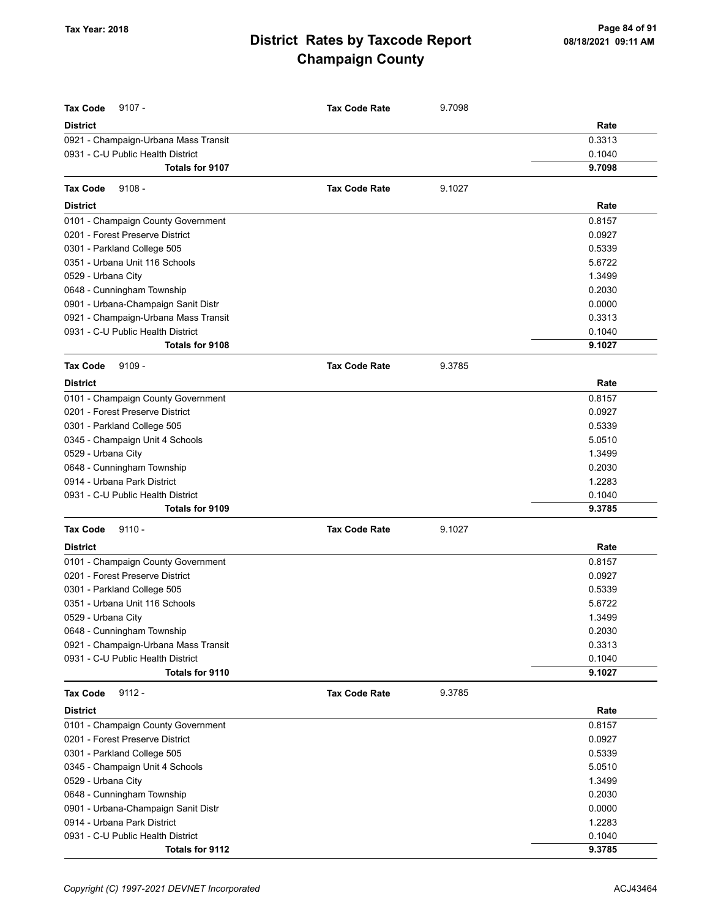| <b>Tax Code</b><br>$9107 -$          | <b>Tax Code Rate</b> | 9.7098 |        |
|--------------------------------------|----------------------|--------|--------|
| <b>District</b>                      |                      |        | Rate   |
| 0921 - Champaign-Urbana Mass Transit |                      |        | 0.3313 |
| 0931 - C-U Public Health District    |                      |        | 0.1040 |
| Totals for 9107                      |                      |        | 9.7098 |
| $9108 -$<br><b>Tax Code</b>          | <b>Tax Code Rate</b> | 9.1027 |        |
| <b>District</b>                      |                      |        | Rate   |
| 0101 - Champaign County Government   |                      |        | 0.8157 |
| 0201 - Forest Preserve District      |                      |        | 0.0927 |
| 0301 - Parkland College 505          |                      |        | 0.5339 |
| 0351 - Urbana Unit 116 Schools       |                      |        | 5.6722 |
| 0529 - Urbana City                   |                      |        | 1.3499 |
| 0648 - Cunningham Township           |                      |        | 0.2030 |
| 0901 - Urbana-Champaign Sanit Distr  |                      |        | 0.0000 |
| 0921 - Champaign-Urbana Mass Transit |                      |        | 0.3313 |
| 0931 - C-U Public Health District    |                      |        | 0.1040 |
| Totals for 9108                      |                      |        | 9.1027 |
| $9109 -$<br><b>Tax Code</b>          | <b>Tax Code Rate</b> | 9.3785 |        |
| <b>District</b>                      |                      |        | Rate   |
| 0101 - Champaign County Government   |                      |        | 0.8157 |
| 0201 - Forest Preserve District      |                      |        | 0.0927 |
| 0301 - Parkland College 505          |                      |        | 0.5339 |
| 0345 - Champaign Unit 4 Schools      |                      |        | 5.0510 |
| 0529 - Urbana City                   |                      |        | 1.3499 |
| 0648 - Cunningham Township           |                      |        | 0.2030 |
| 0914 - Urbana Park District          |                      |        | 1.2283 |
| 0931 - C-U Public Health District    |                      |        | 0.1040 |
| Totals for 9109                      |                      |        | 9.3785 |
| <b>Tax Code</b><br>$9110 -$          | <b>Tax Code Rate</b> | 9.1027 |        |
| <b>District</b>                      |                      |        | Rate   |
| 0101 - Champaign County Government   |                      |        | 0.8157 |
| 0201 - Forest Preserve District      |                      |        | 0.0927 |
| 0301 - Parkland College 505          |                      |        | 0.5339 |
| 0351 - Urbana Unit 116 Schools       |                      |        | 5.6722 |
| 0529 - Urbana City                   |                      |        | 1.3499 |
| 0648 - Cunningham Township           |                      |        | 0.2030 |
| 0921 - Champaign-Urbana Mass Transit |                      |        | 0.3313 |
| 0931 - C-U Public Health District    |                      |        | 0.1040 |
| Totals for 9110                      |                      |        | 9.1027 |
| <b>Tax Code</b><br>$9112 -$          | <b>Tax Code Rate</b> | 9.3785 |        |
| <b>District</b>                      |                      |        | Rate   |
| 0101 - Champaign County Government   |                      |        | 0.8157 |
| 0201 - Forest Preserve District      |                      |        | 0.0927 |
| 0301 - Parkland College 505          |                      |        | 0.5339 |
| 0345 - Champaign Unit 4 Schools      |                      |        | 5.0510 |
| 0529 - Urbana City                   |                      |        | 1.3499 |
| 0648 - Cunningham Township           |                      |        | 0.2030 |
| 0901 - Urbana-Champaign Sanit Distr  |                      |        | 0.0000 |
| 0914 - Urbana Park District          |                      |        | 1.2283 |
| 0931 - C-U Public Health District    |                      |        | 0.1040 |
| Totals for 9112                      |                      |        | 9.3785 |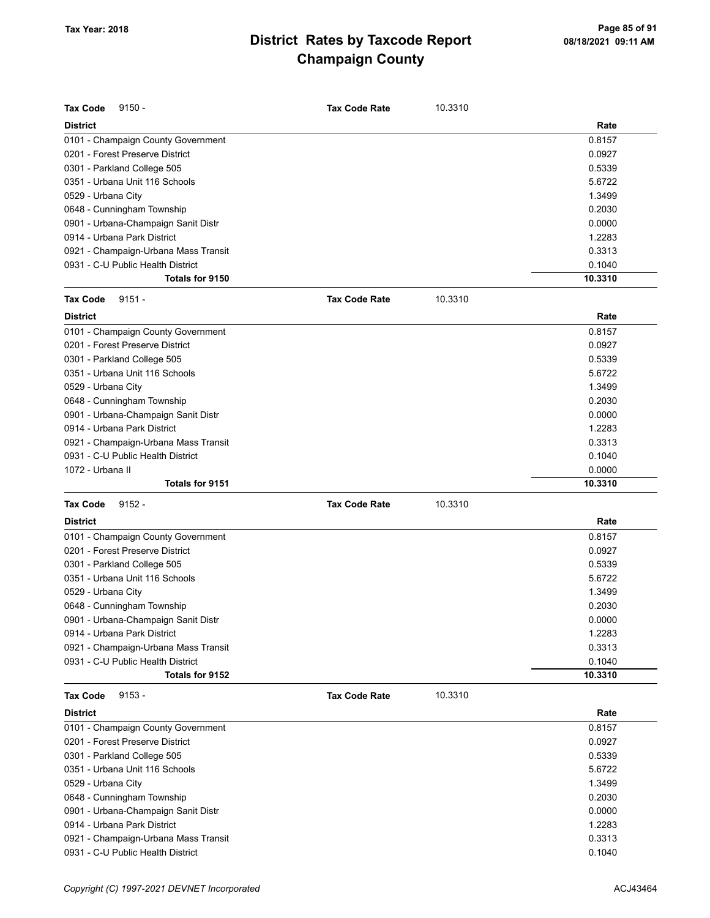| <b>Tax Code</b><br>$9150 -$          | <b>Tax Code Rate</b> | 10.3310 |         |
|--------------------------------------|----------------------|---------|---------|
| <b>District</b>                      |                      |         | Rate    |
| 0101 - Champaign County Government   |                      |         | 0.8157  |
| 0201 - Forest Preserve District      |                      |         | 0.0927  |
| 0301 - Parkland College 505          |                      |         | 0.5339  |
| 0351 - Urbana Unit 116 Schools       |                      |         | 5.6722  |
| 0529 - Urbana City                   |                      |         | 1.3499  |
| 0648 - Cunningham Township           |                      |         | 0.2030  |
| 0901 - Urbana-Champaign Sanit Distr  |                      |         | 0.0000  |
| 0914 - Urbana Park District          |                      |         | 1.2283  |
| 0921 - Champaign-Urbana Mass Transit |                      |         | 0.3313  |
| 0931 - C-U Public Health District    |                      |         | 0.1040  |
| Totals for 9150                      |                      |         | 10.3310 |
| <b>Tax Code</b><br>$9151 -$          | <b>Tax Code Rate</b> | 10.3310 |         |
| <b>District</b>                      |                      |         | Rate    |
| 0101 - Champaign County Government   |                      |         | 0.8157  |
| 0201 - Forest Preserve District      |                      |         | 0.0927  |
| 0301 - Parkland College 505          |                      |         | 0.5339  |
| 0351 - Urbana Unit 116 Schools       |                      |         | 5.6722  |
| 0529 - Urbana City                   |                      |         | 1.3499  |
| 0648 - Cunningham Township           |                      |         | 0.2030  |
| 0901 - Urbana-Champaign Sanit Distr  |                      |         | 0.0000  |
| 0914 - Urbana Park District          |                      |         | 1.2283  |
| 0921 - Champaign-Urbana Mass Transit |                      |         | 0.3313  |
| 0931 - C-U Public Health District    |                      |         | 0.1040  |
| 1072 - Urbana II                     |                      |         | 0.0000  |
| Totals for 9151                      |                      |         | 10.3310 |
| <b>Tax Code</b><br>$9152 -$          | <b>Tax Code Rate</b> | 10.3310 |         |
| <b>District</b>                      |                      |         | Rate    |
| 0101 - Champaign County Government   |                      |         | 0.8157  |
| 0201 - Forest Preserve District      |                      |         | 0.0927  |
| 0301 - Parkland College 505          |                      |         | 0.5339  |
| 0351 - Urbana Unit 116 Schools       |                      |         | 5.6722  |
| 0529 - Urbana City                   |                      |         | 1.3499  |
| 0648 - Cunningham Township           |                      |         | 0.2030  |
| 0901 - Urbana-Champaign Sanit Distr  |                      |         | 0.0000  |
| 0914 - Urbana Park District          |                      |         | 1.2283  |
| 0921 - Champaign-Urbana Mass Transit |                      |         | 0.3313  |
| 0931 - C-U Public Health District    |                      |         | 0.1040  |
| Totals for 9152                      |                      |         | 10.3310 |
| <b>Tax Code</b><br>$9153 -$          | <b>Tax Code Rate</b> | 10.3310 |         |
| <b>District</b>                      |                      |         | Rate    |
| 0101 - Champaign County Government   |                      |         | 0.8157  |
| 0201 - Forest Preserve District      |                      |         | 0.0927  |
| 0301 - Parkland College 505          |                      |         | 0.5339  |
| 0351 - Urbana Unit 116 Schools       |                      |         | 5.6722  |
| 0529 - Urbana City                   |                      |         | 1.3499  |
| 0648 - Cunningham Township           |                      |         | 0.2030  |
| 0901 - Urbana-Champaign Sanit Distr  |                      |         | 0.0000  |
| 0914 - Urbana Park District          |                      |         | 1.2283  |
| 0921 - Champaign-Urbana Mass Transit |                      |         | 0.3313  |
| 0931 - C-U Public Health District    |                      |         | 0.1040  |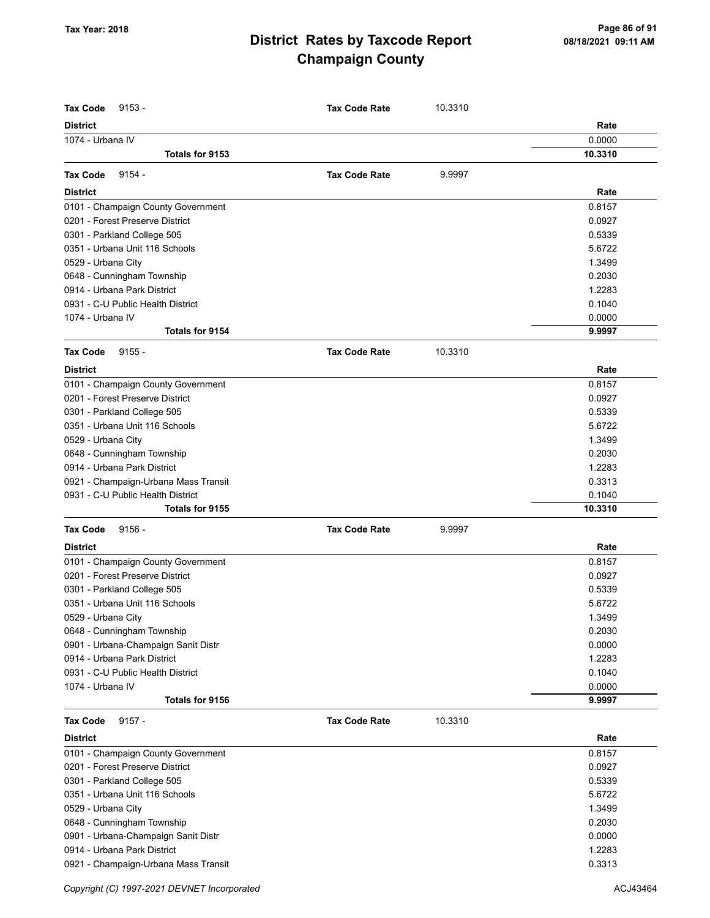| <b>Tax Code</b><br>$9153 -$          | <b>Tax Code Rate</b> | 10.3310 |         |
|--------------------------------------|----------------------|---------|---------|
| <b>District</b>                      |                      |         | Rate    |
| 1074 - Urbana IV                     |                      |         | 0.0000  |
| Totals for 9153                      |                      |         | 10.3310 |
| <b>Tax Code</b><br>$9154 -$          | <b>Tax Code Rate</b> | 9.9997  |         |
| <b>District</b>                      |                      |         | Rate    |
| 0101 - Champaign County Government   |                      |         | 0.8157  |
| 0201 - Forest Preserve District      |                      |         | 0.0927  |
| 0301 - Parkland College 505          |                      |         | 0.5339  |
| 0351 - Urbana Unit 116 Schools       |                      |         | 5.6722  |
| 0529 - Urbana City                   |                      |         | 1.3499  |
| 0648 - Cunningham Township           |                      |         | 0.2030  |
| 0914 - Urbana Park District          |                      |         | 1.2283  |
| 0931 - C-U Public Health District    |                      |         | 0.1040  |
| 1074 - Urbana IV                     |                      |         | 0.0000  |
| Totals for 9154                      |                      |         | 9.9997  |
| <b>Tax Code</b><br>$9155 -$          | <b>Tax Code Rate</b> | 10.3310 |         |
| <b>District</b>                      |                      |         | Rate    |
| 0101 - Champaign County Government   |                      |         | 0.8157  |
| 0201 - Forest Preserve District      |                      |         | 0.0927  |
| 0301 - Parkland College 505          |                      |         | 0.5339  |
| 0351 - Urbana Unit 116 Schools       |                      |         | 5.6722  |
| 0529 - Urbana City                   |                      |         | 1.3499  |
| 0648 - Cunningham Township           |                      |         | 0.2030  |
| 0914 - Urbana Park District          |                      |         | 1.2283  |
| 0921 - Champaign-Urbana Mass Transit |                      |         | 0.3313  |
| 0931 - C-U Public Health District    |                      |         | 0.1040  |
| Totals for 9155                      |                      |         | 10.3310 |
| <b>Tax Code</b><br>$9156 -$          | <b>Tax Code Rate</b> | 9.9997  |         |
| <b>District</b>                      |                      |         | Rate    |
| 0101 - Champaign County Government   |                      |         | 0.8157  |
| 0201 - Forest Preserve District      |                      |         | 0.0927  |
| 0301 - Parkland College 505          |                      |         | 0.5339  |
| 0351 - Urbana Unit 116 Schools       |                      |         | 5.6722  |
| 0529 - Urbana City                   |                      |         | 1.3499  |
| 0648 - Cunningham Township           |                      |         | 0.2030  |
| 0901 - Urbana-Champaign Sanit Distr  |                      |         | 0.0000  |
| 0914 - Urbana Park District          |                      |         | 1.2283  |
| 0931 - C-U Public Health District    |                      |         | 0.1040  |
| 1074 - Urbana IV                     |                      |         | 0.0000  |
| Totals for 9156                      |                      |         | 9.9997  |
| <b>Tax Code</b><br>$9157 -$          | <b>Tax Code Rate</b> | 10.3310 |         |
| <b>District</b>                      |                      |         | Rate    |
| 0101 - Champaign County Government   |                      |         | 0.8157  |
| 0201 - Forest Preserve District      |                      |         | 0.0927  |
| 0301 - Parkland College 505          |                      |         | 0.5339  |
| 0351 - Urbana Unit 116 Schools       |                      |         | 5.6722  |
| 0529 - Urbana City                   |                      |         | 1.3499  |
| 0648 - Cunningham Township           |                      |         | 0.2030  |
| 0901 - Urbana-Champaign Sanit Distr  |                      |         | 0.0000  |
| 0914 - Urbana Park District          |                      |         | 1.2283  |
| 0921 - Champaign-Urbana Mass Transit |                      |         | 0.3313  |

Copyright (C) 1997-2021 DEVNET Incorporated **ACJ43464** ACJ43464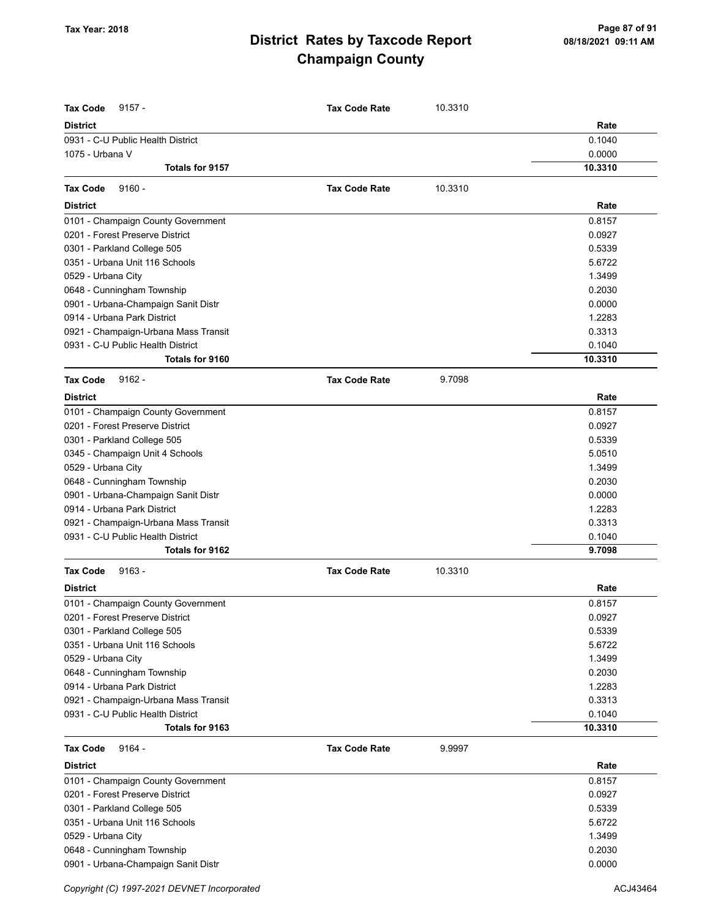| <b>Tax Code</b><br>$9157 -$                                               | <b>Tax Code Rate</b> | 10.3310 |                  |
|---------------------------------------------------------------------------|----------------------|---------|------------------|
| <b>District</b>                                                           |                      |         | Rate             |
| 0931 - C-U Public Health District                                         |                      |         | 0.1040           |
| 1075 - Urbana V                                                           |                      |         | 0.0000           |
| Totals for 9157                                                           |                      |         | 10.3310          |
| <b>Tax Code</b><br>$9160 -$                                               | <b>Tax Code Rate</b> | 10.3310 |                  |
| <b>District</b>                                                           |                      |         | Rate             |
| 0101 - Champaign County Government                                        |                      |         | 0.8157           |
| 0201 - Forest Preserve District                                           |                      |         | 0.0927           |
| 0301 - Parkland College 505                                               |                      |         | 0.5339           |
| 0351 - Urbana Unit 116 Schools                                            |                      |         | 5.6722           |
| 0529 - Urbana City                                                        |                      |         | 1.3499           |
| 0648 - Cunningham Township                                                |                      |         | 0.2030           |
| 0901 - Urbana-Champaign Sanit Distr                                       |                      |         | 0.0000           |
| 0914 - Urbana Park District                                               |                      |         | 1.2283           |
| 0921 - Champaign-Urbana Mass Transit                                      |                      |         | 0.3313           |
| 0931 - C-U Public Health District                                         |                      |         | 0.1040           |
| Totals for 9160                                                           |                      |         | 10.3310          |
| <b>Tax Code</b><br>$9162 -$                                               | <b>Tax Code Rate</b> | 9.7098  |                  |
|                                                                           |                      |         |                  |
| <b>District</b>                                                           |                      |         | Rate             |
| 0101 - Champaign County Government                                        |                      |         | 0.8157           |
| 0201 - Forest Preserve District                                           |                      |         | 0.0927           |
| 0301 - Parkland College 505                                               |                      |         | 0.5339           |
| 0345 - Champaign Unit 4 Schools                                           |                      |         | 5.0510           |
| 0529 - Urbana City                                                        |                      |         | 1.3499           |
| 0648 - Cunningham Township                                                |                      |         | 0.2030<br>0.0000 |
| 0901 - Urbana-Champaign Sanit Distr<br>0914 - Urbana Park District        |                      |         | 1.2283           |
|                                                                           |                      |         | 0.3313           |
| 0921 - Champaign-Urbana Mass Transit<br>0931 - C-U Public Health District |                      |         | 0.1040           |
| Totals for 9162                                                           |                      |         | 9.7098           |
|                                                                           |                      |         |                  |
| <b>Tax Code</b><br>$9163 -$                                               | <b>Tax Code Rate</b> | 10.3310 |                  |
| <b>District</b>                                                           |                      |         | Rate             |
| 0101 - Champaign County Government                                        |                      |         | 0.8157           |
| 0201 - Forest Preserve District                                           |                      |         | 0.0927           |
| 0301 - Parkland College 505                                               |                      |         | 0.5339           |
| 0351 - Urbana Unit 116 Schools                                            |                      |         | 5.6722           |
| 0529 - Urbana City                                                        |                      |         | 1.3499           |
| 0648 - Cunningham Township<br>0914 - Urbana Park District                 |                      |         | 0.2030<br>1.2283 |
|                                                                           |                      |         |                  |
| 0921 - Champaign-Urbana Mass Transit<br>0931 - C-U Public Health District |                      |         | 0.3313<br>0.1040 |
| Totals for 9163                                                           |                      |         | 10.3310          |
|                                                                           |                      |         |                  |
| $9164 -$<br><b>Tax Code</b>                                               | <b>Tax Code Rate</b> | 9.9997  |                  |
| <b>District</b>                                                           |                      |         | Rate             |
| 0101 - Champaign County Government                                        |                      |         | 0.8157           |
| 0201 - Forest Preserve District                                           |                      |         | 0.0927           |
| 0301 - Parkland College 505                                               |                      |         | 0.5339           |
| 0351 - Urbana Unit 116 Schools                                            |                      |         | 5.6722           |
| 0529 - Urbana City                                                        |                      |         | 1.3499           |
| 0648 - Cunningham Township                                                |                      |         | 0.2030           |
| 0901 - Urbana-Champaign Sanit Distr                                       |                      |         | 0.0000           |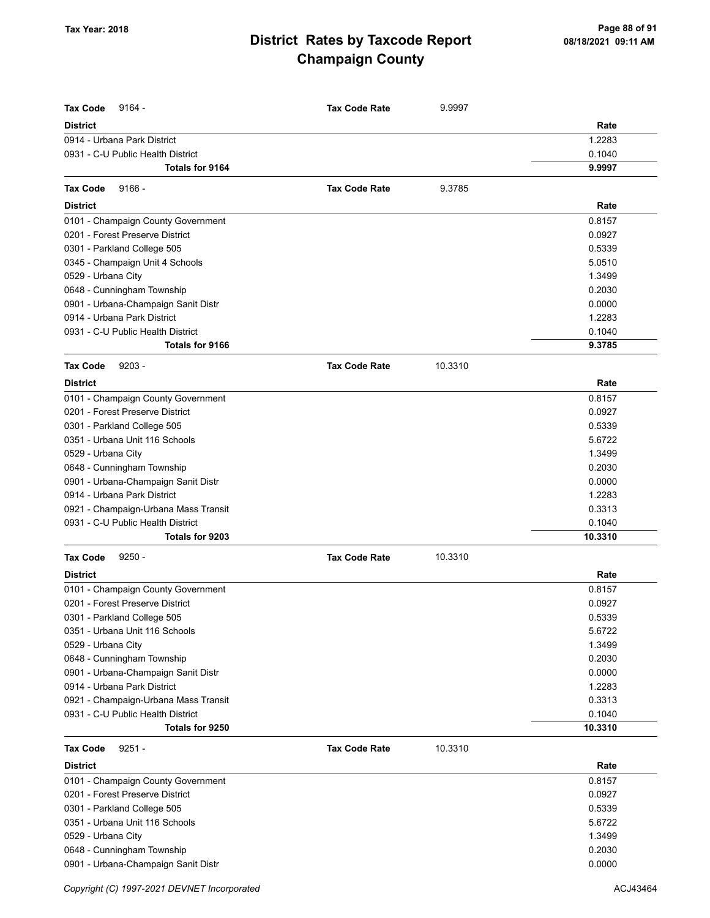| <b>Tax Code</b><br>9164 -            | <b>Tax Code Rate</b> | 9.9997  |         |
|--------------------------------------|----------------------|---------|---------|
| <b>District</b>                      |                      |         | Rate    |
| 0914 - Urbana Park District          |                      |         | 1.2283  |
| 0931 - C-U Public Health District    |                      |         | 0.1040  |
| Totals for 9164                      |                      |         | 9.9997  |
| $9166 -$<br><b>Tax Code</b>          | <b>Tax Code Rate</b> | 9.3785  |         |
| <b>District</b>                      |                      |         | Rate    |
| 0101 - Champaign County Government   |                      |         | 0.8157  |
| 0201 - Forest Preserve District      |                      |         | 0.0927  |
| 0301 - Parkland College 505          |                      |         | 0.5339  |
| 0345 - Champaign Unit 4 Schools      |                      |         | 5.0510  |
| 0529 - Urbana City                   |                      |         | 1.3499  |
| 0648 - Cunningham Township           |                      |         | 0.2030  |
| 0901 - Urbana-Champaign Sanit Distr  |                      |         | 0.0000  |
| 0914 - Urbana Park District          |                      |         | 1.2283  |
| 0931 - C-U Public Health District    |                      |         | 0.1040  |
| Totals for 9166                      |                      |         | 9.3785  |
| $9203 -$<br><b>Tax Code</b>          | <b>Tax Code Rate</b> | 10.3310 |         |
| <b>District</b>                      |                      |         | Rate    |
| 0101 - Champaign County Government   |                      |         | 0.8157  |
| 0201 - Forest Preserve District      |                      |         | 0.0927  |
| 0301 - Parkland College 505          |                      |         | 0.5339  |
| 0351 - Urbana Unit 116 Schools       |                      |         | 5.6722  |
| 0529 - Urbana City                   |                      |         | 1.3499  |
| 0648 - Cunningham Township           |                      |         | 0.2030  |
| 0901 - Urbana-Champaign Sanit Distr  |                      |         | 0.0000  |
| 0914 - Urbana Park District          |                      |         | 1.2283  |
| 0921 - Champaign-Urbana Mass Transit |                      |         | 0.3313  |
| 0931 - C-U Public Health District    |                      |         | 0.1040  |
| Totals for 9203                      |                      |         | 10.3310 |
| $9250 -$<br><b>Tax Code</b>          | <b>Tax Code Rate</b> | 10.3310 |         |
| <b>District</b>                      |                      |         | Rate    |
| 0101 - Champaign County Government   |                      |         | 0.8157  |
| 0201 - Forest Preserve District      |                      |         | 0.0927  |
| 0301 - Parkland College 505          |                      |         | 0.5339  |
| 0351 - Urbana Unit 116 Schools       |                      |         | 5.6722  |
| 0529 - Urbana City                   |                      |         | 1.3499  |
| 0648 - Cunningham Township           |                      |         | 0.2030  |
| 0901 - Urbana-Champaign Sanit Distr  |                      |         | 0.0000  |
| 0914 - Urbana Park District          |                      |         | 1.2283  |
| 0921 - Champaign-Urbana Mass Transit |                      |         | 0.3313  |
| 0931 - C-U Public Health District    |                      |         | 0.1040  |
| Totals for 9250                      |                      |         | 10.3310 |
| $9251 -$<br><b>Tax Code</b>          | <b>Tax Code Rate</b> | 10.3310 |         |
| <b>District</b>                      |                      |         | Rate    |
| 0101 - Champaign County Government   |                      |         | 0.8157  |
| 0201 - Forest Preserve District      |                      |         | 0.0927  |
| 0301 - Parkland College 505          |                      |         | 0.5339  |
| 0351 - Urbana Unit 116 Schools       |                      |         | 5.6722  |
| 0529 - Urbana City                   |                      |         | 1.3499  |
| 0648 - Cunningham Township           |                      |         | 0.2030  |
| 0901 - Urbana-Champaign Sanit Distr  |                      |         | 0.0000  |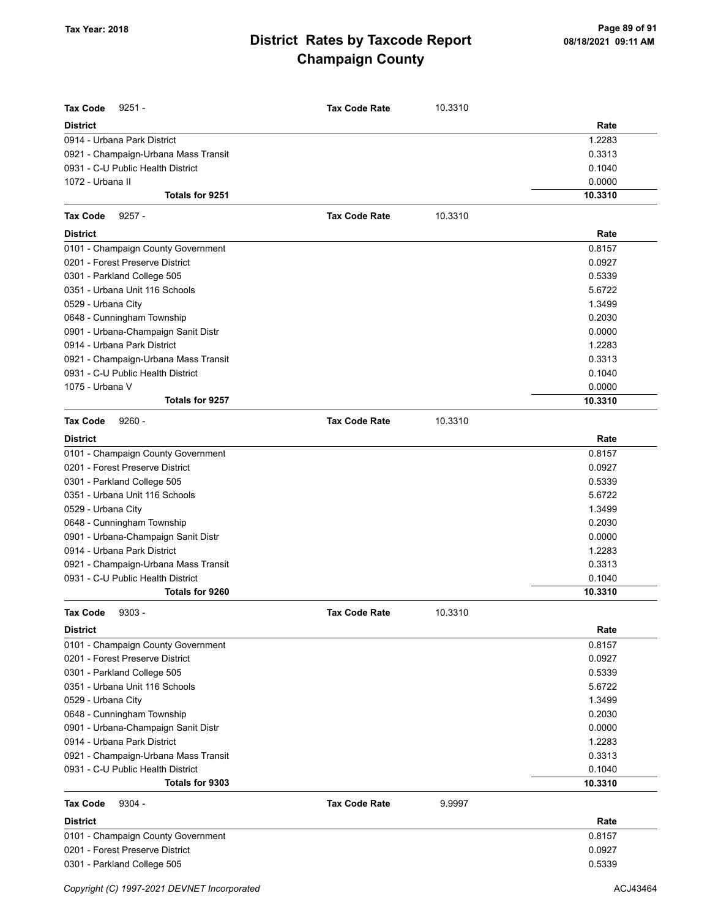| <b>Tax Code</b><br>$9251 -$          | <b>Tax Code Rate</b> | 10.3310 |         |
|--------------------------------------|----------------------|---------|---------|
| <b>District</b>                      |                      |         | Rate    |
| 0914 - Urbana Park District          |                      |         | 1.2283  |
| 0921 - Champaign-Urbana Mass Transit |                      |         | 0.3313  |
| 0931 - C-U Public Health District    |                      |         | 0.1040  |
| 1072 - Urbana II                     |                      |         | 0.0000  |
| Totals for 9251                      |                      |         | 10.3310 |
| <b>Tax Code</b><br>$9257 -$          | <b>Tax Code Rate</b> | 10.3310 |         |
| <b>District</b>                      |                      |         | Rate    |
| 0101 - Champaign County Government   |                      |         | 0.8157  |
| 0201 - Forest Preserve District      |                      |         | 0.0927  |
| 0301 - Parkland College 505          |                      |         | 0.5339  |
| 0351 - Urbana Unit 116 Schools       |                      |         | 5.6722  |
|                                      |                      |         |         |
| 0529 - Urbana City                   |                      |         | 1.3499  |
| 0648 - Cunningham Township           |                      |         | 0.2030  |
| 0901 - Urbana-Champaign Sanit Distr  |                      |         | 0.0000  |
| 0914 - Urbana Park District          |                      |         | 1.2283  |
| 0921 - Champaign-Urbana Mass Transit |                      |         | 0.3313  |
| 0931 - C-U Public Health District    |                      |         | 0.1040  |
| 1075 - Urbana V                      |                      |         | 0.0000  |
| Totals for 9257                      |                      |         | 10.3310 |
| <b>Tax Code</b><br>$9260 -$          | <b>Tax Code Rate</b> | 10.3310 |         |
| <b>District</b>                      |                      |         | Rate    |
| 0101 - Champaign County Government   |                      |         | 0.8157  |
| 0201 - Forest Preserve District      |                      |         | 0.0927  |
| 0301 - Parkland College 505          |                      |         | 0.5339  |
| 0351 - Urbana Unit 116 Schools       |                      |         | 5.6722  |
| 0529 - Urbana City                   |                      |         | 1.3499  |
| 0648 - Cunningham Township           |                      |         | 0.2030  |
| 0901 - Urbana-Champaign Sanit Distr  |                      |         | 0.0000  |
| 0914 - Urbana Park District          |                      |         | 1.2283  |
| 0921 - Champaign-Urbana Mass Transit |                      |         | 0.3313  |
| 0931 - C-U Public Health District    |                      |         | 0.1040  |
| Totals for 9260                      |                      |         | 10.3310 |
| $9303 -$<br>Tax Code                 | <b>Tax Code Rate</b> | 10.3310 |         |
| <b>District</b>                      |                      |         | Rate    |
| 0101 - Champaign County Government   |                      |         | 0.8157  |
| 0201 - Forest Preserve District      |                      |         | 0.0927  |
| 0301 - Parkland College 505          |                      |         | 0.5339  |
| 0351 - Urbana Unit 116 Schools       |                      |         | 5.6722  |
| 0529 - Urbana City                   |                      |         | 1.3499  |
| 0648 - Cunningham Township           |                      |         | 0.2030  |
| 0901 - Urbana-Champaign Sanit Distr  |                      |         | 0.0000  |
| 0914 - Urbana Park District          |                      |         | 1.2283  |
| 0921 - Champaign-Urbana Mass Transit |                      |         | 0.3313  |
| 0931 - C-U Public Health District    |                      |         | 0.1040  |
| Totals for 9303                      |                      |         | 10.3310 |
| <b>Tax Code</b><br>$9304 -$          | <b>Tax Code Rate</b> | 9.9997  |         |
| <b>District</b>                      |                      |         | Rate    |
| 0101 - Champaign County Government   |                      |         | 0.8157  |
| 0201 - Forest Preserve District      |                      |         | 0.0927  |
| 0301 - Parkland College 505          |                      |         | 0.5339  |
|                                      |                      |         |         |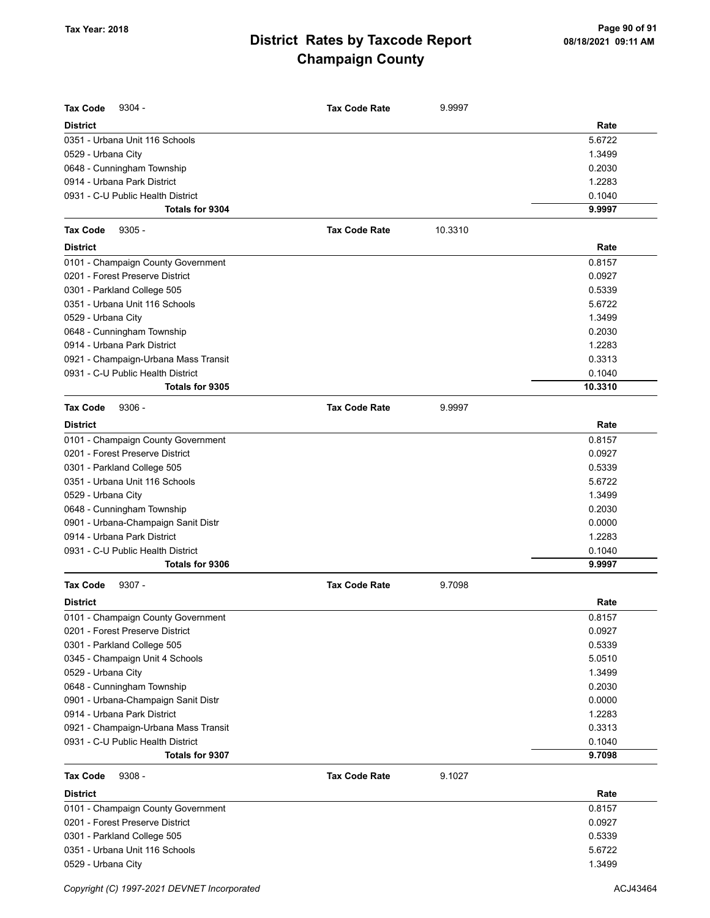| <b>Tax Code</b><br>$9304 -$          | <b>Tax Code Rate</b> | 9.9997  |         |
|--------------------------------------|----------------------|---------|---------|
| <b>District</b>                      |                      |         | Rate    |
| 0351 - Urbana Unit 116 Schools       |                      |         | 5.6722  |
| 0529 - Urbana City                   |                      |         | 1.3499  |
| 0648 - Cunningham Township           |                      |         | 0.2030  |
| 0914 - Urbana Park District          |                      |         | 1.2283  |
| 0931 - C-U Public Health District    |                      |         | 0.1040  |
| <b>Totals for 9304</b>               |                      |         | 9.9997  |
| <b>Tax Code</b><br>$9305 -$          | <b>Tax Code Rate</b> | 10.3310 |         |
| <b>District</b>                      |                      |         | Rate    |
| 0101 - Champaign County Government   |                      |         | 0.8157  |
| 0201 - Forest Preserve District      |                      |         | 0.0927  |
| 0301 - Parkland College 505          |                      |         | 0.5339  |
| 0351 - Urbana Unit 116 Schools       |                      |         | 5.6722  |
| 0529 - Urbana City                   |                      |         | 1.3499  |
| 0648 - Cunningham Township           |                      |         | 0.2030  |
| 0914 - Urbana Park District          |                      |         | 1.2283  |
| 0921 - Champaign-Urbana Mass Transit |                      |         | 0.3313  |
| 0931 - C-U Public Health District    |                      |         | 0.1040  |
| Totals for 9305                      |                      |         | 10.3310 |
| <b>Tax Code</b><br>$9306 -$          | <b>Tax Code Rate</b> | 9.9997  |         |
| <b>District</b>                      |                      |         | Rate    |
| 0101 - Champaign County Government   |                      |         | 0.8157  |
| 0201 - Forest Preserve District      |                      |         | 0.0927  |
| 0301 - Parkland College 505          |                      |         | 0.5339  |
| 0351 - Urbana Unit 116 Schools       |                      |         | 5.6722  |
| 0529 - Urbana City                   |                      |         | 1.3499  |
| 0648 - Cunningham Township           |                      |         | 0.2030  |
| 0901 - Urbana-Champaign Sanit Distr  |                      |         | 0.0000  |
| 0914 - Urbana Park District          |                      |         | 1.2283  |
| 0931 - C-U Public Health District    |                      |         | 0.1040  |
| Totals for 9306                      |                      |         | 9.9997  |
| <b>Tax Code</b><br>$9307 -$          | <b>Tax Code Rate</b> | 9.7098  |         |
| <b>District</b>                      |                      |         | Rate    |
| 0101 - Champaign County Government   |                      |         | 0.8157  |
| 0201 - Forest Preserve District      |                      |         | 0.0927  |
| 0301 - Parkland College 505          |                      |         | 0.5339  |
| 0345 - Champaign Unit 4 Schools      |                      |         | 5.0510  |
| 0529 - Urbana City                   |                      |         | 1.3499  |
| 0648 - Cunningham Township           |                      |         | 0.2030  |
| 0901 - Urbana-Champaign Sanit Distr  |                      |         | 0.0000  |
| 0914 - Urbana Park District          |                      |         | 1.2283  |
| 0921 - Champaign-Urbana Mass Transit |                      |         | 0.3313  |
| 0931 - C-U Public Health District    |                      |         | 0.1040  |
| Totals for 9307                      |                      |         | 9.7098  |
| <b>Tax Code</b><br>$9308 -$          | <b>Tax Code Rate</b> | 9.1027  |         |
| <b>District</b>                      |                      |         | Rate    |
| 0101 - Champaign County Government   |                      |         | 0.8157  |
| 0201 - Forest Preserve District      |                      |         | 0.0927  |
| 0301 - Parkland College 505          |                      |         | 0.5339  |
| 0351 - Urbana Unit 116 Schools       |                      |         | 5.6722  |
| 0529 - Urbana City                   |                      |         | 1.3499  |